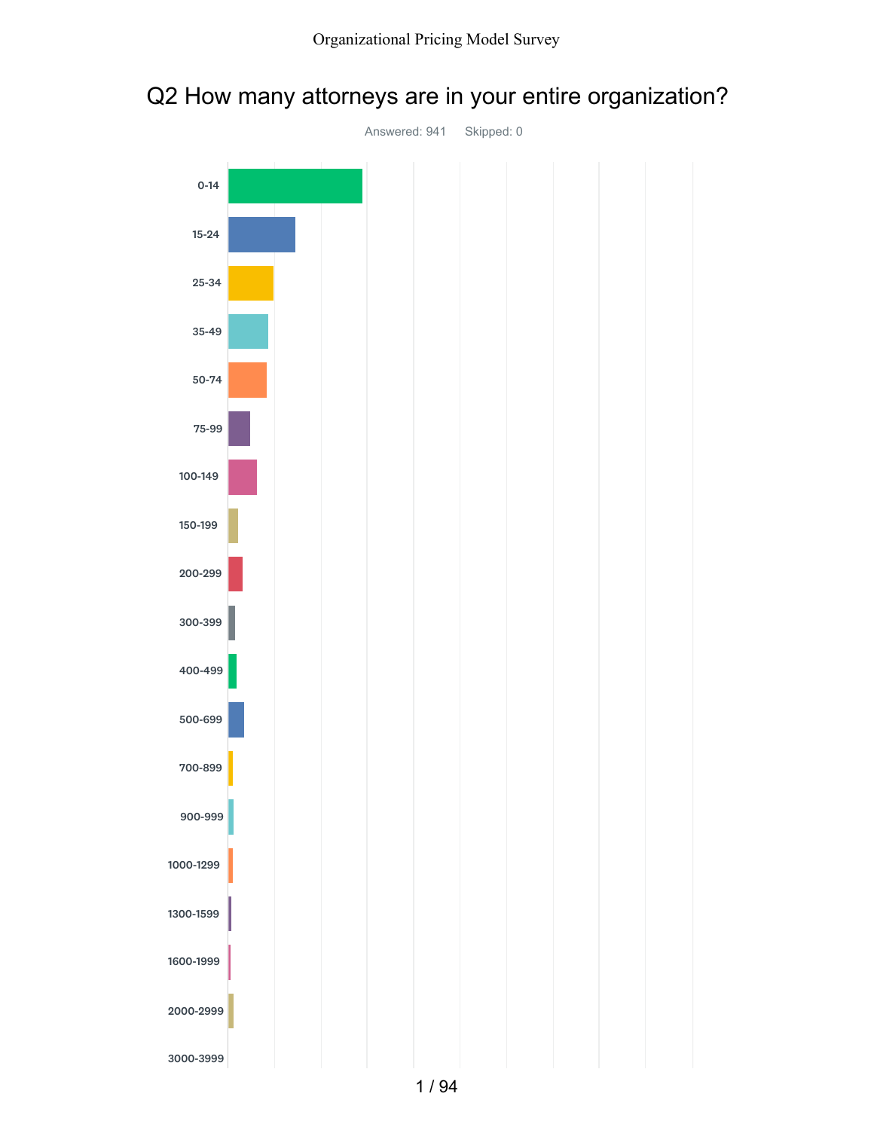# Q2 How many attorneys are in your entire organization?

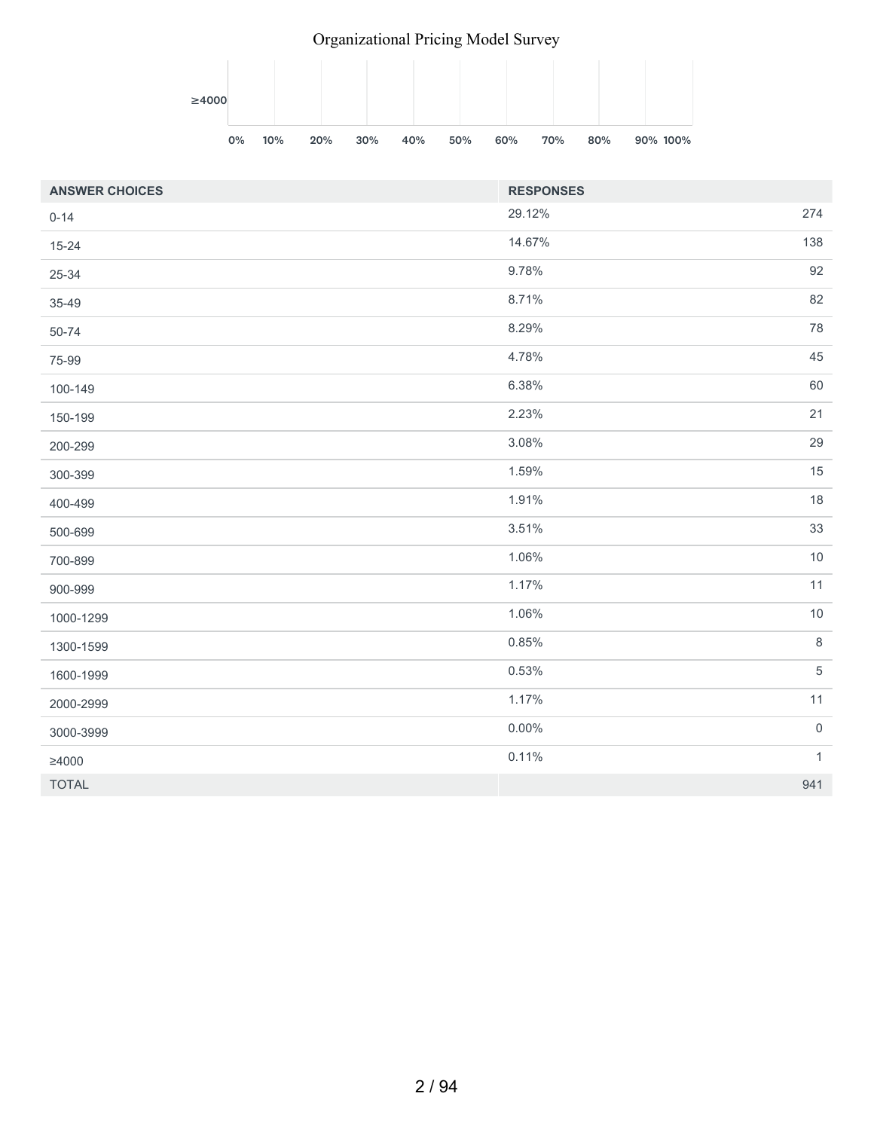### Organizational Pricing Model Survey



| <b>ANSWER CHOICES</b> | <b>RESPONSES</b> |              |
|-----------------------|------------------|--------------|
| $0 - 14$              | 29.12%           | 274          |
| $15 - 24$             | 14.67%           | 138          |
| 25-34                 | 9.78%            | 92           |
| 35-49                 | 8.71%            | 82           |
| 50-74                 | 8.29%            | 78           |
| 75-99                 | 4.78%            | 45           |
| 100-149               | 6.38%            | 60           |
| 150-199               | 2.23%            | 21           |
| 200-299               | 3.08%            | 29           |
| 300-399               | 1.59%            | 15           |
| 400-499               | 1.91%            | $18\,$       |
| 500-699               | 3.51%            | 33           |
| 700-899               | 1.06%            | $10$         |
| 900-999               | 1.17%            | 11           |
| 1000-1299             | 1.06%            | $10$         |
| 1300-1599             | 0.85%            | $\,8\,$      |
| 1600-1999             | 0.53%            | $\sqrt{5}$   |
| 2000-2999             | 1.17%            | 11           |
| 3000-3999             | $0.00\%$         | $\mathbf 0$  |
| $\geq 4000$           | 0.11%            | $\mathbf{1}$ |
| <b>TOTAL</b>          |                  | 941          |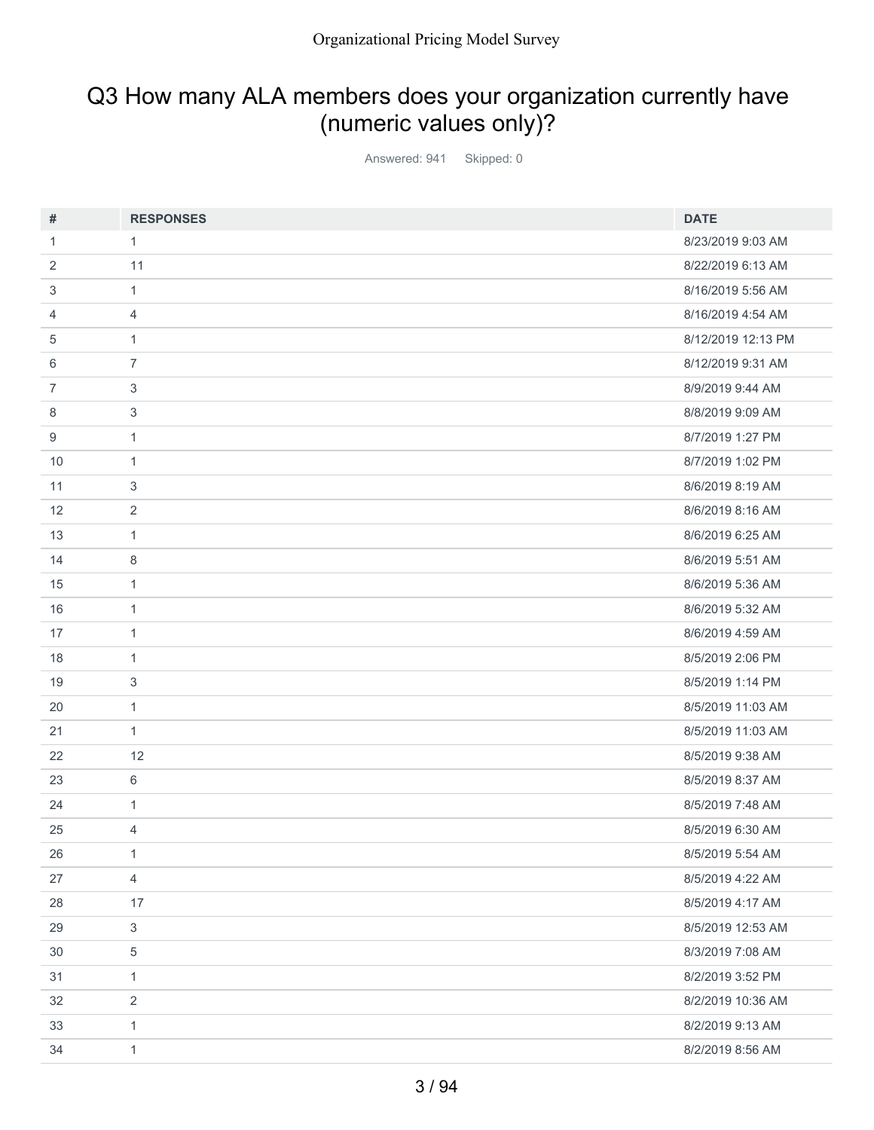# Q3 How many ALA members does your organization currently have (numeric values only)?

Answered: 941 Skipped: 0

| #      | <b>RESPONSES</b>          | <b>DATE</b>        |
|--------|---------------------------|--------------------|
| 1      | 1                         | 8/23/2019 9:03 AM  |
| 2      | 11                        | 8/22/2019 6:13 AM  |
| 3      | $\mathbf{1}$              | 8/16/2019 5:56 AM  |
| 4      | $\overline{4}$            | 8/16/2019 4:54 AM  |
| 5      | $\mathbf{1}$              | 8/12/2019 12:13 PM |
| 6      | $\overline{7}$            | 8/12/2019 9:31 AM  |
| 7      | 3                         | 8/9/2019 9:44 AM   |
| 8      | $\ensuremath{\mathsf{3}}$ | 8/8/2019 9:09 AM   |
| 9      | $\mathbf{1}$              | 8/7/2019 1:27 PM   |
| 10     | $\mathbf{1}$              | 8/7/2019 1:02 PM   |
| 11     | 3                         | 8/6/2019 8:19 AM   |
| 12     | 2                         | 8/6/2019 8:16 AM   |
| 13     | $\mathbf{1}$              | 8/6/2019 6:25 AM   |
| 14     | 8                         | 8/6/2019 5:51 AM   |
| 15     | $\mathbf{1}$              | 8/6/2019 5:36 AM   |
| 16     | $\mathbf{1}$              | 8/6/2019 5:32 AM   |
| 17     | $\mathbf{1}$              | 8/6/2019 4:59 AM   |
| 18     | $\mathbf{1}$              | 8/5/2019 2:06 PM   |
| 19     | 3                         | 8/5/2019 1:14 PM   |
| 20     | $\mathbf{1}$              | 8/5/2019 11:03 AM  |
| 21     | $\mathbf{1}$              | 8/5/2019 11:03 AM  |
| 22     | 12                        | 8/5/2019 9:38 AM   |
| 23     | 6                         | 8/5/2019 8:37 AM   |
| 24     | $\mathbf{1}$              | 8/5/2019 7:48 AM   |
| 25     | 4                         | 8/5/2019 6:30 AM   |
| 26     | $\mathbf{1}$              | 8/5/2019 5:54 AM   |
| 27     | $\overline{4}$            | 8/5/2019 4:22 AM   |
| 28     | 17                        | 8/5/2019 4:17 AM   |
| 29     | $\mathfrak{S}$            | 8/5/2019 12:53 AM  |
| $30\,$ | $\,$ 5 $\,$               | 8/3/2019 7:08 AM   |
| 31     | $\mathbf{1}$              | 8/2/2019 3:52 PM   |
| 32     | $\overline{2}$            | 8/2/2019 10:36 AM  |
| 33     | $\mathbf{1}$              | 8/2/2019 9:13 AM   |
| 34     | $\mathbf{1}$              | 8/2/2019 8:56 AM   |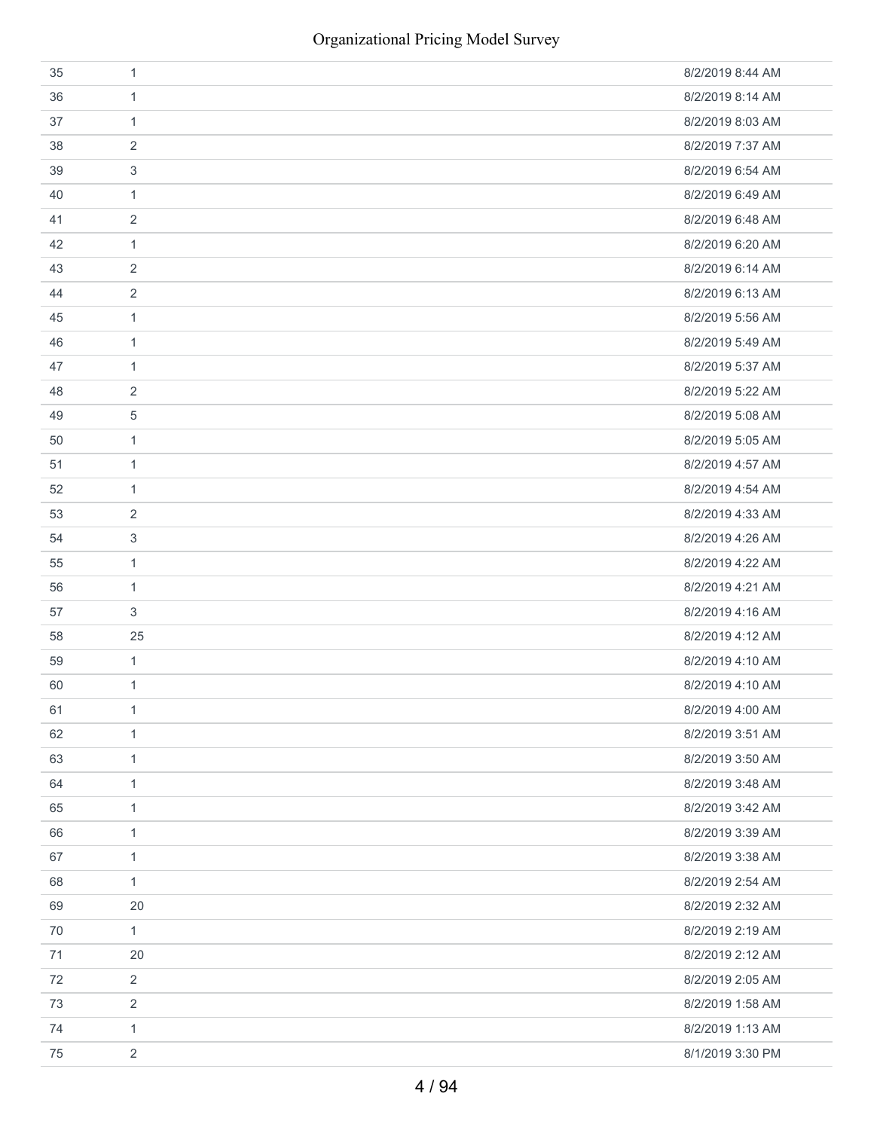| 35 | 1              | 8/2/2019 8:44 AM |
|----|----------------|------------------|
| 36 | $\mathbf{1}$   | 8/2/2019 8:14 AM |
| 37 | $\mathbf{1}$   | 8/2/2019 8:03 AM |
| 38 | 2              | 8/2/2019 7:37 AM |
| 39 | 3              | 8/2/2019 6:54 AM |
| 40 | 1              | 8/2/2019 6:49 AM |
| 41 | 2              | 8/2/2019 6:48 AM |
| 42 | 1              | 8/2/2019 6:20 AM |
| 43 | 2              | 8/2/2019 6:14 AM |
| 44 | 2              | 8/2/2019 6:13 AM |
| 45 | $\mathbf{1}$   | 8/2/2019 5:56 AM |
| 46 | $\mathbf{1}$   | 8/2/2019 5:49 AM |
| 47 | $\mathbf{1}$   | 8/2/2019 5:37 AM |
| 48 | 2              | 8/2/2019 5:22 AM |
| 49 | 5              | 8/2/2019 5:08 AM |
| 50 | $\mathbf{1}$   | 8/2/2019 5:05 AM |
| 51 | $\mathbf{1}$   | 8/2/2019 4:57 AM |
| 52 | 1              | 8/2/2019 4:54 AM |
| 53 | 2              | 8/2/2019 4:33 AM |
| 54 | 3              | 8/2/2019 4:26 AM |
| 55 | 1              | 8/2/2019 4:22 AM |
| 56 | 1              | 8/2/2019 4:21 AM |
| 57 | 3              | 8/2/2019 4:16 AM |
| 58 | 25             | 8/2/2019 4:12 AM |
| 59 | $\mathbf{1}$   | 8/2/2019 4:10 AM |
| 60 | $\mathbf{1}$   | 8/2/2019 4:10 AM |
| 61 | $\mathbf{1}$   | 8/2/2019 4:00 AM |
| 62 | $\mathbf{1}$   | 8/2/2019 3:51 AM |
| 63 | $\mathbf{1}$   | 8/2/2019 3:50 AM |
| 64 | $\mathbf{1}$   | 8/2/2019 3:48 AM |
| 65 | $\mathbf{1}$   | 8/2/2019 3:42 AM |
| 66 | $\mathbf{1}$   | 8/2/2019 3:39 AM |
| 67 | $\mathbf{1}$   | 8/2/2019 3:38 AM |
| 68 | $\mathbf{1}$   | 8/2/2019 2:54 AM |
| 69 | 20             | 8/2/2019 2:32 AM |
| 70 | $\mathbf{1}$   | 8/2/2019 2:19 AM |
| 71 | 20             | 8/2/2019 2:12 AM |
| 72 | $\overline{2}$ | 8/2/2019 2:05 AM |
| 73 | 2              | 8/2/2019 1:58 AM |
| 74 | $\mathbf{1}$   | 8/2/2019 1:13 AM |
| 75 | $\overline{2}$ | 8/1/2019 3:30 PM |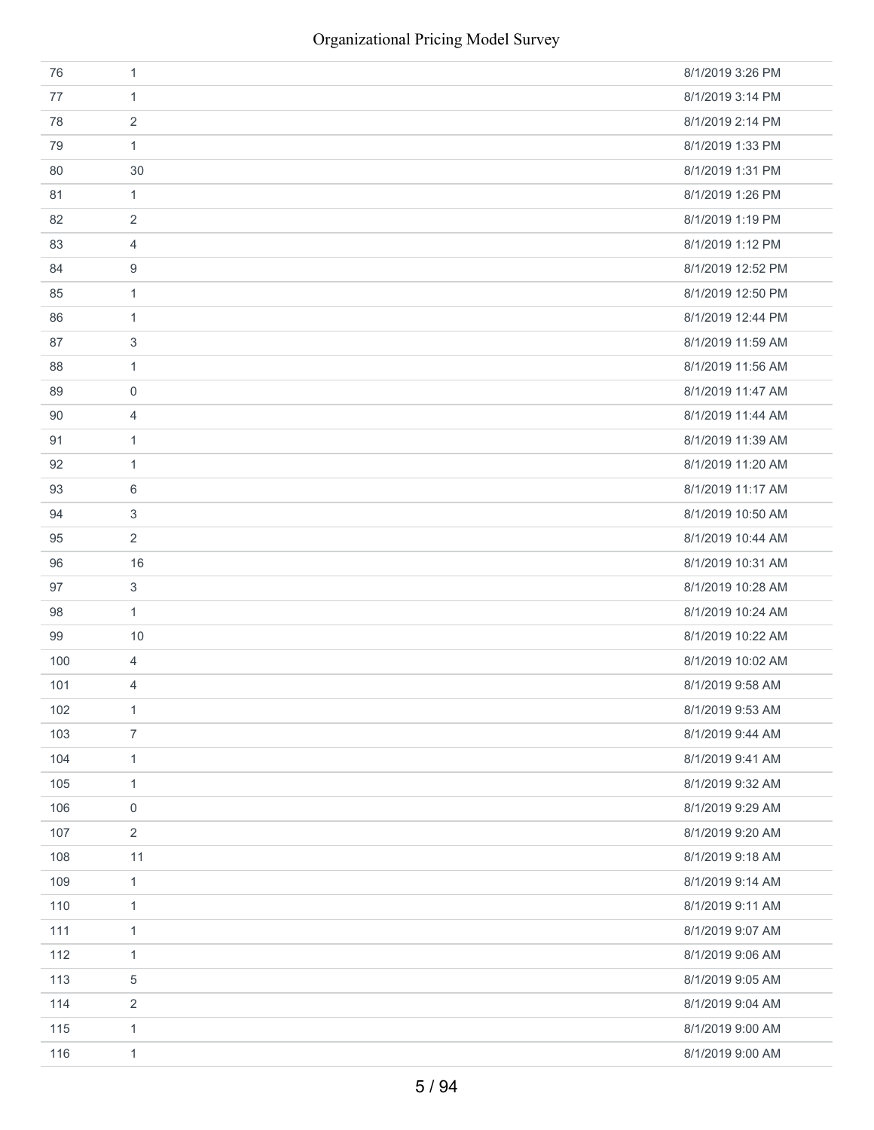| 76  | $\mathbf{1}$   | 8/1/2019 3:26 PM  |
|-----|----------------|-------------------|
| 77  | $\mathbf{1}$   | 8/1/2019 3:14 PM  |
| 78  | $\sqrt{2}$     | 8/1/2019 2:14 PM  |
| 79  | $\mathbf{1}$   | 8/1/2019 1:33 PM  |
| 80  | 30             | 8/1/2019 1:31 PM  |
| 81  | $\mathbf{1}$   | 8/1/2019 1:26 PM  |
| 82  | $\sqrt{2}$     | 8/1/2019 1:19 PM  |
| 83  | 4              | 8/1/2019 1:12 PM  |
| 84  | 9              | 8/1/2019 12:52 PM |
| 85  | $\mathbf{1}$   | 8/1/2019 12:50 PM |
| 86  | $\mathbf{1}$   | 8/1/2019 12:44 PM |
| 87  | 3              | 8/1/2019 11:59 AM |
| 88  | $\mathbf{1}$   | 8/1/2019 11:56 AM |
| 89  | $\mathbf 0$    | 8/1/2019 11:47 AM |
| 90  | 4              | 8/1/2019 11:44 AM |
| 91  | $\mathbf{1}$   | 8/1/2019 11:39 AM |
| 92  | $\mathbf{1}$   | 8/1/2019 11:20 AM |
| 93  | 6              | 8/1/2019 11:17 AM |
| 94  | 3              | 8/1/2019 10:50 AM |
| 95  | $\overline{2}$ | 8/1/2019 10:44 AM |
| 96  | 16             | 8/1/2019 10:31 AM |
| 97  | 3              | 8/1/2019 10:28 AM |
| 98  | $\mathbf{1}$   | 8/1/2019 10:24 AM |
| 99  | 10             | 8/1/2019 10:22 AM |
| 100 | $\overline{4}$ | 8/1/2019 10:02 AM |
| 101 | 4              | 8/1/2019 9:58 AM  |
| 102 | $\mathbf{1}$   | 8/1/2019 9:53 AM  |
| 103 | $\overline{7}$ | 8/1/2019 9:44 AM  |
| 104 | $\mathbf{1}$   | 8/1/2019 9:41 AM  |
| 105 | $\mathbf{1}$   | 8/1/2019 9:32 AM  |
| 106 | 0              | 8/1/2019 9:29 AM  |
| 107 | $\overline{2}$ | 8/1/2019 9:20 AM  |
| 108 | 11             | 8/1/2019 9:18 AM  |
| 109 | $\mathbf{1}$   | 8/1/2019 9:14 AM  |
| 110 | $\mathbf{1}$   | 8/1/2019 9:11 AM  |
| 111 | $\mathbf{1}$   | 8/1/2019 9:07 AM  |
| 112 | $\mathbf{1}$   | 8/1/2019 9:06 AM  |
| 113 | $\,$ 5 $\,$    | 8/1/2019 9:05 AM  |
| 114 | $\overline{2}$ | 8/1/2019 9:04 AM  |
| 115 | $\mathbf{1}$   | 8/1/2019 9:00 AM  |
| 116 | $\mathbf{1}$   | 8/1/2019 9:00 AM  |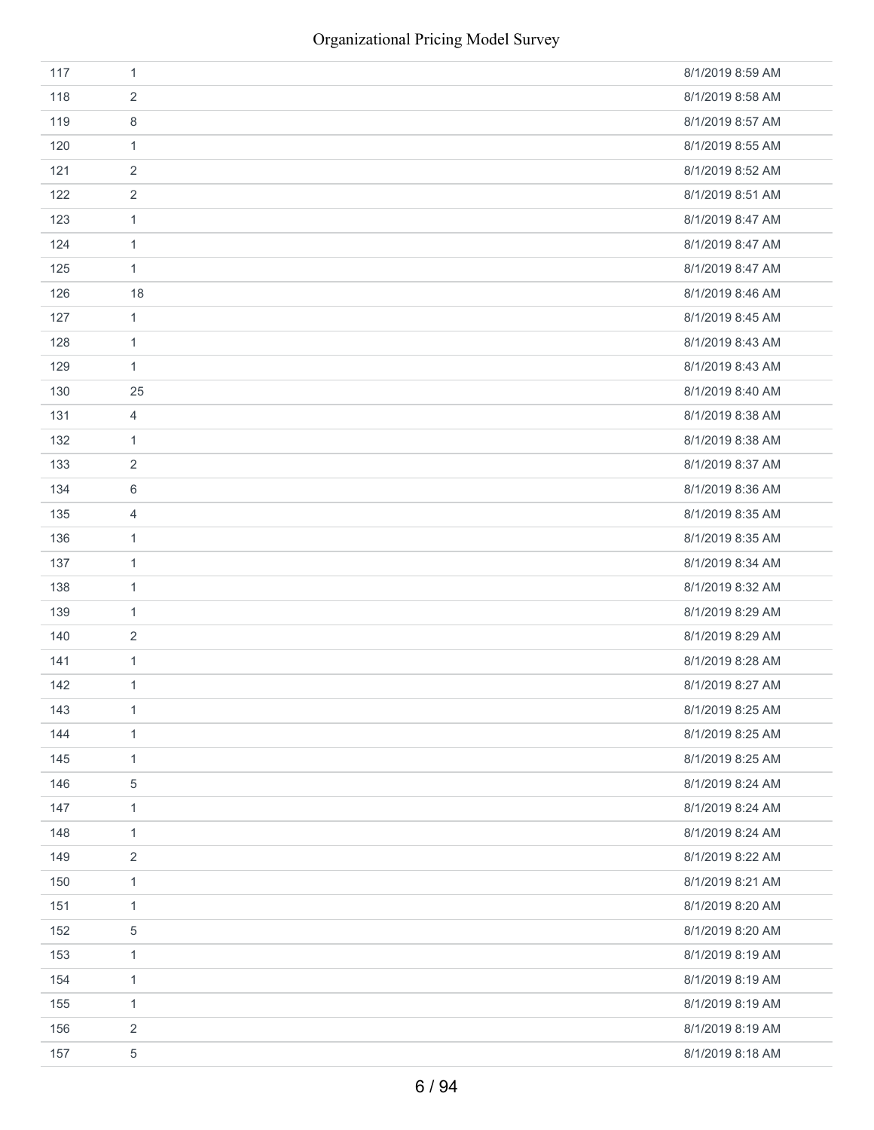| 117 | $\mathbf{1}$   | 8/1/2019 8:59 AM |
|-----|----------------|------------------|
| 118 | $\overline{2}$ | 8/1/2019 8:58 AM |
| 119 | 8              | 8/1/2019 8:57 AM |
| 120 | $\mathbf{1}$   | 8/1/2019 8:55 AM |
| 121 | $\overline{2}$ | 8/1/2019 8:52 AM |
| 122 | $\sqrt{2}$     | 8/1/2019 8:51 AM |
| 123 | $\mathbf{1}$   | 8/1/2019 8:47 AM |
| 124 | $\mathbf{1}$   | 8/1/2019 8:47 AM |
| 125 | $\mathbf{1}$   | 8/1/2019 8:47 AM |
| 126 | 18             | 8/1/2019 8:46 AM |
| 127 | $\mathbf{1}$   | 8/1/2019 8:45 AM |
| 128 | $\mathbf{1}$   | 8/1/2019 8:43 AM |
| 129 | $\mathbf{1}$   | 8/1/2019 8:43 AM |
| 130 | 25             | 8/1/2019 8:40 AM |
| 131 | 4              | 8/1/2019 8:38 AM |
| 132 | $\mathbf{1}$   | 8/1/2019 8:38 AM |
| 133 | $\overline{2}$ | 8/1/2019 8:37 AM |
| 134 | $\,6\,$        | 8/1/2019 8:36 AM |
| 135 | 4              | 8/1/2019 8:35 AM |
| 136 | $\mathbf{1}$   | 8/1/2019 8:35 AM |
| 137 | $\mathbf{1}$   | 8/1/2019 8:34 AM |
| 138 | $\mathbf{1}$   | 8/1/2019 8:32 AM |
| 139 | $\mathbf{1}$   | 8/1/2019 8:29 AM |
| 140 | $\sqrt{2}$     | 8/1/2019 8:29 AM |
| 141 | $\mathbf{1}$   | 8/1/2019 8:28 AM |
| 142 | $\mathbf{1}$   | 8/1/2019 8:27 AM |
| 143 | $\mathbf{1}$   | 8/1/2019 8:25 AM |
| 144 | $\mathbf{1}$   | 8/1/2019 8:25 AM |
| 145 | $\mathbf{1}$   | 8/1/2019 8:25 AM |
| 146 | $\,$ 5 $\,$    | 8/1/2019 8:24 AM |
| 147 | $\mathbf{1}$   | 8/1/2019 8:24 AM |
| 148 | $\mathbf{1}$   | 8/1/2019 8:24 AM |
| 149 | $\overline{2}$ | 8/1/2019 8:22 AM |
| 150 | $\mathbf{1}$   | 8/1/2019 8:21 AM |
| 151 | $\mathbf{1}$   | 8/1/2019 8:20 AM |
| 152 | $\,$ 5 $\,$    | 8/1/2019 8:20 AM |
| 153 | $\mathbf{1}$   | 8/1/2019 8:19 AM |
| 154 | $\mathbf{1}$   | 8/1/2019 8:19 AM |
| 155 | $\mathbf{1}$   | 8/1/2019 8:19 AM |
| 156 | $\overline{2}$ | 8/1/2019 8:19 AM |
| 157 | $\,$ 5 $\,$    | 8/1/2019 8:18 AM |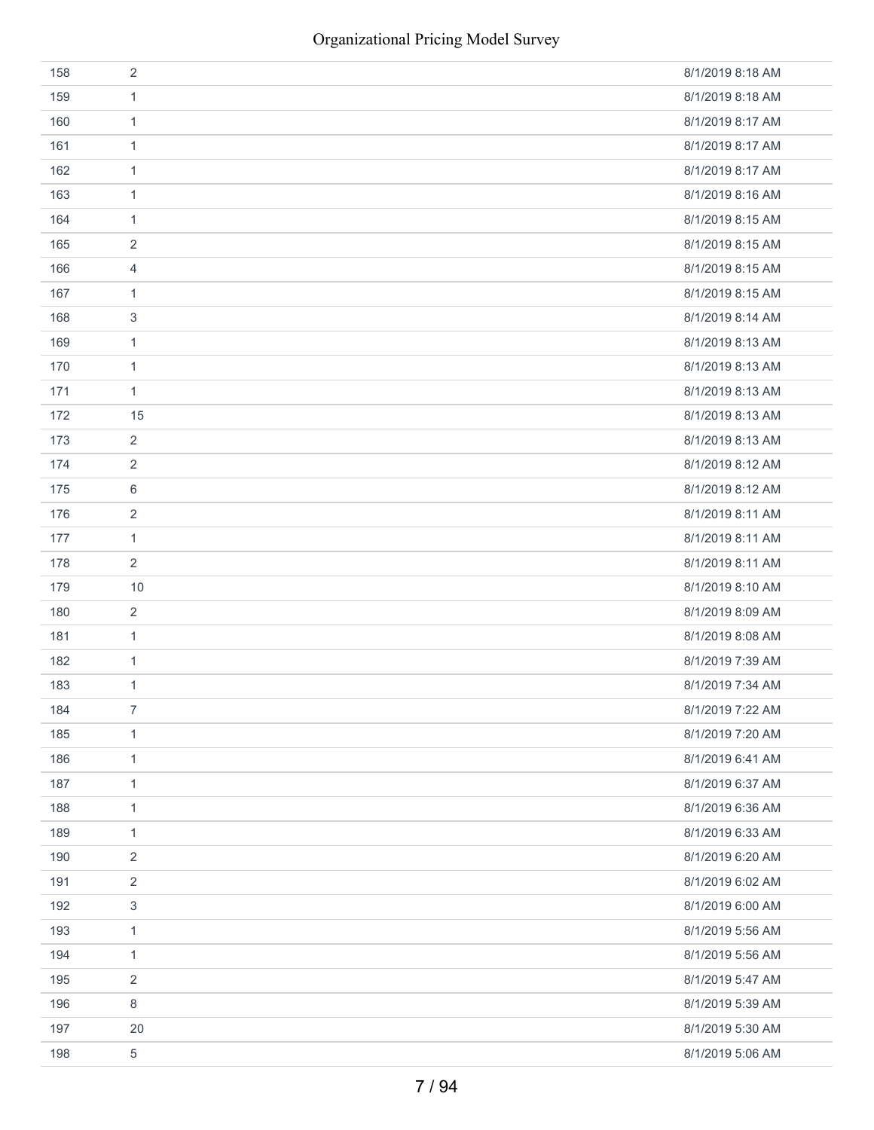| 158 | $\sqrt{2}$       | 8/1/2019 8:18 AM |
|-----|------------------|------------------|
| 159 | $\mathbf{1}$     | 8/1/2019 8:18 AM |
| 160 | $\mathbf{1}$     | 8/1/2019 8:17 AM |
| 161 | $\mathbf{1}$     | 8/1/2019 8:17 AM |
| 162 | $\mathbf{1}$     | 8/1/2019 8:17 AM |
| 163 | $\mathbf{1}$     | 8/1/2019 8:16 AM |
| 164 | $\mathbf{1}$     | 8/1/2019 8:15 AM |
| 165 | $\sqrt{2}$       | 8/1/2019 8:15 AM |
| 166 | $\overline{4}$   | 8/1/2019 8:15 AM |
| 167 | $\mathbf{1}$     | 8/1/2019 8:15 AM |
| 168 | $\sqrt{3}$       | 8/1/2019 8:14 AM |
| 169 | $\mathbf{1}$     | 8/1/2019 8:13 AM |
| 170 | $\mathbf{1}$     | 8/1/2019 8:13 AM |
| 171 | $\mathbf{1}$     | 8/1/2019 8:13 AM |
| 172 | 15               | 8/1/2019 8:13 AM |
| 173 | $\overline{2}$   | 8/1/2019 8:13 AM |
| 174 | $\sqrt{2}$       | 8/1/2019 8:12 AM |
| 175 | $\,6\,$          | 8/1/2019 8:12 AM |
| 176 | $\sqrt{2}$       | 8/1/2019 8:11 AM |
| 177 | $\mathbf{1}$     | 8/1/2019 8:11 AM |
| 178 | $\overline{2}$   | 8/1/2019 8:11 AM |
| 179 | 10               | 8/1/2019 8:10 AM |
| 180 | $\overline{2}$   | 8/1/2019 8:09 AM |
| 181 | $\mathbf{1}$     | 8/1/2019 8:08 AM |
| 182 | $\mathbf{1}$     | 8/1/2019 7:39 AM |
| 183 | $\mathbf{1}$     | 8/1/2019 7:34 AM |
| 184 | $\boldsymbol{7}$ | 8/1/2019 7:22 AM |
| 185 | $\mathbf{1}$     | 8/1/2019 7:20 AM |
| 186 | $\mathbf{1}$     | 8/1/2019 6:41 AM |
| 187 | $\mathbf{1}$     | 8/1/2019 6:37 AM |
| 188 | $\mathbf{1}$     | 8/1/2019 6:36 AM |
| 189 | $\mathbf{1}$     | 8/1/2019 6:33 AM |
| 190 | $\overline{2}$   | 8/1/2019 6:20 AM |
| 191 | $\sqrt{2}$       | 8/1/2019 6:02 AM |
| 192 | $\sqrt{3}$       | 8/1/2019 6:00 AM |
| 193 | $\mathbf{1}$     | 8/1/2019 5:56 AM |
| 194 | $\mathbf{1}$     | 8/1/2019 5:56 AM |
| 195 | $\overline{2}$   | 8/1/2019 5:47 AM |
| 196 | $\,8\,$          | 8/1/2019 5:39 AM |
| 197 | 20               | 8/1/2019 5:30 AM |
| 198 | $\,$ 5 $\,$      | 8/1/2019 5:06 AM |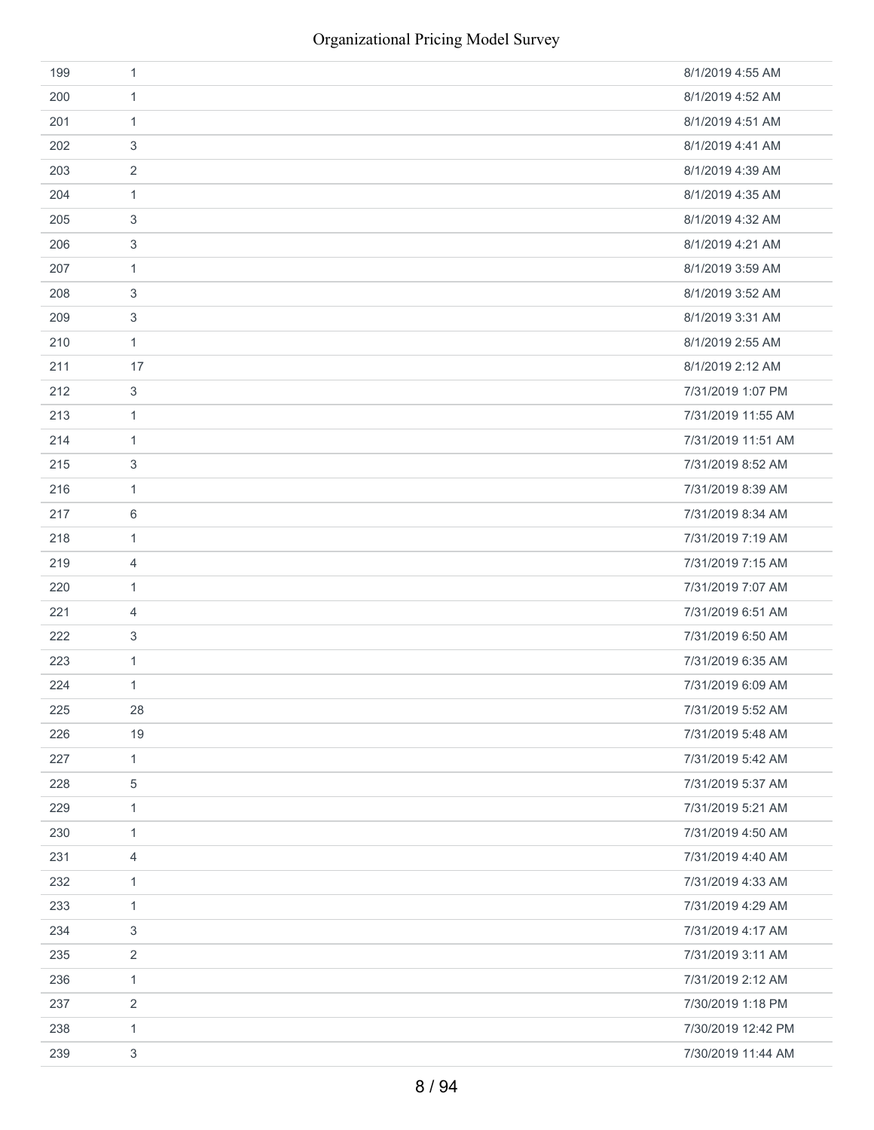| 199 | 1              | 8/1/2019 4:55 AM   |
|-----|----------------|--------------------|
| 200 | $\mathbf{1}$   | 8/1/2019 4:52 AM   |
| 201 | 1              | 8/1/2019 4:51 AM   |
| 202 | 3              | 8/1/2019 4:41 AM   |
| 203 | $\overline{2}$ | 8/1/2019 4:39 AM   |
| 204 | $\mathbf{1}$   | 8/1/2019 4:35 AM   |
| 205 | 3              | 8/1/2019 4:32 AM   |
| 206 | 3              | 8/1/2019 4:21 AM   |
| 207 | $\mathbf{1}$   | 8/1/2019 3:59 AM   |
| 208 | 3              | 8/1/2019 3:52 AM   |
| 209 | 3              | 8/1/2019 3:31 AM   |
| 210 | $\mathbf{1}$   | 8/1/2019 2:55 AM   |
| 211 | 17             | 8/1/2019 2:12 AM   |
| 212 | 3              | 7/31/2019 1:07 PM  |
| 213 | 1              | 7/31/2019 11:55 AM |
| 214 | $\mathbf{1}$   | 7/31/2019 11:51 AM |
| 215 | 3              | 7/31/2019 8:52 AM  |
| 216 | 1              | 7/31/2019 8:39 AM  |
| 217 | 6              | 7/31/2019 8:34 AM  |
| 218 | $\mathbf{1}$   | 7/31/2019 7:19 AM  |
| 219 | 4              | 7/31/2019 7:15 AM  |
| 220 | 1              | 7/31/2019 7:07 AM  |
| 221 | 4              | 7/31/2019 6:51 AM  |
| 222 | 3              | 7/31/2019 6:50 AM  |
| 223 | $\mathbf{1}$   | 7/31/2019 6:35 AM  |
| 224 | $\mathbf{1}$   | 7/31/2019 6:09 AM  |
| 225 | 28             | 7/31/2019 5:52 AM  |
| 226 | 19             | 7/31/2019 5:48 AM  |
| 227 | $\mathbf{1}$   | 7/31/2019 5:42 AM  |
| 228 | 5              | 7/31/2019 5:37 AM  |
| 229 | $\mathbf{1}$   | 7/31/2019 5:21 AM  |
| 230 | 1              | 7/31/2019 4:50 AM  |
| 231 | 4              | 7/31/2019 4:40 AM  |
| 232 | $\mathbf{1}$   | 7/31/2019 4:33 AM  |
| 233 | $\mathbf{1}$   | 7/31/2019 4:29 AM  |
| 234 | 3              | 7/31/2019 4:17 AM  |
| 235 | $\overline{2}$ | 7/31/2019 3:11 AM  |
| 236 | $\mathbf{1}$   | 7/31/2019 2:12 AM  |
| 237 | 2              | 7/30/2019 1:18 PM  |
| 238 | 1              | 7/30/2019 12:42 PM |
| 239 | 3              | 7/30/2019 11:44 AM |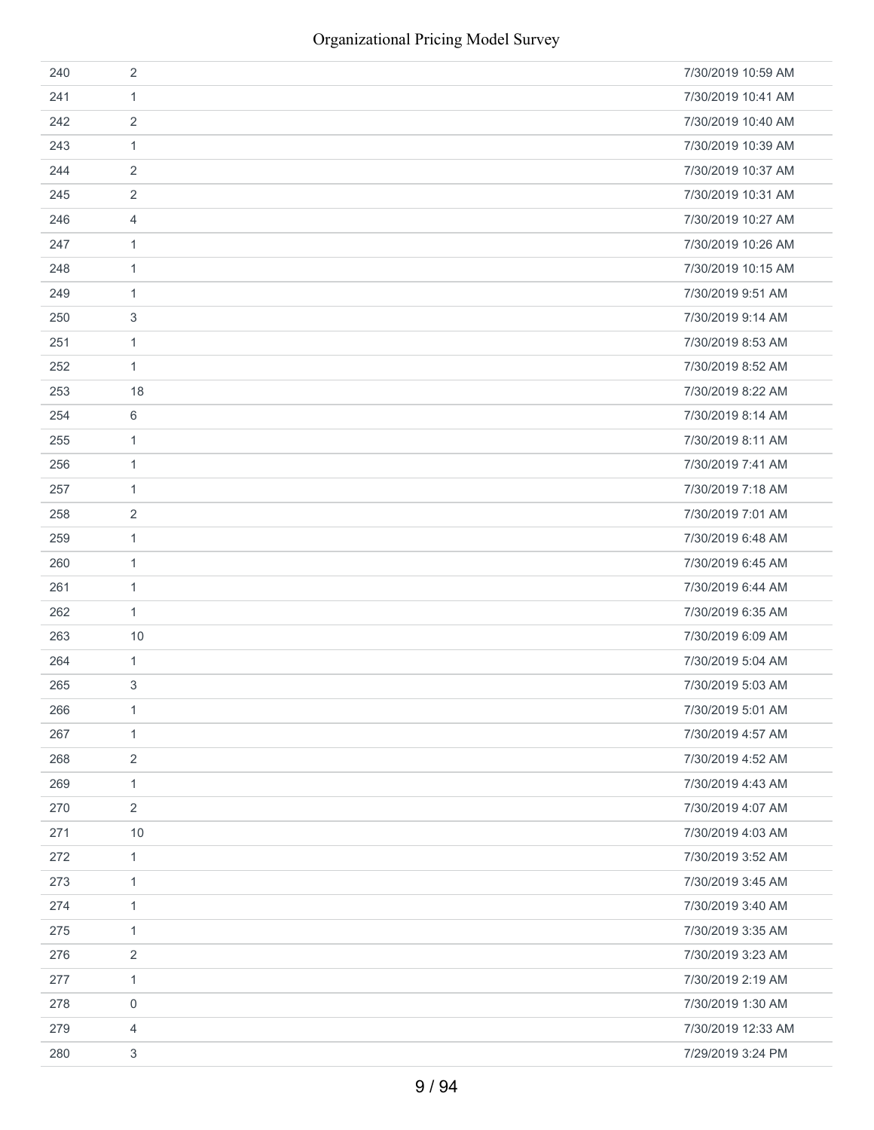| 240 | $\overline{2}$ | 7/30/2019 10:59 AM |
|-----|----------------|--------------------|
| 241 | 1              | 7/30/2019 10:41 AM |
| 242 | $\overline{2}$ | 7/30/2019 10:40 AM |
| 243 | 1              | 7/30/2019 10:39 AM |
| 244 | 2              | 7/30/2019 10:37 AM |
| 245 | $\overline{2}$ | 7/30/2019 10:31 AM |
| 246 | 4              | 7/30/2019 10:27 AM |
| 247 | 1              | 7/30/2019 10:26 AM |
| 248 | 1              | 7/30/2019 10:15 AM |
| 249 | 1              | 7/30/2019 9:51 AM  |
| 250 | 3              | 7/30/2019 9:14 AM  |
| 251 | $\mathbf{1}$   | 7/30/2019 8:53 AM  |
| 252 | 1              | 7/30/2019 8:52 AM  |
| 253 | 18             | 7/30/2019 8:22 AM  |
| 254 | 6              | 7/30/2019 8:14 AM  |
| 255 | 1              | 7/30/2019 8:11 AM  |
| 256 | 1              | 7/30/2019 7:41 AM  |
| 257 | 1              | 7/30/2019 7:18 AM  |
| 258 | 2              | 7/30/2019 7:01 AM  |
| 259 | 1              | 7/30/2019 6:48 AM  |
| 260 | 1              | 7/30/2019 6:45 AM  |
| 261 | 1              | 7/30/2019 6:44 AM  |
| 262 | 1              | 7/30/2019 6:35 AM  |
| 263 | 10             | 7/30/2019 6:09 AM  |
| 264 | 1              | 7/30/2019 5:04 AM  |
| 265 | 3              | 7/30/2019 5:03 AM  |
| 266 | 1              | 7/30/2019 5:01 AM  |
| 267 | 1              | 7/30/2019 4:57 AM  |
| 268 | 2              | 7/30/2019 4:52 AM  |
| 269 | 1              | 7/30/2019 4:43 AM  |
| 270 | $\overline{2}$ | 7/30/2019 4:07 AM  |
| 271 | $10$           | 7/30/2019 4:03 AM  |
| 272 | 1              | 7/30/2019 3:52 AM  |
| 273 | $\mathbf{1}$   | 7/30/2019 3:45 AM  |
| 274 | 1              | 7/30/2019 3:40 AM  |
| 275 | 1              | 7/30/2019 3:35 AM  |
| 276 | $\overline{2}$ | 7/30/2019 3:23 AM  |
| 277 | $\mathbf{1}$   | 7/30/2019 2:19 AM  |
| 278 | 0              | 7/30/2019 1:30 AM  |
| 279 | 4              | 7/30/2019 12:33 AM |
| 280 | 3              | 7/29/2019 3:24 PM  |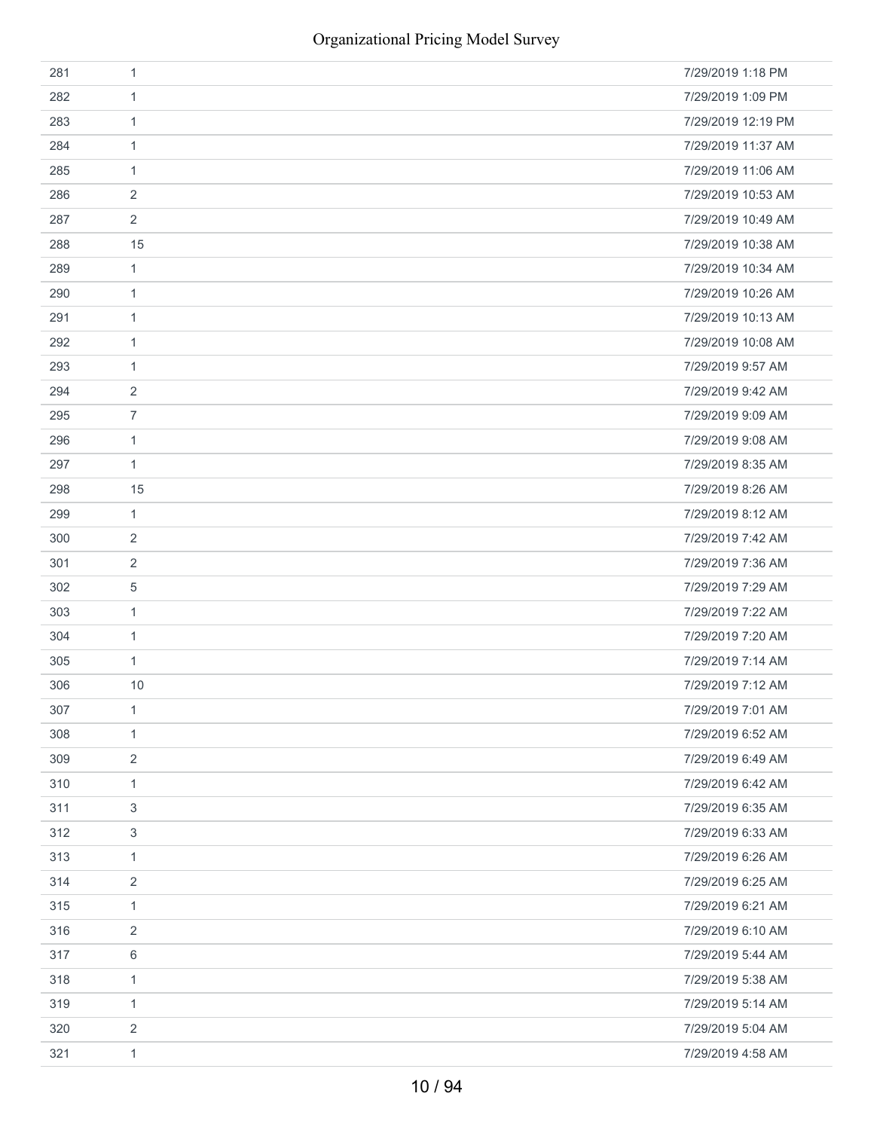| 281 | 1              | 7/29/2019 1:18 PM  |
|-----|----------------|--------------------|
| 282 | 1              | 7/29/2019 1:09 PM  |
| 283 | 1              | 7/29/2019 12:19 PM |
| 284 | 1              | 7/29/2019 11:37 AM |
| 285 | $\mathbf{1}$   | 7/29/2019 11:06 AM |
| 286 | 2              | 7/29/2019 10:53 AM |
| 287 | 2              | 7/29/2019 10:49 AM |
| 288 | 15             | 7/29/2019 10:38 AM |
| 289 | $\mathbf{1}$   | 7/29/2019 10:34 AM |
| 290 | 1              | 7/29/2019 10:26 AM |
| 291 | $\mathbf{1}$   | 7/29/2019 10:13 AM |
| 292 | $\mathbf{1}$   | 7/29/2019 10:08 AM |
| 293 | 1              | 7/29/2019 9:57 AM  |
| 294 | 2              | 7/29/2019 9:42 AM  |
| 295 | $\overline{7}$ | 7/29/2019 9:09 AM  |
| 296 | $\mathbf{1}$   | 7/29/2019 9:08 AM  |
| 297 | 1              | 7/29/2019 8:35 AM  |
| 298 | 15             | 7/29/2019 8:26 AM  |
| 299 | $\mathbf{1}$   | 7/29/2019 8:12 AM  |
| 300 | 2              | 7/29/2019 7:42 AM  |
| 301 | 2              | 7/29/2019 7:36 AM  |
| 302 | 5              | 7/29/2019 7:29 AM  |
| 303 | 1              | 7/29/2019 7:22 AM  |
| 304 | 1              | 7/29/2019 7:20 AM  |
| 305 | 1              | 7/29/2019 7:14 AM  |
| 306 | 10             | 7/29/2019 7:12 AM  |
| 307 | $\mathbf{1}$   | 7/29/2019 7:01 AM  |
| 308 | 1              | 7/29/2019 6:52 AM  |
| 309 | 2              | 7/29/2019 6:49 AM  |
| 310 | $\mathbf{1}$   | 7/29/2019 6:42 AM  |
| 311 | 3              | 7/29/2019 6:35 AM  |
| 312 | 3              | 7/29/2019 6:33 AM  |
| 313 | 1              | 7/29/2019 6:26 AM  |
| 314 | $\overline{2}$ | 7/29/2019 6:25 AM  |
| 315 | 1              | 7/29/2019 6:21 AM  |
| 316 | 2              | 7/29/2019 6:10 AM  |
| 317 | 6              | 7/29/2019 5:44 AM  |
| 318 | $\mathbf{1}$   | 7/29/2019 5:38 AM  |
| 319 | 1              | 7/29/2019 5:14 AM  |
| 320 | $\overline{2}$ | 7/29/2019 5:04 AM  |
| 321 | $\mathbf{1}$   | 7/29/2019 4:58 AM  |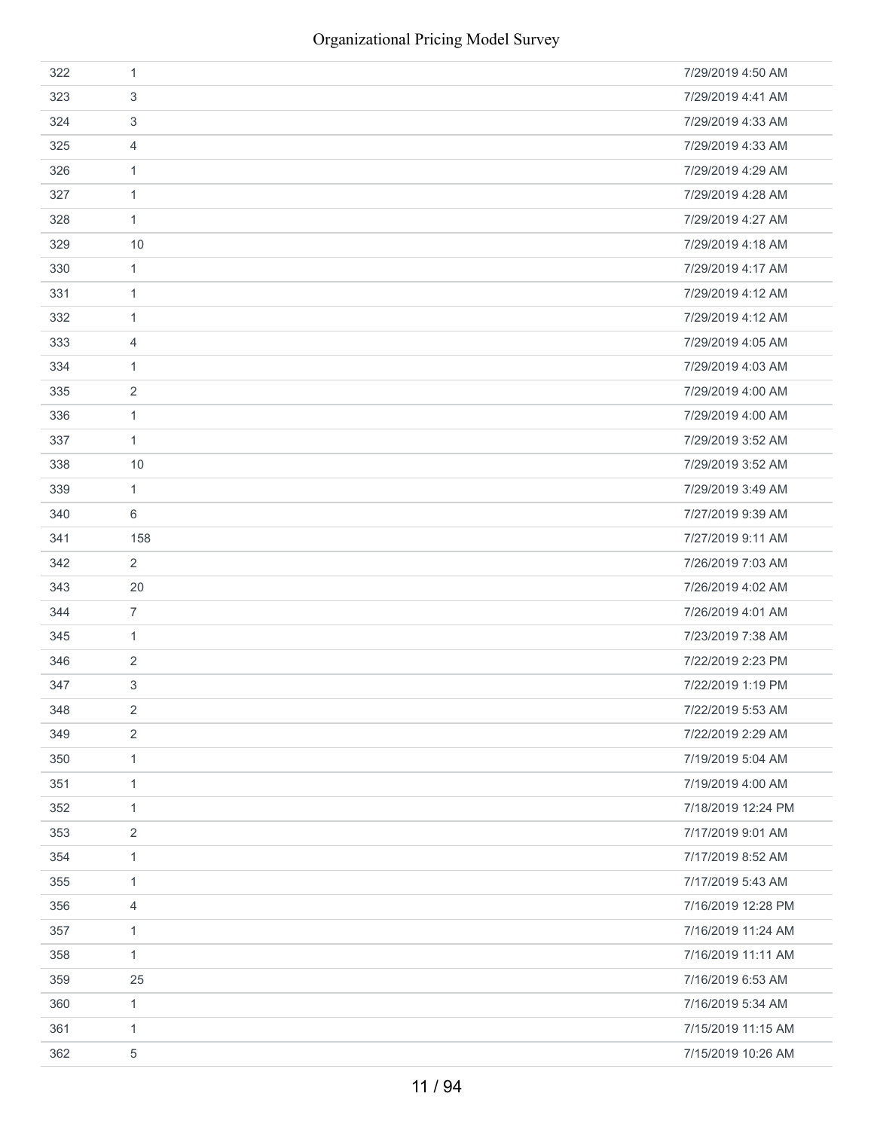| 322 | 1              | 7/29/2019 4:50 AM  |
|-----|----------------|--------------------|
| 323 | 3              | 7/29/2019 4:41 AM  |
| 324 | 3              | 7/29/2019 4:33 AM  |
| 325 | 4              | 7/29/2019 4:33 AM  |
| 326 | 1              | 7/29/2019 4:29 AM  |
| 327 | 1              | 7/29/2019 4:28 AM  |
| 328 | 1              | 7/29/2019 4:27 AM  |
| 329 | 10             | 7/29/2019 4:18 AM  |
| 330 | 1              | 7/29/2019 4:17 AM  |
| 331 | 1              | 7/29/2019 4:12 AM  |
| 332 | 1              | 7/29/2019 4:12 AM  |
| 333 | 4              | 7/29/2019 4:05 AM  |
| 334 | 1              | 7/29/2019 4:03 AM  |
| 335 | 2              | 7/29/2019 4:00 AM  |
| 336 | 1              | 7/29/2019 4:00 AM  |
| 337 | 1              | 7/29/2019 3:52 AM  |
| 338 | 10             | 7/29/2019 3:52 AM  |
| 339 | 1              | 7/29/2019 3:49 AM  |
| 340 | 6              | 7/27/2019 9:39 AM  |
| 341 | 158            | 7/27/2019 9:11 AM  |
| 342 | $\overline{2}$ | 7/26/2019 7:03 AM  |
| 343 | 20             | 7/26/2019 4:02 AM  |
| 344 | $\overline{7}$ | 7/26/2019 4:01 AM  |
| 345 | 1              | 7/23/2019 7:38 AM  |
| 346 | 2              | 7/22/2019 2:23 PM  |
| 347 | 3              | 7/22/2019 1:19 PM  |
| 348 | 2              | 7/22/2019 5:53 AM  |
| 349 | 2              | 7/22/2019 2:29 AM  |
| 350 | $\mathbf{1}$   | 7/19/2019 5:04 AM  |
| 351 | $\mathbf{1}$   | 7/19/2019 4:00 AM  |
| 352 | $\mathbf{1}$   | 7/18/2019 12:24 PM |
| 353 | $\overline{2}$ | 7/17/2019 9:01 AM  |
| 354 | $\mathbf{1}$   | 7/17/2019 8:52 AM  |
| 355 | $\mathbf{1}$   | 7/17/2019 5:43 AM  |
| 356 | $\overline{4}$ | 7/16/2019 12:28 PM |
| 357 | $\mathbf{1}$   | 7/16/2019 11:24 AM |
| 358 | $\mathbf{1}$   | 7/16/2019 11:11 AM |
| 359 | 25             | 7/16/2019 6:53 AM  |
| 360 | $\mathbf{1}$   | 7/16/2019 5:34 AM  |
| 361 | 1              | 7/15/2019 11:15 AM |
| 362 | 5              | 7/15/2019 10:26 AM |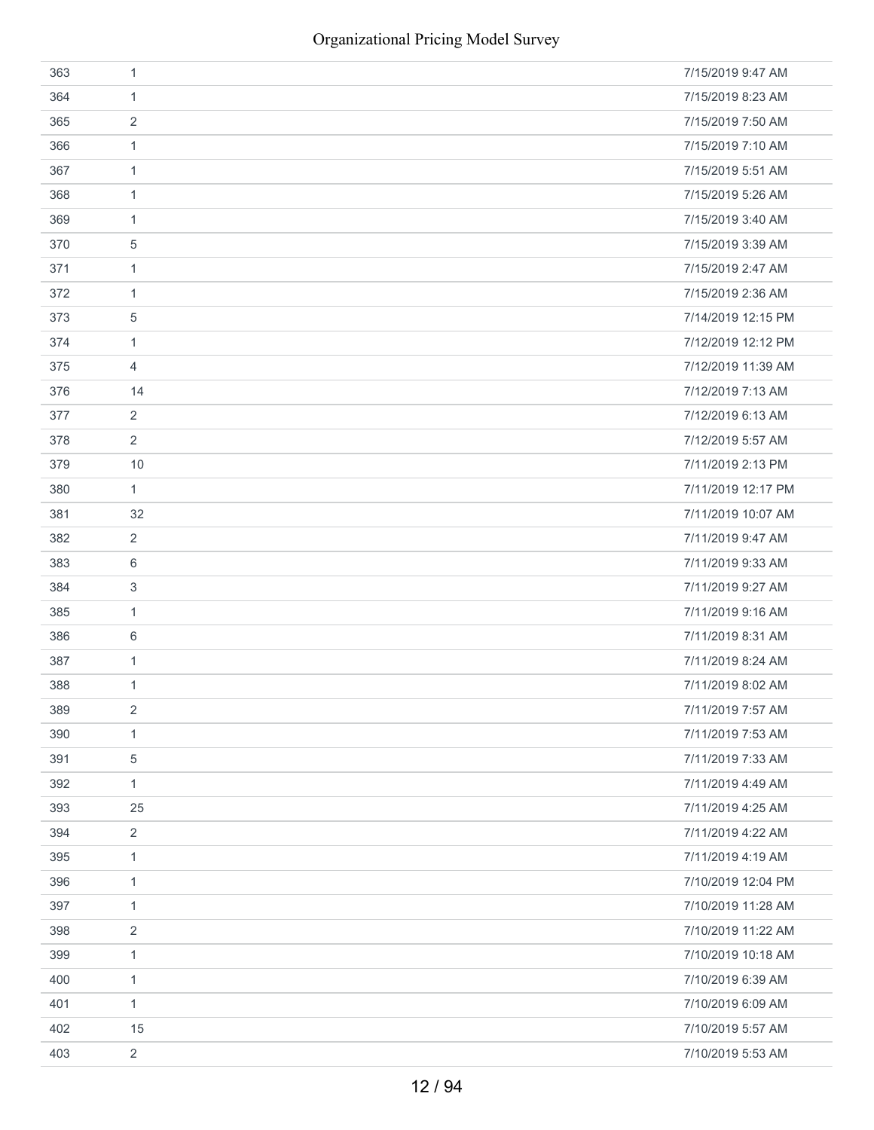| 363 | 1              | 7/15/2019 9:47 AM  |
|-----|----------------|--------------------|
| 364 | 1              | 7/15/2019 8:23 AM  |
| 365 | 2              | 7/15/2019 7:50 AM  |
| 366 | $\mathbf{1}$   | 7/15/2019 7:10 AM  |
| 367 | $\mathbf{1}$   | 7/15/2019 5:51 AM  |
| 368 | 1              | 7/15/2019 5:26 AM  |
| 369 | 1              | 7/15/2019 3:40 AM  |
| 370 | 5              | 7/15/2019 3:39 AM  |
| 371 | $\mathbf{1}$   | 7/15/2019 2:47 AM  |
| 372 | 1              | 7/15/2019 2:36 AM  |
| 373 | 5              | 7/14/2019 12:15 PM |
| 374 | $\mathbf{1}$   | 7/12/2019 12:12 PM |
| 375 | 4              | 7/12/2019 11:39 AM |
| 376 | 14             | 7/12/2019 7:13 AM  |
| 377 | 2              | 7/12/2019 6:13 AM  |
| 378 | $\overline{2}$ | 7/12/2019 5:57 AM  |
| 379 | 10             | 7/11/2019 2:13 PM  |
| 380 | $\mathbf{1}$   | 7/11/2019 12:17 PM |
| 381 | 32             | 7/11/2019 10:07 AM |
| 382 | 2              | 7/11/2019 9:47 AM  |
| 383 | 6              | 7/11/2019 9:33 AM  |
| 384 | 3              | 7/11/2019 9:27 AM  |
| 385 | $\mathbf{1}$   | 7/11/2019 9:16 AM  |
| 386 | 6              | 7/11/2019 8:31 AM  |
| 387 | $\mathbf{1}$   | 7/11/2019 8:24 AM  |
| 388 | 1              | 7/11/2019 8:02 AM  |
| 389 | 2              | 7/11/2019 7:57 AM  |
| 390 | 1              | 7/11/2019 7:53 AM  |
| 391 | $\,$ 5 $\,$    | 7/11/2019 7:33 AM  |
| 392 | 1              | 7/11/2019 4:49 AM  |
| 393 | 25             | 7/11/2019 4:25 AM  |
| 394 | $\overline{2}$ | 7/11/2019 4:22 AM  |
| 395 | $\mathbf{1}$   | 7/11/2019 4:19 AM  |
| 396 | $\mathbf{1}$   | 7/10/2019 12:04 PM |
| 397 | 1              | 7/10/2019 11:28 AM |
| 398 | 2              | 7/10/2019 11:22 AM |
| 399 | $\mathbf{1}$   | 7/10/2019 10:18 AM |
| 400 | $\mathbf{1}$   | 7/10/2019 6:39 AM  |
| 401 | 1              | 7/10/2019 6:09 AM  |
| 402 | 15             | 7/10/2019 5:57 AM  |
| 403 | $\overline{2}$ | 7/10/2019 5:53 AM  |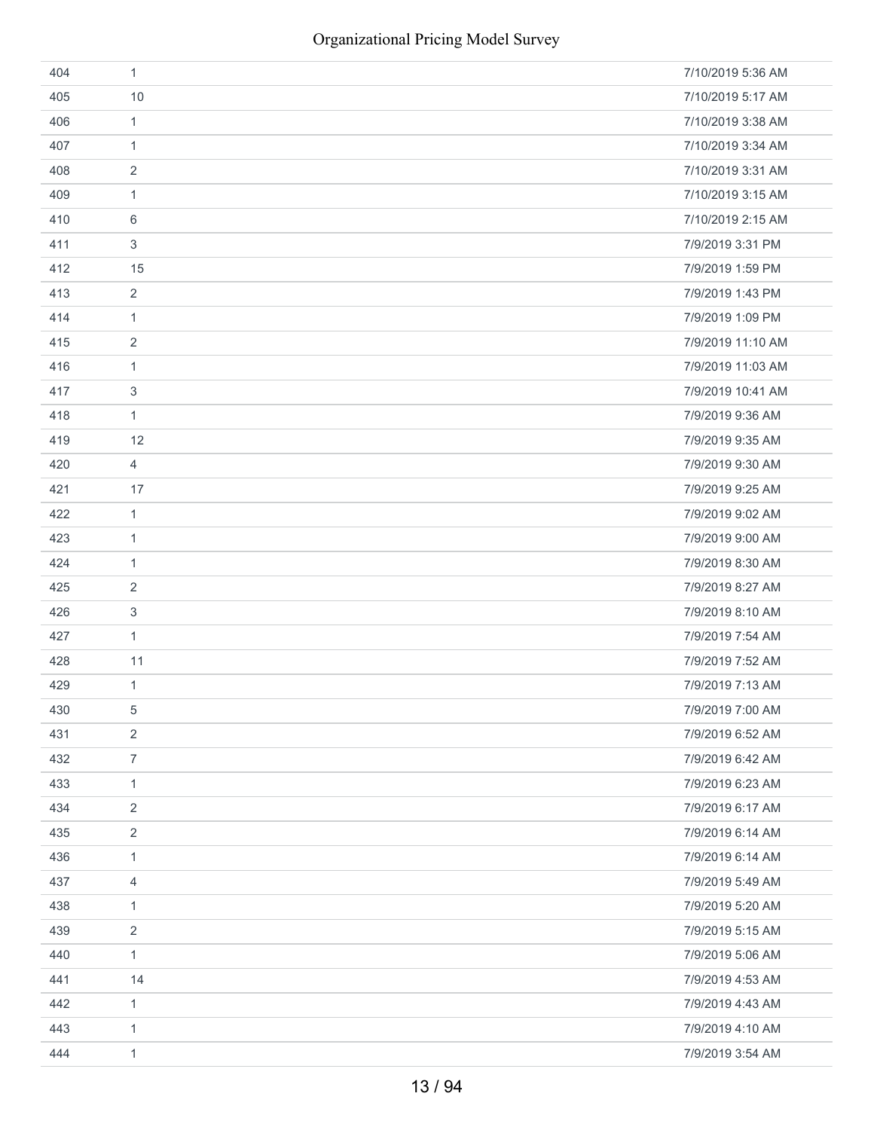| 404 | $\mathbf{1}$              | 7/10/2019 5:36 AM |
|-----|---------------------------|-------------------|
| 405 | 10                        | 7/10/2019 5:17 AM |
| 406 | $\mathbf{1}$              | 7/10/2019 3:38 AM |
| 407 | $\mathbf{1}$              | 7/10/2019 3:34 AM |
| 408 | $\sqrt{2}$                | 7/10/2019 3:31 AM |
| 409 | $\mathbf{1}$              | 7/10/2019 3:15 AM |
| 410 | 6                         | 7/10/2019 2:15 AM |
| 411 | $\sqrt{3}$                | 7/9/2019 3:31 PM  |
| 412 | 15                        | 7/9/2019 1:59 PM  |
| 413 | $\overline{2}$            | 7/9/2019 1:43 PM  |
| 414 | $\mathbf{1}$              | 7/9/2019 1:09 PM  |
| 415 | $\sqrt{2}$                | 7/9/2019 11:10 AM |
| 416 | $\mathbf{1}$              | 7/9/2019 11:03 AM |
| 417 | $\ensuremath{\mathsf{3}}$ | 7/9/2019 10:41 AM |
| 418 | $\mathbf{1}$              | 7/9/2019 9:36 AM  |
| 419 | 12                        | 7/9/2019 9:35 AM  |
| 420 | $\overline{4}$            | 7/9/2019 9:30 AM  |
| 421 | 17                        | 7/9/2019 9:25 AM  |
| 422 | $\mathbf{1}$              | 7/9/2019 9:02 AM  |
| 423 | $\mathbf{1}$              | 7/9/2019 9:00 AM  |
| 424 | $\mathbf{1}$              | 7/9/2019 8:30 AM  |
| 425 | 2                         | 7/9/2019 8:27 AM  |
| 426 | $\mathfrak{S}$            | 7/9/2019 8:10 AM  |
| 427 | $\mathbf{1}$              | 7/9/2019 7:54 AM  |
| 428 | 11                        | 7/9/2019 7:52 AM  |
| 429 | $\mathbf{1}$              | 7/9/2019 7:13 AM  |
| 430 | 5                         | 7/9/2019 7:00 AM  |
| 431 | $\overline{2}$            | 7/9/2019 6:52 AM  |
| 432 | $\overline{7}$            | 7/9/2019 6:42 AM  |
| 433 | $\mathbf{1}$              | 7/9/2019 6:23 AM  |
| 434 | $\sqrt{2}$                | 7/9/2019 6:17 AM  |
| 435 | $\sqrt{2}$                | 7/9/2019 6:14 AM  |
| 436 | $\mathbf{1}$              | 7/9/2019 6:14 AM  |
| 437 | $\overline{4}$            | 7/9/2019 5:49 AM  |
| 438 | $\mathbf{1}$              | 7/9/2019 5:20 AM  |
| 439 | $\overline{2}$            | 7/9/2019 5:15 AM  |
| 440 | $\mathbf{1}$              | 7/9/2019 5:06 AM  |
| 441 | 14                        | 7/9/2019 4:53 AM  |
| 442 | $\mathbf{1}$              | 7/9/2019 4:43 AM  |
| 443 | $\mathbf{1}$              | 7/9/2019 4:10 AM  |
| 444 | $\mathbf{1}$              | 7/9/2019 3:54 AM  |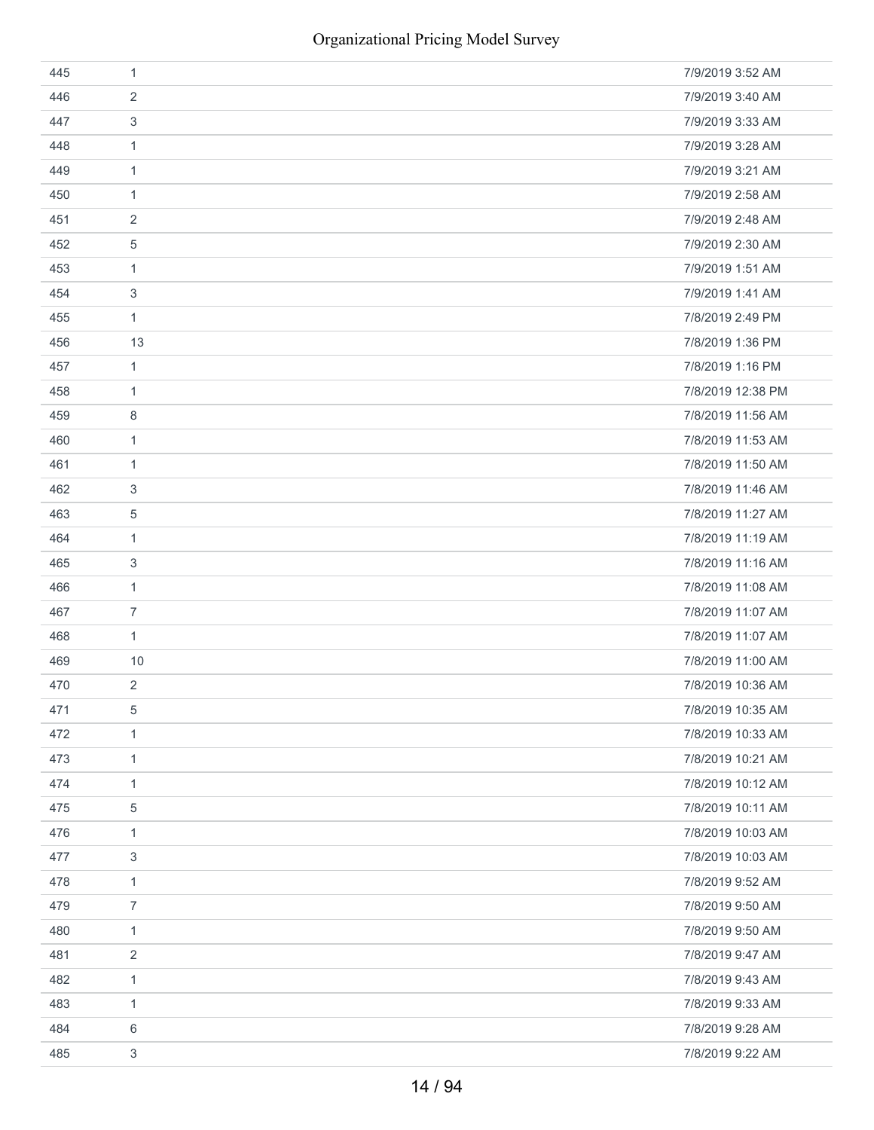| 445 | 1              | 7/9/2019 3:52 AM  |
|-----|----------------|-------------------|
| 446 | $\overline{2}$ | 7/9/2019 3:40 AM  |
| 447 | 3              | 7/9/2019 3:33 AM  |
| 448 | $\mathbf{1}$   | 7/9/2019 3:28 AM  |
| 449 | $\mathbf{1}$   | 7/9/2019 3:21 AM  |
| 450 | 1              | 7/9/2019 2:58 AM  |
| 451 | 2              | 7/9/2019 2:48 AM  |
| 452 | 5              | 7/9/2019 2:30 AM  |
| 453 | $\mathbf{1}$   | 7/9/2019 1:51 AM  |
| 454 | 3              | 7/9/2019 1:41 AM  |
| 455 | $\mathbf{1}$   | 7/8/2019 2:49 PM  |
| 456 | 13             | 7/8/2019 1:36 PM  |
| 457 | $\mathbf{1}$   | 7/8/2019 1:16 PM  |
| 458 | 1              | 7/8/2019 12:38 PM |
| 459 | 8              | 7/8/2019 11:56 AM |
| 460 | $\mathbf{1}$   | 7/8/2019 11:53 AM |
| 461 | 1              | 7/8/2019 11:50 AM |
| 462 | 3              | 7/8/2019 11:46 AM |
| 463 | 5              | 7/8/2019 11:27 AM |
| 464 | $\mathbf{1}$   | 7/8/2019 11:19 AM |
| 465 | 3              | 7/8/2019 11:16 AM |
| 466 | 1              | 7/8/2019 11:08 AM |
| 467 | 7              | 7/8/2019 11:07 AM |
| 468 | $\mathbf{1}$   | 7/8/2019 11:07 AM |
| 469 | 10             | 7/8/2019 11:00 AM |
| 470 | $\overline{2}$ | 7/8/2019 10:36 AM |
| 471 | 5              | 7/8/2019 10:35 AM |
| 472 | $\mathbf{1}$   | 7/8/2019 10:33 AM |
| 473 | $\mathbf{1}$   | 7/8/2019 10:21 AM |
| 474 | $\mathbf{1}$   | 7/8/2019 10:12 AM |
| 475 | 5              | 7/8/2019 10:11 AM |
| 476 | 1              | 7/8/2019 10:03 AM |
| 477 | 3              | 7/8/2019 10:03 AM |
| 478 | $\mathbf{1}$   | 7/8/2019 9:52 AM  |
| 479 | $\overline{7}$ | 7/8/2019 9:50 AM  |
| 480 | $\mathbf{1}$   | 7/8/2019 9:50 AM  |
| 481 | 2              | 7/8/2019 9:47 AM  |
| 482 | $\mathbf{1}$   | 7/8/2019 9:43 AM  |
| 483 | $\mathbf{1}$   | 7/8/2019 9:33 AM  |
| 484 | 6              | 7/8/2019 9:28 AM  |
| 485 | 3              | 7/8/2019 9:22 AM  |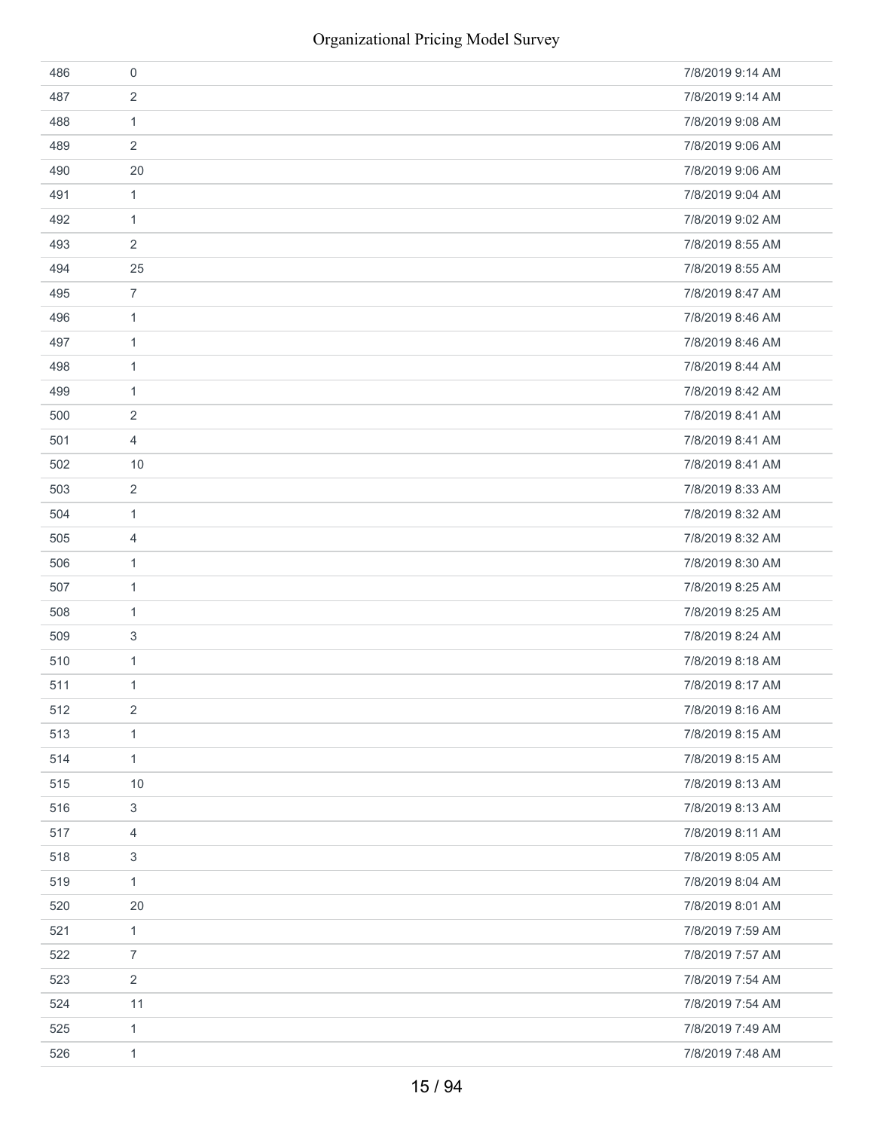| 486 | 0                | 7/8/2019 9:14 AM |
|-----|------------------|------------------|
| 487 | $\overline{2}$   | 7/8/2019 9:14 AM |
| 488 | $\mathbf{1}$     | 7/8/2019 9:08 AM |
| 489 | 2                | 7/8/2019 9:06 AM |
| 490 | 20               | 7/8/2019 9:06 AM |
| 491 | $\mathbf{1}$     | 7/8/2019 9:04 AM |
| 492 | $\mathbf{1}$     | 7/8/2019 9:02 AM |
| 493 | 2                | 7/8/2019 8:55 AM |
| 494 | 25               | 7/8/2019 8:55 AM |
| 495 | $\boldsymbol{7}$ | 7/8/2019 8:47 AM |
| 496 | $\mathbf{1}$     | 7/8/2019 8:46 AM |
| 497 | $\mathbf{1}$     | 7/8/2019 8:46 AM |
| 498 | $\mathbf{1}$     | 7/8/2019 8:44 AM |
| 499 | $\mathbf{1}$     | 7/8/2019 8:42 AM |
| 500 | $\overline{2}$   | 7/8/2019 8:41 AM |
| 501 | 4                | 7/8/2019 8:41 AM |
| 502 | $10$             | 7/8/2019 8:41 AM |
| 503 | $\sqrt{2}$       | 7/8/2019 8:33 AM |
| 504 | $\mathbf{1}$     | 7/8/2019 8:32 AM |
| 505 | 4                | 7/8/2019 8:32 AM |
| 506 | $\mathbf{1}$     | 7/8/2019 8:30 AM |
| 507 | 1                | 7/8/2019 8:25 AM |
| 508 | $\mathbf{1}$     | 7/8/2019 8:25 AM |
| 509 | 3                | 7/8/2019 8:24 AM |
| 510 | $\mathbf{1}$     | 7/8/2019 8:18 AM |
| 511 | $\mathbf{1}$     | 7/8/2019 8:17 AM |
| 512 | $\overline{2}$   | 7/8/2019 8:16 AM |
| 513 | $\mathbf{1}$     | 7/8/2019 8:15 AM |
| 514 | $\mathbf{1}$     | 7/8/2019 8:15 AM |
| 515 | 10               | 7/8/2019 8:13 AM |
| 516 | 3                | 7/8/2019 8:13 AM |
| 517 | 4                | 7/8/2019 8:11 AM |
| 518 | 3                | 7/8/2019 8:05 AM |
| 519 | $\mathbf{1}$     | 7/8/2019 8:04 AM |
| 520 | 20               | 7/8/2019 8:01 AM |
| 521 | $\mathbf{1}$     | 7/8/2019 7:59 AM |
| 522 | $\overline{7}$   | 7/8/2019 7:57 AM |
| 523 | $\overline{2}$   | 7/8/2019 7:54 AM |
| 524 | 11               | 7/8/2019 7:54 AM |
| 525 | $\mathbf{1}$     | 7/8/2019 7:49 AM |
| 526 | $\mathbf{1}$     | 7/8/2019 7:48 AM |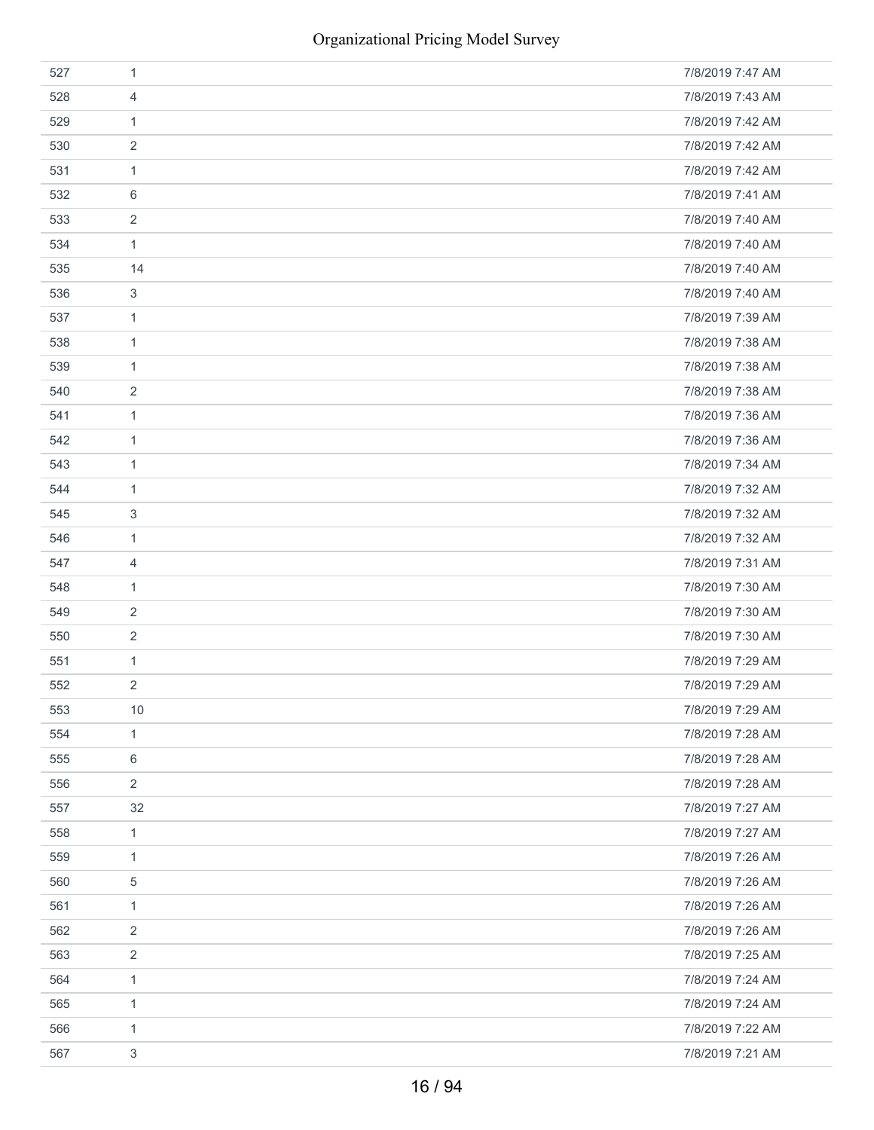| 527 | $\mathbf{1}$              | 7/8/2019 7:47 AM |
|-----|---------------------------|------------------|
| 528 | 4                         | 7/8/2019 7:43 AM |
| 529 | $\mathbf{1}$              | 7/8/2019 7:42 AM |
| 530 | $\overline{2}$            | 7/8/2019 7:42 AM |
| 531 | $\mathbf{1}$              | 7/8/2019 7:42 AM |
| 532 | 6                         | 7/8/2019 7:41 AM |
| 533 | $\overline{2}$            | 7/8/2019 7:40 AM |
| 534 | $\mathbf{1}$              | 7/8/2019 7:40 AM |
| 535 | 14                        | 7/8/2019 7:40 AM |
| 536 | $\ensuremath{\mathsf{3}}$ | 7/8/2019 7:40 AM |
| 537 | $\mathbf{1}$              | 7/8/2019 7:39 AM |
| 538 | $\mathbf{1}$              | 7/8/2019 7:38 AM |
| 539 | $\mathbf{1}$              | 7/8/2019 7:38 AM |
| 540 | $\overline{2}$            | 7/8/2019 7:38 AM |
| 541 | $\mathbf{1}$              | 7/8/2019 7:36 AM |
| 542 | $\mathbf{1}$              | 7/8/2019 7:36 AM |
| 543 | $\mathbf{1}$              | 7/8/2019 7:34 AM |
| 544 | $\mathbf{1}$              | 7/8/2019 7:32 AM |
| 545 | 3                         | 7/8/2019 7:32 AM |
| 546 | $\mathbf{1}$              | 7/8/2019 7:32 AM |
| 547 | 4                         | 7/8/2019 7:31 AM |
| 548 | $\mathbf{1}$              | 7/8/2019 7:30 AM |
| 549 | 2                         | 7/8/2019 7:30 AM |
| 550 | $\overline{2}$            | 7/8/2019 7:30 AM |
| 551 | $\mathbf{1}$              | 7/8/2019 7:29 AM |
| 552 | $\overline{2}$            | 7/8/2019 7:29 AM |
| 553 | $10$                      | 7/8/2019 7:29 AM |
| 554 | $\mathbf{1}$              | 7/8/2019 7:28 AM |
| 555 | 6                         | 7/8/2019 7:28 AM |
| 556 | $\overline{2}$            | 7/8/2019 7:28 AM |
| 557 | 32                        | 7/8/2019 7:27 AM |
| 558 | $\mathbf{1}$              | 7/8/2019 7:27 AM |
| 559 | $\mathbf{1}$              | 7/8/2019 7:26 AM |
| 560 | $\mathbf 5$               | 7/8/2019 7:26 AM |
| 561 | $\mathbf{1}$              | 7/8/2019 7:26 AM |
| 562 | $\overline{2}$            | 7/8/2019 7:26 AM |
| 563 | $\overline{2}$            | 7/8/2019 7:25 AM |
| 564 | $\mathbf{1}$              | 7/8/2019 7:24 AM |
| 565 | $\mathbf{1}$              | 7/8/2019 7:24 AM |
| 566 | $\mathbf{1}$              | 7/8/2019 7:22 AM |
| 567 | 3                         | 7/8/2019 7:21 AM |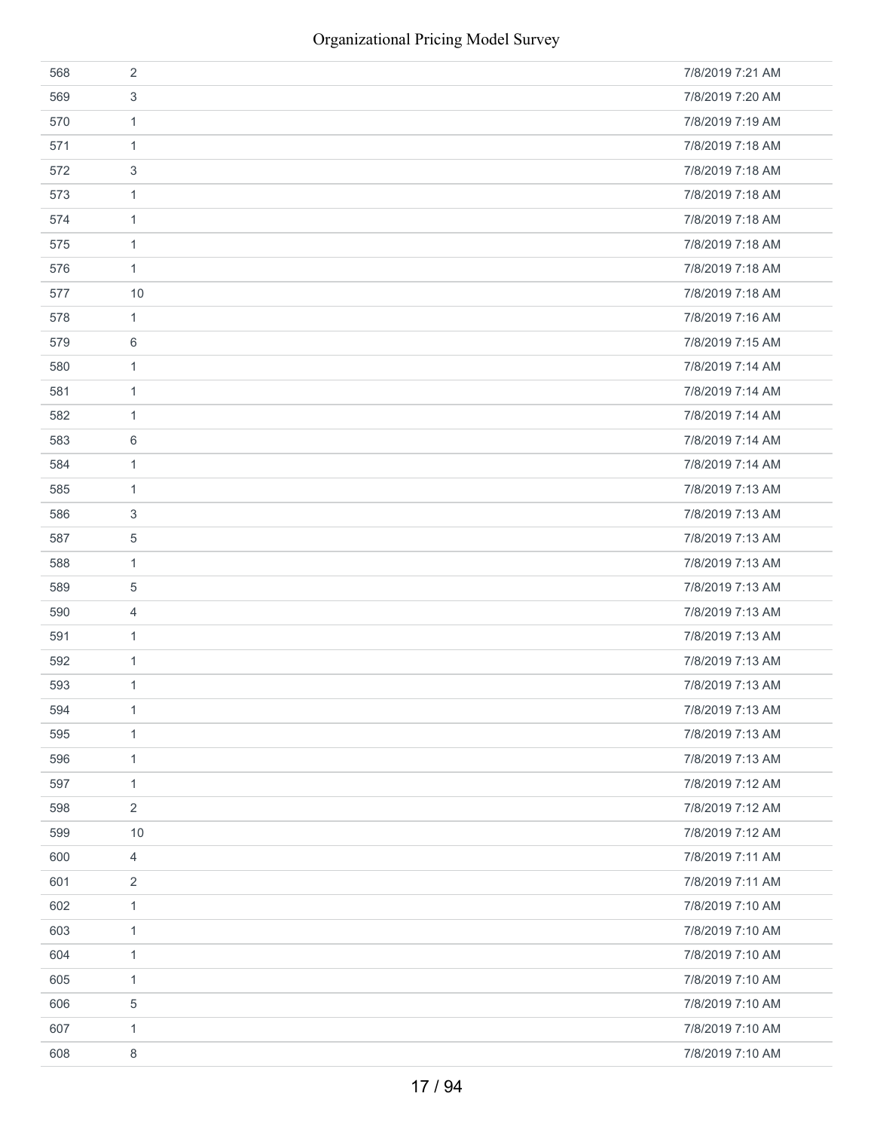| 568 | 2              | 7/8/2019 7:21 AM |
|-----|----------------|------------------|
| 569 | 3              | 7/8/2019 7:20 AM |
| 570 | 1              | 7/8/2019 7:19 AM |
| 571 | $\mathbf{1}$   | 7/8/2019 7:18 AM |
| 572 | 3              | 7/8/2019 7:18 AM |
| 573 | $\mathbf{1}$   | 7/8/2019 7:18 AM |
| 574 | 1              | 7/8/2019 7:18 AM |
| 575 | 1              | 7/8/2019 7:18 AM |
| 576 | $\mathbf{1}$   | 7/8/2019 7:18 AM |
| 577 | 10             | 7/8/2019 7:18 AM |
| 578 | $\mathbf{1}$   | 7/8/2019 7:16 AM |
| 579 | 6              | 7/8/2019 7:15 AM |
| 580 | $\mathbf{1}$   | 7/8/2019 7:14 AM |
| 581 | $\mathbf{1}$   | 7/8/2019 7:14 AM |
| 582 | 1              | 7/8/2019 7:14 AM |
| 583 | 6              | 7/8/2019 7:14 AM |
| 584 | 1              | 7/8/2019 7:14 AM |
| 585 | 1              | 7/8/2019 7:13 AM |
| 586 | 3              | 7/8/2019 7:13 AM |
| 587 | $\mathbf 5$    | 7/8/2019 7:13 AM |
| 588 | $\mathbf{1}$   | 7/8/2019 7:13 AM |
| 589 | 5              | 7/8/2019 7:13 AM |
| 590 | 4              | 7/8/2019 7:13 AM |
| 591 | 1              | 7/8/2019 7:13 AM |
| 592 | $\mathbf{1}$   | 7/8/2019 7:13 AM |
| 593 | 1              | 7/8/2019 7:13 AM |
| 594 | $\mathbf{1}$   | 7/8/2019 7:13 AM |
| 595 | $\mathbf{1}$   | 7/8/2019 7:13 AM |
| 596 | $\mathbf{1}$   | 7/8/2019 7:13 AM |
| 597 | $\mathbf{1}$   | 7/8/2019 7:12 AM |
| 598 | $\overline{2}$ | 7/8/2019 7:12 AM |
| 599 | 10             | 7/8/2019 7:12 AM |
| 600 | $\overline{4}$ | 7/8/2019 7:11 AM |
| 601 | $\overline{2}$ | 7/8/2019 7:11 AM |
| 602 | $\mathbf{1}$   | 7/8/2019 7:10 AM |
| 603 | $\mathbf{1}$   | 7/8/2019 7:10 AM |
| 604 | 1              | 7/8/2019 7:10 AM |
| 605 | $\mathbf{1}$   | 7/8/2019 7:10 AM |
| 606 | 5              | 7/8/2019 7:10 AM |
| 607 | $\mathbf{1}$   | 7/8/2019 7:10 AM |
| 608 | 8              | 7/8/2019 7:10 AM |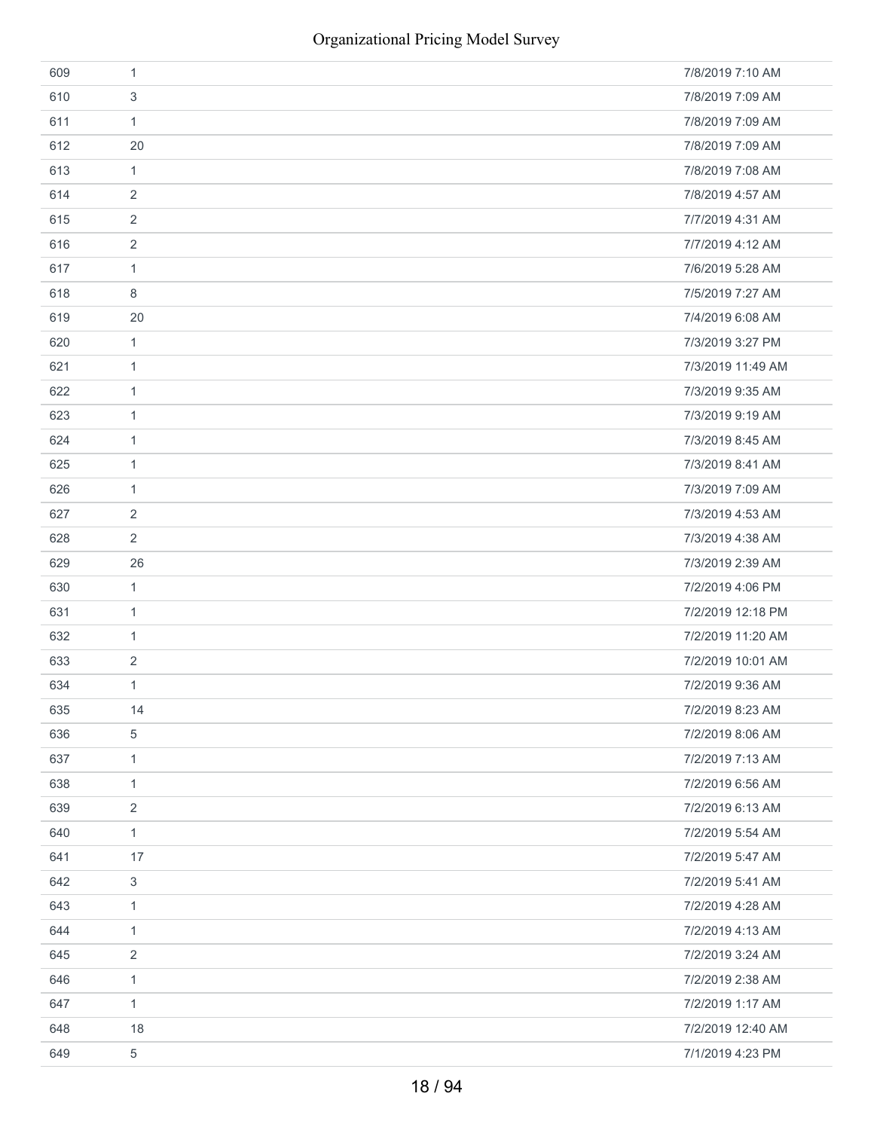| 609 | $\mathbf{1}$              | 7/8/2019 7:10 AM  |
|-----|---------------------------|-------------------|
| 610 | $\ensuremath{\mathsf{3}}$ | 7/8/2019 7:09 AM  |
| 611 | $\mathbf{1}$              | 7/8/2019 7:09 AM  |
| 612 | 20                        | 7/8/2019 7:09 AM  |
| 613 | $\mathbf{1}$              | 7/8/2019 7:08 AM  |
| 614 | 2                         | 7/8/2019 4:57 AM  |
| 615 | 2                         | 7/7/2019 4:31 AM  |
| 616 | 2                         | 7/7/2019 4:12 AM  |
| 617 | $\mathbf{1}$              | 7/6/2019 5:28 AM  |
| 618 | 8                         | 7/5/2019 7:27 AM  |
| 619 | 20                        | 7/4/2019 6:08 AM  |
| 620 | $\mathbf{1}$              | 7/3/2019 3:27 PM  |
| 621 | $\mathbf{1}$              | 7/3/2019 11:49 AM |
| 622 | $\mathbf{1}$              | 7/3/2019 9:35 AM  |
| 623 | 1                         | 7/3/2019 9:19 AM  |
| 624 | $\mathbf{1}$              | 7/3/2019 8:45 AM  |
| 625 | 1                         | 7/3/2019 8:41 AM  |
| 626 | $\mathbf{1}$              | 7/3/2019 7:09 AM  |
| 627 | $\overline{2}$            | 7/3/2019 4:53 AM  |
| 628 | 2                         | 7/3/2019 4:38 AM  |
| 629 | 26                        | 7/3/2019 2:39 AM  |
| 630 | $\mathbf{1}$              | 7/2/2019 4:06 PM  |
| 631 | $\mathbf{1}$              | 7/2/2019 12:18 PM |
| 632 | 1                         | 7/2/2019 11:20 AM |
| 633 | 2                         | 7/2/2019 10:01 AM |
| 634 | $\mathbf{1}$              | 7/2/2019 9:36 AM  |
| 635 | 14                        | 7/2/2019 8:23 AM  |
| 636 | 5                         | 7/2/2019 8:06 AM  |
| 637 | $\mathbf{1}$              | 7/2/2019 7:13 AM  |
| 638 | $\mathbf{1}$              | 7/2/2019 6:56 AM  |
| 639 | 2                         | 7/2/2019 6:13 AM  |
| 640 | $\mathbf{1}$              | 7/2/2019 5:54 AM  |
| 641 | 17                        | 7/2/2019 5:47 AM  |
| 642 | $\mathfrak{S}$            | 7/2/2019 5:41 AM  |
| 643 | $\mathbf{1}$              | 7/2/2019 4:28 AM  |
| 644 | $\mathbf{1}$              | 7/2/2019 4:13 AM  |
| 645 | $\overline{2}$            | 7/2/2019 3:24 AM  |
| 646 | $\mathbf{1}$              | 7/2/2019 2:38 AM  |
| 647 | $\mathbf{1}$              | 7/2/2019 1:17 AM  |
| 648 | 18                        | 7/2/2019 12:40 AM |
| 649 | $\sqrt{5}$                | 7/1/2019 4:23 PM  |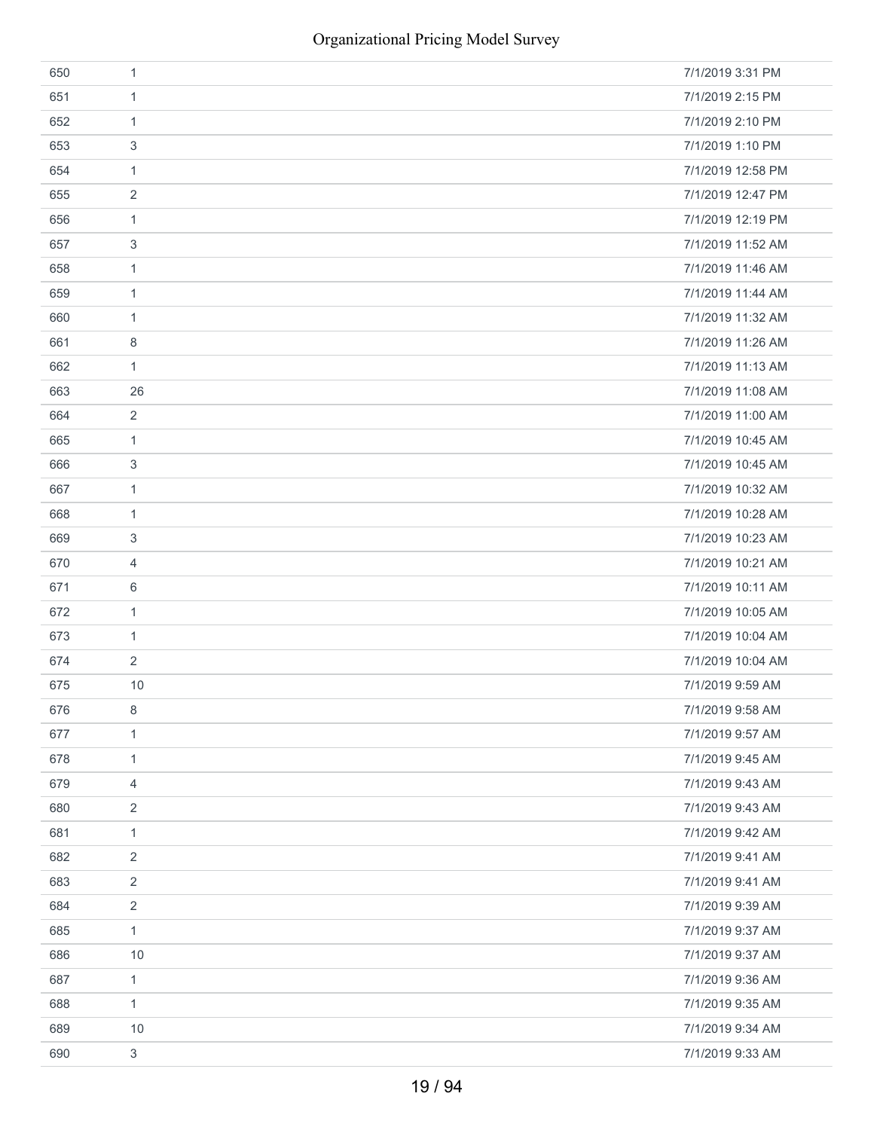| 650 | 1              | 7/1/2019 3:31 PM  |
|-----|----------------|-------------------|
| 651 | 1              | 7/1/2019 2:15 PM  |
| 652 | 1              | 7/1/2019 2:10 PM  |
| 653 | 3              | 7/1/2019 1:10 PM  |
| 654 | $\mathbf{1}$   | 7/1/2019 12:58 PM |
| 655 | 2              | 7/1/2019 12:47 PM |
| 656 | $\mathbf{1}$   | 7/1/2019 12:19 PM |
| 657 | 3              | 7/1/2019 11:52 AM |
| 658 | $\mathbf{1}$   | 7/1/2019 11:46 AM |
| 659 | 1              | 7/1/2019 11:44 AM |
| 660 | $\mathbf{1}$   | 7/1/2019 11:32 AM |
| 661 | 8              | 7/1/2019 11:26 AM |
| 662 | $\mathbf{1}$   | 7/1/2019 11:13 AM |
| 663 | 26             | 7/1/2019 11:08 AM |
| 664 | $\overline{2}$ | 7/1/2019 11:00 AM |
| 665 | $\mathbf{1}$   | 7/1/2019 10:45 AM |
| 666 | 3              | 7/1/2019 10:45 AM |
| 667 | $\mathbf{1}$   | 7/1/2019 10:32 AM |
| 668 | $\mathbf{1}$   | 7/1/2019 10:28 AM |
| 669 | 3              | 7/1/2019 10:23 AM |
| 670 | 4              | 7/1/2019 10:21 AM |
| 671 | 6              | 7/1/2019 10:11 AM |
| 672 | $\mathbf{1}$   | 7/1/2019 10:05 AM |
| 673 | $\mathbf{1}$   | 7/1/2019 10:04 AM |
| 674 | $\overline{2}$ | 7/1/2019 10:04 AM |
| 675 | 10             | 7/1/2019 9:59 AM  |
| 676 | 8              | 7/1/2019 9:58 AM  |
| 677 | $\mathbf{1}$   | 7/1/2019 9:57 AM  |
| 678 | $\mathbf{1}$   | 7/1/2019 9:45 AM  |
| 679 | 4              | 7/1/2019 9:43 AM  |
| 680 | 2              | 7/1/2019 9:43 AM  |
| 681 | $\mathbf{1}$   | 7/1/2019 9:42 AM  |
| 682 | 2              | 7/1/2019 9:41 AM  |
| 683 | $\overline{2}$ | 7/1/2019 9:41 AM  |
| 684 | 2              | 7/1/2019 9:39 AM  |
| 685 | $\mathbf{1}$   | 7/1/2019 9:37 AM  |
| 686 | 10             | 7/1/2019 9:37 AM  |
| 687 | $\mathbf{1}$   | 7/1/2019 9:36 AM  |
| 688 | 1              | 7/1/2019 9:35 AM  |
| 689 | 10             | 7/1/2019 9:34 AM  |
| 690 | 3              | 7/1/2019 9:33 AM  |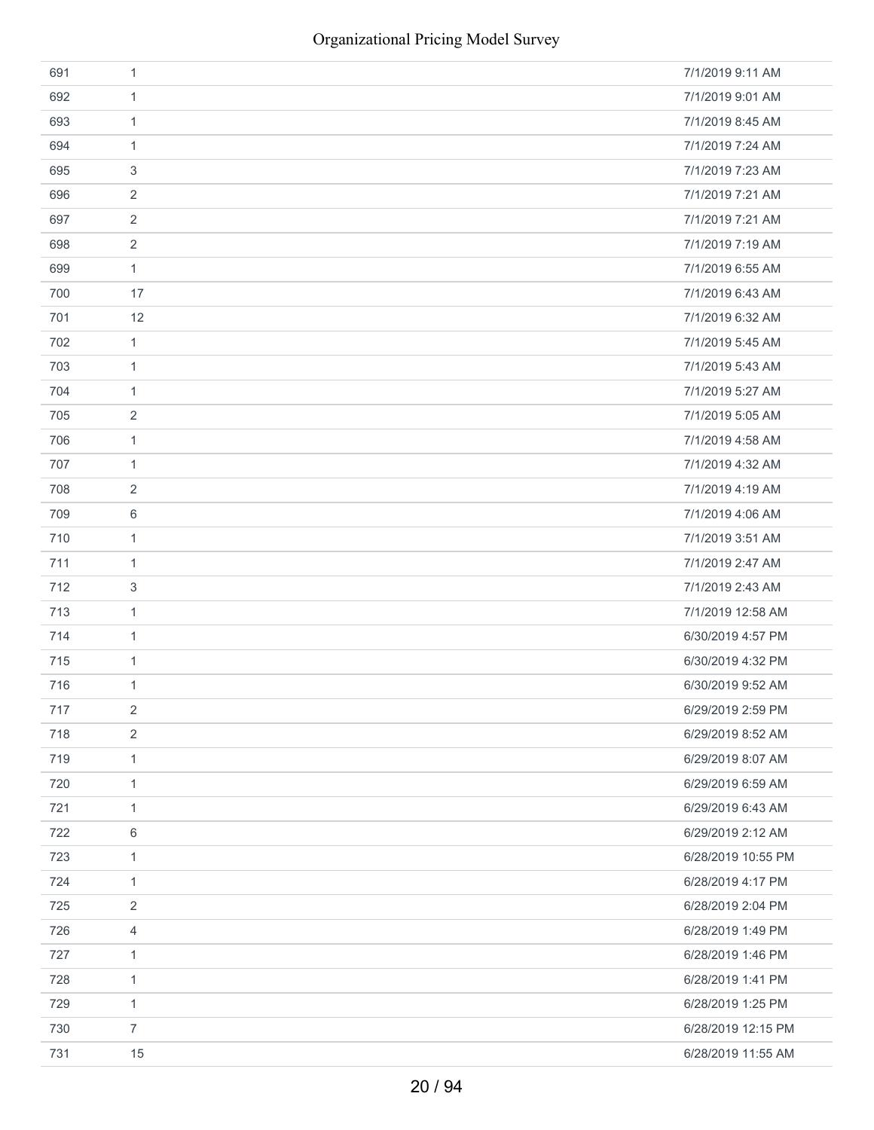| 691 | 1              | 7/1/2019 9:11 AM   |
|-----|----------------|--------------------|
| 692 | $\mathbf{1}$   | 7/1/2019 9:01 AM   |
| 693 | 1              | 7/1/2019 8:45 AM   |
| 694 | $\mathbf{1}$   | 7/1/2019 7:24 AM   |
| 695 | 3              | 7/1/2019 7:23 AM   |
| 696 | $\overline{2}$ | 7/1/2019 7:21 AM   |
| 697 | $\overline{2}$ | 7/1/2019 7:21 AM   |
| 698 | $\overline{2}$ | 7/1/2019 7:19 AM   |
| 699 | $\mathbf{1}$   | 7/1/2019 6:55 AM   |
| 700 | 17             | 7/1/2019 6:43 AM   |
| 701 | 12             | 7/1/2019 6:32 AM   |
| 702 | $\mathbf{1}$   | 7/1/2019 5:45 AM   |
| 703 | $\mathbf{1}$   | 7/1/2019 5:43 AM   |
| 704 | $\mathbf{1}$   | 7/1/2019 5:27 AM   |
| 705 | 2              | 7/1/2019 5:05 AM   |
| 706 | $\mathbf{1}$   | 7/1/2019 4:58 AM   |
| 707 | 1              | 7/1/2019 4:32 AM   |
| 708 | 2              | 7/1/2019 4:19 AM   |
| 709 | 6              | 7/1/2019 4:06 AM   |
| 710 | $\mathbf{1}$   | 7/1/2019 3:51 AM   |
| 711 | 1              | 7/1/2019 2:47 AM   |
| 712 | 3              | 7/1/2019 2:43 AM   |
| 713 | $\mathbf{1}$   | 7/1/2019 12:58 AM  |
| 714 | $\mathbf{1}$   | 6/30/2019 4:57 PM  |
| 715 | $\mathbf{1}$   | 6/30/2019 4:32 PM  |
| 716 | $\mathbf{1}$   | 6/30/2019 9:52 AM  |
| 717 | 2              | 6/29/2019 2:59 PM  |
| 718 | $\overline{2}$ | 6/29/2019 8:52 AM  |
| 719 | $\mathbf{1}$   | 6/29/2019 8:07 AM  |
| 720 | $\mathbf{1}$   | 6/29/2019 6:59 AM  |
| 721 | $\mathbf{1}$   | 6/29/2019 6:43 AM  |
| 722 | 6              | 6/29/2019 2:12 AM  |
| 723 | $\mathbf{1}$   | 6/28/2019 10:55 PM |
| 724 | $\mathbf{1}$   | 6/28/2019 4:17 PM  |
| 725 | 2              | 6/28/2019 2:04 PM  |
| 726 | 4              | 6/28/2019 1:49 PM  |
| 727 | 1              | 6/28/2019 1:46 PM  |
| 728 | $\mathbf{1}$   | 6/28/2019 1:41 PM  |
| 729 | $\mathbf{1}$   | 6/28/2019 1:25 PM  |
| 730 | $\overline{7}$ | 6/28/2019 12:15 PM |
| 731 | 15             | 6/28/2019 11:55 AM |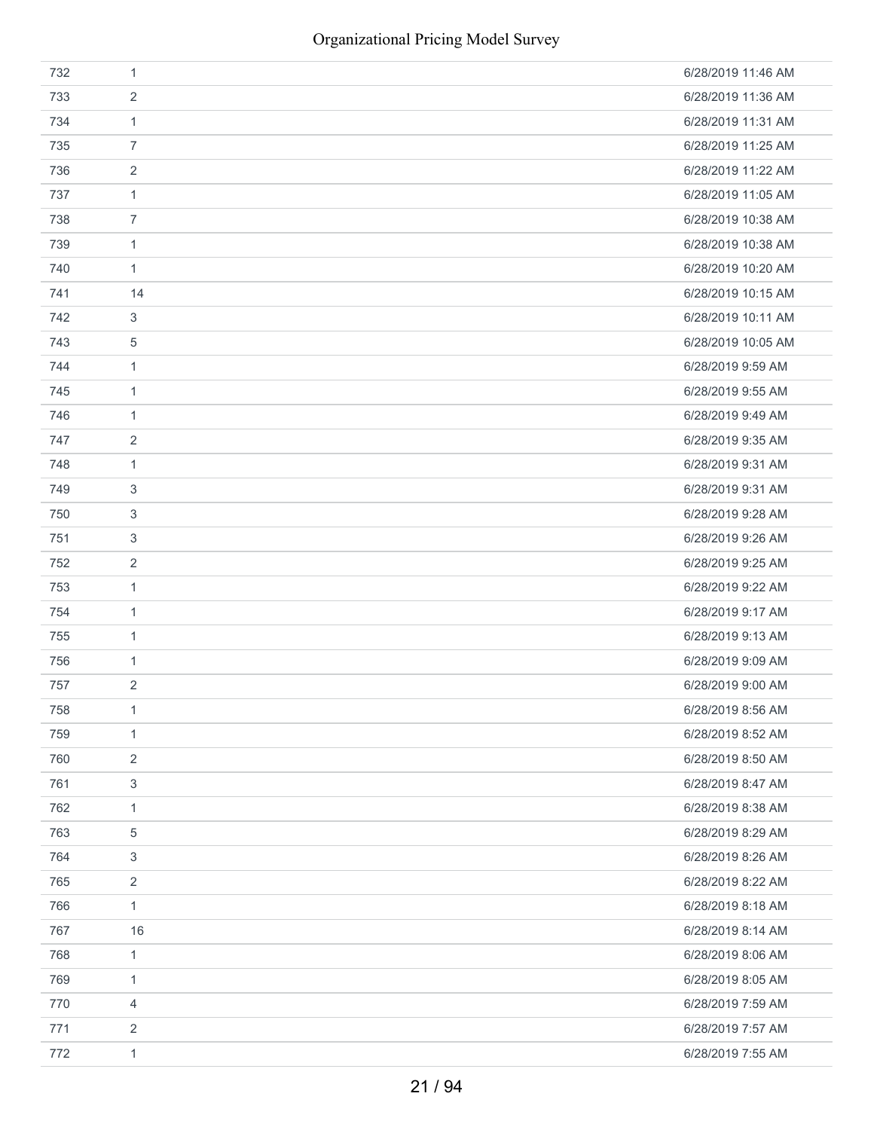| 732 | 1              | 6/28/2019 11:46 AM |
|-----|----------------|--------------------|
| 733 | 2              | 6/28/2019 11:36 AM |
| 734 | $\mathbf{1}$   | 6/28/2019 11:31 AM |
| 735 | $\overline{7}$ | 6/28/2019 11:25 AM |
| 736 | 2              | 6/28/2019 11:22 AM |
| 737 | 1              | 6/28/2019 11:05 AM |
| 738 | $\overline{7}$ | 6/28/2019 10:38 AM |
| 739 | 1              | 6/28/2019 10:38 AM |
| 740 | $\mathbf{1}$   | 6/28/2019 10:20 AM |
| 741 | 14             | 6/28/2019 10:15 AM |
| 742 | 3              | 6/28/2019 10:11 AM |
| 743 | 5              | 6/28/2019 10:05 AM |
| 744 | 1              | 6/28/2019 9:59 AM  |
| 745 | 1              | 6/28/2019 9:55 AM  |
| 746 | 1              | 6/28/2019 9:49 AM  |
| 747 | 2              | 6/28/2019 9:35 AM  |
| 748 | 1              | 6/28/2019 9:31 AM  |
| 749 | 3              | 6/28/2019 9:31 AM  |
| 750 | 3              | 6/28/2019 9:28 AM  |
| 751 | 3              | 6/28/2019 9:26 AM  |
| 752 | 2              | 6/28/2019 9:25 AM  |
| 753 | 1              | 6/28/2019 9:22 AM  |
| 754 | $\mathbf{1}$   | 6/28/2019 9:17 AM  |
| 755 | 1              | 6/28/2019 9:13 AM  |
| 756 | 1              | 6/28/2019 9:09 AM  |
| 757 | 2              | 6/28/2019 9:00 AM  |
| 758 | 1              | 6/28/2019 8:56 AM  |
| 759 | 1              | 6/28/2019 8:52 AM  |
| 760 | 2              | 6/28/2019 8:50 AM  |
| 761 | 3              | 6/28/2019 8:47 AM  |
| 762 | $\mathbf{1}$   | 6/28/2019 8:38 AM  |
| 763 | $\,$ 5 $\,$    | 6/28/2019 8:29 AM  |
| 764 | 3              | 6/28/2019 8:26 AM  |
| 765 | $\overline{2}$ | 6/28/2019 8:22 AM  |
| 766 | 1              | 6/28/2019 8:18 AM  |
| 767 | 16             | 6/28/2019 8:14 AM  |
| 768 | 1              | 6/28/2019 8:06 AM  |
| 769 | $\mathbf{1}$   | 6/28/2019 8:05 AM  |
| 770 | $\overline{4}$ | 6/28/2019 7:59 AM  |
| 771 | 2              | 6/28/2019 7:57 AM  |
| 772 | $\mathbf{1}$   | 6/28/2019 7:55 AM  |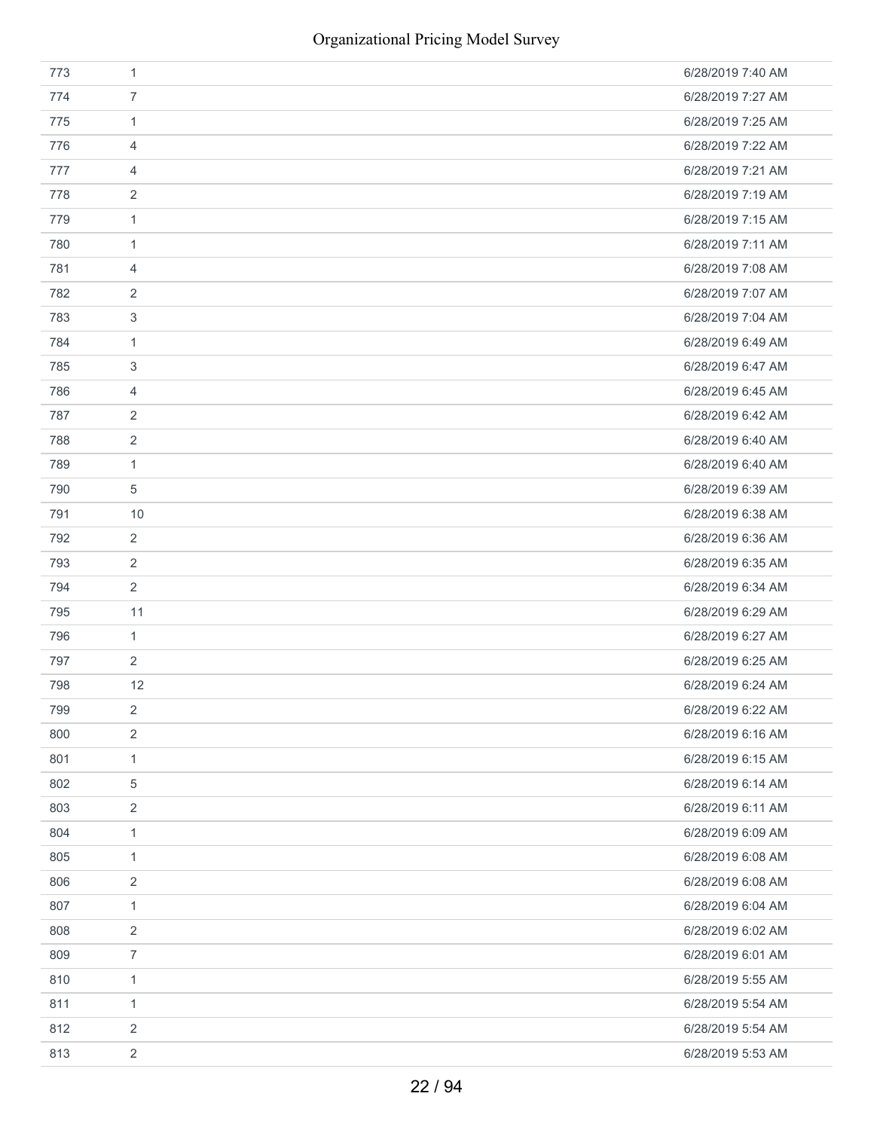| 773 | $\mathbf{1}$     | 6/28/2019 7:40 AM |
|-----|------------------|-------------------|
| 774 | $\overline{7}$   | 6/28/2019 7:27 AM |
| 775 | $\mathbf{1}$     | 6/28/2019 7:25 AM |
| 776 | 4                | 6/28/2019 7:22 AM |
| 777 | 4                | 6/28/2019 7:21 AM |
| 778 | $\overline{2}$   | 6/28/2019 7:19 AM |
| 779 | $\mathbf{1}$     | 6/28/2019 7:15 AM |
| 780 | 1                | 6/28/2019 7:11 AM |
| 781 | $\overline{4}$   | 6/28/2019 7:08 AM |
| 782 | 2                | 6/28/2019 7:07 AM |
| 783 | 3                | 6/28/2019 7:04 AM |
| 784 | $\mathbf{1}$     | 6/28/2019 6:49 AM |
| 785 | 3                | 6/28/2019 6:47 AM |
| 786 | 4                | 6/28/2019 6:45 AM |
| 787 | 2                | 6/28/2019 6:42 AM |
| 788 | $\overline{2}$   | 6/28/2019 6:40 AM |
| 789 | $\mathbf{1}$     | 6/28/2019 6:40 AM |
| 790 | 5                | 6/28/2019 6:39 AM |
| 791 | 10               | 6/28/2019 6:38 AM |
| 792 | $\overline{2}$   | 6/28/2019 6:36 AM |
| 793 | $\overline{2}$   | 6/28/2019 6:35 AM |
| 794 | $\overline{2}$   | 6/28/2019 6:34 AM |
| 795 | 11               | 6/28/2019 6:29 AM |
| 796 | $\mathbf{1}$     | 6/28/2019 6:27 AM |
| 797 | $\overline{2}$   | 6/28/2019 6:25 AM |
| 798 | 12               | 6/28/2019 6:24 AM |
| 799 | $\sqrt{2}$       | 6/28/2019 6:22 AM |
| 800 | $\sqrt{2}$       | 6/28/2019 6:16 AM |
| 801 | $\mathbf{1}$     | 6/28/2019 6:15 AM |
| 802 | 5                | 6/28/2019 6:14 AM |
| 803 | $\overline{2}$   | 6/28/2019 6:11 AM |
| 804 | $\mathbf{1}$     | 6/28/2019 6:09 AM |
| 805 | $\mathbf{1}$     | 6/28/2019 6:08 AM |
| 806 | $\sqrt{2}$       | 6/28/2019 6:08 AM |
| 807 | $\mathbf{1}$     | 6/28/2019 6:04 AM |
| 808 | $\overline{2}$   | 6/28/2019 6:02 AM |
| 809 | $\boldsymbol{7}$ | 6/28/2019 6:01 AM |
| 810 | $\mathbf{1}$     | 6/28/2019 5:55 AM |
| 811 | $\mathbf{1}$     | 6/28/2019 5:54 AM |
| 812 | $\overline{2}$   | 6/28/2019 5:54 AM |
| 813 | $\overline{2}$   | 6/28/2019 5:53 AM |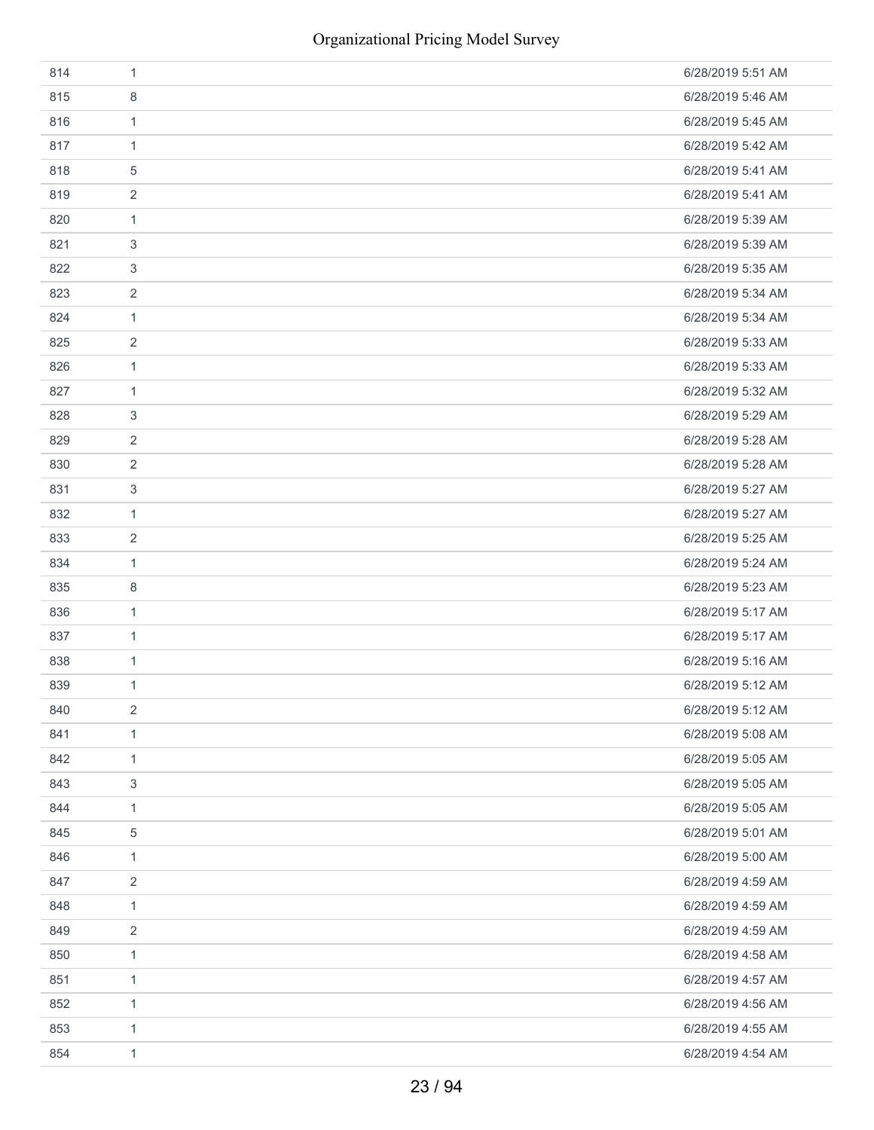| 814 | $\mathbf{1}$   | 6/28/2019 5:51 AM |
|-----|----------------|-------------------|
| 815 | 8              | 6/28/2019 5:46 AM |
| 816 | $\mathbf{1}$   | 6/28/2019 5:45 AM |
| 817 | $\mathbf{1}$   | 6/28/2019 5:42 AM |
| 818 | 5              | 6/28/2019 5:41 AM |
| 819 | 2              | 6/28/2019 5:41 AM |
| 820 | $\mathbf{1}$   | 6/28/2019 5:39 AM |
| 821 | 3              | 6/28/2019 5:39 AM |
| 822 | 3              | 6/28/2019 5:35 AM |
| 823 | $\sqrt{2}$     | 6/28/2019 5:34 AM |
| 824 | $\mathbf{1}$   | 6/28/2019 5:34 AM |
| 825 | $\overline{2}$ | 6/28/2019 5:33 AM |
| 826 | $\mathbf{1}$   | 6/28/2019 5:33 AM |
| 827 | $\mathbf{1}$   | 6/28/2019 5:32 AM |
| 828 | 3              | 6/28/2019 5:29 AM |
| 829 | $\overline{2}$ | 6/28/2019 5:28 AM |
| 830 | 2              | 6/28/2019 5:28 AM |
| 831 | 3              | 6/28/2019 5:27 AM |
| 832 | $\mathbf{1}$   | 6/28/2019 5:27 AM |
| 833 | 2              | 6/28/2019 5:25 AM |
| 834 | $\mathbf{1}$   | 6/28/2019 5:24 AM |
| 835 | 8              | 6/28/2019 5:23 AM |
| 836 | $\mathbf{1}$   | 6/28/2019 5:17 AM |
| 837 | $\mathbf{1}$   | 6/28/2019 5:17 AM |
| 838 | $\mathbf{1}$   | 6/28/2019 5:16 AM |
| 839 | $\mathbf{1}$   | 6/28/2019 5:12 AM |
| 840 | $\overline{2}$ | 6/28/2019 5:12 AM |
| 841 | $\mathbf{1}$   | 6/28/2019 5:08 AM |
| 842 | $\mathbf{1}$   | 6/28/2019 5:05 AM |
| 843 | 3              | 6/28/2019 5:05 AM |
| 844 | $\mathbf{1}$   | 6/28/2019 5:05 AM |
| 845 | $\mathbf 5$    | 6/28/2019 5:01 AM |
| 846 | $\mathbf{1}$   | 6/28/2019 5:00 AM |
| 847 | $\overline{2}$ | 6/28/2019 4:59 AM |
| 848 | $\mathbf{1}$   | 6/28/2019 4:59 AM |
| 849 | $\overline{2}$ | 6/28/2019 4:59 AM |
| 850 | $\mathbf{1}$   | 6/28/2019 4:58 AM |
| 851 | $\mathbf{1}$   | 6/28/2019 4:57 AM |
| 852 | 1              | 6/28/2019 4:56 AM |
| 853 | $\mathbf{1}$   | 6/28/2019 4:55 AM |
| 854 | $\mathbf{1}$   | 6/28/2019 4:54 AM |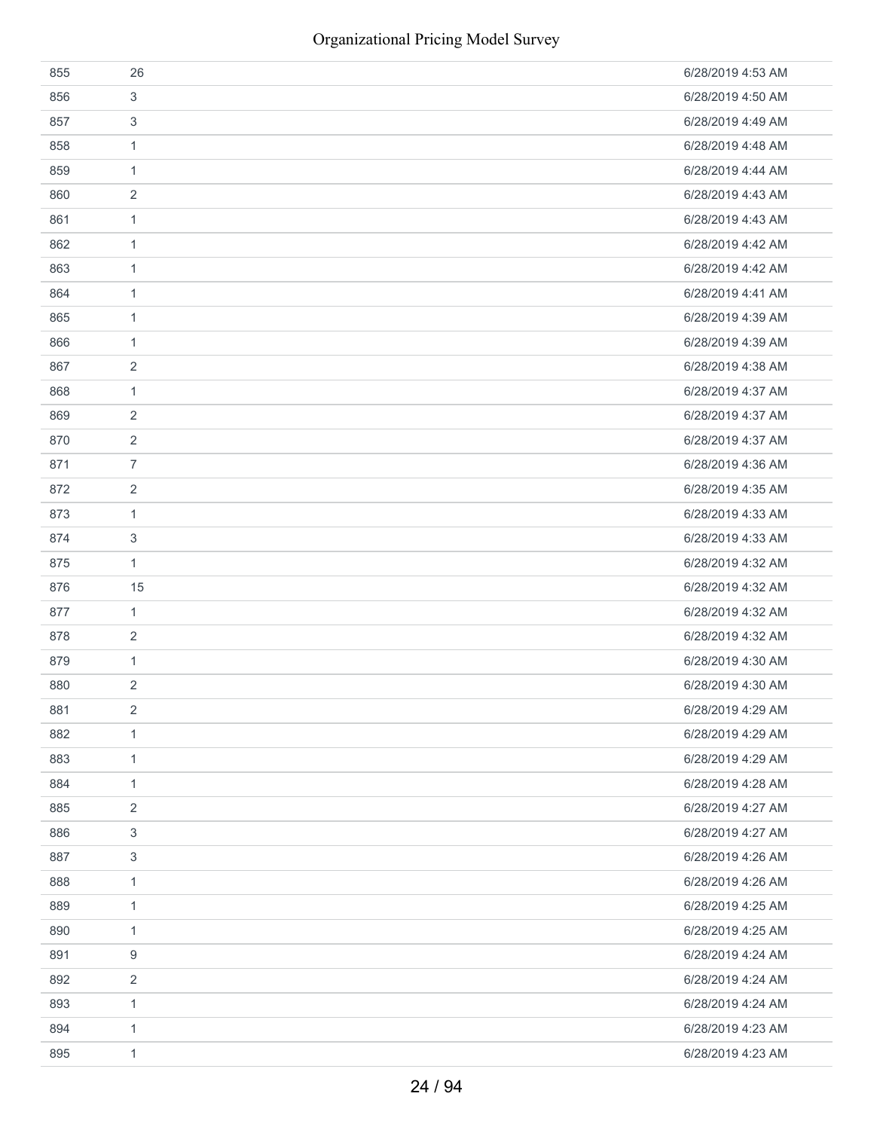| 855 | 26             | 6/28/2019 4:53 AM |
|-----|----------------|-------------------|
| 856 | 3              | 6/28/2019 4:50 AM |
| 857 | 3              | 6/28/2019 4:49 AM |
| 858 | 1              | 6/28/2019 4:48 AM |
| 859 | 1              | 6/28/2019 4:44 AM |
| 860 | 2              | 6/28/2019 4:43 AM |
| 861 | 1              | 6/28/2019 4:43 AM |
| 862 | 1              | 6/28/2019 4:42 AM |
| 863 | $\mathbf{1}$   | 6/28/2019 4:42 AM |
| 864 | 1              | 6/28/2019 4:41 AM |
| 865 | $\mathbf{1}$   | 6/28/2019 4:39 AM |
| 866 | $\mathbf{1}$   | 6/28/2019 4:39 AM |
| 867 | $\overline{2}$ | 6/28/2019 4:38 AM |
| 868 | $\mathbf{1}$   | 6/28/2019 4:37 AM |
| 869 | 2              | 6/28/2019 4:37 AM |
| 870 | $\overline{2}$ | 6/28/2019 4:37 AM |
| 871 | $\overline{7}$ | 6/28/2019 4:36 AM |
| 872 | 2              | 6/28/2019 4:35 AM |
| 873 | $\mathbf{1}$   | 6/28/2019 4:33 AM |
| 874 | 3              | 6/28/2019 4:33 AM |
| 875 | $\mathbf{1}$   | 6/28/2019 4:32 AM |
| 876 | 15             | 6/28/2019 4:32 AM |
| 877 | $\mathbf{1}$   | 6/28/2019 4:32 AM |
| 878 | 2              | 6/28/2019 4:32 AM |
| 879 | $\mathbf{1}$   | 6/28/2019 4:30 AM |
| 880 | 2              | 6/28/2019 4:30 AM |
| 881 | 2              | 6/28/2019 4:29 AM |
| 882 | 1              | 6/28/2019 4:29 AM |
| 883 | $\mathbf{1}$   | 6/28/2019 4:29 AM |
| 884 | 1              | 6/28/2019 4:28 AM |
| 885 | 2              | 6/28/2019 4:27 AM |
| 886 | 3              | 6/28/2019 4:27 AM |
| 887 | 3              | 6/28/2019 4:26 AM |
| 888 | $\mathbf{1}$   | 6/28/2019 4:26 AM |
| 889 | 1              | 6/28/2019 4:25 AM |
| 890 | 1              | 6/28/2019 4:25 AM |
| 891 | 9              | 6/28/2019 4:24 AM |
| 892 | 2              | 6/28/2019 4:24 AM |
| 893 | 1              | 6/28/2019 4:24 AM |
| 894 | $\mathbf{1}$   | 6/28/2019 4:23 AM |
| 895 | $\mathbf{1}$   | 6/28/2019 4:23 AM |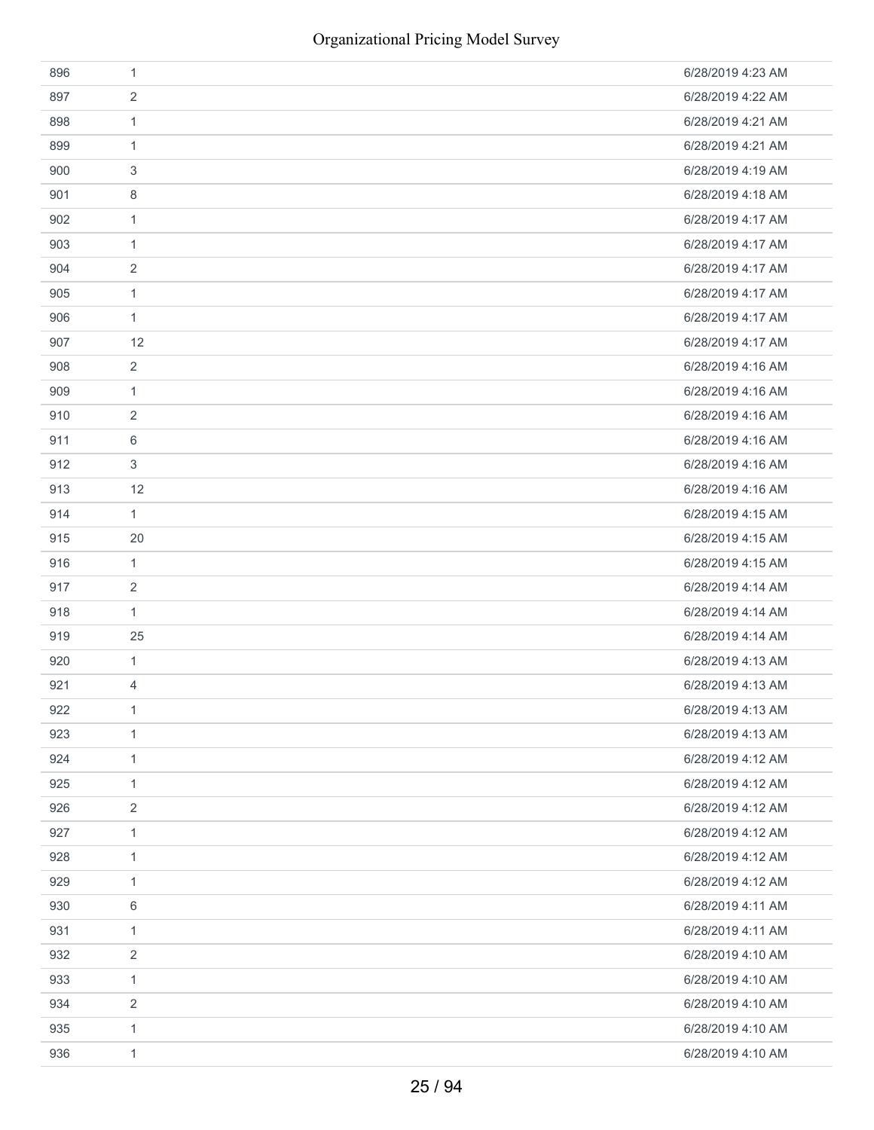| 896 | $\mathbf{1}$   | 6/28/2019 4:23 AM |
|-----|----------------|-------------------|
| 897 | $\sqrt{2}$     | 6/28/2019 4:22 AM |
| 898 | $\mathbf{1}$   | 6/28/2019 4:21 AM |
| 899 | $\mathbf{1}$   | 6/28/2019 4:21 AM |
| 900 | 3              | 6/28/2019 4:19 AM |
| 901 | 8              | 6/28/2019 4:18 AM |
| 902 | $\mathbf{1}$   | 6/28/2019 4:17 AM |
| 903 | $\mathbf{1}$   | 6/28/2019 4:17 AM |
| 904 | $\overline{2}$ | 6/28/2019 4:17 AM |
| 905 | $\mathbf{1}$   | 6/28/2019 4:17 AM |
| 906 | $\mathbf{1}$   | 6/28/2019 4:17 AM |
| 907 | 12             | 6/28/2019 4:17 AM |
| 908 | $\sqrt{2}$     | 6/28/2019 4:16 AM |
| 909 | $\mathbf{1}$   | 6/28/2019 4:16 AM |
| 910 | 2              | 6/28/2019 4:16 AM |
| 911 | 6              | 6/28/2019 4:16 AM |
| 912 | 3              | 6/28/2019 4:16 AM |
| 913 | 12             | 6/28/2019 4:16 AM |
| 914 | $\mathbf{1}$   | 6/28/2019 4:15 AM |
| 915 | 20             | 6/28/2019 4:15 AM |
| 916 | $\mathbf{1}$   | 6/28/2019 4:15 AM |
| 917 | $\overline{2}$ | 6/28/2019 4:14 AM |
| 918 | $\mathbf{1}$   | 6/28/2019 4:14 AM |
| 919 | 25             | 6/28/2019 4:14 AM |
| 920 | $\mathbf{1}$   | 6/28/2019 4:13 AM |
| 921 | 4              | 6/28/2019 4:13 AM |
| 922 | $\mathbf{1}$   | 6/28/2019 4:13 AM |
| 923 | $\mathbf{1}$   | 6/28/2019 4:13 AM |
| 924 | $\mathbf{1}$   | 6/28/2019 4:12 AM |
| 925 | $\mathbf{1}$   | 6/28/2019 4:12 AM |
| 926 | $\sqrt{2}$     | 6/28/2019 4:12 AM |
| 927 | $\mathbf{1}$   | 6/28/2019 4:12 AM |
| 928 | $\mathbf{1}$   | 6/28/2019 4:12 AM |
| 929 | $\mathbf{1}$   | 6/28/2019 4:12 AM |
| 930 | 6              | 6/28/2019 4:11 AM |
| 931 | $\mathbf{1}$   | 6/28/2019 4:11 AM |
| 932 | $\overline{2}$ | 6/28/2019 4:10 AM |
| 933 | $\mathbf{1}$   | 6/28/2019 4:10 AM |
| 934 | $\sqrt{2}$     | 6/28/2019 4:10 AM |
| 935 | $\mathbf{1}$   | 6/28/2019 4:10 AM |
| 936 | $\mathbf{1}$   | 6/28/2019 4:10 AM |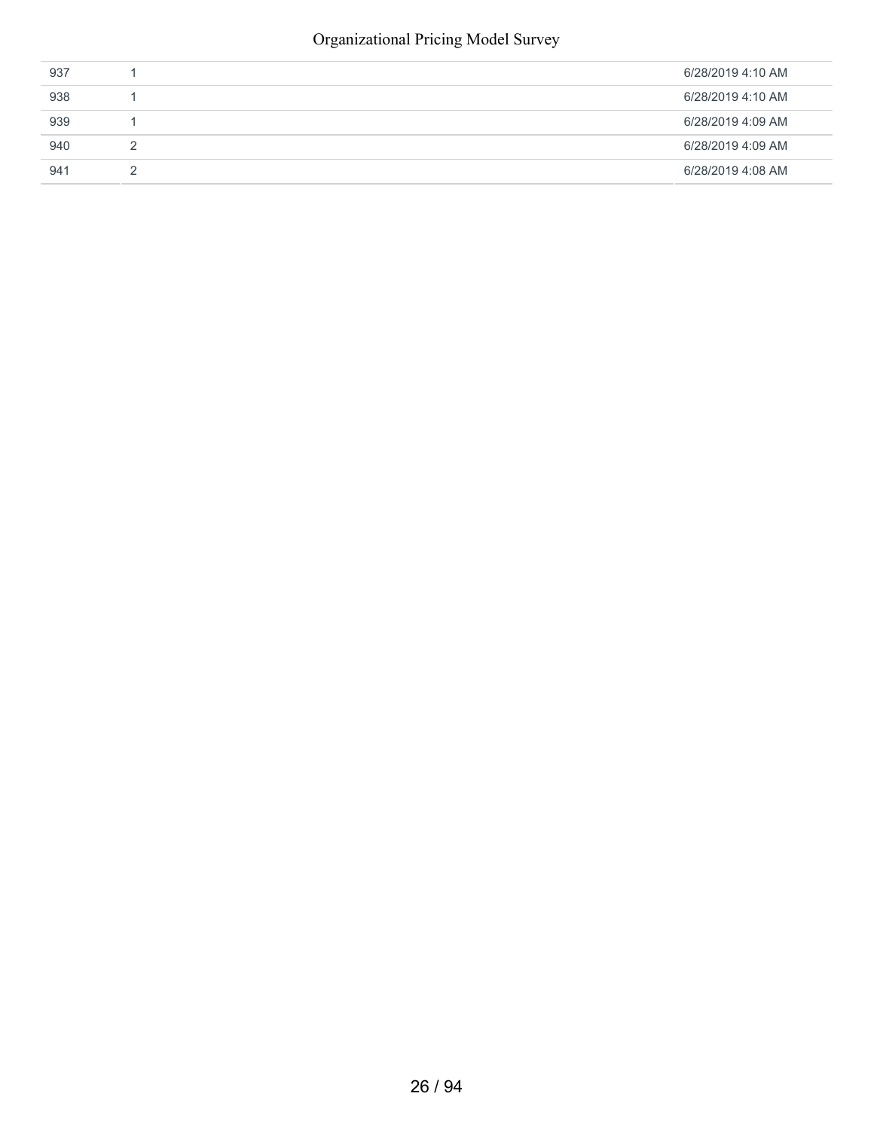### Organizational Pricing Model Survey

| 937 | 6/28/2019 4:10 AM |
|-----|-------------------|
| 938 | 6/28/2019 4:10 AM |
| 939 | 6/28/2019 4:09 AM |
| 940 | 6/28/2019 4:09 AM |
| 941 | 6/28/2019 4:08 AM |
|     |                   |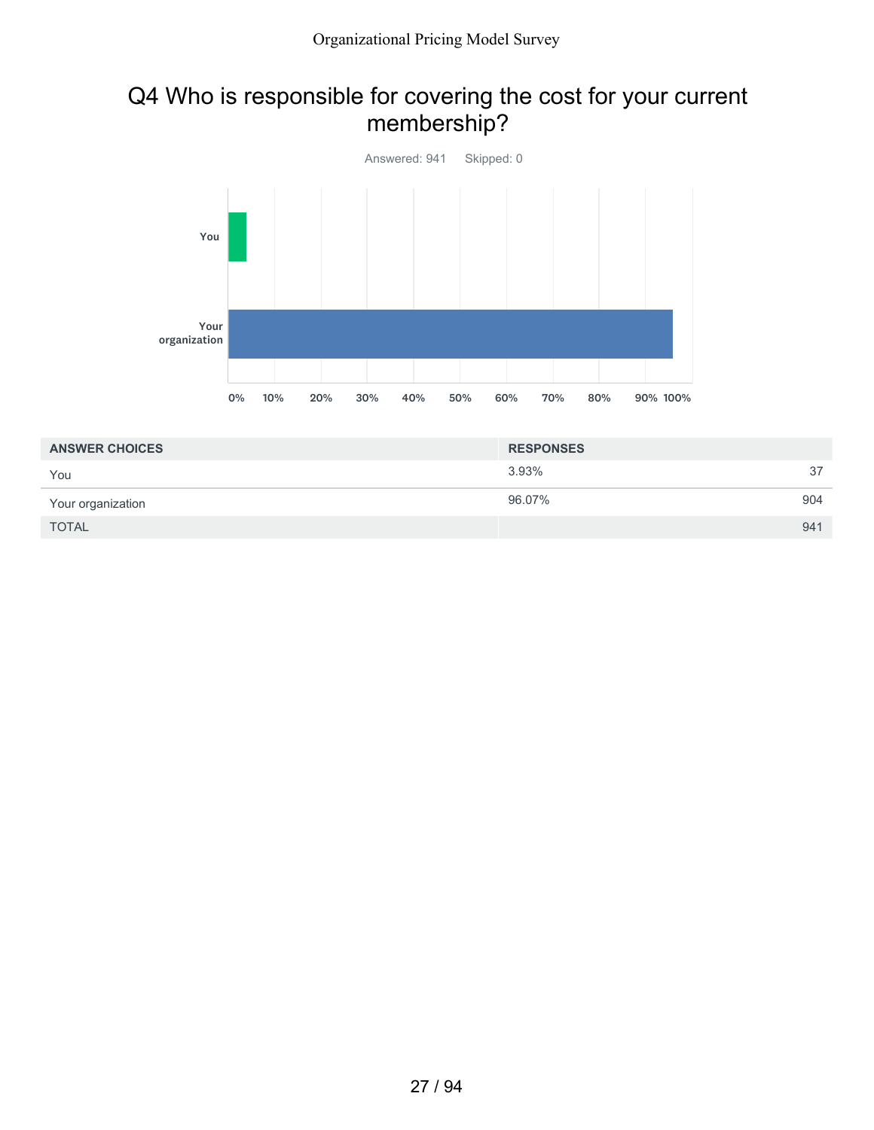### Q4 Who is responsible for covering the cost for your current membership?



| <b>ANSWER CHOICES</b> | <b>RESPONSES</b> |     |
|-----------------------|------------------|-----|
| You                   | 3.93%            | 37  |
| Your organization     | 96.07%           | 904 |
| <b>TOTAL</b>          |                  | 941 |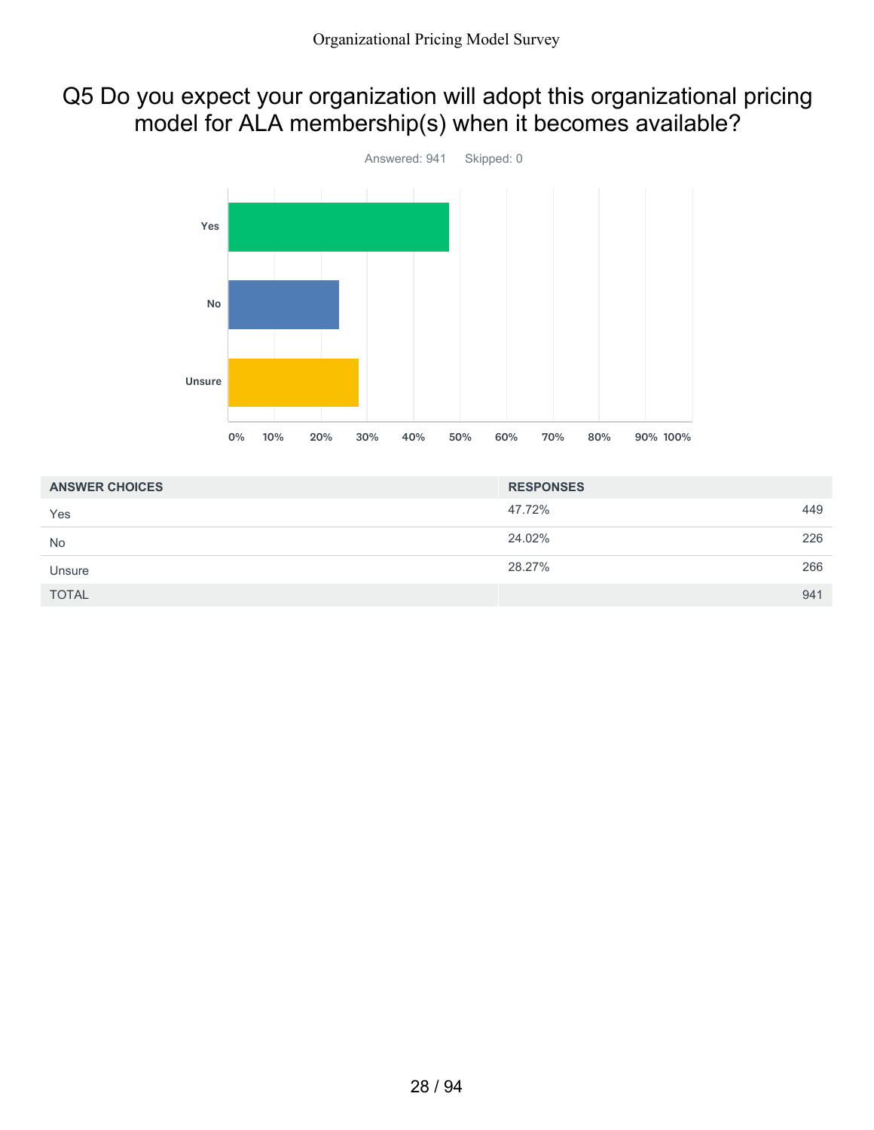## Q5 Do you expect your organization will adopt this organizational pricing model for ALA membership(s) when it becomes available?



| <b>ANSWER CHOICES</b> | <b>RESPONSES</b> |     |
|-----------------------|------------------|-----|
| Yes                   | 47.72%           | 449 |
| No                    | 24.02%           | 226 |
| Unsure                | 28.27%           | 266 |
| <b>TOTAL</b>          |                  | 941 |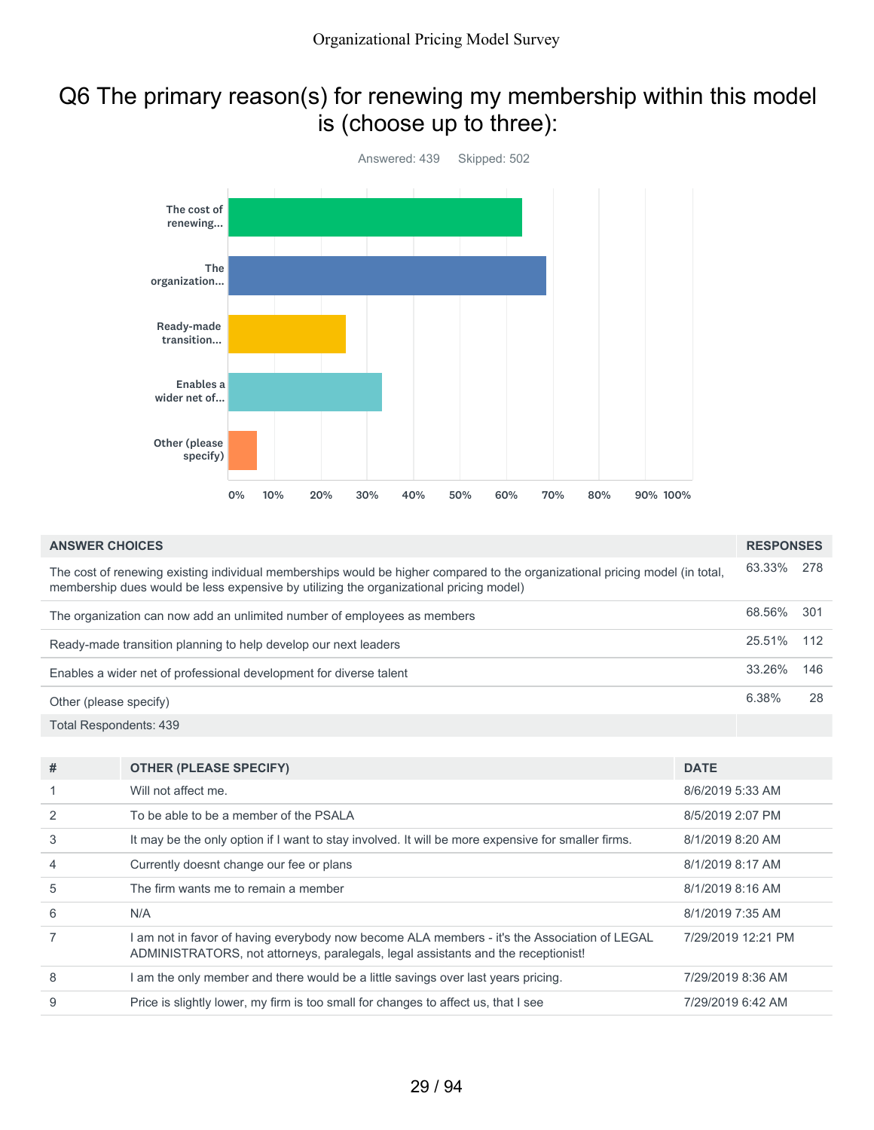### Q6 The primary reason(s) for renewing my membership within this model is (choose up to three):



| <b>ANSWER CHOICES</b>                                                                                                                                                                                                  | <b>RESPONSES</b> |     |
|------------------------------------------------------------------------------------------------------------------------------------------------------------------------------------------------------------------------|------------------|-----|
| The cost of renewing existing individual memberships would be higher compared to the organizational pricing model (in total,<br>membership dues would be less expensive by utilizing the organizational pricing model) | 63.33%           | 278 |
| The organization can now add an unlimited number of employees as members                                                                                                                                               | 68.56%           | 301 |
| Ready-made transition planning to help develop our next leaders                                                                                                                                                        | 25.51%           | 112 |
| Enables a wider net of professional development for diverse talent                                                                                                                                                     | 33.26%           | 146 |
| Other (please specify)                                                                                                                                                                                                 | 6.38%            | 28  |
| Total Respondents: 439                                                                                                                                                                                                 |                  |     |

| #              | <b>OTHER (PLEASE SPECIFY)</b>                                                                                                                                                   | <b>DATE</b>        |
|----------------|---------------------------------------------------------------------------------------------------------------------------------------------------------------------------------|--------------------|
|                | Will not affect me.                                                                                                                                                             | 8/6/2019 5:33 AM   |
| $\mathcal{P}$  | To be able to be a member of the PSALA                                                                                                                                          | 8/5/2019 2:07 PM   |
| 3              | It may be the only option if I want to stay involved. It will be more expensive for smaller firms.                                                                              | 8/1/2019 8:20 AM   |
| $\overline{4}$ | Currently doesnt change our fee or plans                                                                                                                                        | 8/1/2019 8:17 AM   |
| 5              | The firm wants me to remain a member                                                                                                                                            | 8/1/2019 8:16 AM   |
| 6              | N/A                                                                                                                                                                             | 8/1/2019 7:35 AM   |
|                | am not in favor of having everybody now become ALA members - it's the Association of LEGAL<br>ADMINISTRATORS, not attorneys, paralegals, legal assistants and the receptionist! | 7/29/2019 12:21 PM |
| 8              | am the only member and there would be a little savings over last years pricing.                                                                                                 | 7/29/2019 8:36 AM  |
| 9              | Price is slightly lower, my firm is too small for changes to affect us, that I see                                                                                              | 7/29/2019 6:42 AM  |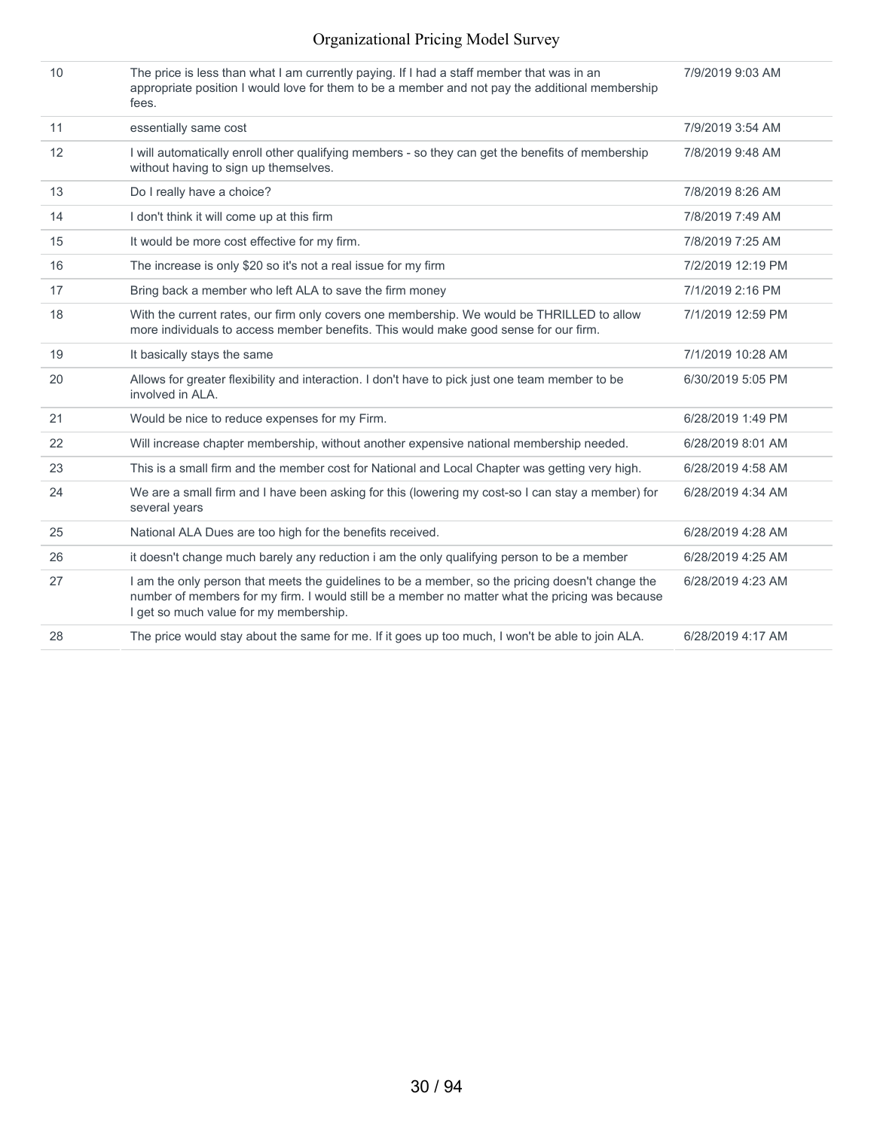### Organizational Pricing Model Survey

| 10 | The price is less than what I am currently paying. If I had a staff member that was in an<br>appropriate position I would love for them to be a member and not pay the additional membership<br>fees.                                         | 7/9/2019 9:03 AM  |
|----|-----------------------------------------------------------------------------------------------------------------------------------------------------------------------------------------------------------------------------------------------|-------------------|
| 11 | essentially same cost                                                                                                                                                                                                                         | 7/9/2019 3:54 AM  |
| 12 | I will automatically enroll other qualifying members - so they can get the benefits of membership<br>without having to sign up themselves.                                                                                                    | 7/8/2019 9:48 AM  |
| 13 | Do I really have a choice?                                                                                                                                                                                                                    | 7/8/2019 8:26 AM  |
| 14 | I don't think it will come up at this firm                                                                                                                                                                                                    | 7/8/2019 7:49 AM  |
| 15 | It would be more cost effective for my firm.                                                                                                                                                                                                  | 7/8/2019 7:25 AM  |
| 16 | The increase is only \$20 so it's not a real issue for my firm                                                                                                                                                                                | 7/2/2019 12:19 PM |
| 17 | Bring back a member who left ALA to save the firm money                                                                                                                                                                                       | 7/1/2019 2:16 PM  |
| 18 | With the current rates, our firm only covers one membership. We would be THRILLED to allow<br>more individuals to access member benefits. This would make good sense for our firm.                                                            | 7/1/2019 12:59 PM |
| 19 | It basically stays the same                                                                                                                                                                                                                   | 7/1/2019 10:28 AM |
| 20 | Allows for greater flexibility and interaction. I don't have to pick just one team member to be<br>involved in ALA.                                                                                                                           | 6/30/2019 5:05 PM |
| 21 | Would be nice to reduce expenses for my Firm.                                                                                                                                                                                                 | 6/28/2019 1:49 PM |
| 22 | Will increase chapter membership, without another expensive national membership needed.                                                                                                                                                       | 6/28/2019 8:01 AM |
| 23 | This is a small firm and the member cost for National and Local Chapter was getting very high.                                                                                                                                                | 6/28/2019 4:58 AM |
| 24 | We are a small firm and I have been asking for this (lowering my cost-so I can stay a member) for<br>several years                                                                                                                            | 6/28/2019 4:34 AM |
| 25 | National ALA Dues are too high for the benefits received.                                                                                                                                                                                     | 6/28/2019 4:28 AM |
| 26 | it doesn't change much barely any reduction i am the only qualifying person to be a member                                                                                                                                                    | 6/28/2019 4:25 AM |
| 27 | I am the only person that meets the guidelines to be a member, so the pricing doesn't change the<br>number of members for my firm. I would still be a member no matter what the pricing was because<br>I get so much value for my membership. | 6/28/2019 4:23 AM |
| 28 | The price would stay about the same for me. If it goes up too much, I won't be able to join ALA.                                                                                                                                              | 6/28/2019 4:17 AM |
|    |                                                                                                                                                                                                                                               |                   |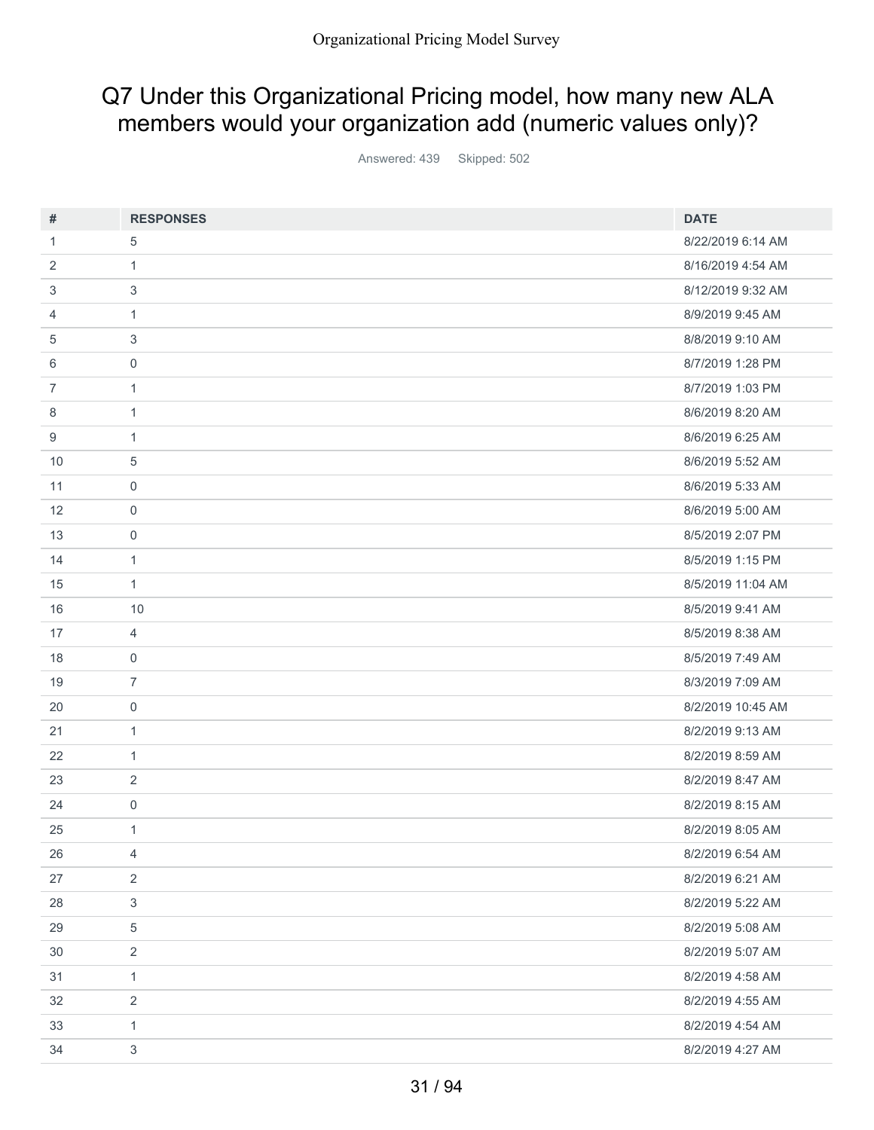# Q7 Under this Organizational Pricing model, how many new ALA members would your organization add (numeric values only)?

Answered: 439 Skipped: 502

| #  | <b>RESPONSES</b>          | <b>DATE</b>       |
|----|---------------------------|-------------------|
| 1  | 5                         | 8/22/2019 6:14 AM |
| 2  | $\mathbf{1}$              | 8/16/2019 4:54 AM |
| 3  | 3                         | 8/12/2019 9:32 AM |
| 4  | $\mathbf{1}$              | 8/9/2019 9:45 AM  |
| 5  | 3                         | 8/8/2019 9:10 AM  |
| 6  | $\mathbf 0$               | 8/7/2019 1:28 PM  |
| 7  | $\mathbf{1}$              | 8/7/2019 1:03 PM  |
| 8  | $\mathbf{1}$              | 8/6/2019 8:20 AM  |
| 9  | $\mathbf{1}$              | 8/6/2019 6:25 AM  |
| 10 | $\sqrt{5}$                | 8/6/2019 5:52 AM  |
| 11 | $\mathbf 0$               | 8/6/2019 5:33 AM  |
| 12 | $\mathbf 0$               | 8/6/2019 5:00 AM  |
| 13 | $\mathbf 0$               | 8/5/2019 2:07 PM  |
| 14 | $\mathbf{1}$              | 8/5/2019 1:15 PM  |
| 15 | $\mathbf{1}$              | 8/5/2019 11:04 AM |
| 16 | 10                        | 8/5/2019 9:41 AM  |
| 17 | $\overline{4}$            | 8/5/2019 8:38 AM  |
| 18 | $\mathbf 0$               | 8/5/2019 7:49 AM  |
| 19 | $\overline{7}$            | 8/3/2019 7:09 AM  |
| 20 | $\mathbf 0$               | 8/2/2019 10:45 AM |
| 21 | $\mathbf{1}$              | 8/2/2019 9:13 AM  |
| 22 | $\mathbf{1}$              | 8/2/2019 8:59 AM  |
| 23 | $\overline{2}$            | 8/2/2019 8:47 AM  |
| 24 | 0                         | 8/2/2019 8:15 AM  |
| 25 | $\mathbf{1}$              | 8/2/2019 8:05 AM  |
| 26 | $\overline{4}$            | 8/2/2019 6:54 AM  |
| 27 | $\overline{2}$            | 8/2/2019 6:21 AM  |
| 28 | $\ensuremath{\mathsf{3}}$ | 8/2/2019 5:22 AM  |
| 29 | $\,$ 5 $\,$               | 8/2/2019 5:08 AM  |
| 30 | $\overline{2}$            | 8/2/2019 5:07 AM  |
| 31 | $\mathbf{1}$              | 8/2/2019 4:58 AM  |
| 32 | $\overline{2}$            | 8/2/2019 4:55 AM  |
| 33 | $\mathbf{1}$              | 8/2/2019 4:54 AM  |
| 34 | $\sqrt{3}$                | 8/2/2019 4:27 AM  |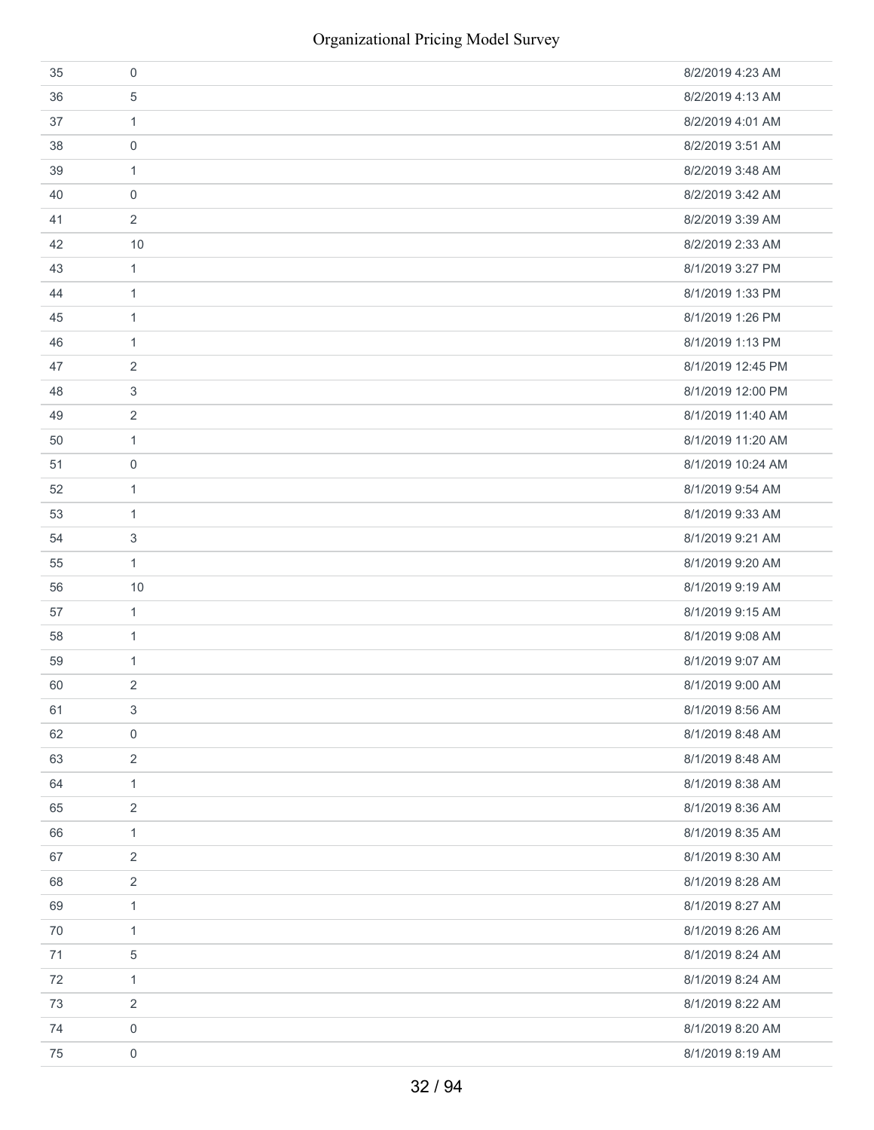| 35 | 0                   | 8/2/2019 4:23 AM  |
|----|---------------------|-------------------|
| 36 | 5                   | 8/2/2019 4:13 AM  |
| 37 | $\mathbf{1}$        | 8/2/2019 4:01 AM  |
| 38 | $\boldsymbol{0}$    | 8/2/2019 3:51 AM  |
| 39 | $\mathbf{1}$        | 8/2/2019 3:48 AM  |
| 40 | $\mathbf 0$         | 8/2/2019 3:42 AM  |
| 41 | $\overline{2}$      | 8/2/2019 3:39 AM  |
| 42 | 10                  | 8/2/2019 2:33 AM  |
| 43 | $\mathbf{1}$        | 8/1/2019 3:27 PM  |
| 44 | $\mathbf{1}$        | 8/1/2019 1:33 PM  |
| 45 | $\mathbf{1}$        | 8/1/2019 1:26 PM  |
| 46 | $\mathbf{1}$        | 8/1/2019 1:13 PM  |
| 47 | 2                   | 8/1/2019 12:45 PM |
| 48 | 3                   | 8/1/2019 12:00 PM |
| 49 | 2                   | 8/1/2019 11:40 AM |
| 50 | $\mathbf{1}$        | 8/1/2019 11:20 AM |
| 51 | 0                   | 8/1/2019 10:24 AM |
| 52 | $\mathbf{1}$        | 8/1/2019 9:54 AM  |
| 53 | 1                   | 8/1/2019 9:33 AM  |
| 54 | 3                   | 8/1/2019 9:21 AM  |
| 55 | $\mathbf{1}$        | 8/1/2019 9:20 AM  |
| 56 | 10                  | 8/1/2019 9:19 AM  |
| 57 | $\mathbf{1}$        | 8/1/2019 9:15 AM  |
| 58 | 1                   | 8/1/2019 9:08 AM  |
| 59 | $\mathbf{1}$        | 8/1/2019 9:07 AM  |
| 60 | $\overline{2}$      | 8/1/2019 9:00 AM  |
| 61 | 3                   | 8/1/2019 8:56 AM  |
| 62 | 0                   | 8/1/2019 8:48 AM  |
| 63 | $\overline{2}$      | 8/1/2019 8:48 AM  |
| 64 | $\mathbf{1}$        | 8/1/2019 8:38 AM  |
| 65 | $\overline{2}$      | 8/1/2019 8:36 AM  |
| 66 | $\mathbf{1}$        | 8/1/2019 8:35 AM  |
| 67 | $\overline{2}$      | 8/1/2019 8:30 AM  |
| 68 | 2                   | 8/1/2019 8:28 AM  |
| 69 | $\mathbf{1}$        | 8/1/2019 8:27 AM  |
| 70 | $\mathbf{1}$        | 8/1/2019 8:26 AM  |
| 71 | 5                   | 8/1/2019 8:24 AM  |
| 72 | $\mathbf{1}$        | 8/1/2019 8:24 AM  |
| 73 | 2                   | 8/1/2019 8:22 AM  |
| 74 | $\boldsymbol{0}$    | 8/1/2019 8:20 AM  |
| 75 | $\mathsf{O}\xspace$ | 8/1/2019 8:19 AM  |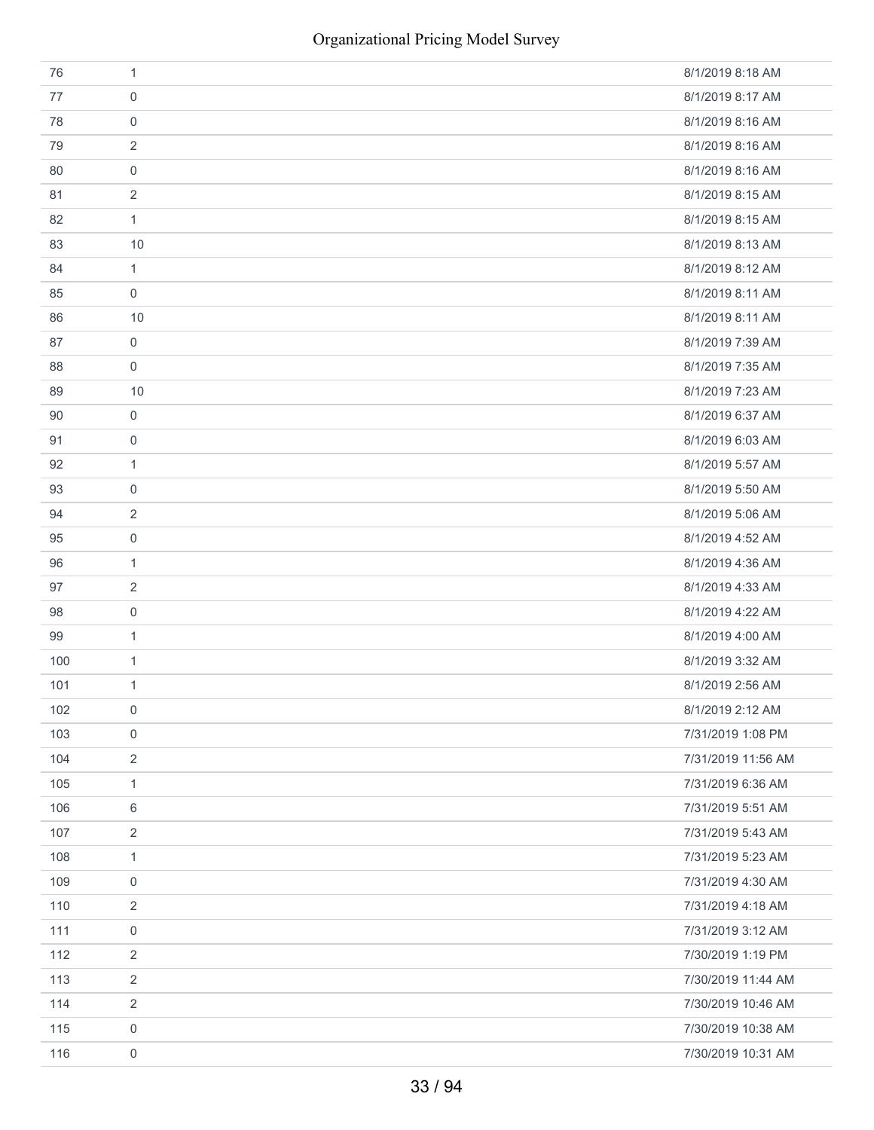| 76  | 1                   | 8/1/2019 8:18 AM   |
|-----|---------------------|--------------------|
| 77  | 0                   | 8/1/2019 8:17 AM   |
| 78  | $\mathbf 0$         | 8/1/2019 8:16 AM   |
| 79  | 2                   | 8/1/2019 8:16 AM   |
| 80  | $\mathbf 0$         | 8/1/2019 8:16 AM   |
| 81  | 2                   | 8/1/2019 8:15 AM   |
| 82  | $\mathbf{1}$        | 8/1/2019 8:15 AM   |
| 83  | 10                  | 8/1/2019 8:13 AM   |
| 84  | $\mathbf{1}$        | 8/1/2019 8:12 AM   |
| 85  | 0                   | 8/1/2019 8:11 AM   |
| 86  | 10                  | 8/1/2019 8:11 AM   |
| 87  | $\mathbf 0$         | 8/1/2019 7:39 AM   |
| 88  | 0                   | 8/1/2019 7:35 AM   |
| 89  | 10                  | 8/1/2019 7:23 AM   |
| 90  | 0                   | 8/1/2019 6:37 AM   |
| 91  | 0                   | 8/1/2019 6:03 AM   |
| 92  | 1                   | 8/1/2019 5:57 AM   |
| 93  | $\boldsymbol{0}$    | 8/1/2019 5:50 AM   |
| 94  | $\overline{2}$      | 8/1/2019 5:06 AM   |
| 95  | 0                   | 8/1/2019 4:52 AM   |
| 96  | 1                   | 8/1/2019 4:36 AM   |
| 97  | $\overline{2}$      | 8/1/2019 4:33 AM   |
| 98  | 0                   | 8/1/2019 4:22 AM   |
| 99  | 1                   | 8/1/2019 4:00 AM   |
| 100 | $\mathbf{1}$        | 8/1/2019 3:32 AM   |
| 101 | $\mathbf{1}$        | 8/1/2019 2:56 AM   |
| 102 | $\mathbf 0$         | 8/1/2019 2:12 AM   |
| 103 | $\mathsf{O}\xspace$ | 7/31/2019 1:08 PM  |
| 104 | $\overline{2}$      | 7/31/2019 11:56 AM |
| 105 | $\mathbf{1}$        | 7/31/2019 6:36 AM  |
| 106 | 6                   | 7/31/2019 5:51 AM  |
| 107 | $\overline{2}$      | 7/31/2019 5:43 AM  |
| 108 | $\mathbf{1}$        | 7/31/2019 5:23 AM  |
| 109 | 0                   | 7/31/2019 4:30 AM  |
| 110 | 2                   | 7/31/2019 4:18 AM  |
| 111 | $\boldsymbol{0}$    | 7/31/2019 3:12 AM  |
| 112 | $\overline{2}$      | 7/30/2019 1:19 PM  |
| 113 | $\overline{2}$      | 7/30/2019 11:44 AM |
| 114 | $\overline{c}$      | 7/30/2019 10:46 AM |
| 115 | 0                   | 7/30/2019 10:38 AM |
| 116 | 0                   | 7/30/2019 10:31 AM |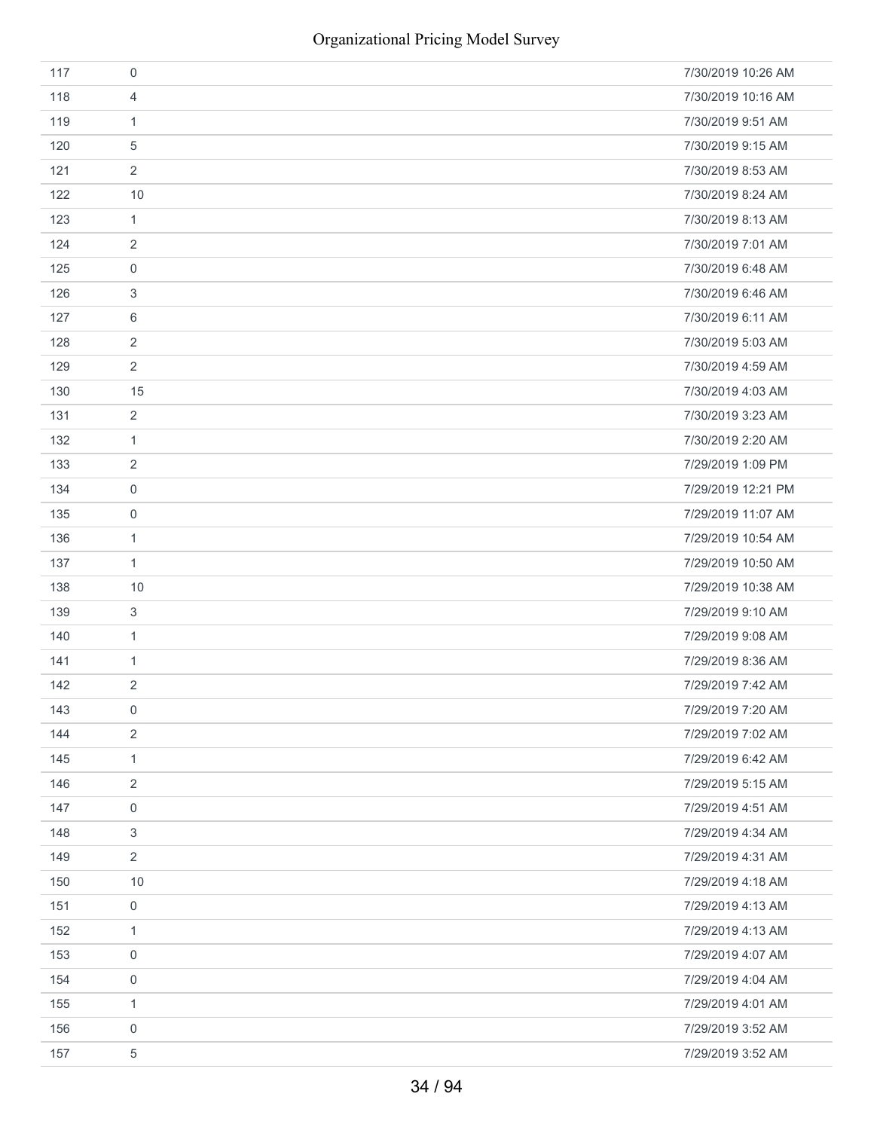| 117 | $\mathbf 0$               | 7/30/2019 10:26 AM |
|-----|---------------------------|--------------------|
| 118 | $\overline{4}$            | 7/30/2019 10:16 AM |
| 119 | $\mathbf{1}$              | 7/30/2019 9:51 AM  |
| 120 | 5                         | 7/30/2019 9:15 AM  |
| 121 | $\overline{2}$            | 7/30/2019 8:53 AM  |
| 122 | 10                        | 7/30/2019 8:24 AM  |
| 123 | $\mathbf{1}$              | 7/30/2019 8:13 AM  |
| 124 | $\overline{2}$            | 7/30/2019 7:01 AM  |
| 125 | $\mathsf{O}\xspace$       | 7/30/2019 6:48 AM  |
| 126 | $\ensuremath{\mathsf{3}}$ | 7/30/2019 6:46 AM  |
| 127 | 6                         | 7/30/2019 6:11 AM  |
| 128 | $\sqrt{2}$                | 7/30/2019 5:03 AM  |
| 129 | $\overline{2}$            | 7/30/2019 4:59 AM  |
| 130 | 15                        | 7/30/2019 4:03 AM  |
| 131 | $\overline{2}$            | 7/30/2019 3:23 AM  |
| 132 | $\mathbf{1}$              | 7/30/2019 2:20 AM  |
| 133 | $\sqrt{2}$                | 7/29/2019 1:09 PM  |
| 134 | $\mathsf{O}\xspace$       | 7/29/2019 12:21 PM |
| 135 | $\mathsf{O}\xspace$       | 7/29/2019 11:07 AM |
| 136 | $\mathbf{1}$              | 7/29/2019 10:54 AM |
| 137 | $\mathbf{1}$              | 7/29/2019 10:50 AM |
| 138 | 10                        | 7/29/2019 10:38 AM |
| 139 | $\mathbf{3}$              | 7/29/2019 9:10 AM  |
| 140 | $\mathbf{1}$              | 7/29/2019 9:08 AM  |
| 141 | $\mathbf{1}$              | 7/29/2019 8:36 AM  |
| 142 | $\overline{2}$            | 7/29/2019 7:42 AM  |
| 143 | $\mathbf 0$               | 7/29/2019 7:20 AM  |
| 144 | $\sqrt{2}$                | 7/29/2019 7:02 AM  |
| 145 | $\mathbf{1}$              | 7/29/2019 6:42 AM  |
| 146 | $\sqrt{2}$                | 7/29/2019 5:15 AM  |
| 147 | $\mathsf{O}\xspace$       | 7/29/2019 4:51 AM  |
| 148 | $\ensuremath{\mathsf{3}}$ | 7/29/2019 4:34 AM  |
| 149 | $\overline{2}$            | 7/29/2019 4:31 AM  |
| 150 | 10                        | 7/29/2019 4:18 AM  |
| 151 | $\boldsymbol{0}$          | 7/29/2019 4:13 AM  |
| 152 | $\mathbf{1}$              | 7/29/2019 4:13 AM  |
| 153 | $\boldsymbol{0}$          | 7/29/2019 4:07 AM  |
| 154 | $\boldsymbol{0}$          | 7/29/2019 4:04 AM  |
| 155 | $\mathbf{1}$              | 7/29/2019 4:01 AM  |
| 156 | $\boldsymbol{0}$          | 7/29/2019 3:52 AM  |
| 157 | $\sqrt{5}$                | 7/29/2019 3:52 AM  |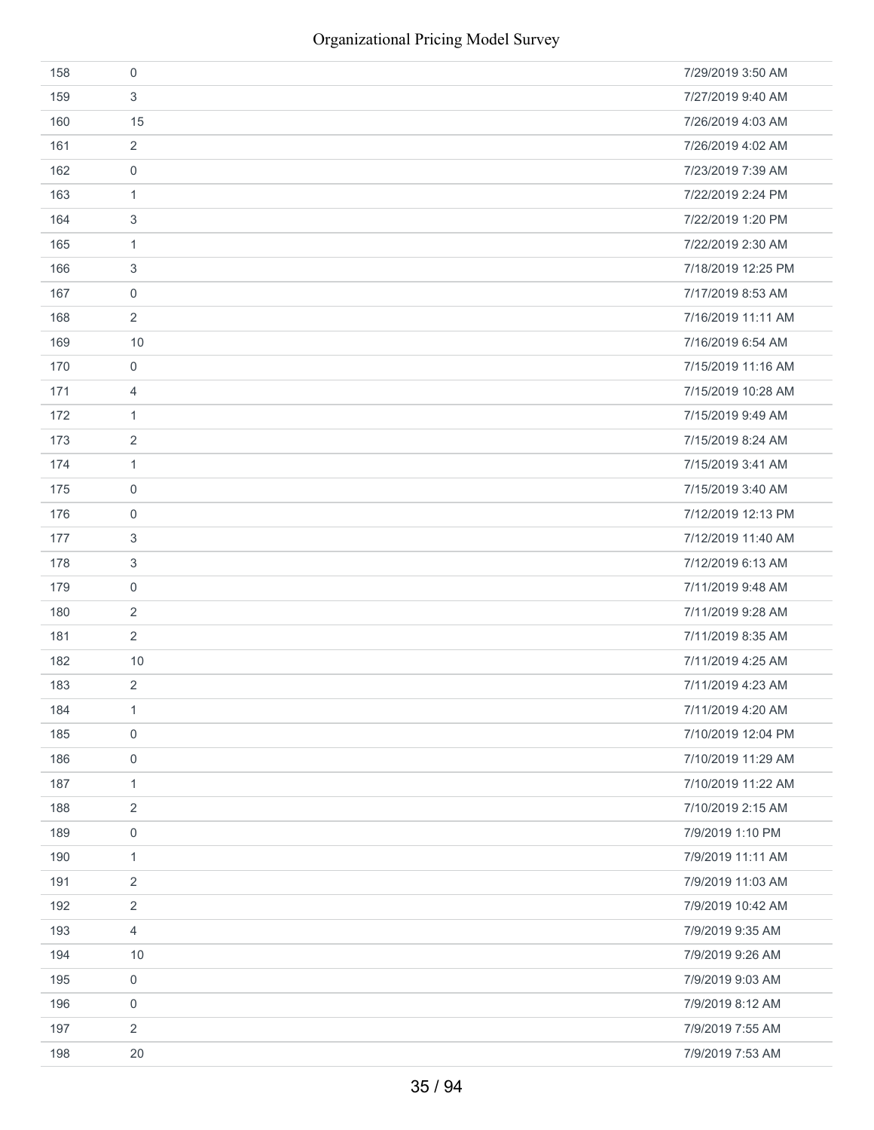| 158 | $\mathbf 0$         | 7/29/2019 3:50 AM  |
|-----|---------------------|--------------------|
| 159 | 3                   | 7/27/2019 9:40 AM  |
| 160 | 15                  | 7/26/2019 4:03 AM  |
| 161 | $\overline{2}$      | 7/26/2019 4:02 AM  |
| 162 | $\mathbf 0$         | 7/23/2019 7:39 AM  |
| 163 | $\mathbf{1}$        | 7/22/2019 2:24 PM  |
| 164 | $\mathfrak{S}$      | 7/22/2019 1:20 PM  |
| 165 | $\mathbf{1}$        | 7/22/2019 2:30 AM  |
| 166 | $\mathfrak{S}$      | 7/18/2019 12:25 PM |
| 167 | $\mathbf 0$         | 7/17/2019 8:53 AM  |
| 168 | $\overline{2}$      | 7/16/2019 11:11 AM |
| 169 | 10                  | 7/16/2019 6:54 AM  |
| 170 | $\mathbf 0$         | 7/15/2019 11:16 AM |
| 171 | $\overline{4}$      | 7/15/2019 10:28 AM |
| 172 | $\mathbf{1}$        | 7/15/2019 9:49 AM  |
| 173 | $\overline{2}$      | 7/15/2019 8:24 AM  |
| 174 | $\mathbf{1}$        | 7/15/2019 3:41 AM  |
| 175 | $\mathsf{O}\xspace$ | 7/15/2019 3:40 AM  |
| 176 | $\boldsymbol{0}$    | 7/12/2019 12:13 PM |
| 177 | $\mathfrak{S}$      | 7/12/2019 11:40 AM |
| 178 | $\mathfrak{S}$      | 7/12/2019 6:13 AM  |
| 179 | $\mathbf 0$         | 7/11/2019 9:48 AM  |
| 180 | $\overline{2}$      | 7/11/2019 9:28 AM  |
| 181 | $\overline{2}$      | 7/11/2019 8:35 AM  |
| 182 | 10                  | 7/11/2019 4:25 AM  |
| 183 | $\overline{2}$      | 7/11/2019 4:23 AM  |
| 184 | $\mathbf{1}$        | 7/11/2019 4:20 AM  |
| 185 | $\boldsymbol{0}$    | 7/10/2019 12:04 PM |
| 186 | $\mathsf{O}\xspace$ | 7/10/2019 11:29 AM |
| 187 | $\mathbf{1}$        | 7/10/2019 11:22 AM |
| 188 | $\overline{2}$      | 7/10/2019 2:15 AM  |
| 189 | $\mathsf{O}\xspace$ | 7/9/2019 1:10 PM   |
| 190 | $\mathbf{1}$        | 7/9/2019 11:11 AM  |
| 191 | $\overline{2}$      | 7/9/2019 11:03 AM  |
| 192 | $\overline{2}$      | 7/9/2019 10:42 AM  |
| 193 | $\overline{4}$      | 7/9/2019 9:35 AM   |
| 194 | 10                  | 7/9/2019 9:26 AM   |
| 195 | $\mathsf{O}\xspace$ | 7/9/2019 9:03 AM   |
| 196 | $\mathbf 0$         | 7/9/2019 8:12 AM   |
| 197 | $\overline{2}$      | 7/9/2019 7:55 AM   |
| 198 | 20                  | 7/9/2019 7:53 AM   |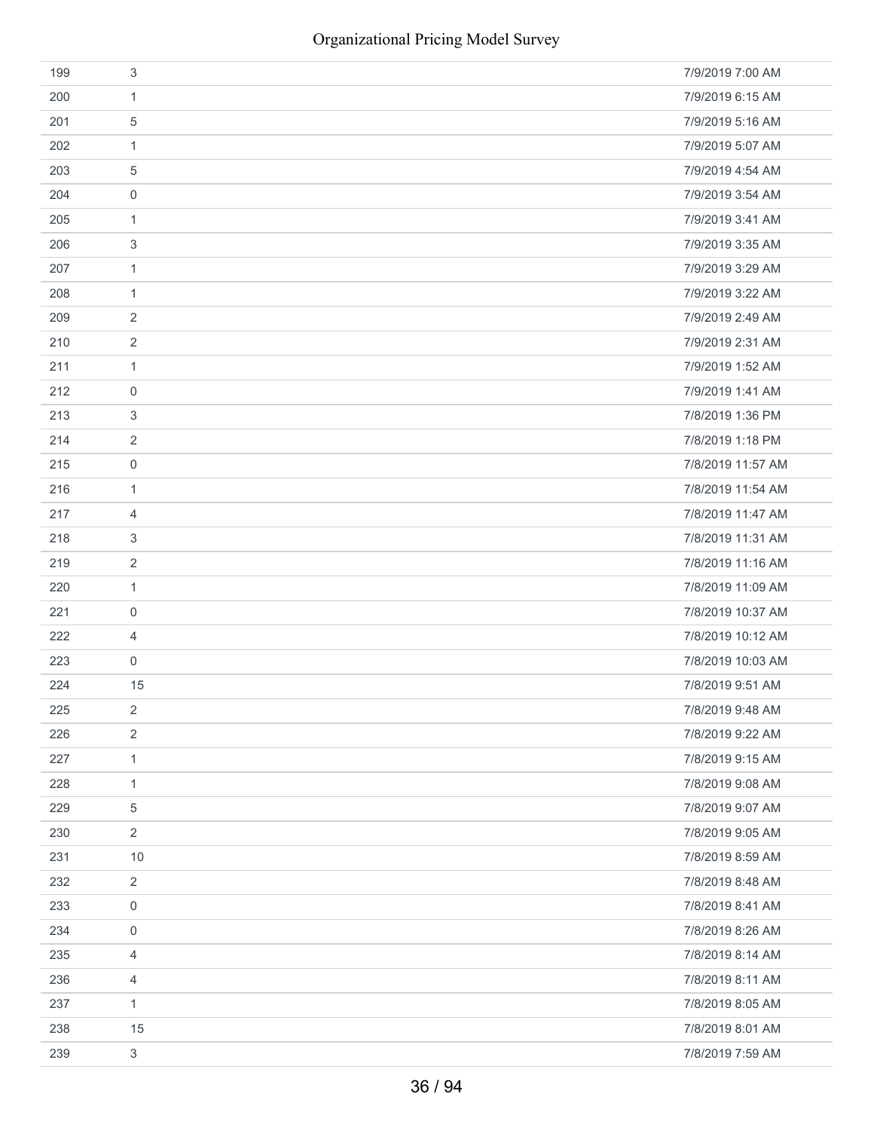| 199 | 3                | 7/9/2019 7:00 AM  |
|-----|------------------|-------------------|
| 200 | $\mathbf{1}$     | 7/9/2019 6:15 AM  |
| 201 | 5                | 7/9/2019 5:16 AM  |
| 202 | $\mathbf{1}$     | 7/9/2019 5:07 AM  |
| 203 | 5                | 7/9/2019 4:54 AM  |
| 204 | 0                | 7/9/2019 3:54 AM  |
| 205 | $\mathbf{1}$     | 7/9/2019 3:41 AM  |
| 206 | 3                | 7/9/2019 3:35 AM  |
| 207 | $\mathbf{1}$     | 7/9/2019 3:29 AM  |
| 208 | $\mathbf{1}$     | 7/9/2019 3:22 AM  |
| 209 | 2                | 7/9/2019 2:49 AM  |
| 210 | $\overline{2}$   | 7/9/2019 2:31 AM  |
| 211 | $\mathbf{1}$     | 7/9/2019 1:52 AM  |
| 212 | $\mathbf 0$      | 7/9/2019 1:41 AM  |
| 213 | 3                | 7/8/2019 1:36 PM  |
| 214 | $\overline{2}$   | 7/8/2019 1:18 PM  |
| 215 | 0                | 7/8/2019 11:57 AM |
| 216 | $\mathbf{1}$     | 7/8/2019 11:54 AM |
| 217 | 4                | 7/8/2019 11:47 AM |
| 218 | 3                | 7/8/2019 11:31 AM |
| 219 | $\overline{2}$   | 7/8/2019 11:16 AM |
| 220 | $\mathbf{1}$     | 7/8/2019 11:09 AM |
| 221 | 0                | 7/8/2019 10:37 AM |
| 222 | 4                | 7/8/2019 10:12 AM |
| 223 | $\boldsymbol{0}$ | 7/8/2019 10:03 AM |
| 224 | 15               | 7/8/2019 9:51 AM  |
| 225 | $\overline{2}$   | 7/8/2019 9:48 AM  |
| 226 | $\sqrt{2}$       | 7/8/2019 9:22 AM  |
| 227 | $\mathbf{1}$     | 7/8/2019 9:15 AM  |
| 228 | $\mathbf{1}$     | 7/8/2019 9:08 AM  |
| 229 | 5                | 7/8/2019 9:07 AM  |
| 230 | $\overline{2}$   | 7/8/2019 9:05 AM  |
| 231 | 10               | 7/8/2019 8:59 AM  |
| 232 | $\overline{2}$   | 7/8/2019 8:48 AM  |
| 233 | $\boldsymbol{0}$ | 7/8/2019 8:41 AM  |
| 234 | $\boldsymbol{0}$ | 7/8/2019 8:26 AM  |
| 235 | 4                | 7/8/2019 8:14 AM  |
| 236 | $\overline{4}$   | 7/8/2019 8:11 AM  |
| 237 | $\mathbf{1}$     | 7/8/2019 8:05 AM  |
| 238 | 15               | 7/8/2019 8:01 AM  |
| 239 | $\mathfrak{Z}$   | 7/8/2019 7:59 AM  |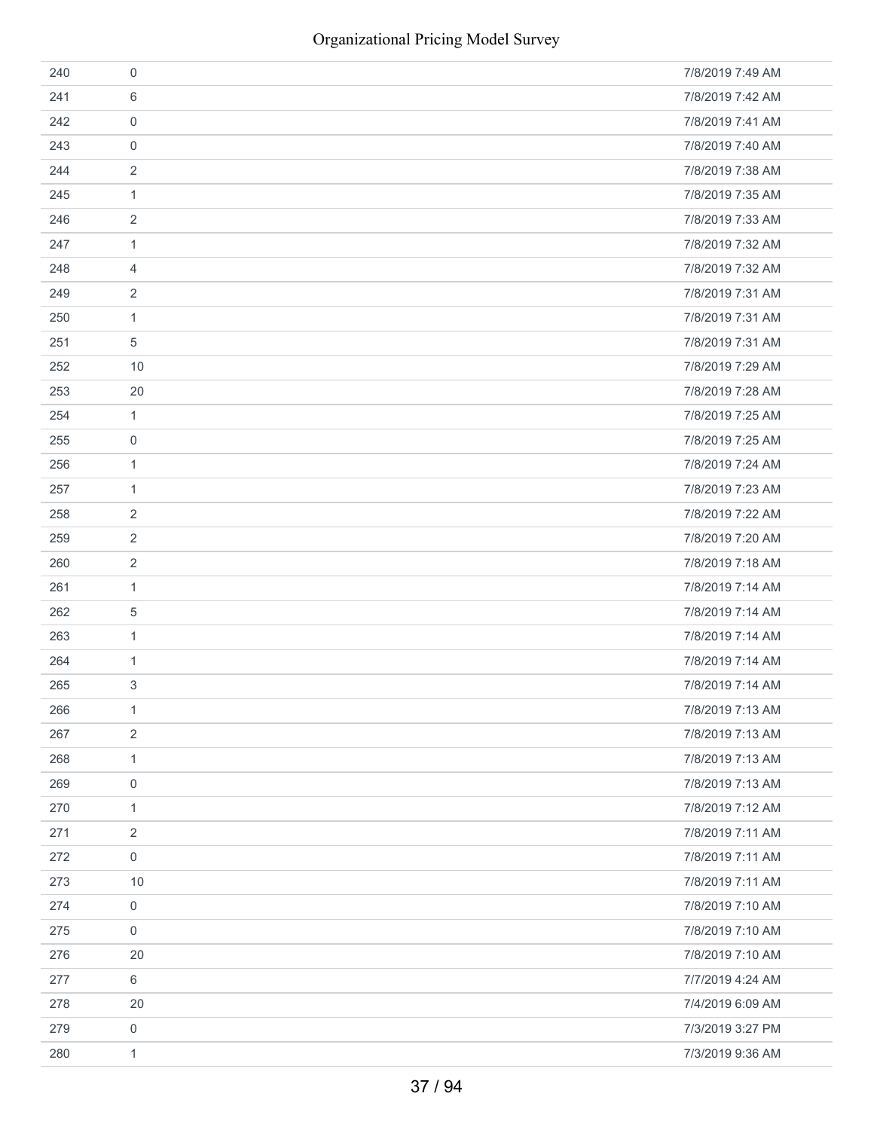| 240 | 0              | 7/8/2019 7:49 AM |
|-----|----------------|------------------|
| 241 | 6              | 7/8/2019 7:42 AM |
| 242 | $\mathbf 0$    | 7/8/2019 7:41 AM |
| 243 | 0              | 7/8/2019 7:40 AM |
| 244 | 2              | 7/8/2019 7:38 AM |
| 245 | 1              | 7/8/2019 7:35 AM |
| 246 | 2              | 7/8/2019 7:33 AM |
| 247 | 1              | 7/8/2019 7:32 AM |
| 248 | 4              | 7/8/2019 7:32 AM |
| 249 | $\overline{2}$ | 7/8/2019 7:31 AM |
| 250 | $\mathbf{1}$   | 7/8/2019 7:31 AM |
| 251 | 5              | 7/8/2019 7:31 AM |
| 252 | 10             | 7/8/2019 7:29 AM |
| 253 | 20             | 7/8/2019 7:28 AM |
| 254 | $\mathbf{1}$   | 7/8/2019 7:25 AM |
| 255 | 0              | 7/8/2019 7:25 AM |
| 256 | 1              | 7/8/2019 7:24 AM |
| 257 | $\mathbf{1}$   | 7/8/2019 7:23 AM |
| 258 | 2              | 7/8/2019 7:22 AM |
| 259 | $\overline{2}$ | 7/8/2019 7:20 AM |
| 260 | $\overline{2}$ | 7/8/2019 7:18 AM |
| 261 | 1              | 7/8/2019 7:14 AM |
| 262 | 5              | 7/8/2019 7:14 AM |
| 263 | $\mathbf{1}$   | 7/8/2019 7:14 AM |
| 264 | $\mathbf{1}$   | 7/8/2019 7:14 AM |
| 265 | 3              | 7/8/2019 7:14 AM |
| 266 | 1              | 7/8/2019 7:13 AM |
| 267 | $\sqrt{2}$     | 7/8/2019 7:13 AM |
| 268 | $\mathbf{1}$   | 7/8/2019 7:13 AM |
| 269 | $\mathbf 0$    | 7/8/2019 7:13 AM |
| 270 | $\mathbf{1}$   | 7/8/2019 7:12 AM |
| 271 | $\sqrt{2}$     | 7/8/2019 7:11 AM |
| 272 | $\mathbf 0$    | 7/8/2019 7:11 AM |
| 273 | 10             | 7/8/2019 7:11 AM |
| 274 | $\mathbf 0$    | 7/8/2019 7:10 AM |
| 275 | $\mathbf 0$    | 7/8/2019 7:10 AM |
| 276 | 20             | 7/8/2019 7:10 AM |
| 277 | $\,6\,$        | 7/7/2019 4:24 AM |
| 278 | 20             | 7/4/2019 6:09 AM |
| 279 | 0              | 7/3/2019 3:27 PM |
| 280 | $\mathbf{1}$   | 7/3/2019 9:36 AM |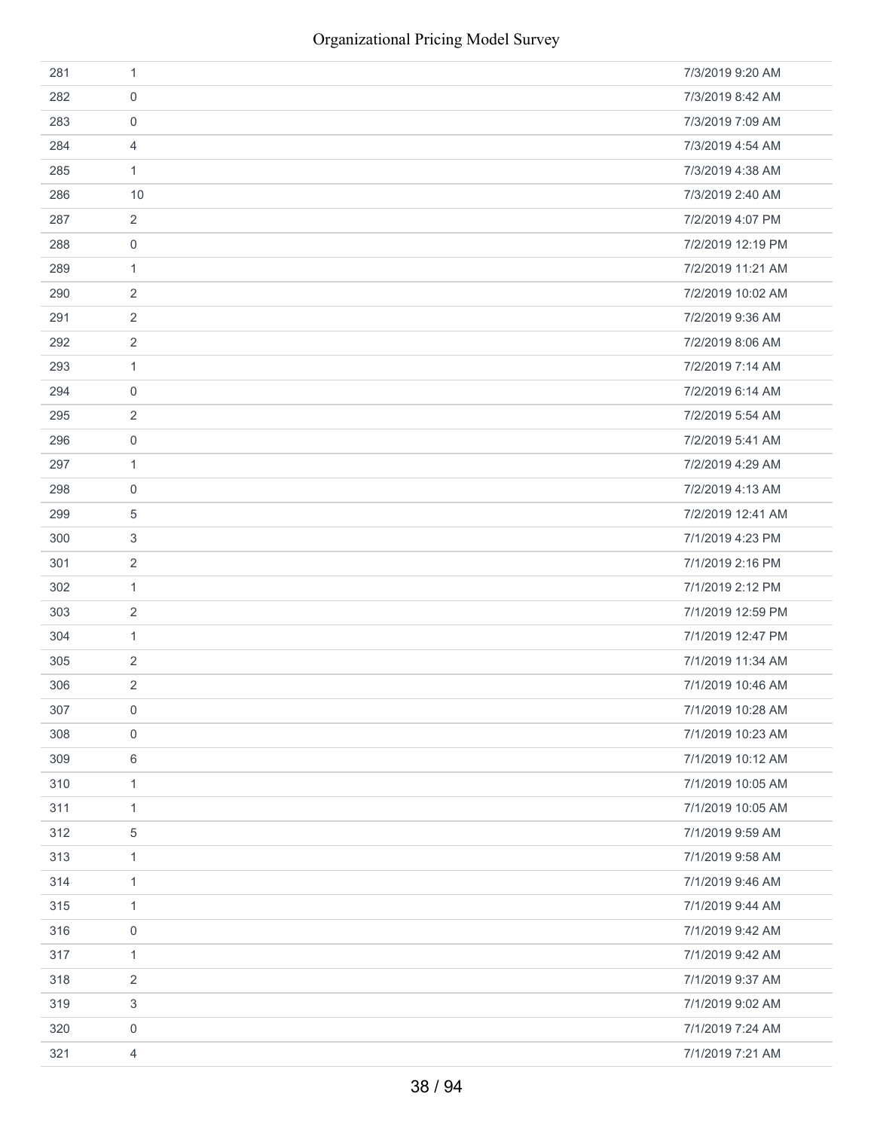| 281 | 1                | 7/3/2019 9:20 AM  |
|-----|------------------|-------------------|
| 282 | 0                | 7/3/2019 8:42 AM  |
| 283 | $\mathbf 0$      | 7/3/2019 7:09 AM  |
| 284 | 4                | 7/3/2019 4:54 AM  |
| 285 | $\mathbf{1}$     | 7/3/2019 4:38 AM  |
| 286 | 10               | 7/3/2019 2:40 AM  |
| 287 | $\overline{2}$   | 7/2/2019 4:07 PM  |
| 288 | 0                | 7/2/2019 12:19 PM |
| 289 | $\mathbf{1}$     | 7/2/2019 11:21 AM |
| 290 | 2                | 7/2/2019 10:02 AM |
| 291 | 2                | 7/2/2019 9:36 AM  |
| 292 | $\overline{2}$   | 7/2/2019 8:06 AM  |
| 293 | $\mathbf{1}$     | 7/2/2019 7:14 AM  |
| 294 | $\mathbf 0$      | 7/2/2019 6:14 AM  |
| 295 | 2                | 7/2/2019 5:54 AM  |
| 296 | 0                | 7/2/2019 5:41 AM  |
| 297 | 1                | 7/2/2019 4:29 AM  |
| 298 | 0                | 7/2/2019 4:13 AM  |
| 299 | 5                | 7/2/2019 12:41 AM |
| 300 | 3                | 7/1/2019 4:23 PM  |
| 301 | $\overline{2}$   | 7/1/2019 2:16 PM  |
| 302 | 1                | 7/1/2019 2:12 PM  |
| 303 | 2                | 7/1/2019 12:59 PM |
| 304 | $\mathbf{1}$     | 7/1/2019 12:47 PM |
| 305 | 2                | 7/1/2019 11:34 AM |
| 306 | 2                | 7/1/2019 10:46 AM |
| 307 | $\mathbf 0$      | 7/1/2019 10:28 AM |
| 308 | 0                | 7/1/2019 10:23 AM |
| 309 | $\,6$            | 7/1/2019 10:12 AM |
| 310 | $\mathbf{1}$     | 7/1/2019 10:05 AM |
| 311 | $\mathbf{1}$     | 7/1/2019 10:05 AM |
| 312 | $\mathbf 5$      | 7/1/2019 9:59 AM  |
| 313 | $\mathbf{1}$     | 7/1/2019 9:58 AM  |
| 314 | $\mathbf{1}$     | 7/1/2019 9:46 AM  |
| 315 | $\mathbf{1}$     | 7/1/2019 9:44 AM  |
| 316 | $\boldsymbol{0}$ | 7/1/2019 9:42 AM  |
| 317 | $\mathbf{1}$     | 7/1/2019 9:42 AM  |
| 318 | 2                | 7/1/2019 9:37 AM  |
| 319 | 3                | 7/1/2019 9:02 AM  |
| 320 | 0                | 7/1/2019 7:24 AM  |
| 321 | 4                | 7/1/2019 7:21 AM  |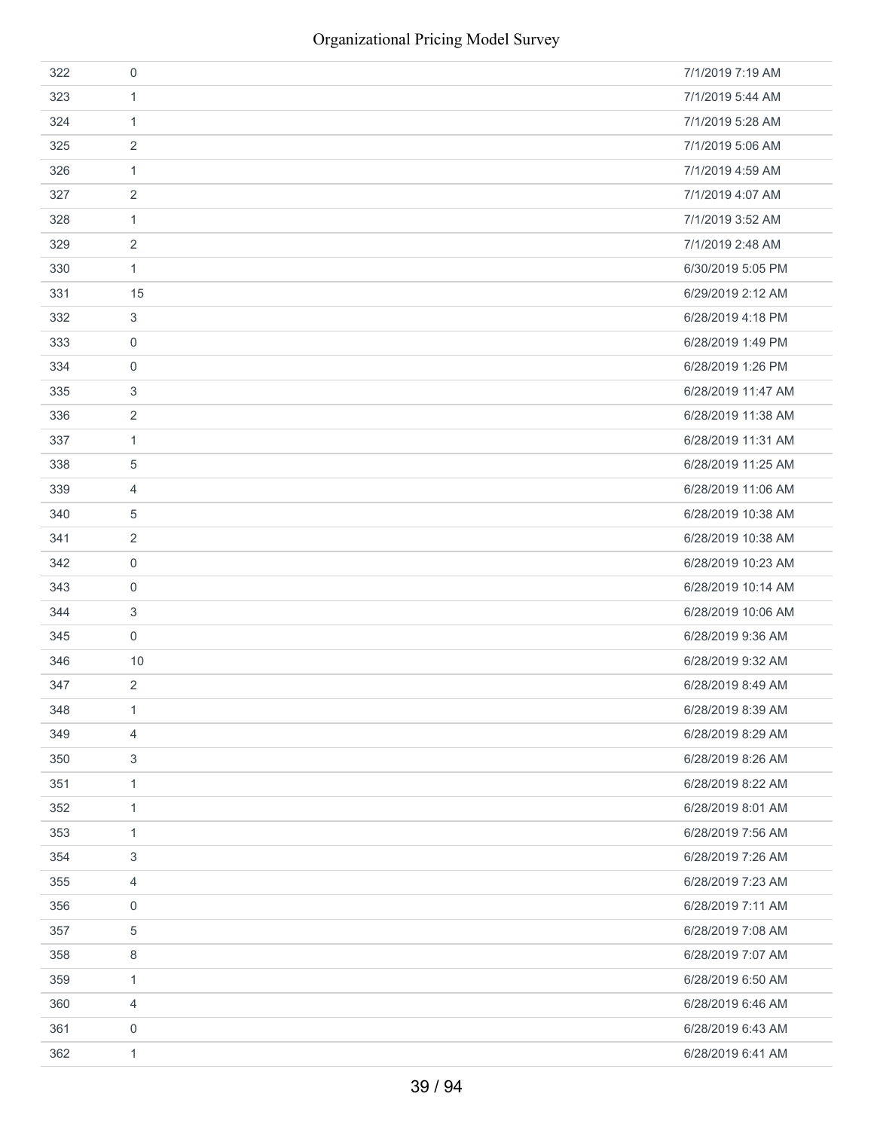| 322 | 0              | 7/1/2019 7:19 AM   |
|-----|----------------|--------------------|
| 323 | $\mathbf{1}$   | 7/1/2019 5:44 AM   |
| 324 | 1              | 7/1/2019 5:28 AM   |
| 325 | $\overline{2}$ | 7/1/2019 5:06 AM   |
| 326 | 1              | 7/1/2019 4:59 AM   |
| 327 | $\overline{2}$ | 7/1/2019 4:07 AM   |
| 328 | 1              | 7/1/2019 3:52 AM   |
| 329 | 2              | 7/1/2019 2:48 AM   |
| 330 | 1              | 6/30/2019 5:05 PM  |
| 331 | 15             | 6/29/2019 2:12 AM  |
| 332 | 3              | 6/28/2019 4:18 PM  |
| 333 | $\mathbf 0$    | 6/28/2019 1:49 PM  |
| 334 | 0              | 6/28/2019 1:26 PM  |
| 335 | 3              | 6/28/2019 11:47 AM |
| 336 | 2              | 6/28/2019 11:38 AM |
| 337 | 1              | 6/28/2019 11:31 AM |
| 338 | 5              | 6/28/2019 11:25 AM |
| 339 | 4              | 6/28/2019 11:06 AM |
| 340 | 5              | 6/28/2019 10:38 AM |
| 341 | $\overline{2}$ | 6/28/2019 10:38 AM |
| 342 | $\mathbf 0$    | 6/28/2019 10:23 AM |
| 343 | $\mathbf 0$    | 6/28/2019 10:14 AM |
| 344 | 3              | 6/28/2019 10:06 AM |
| 345 | 0              | 6/28/2019 9:36 AM  |
| 346 | 10             | 6/28/2019 9:32 AM  |
| 347 | $\overline{2}$ | 6/28/2019 8:49 AM  |
| 348 | $\mathbf{1}$   | 6/28/2019 8:39 AM  |
| 349 | 4              | 6/28/2019 8:29 AM  |
| 350 | 3              | 6/28/2019 8:26 AM  |
| 351 | 1              | 6/28/2019 8:22 AM  |
| 352 | 1              | 6/28/2019 8:01 AM  |
| 353 | 1              | 6/28/2019 7:56 AM  |
| 354 | 3              | 6/28/2019 7:26 AM  |
| 355 | 4              | 6/28/2019 7:23 AM  |
| 356 | $\mathbf 0$    | 6/28/2019 7:11 AM  |
| 357 | 5              | 6/28/2019 7:08 AM  |
| 358 | 8              | 6/28/2019 7:07 AM  |
| 359 | $\mathbf{1}$   | 6/28/2019 6:50 AM  |
| 360 | 4              | 6/28/2019 6:46 AM  |
| 361 | $\mathbf 0$    | 6/28/2019 6:43 AM  |
| 362 | 1              | 6/28/2019 6:41 AM  |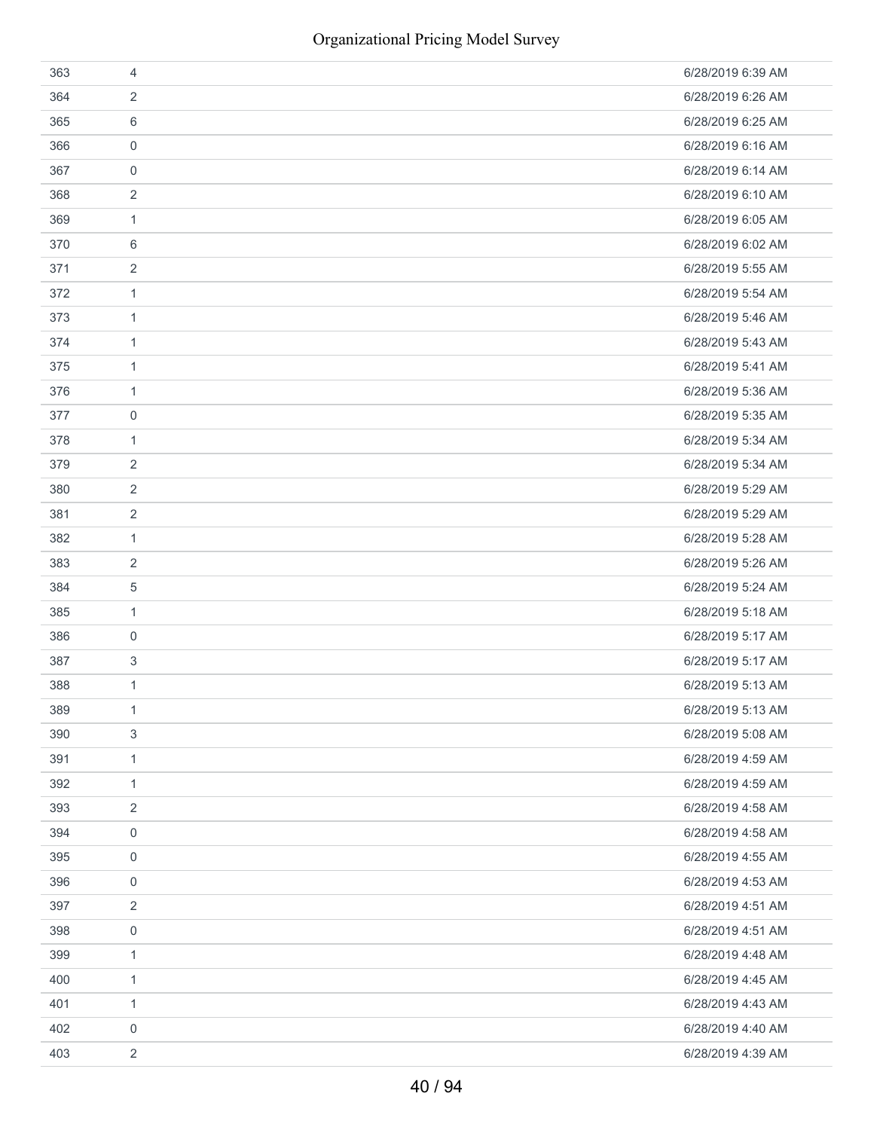| 363 | 4              | 6/28/2019 6:39 AM |
|-----|----------------|-------------------|
| 364 | 2              | 6/28/2019 6:26 AM |
| 365 | 6              | 6/28/2019 6:25 AM |
| 366 | 0              | 6/28/2019 6:16 AM |
| 367 | $\mathbf 0$    | 6/28/2019 6:14 AM |
| 368 | 2              | 6/28/2019 6:10 AM |
| 369 | 1              | 6/28/2019 6:05 AM |
| 370 | 6              | 6/28/2019 6:02 AM |
| 371 | 2              | 6/28/2019 5:55 AM |
| 372 | 1              | 6/28/2019 5:54 AM |
| 373 | 1              | 6/28/2019 5:46 AM |
| 374 | 1              | 6/28/2019 5:43 AM |
| 375 | 1              | 6/28/2019 5:41 AM |
| 376 | 1              | 6/28/2019 5:36 AM |
| 377 | 0              | 6/28/2019 5:35 AM |
| 378 | $\mathbf{1}$   | 6/28/2019 5:34 AM |
| 379 | 2              | 6/28/2019 5:34 AM |
| 380 | 2              | 6/28/2019 5:29 AM |
| 381 | 2              | 6/28/2019 5:29 AM |
| 382 | 1              | 6/28/2019 5:28 AM |
| 383 | 2              | 6/28/2019 5:26 AM |
| 384 | 5              | 6/28/2019 5:24 AM |
| 385 | $\mathbf{1}$   | 6/28/2019 5:18 AM |
| 386 | 0              | 6/28/2019 5:17 AM |
| 387 | 3              | 6/28/2019 5:17 AM |
| 388 | $\mathbf{1}$   | 6/28/2019 5:13 AM |
| 389 | 1              | 6/28/2019 5:13 AM |
| 390 | 3              | 6/28/2019 5:08 AM |
| 391 | $\mathbf{1}$   | 6/28/2019 4:59 AM |
| 392 | $\mathbf{1}$   | 6/28/2019 4:59 AM |
| 393 | 2              | 6/28/2019 4:58 AM |
| 394 | 0              | 6/28/2019 4:58 AM |
| 395 | 0              | 6/28/2019 4:55 AM |
| 396 | 0              | 6/28/2019 4:53 AM |
| 397 | 2              | 6/28/2019 4:51 AM |
| 398 | 0              | 6/28/2019 4:51 AM |
| 399 | $\mathbf{1}$   | 6/28/2019 4:48 AM |
| 400 | $\mathbf{1}$   | 6/28/2019 4:45 AM |
| 401 | $\mathbf{1}$   | 6/28/2019 4:43 AM |
| 402 | 0              | 6/28/2019 4:40 AM |
| 403 | $\overline{c}$ | 6/28/2019 4:39 AM |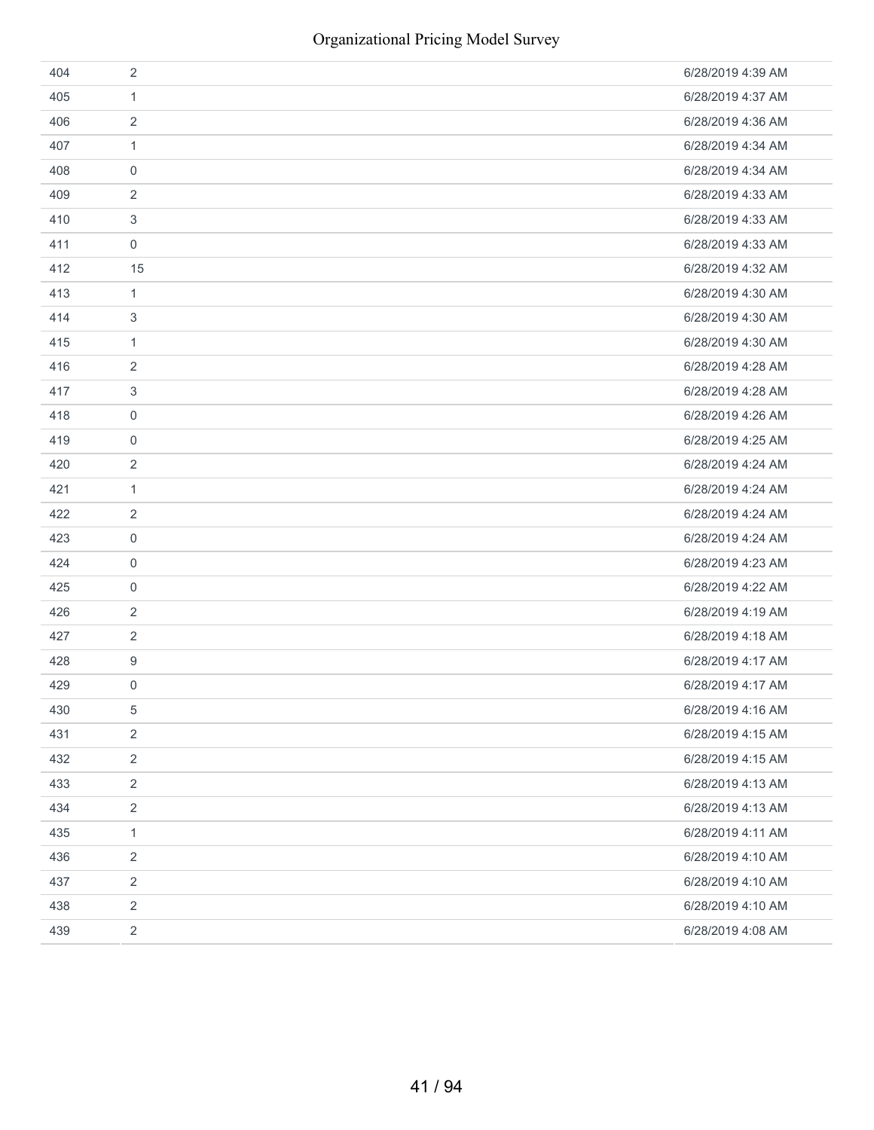| 404 | 2                | 6/28/2019 4:39 AM |
|-----|------------------|-------------------|
| 405 | $\mathbf{1}$     | 6/28/2019 4:37 AM |
| 406 | $\sqrt{2}$       | 6/28/2019 4:36 AM |
| 407 | $\mathbf{1}$     | 6/28/2019 4:34 AM |
| 408 | 0                | 6/28/2019 4:34 AM |
| 409 | 2                | 6/28/2019 4:33 AM |
| 410 | 3                | 6/28/2019 4:33 AM |
| 411 | 0                | 6/28/2019 4:33 AM |
| 412 | 15               | 6/28/2019 4:32 AM |
| 413 | $\mathbf{1}$     | 6/28/2019 4:30 AM |
| 414 | 3                | 6/28/2019 4:30 AM |
| 415 | $\mathbf{1}$     | 6/28/2019 4:30 AM |
| 416 | 2                | 6/28/2019 4:28 AM |
| 417 | 3                | 6/28/2019 4:28 AM |
| 418 | 0                | 6/28/2019 4:26 AM |
| 419 | 0                | 6/28/2019 4:25 AM |
| 420 | 2                | 6/28/2019 4:24 AM |
| 421 | $\mathbf{1}$     | 6/28/2019 4:24 AM |
| 422 | 2                | 6/28/2019 4:24 AM |
| 423 | $\mathbf 0$      | 6/28/2019 4:24 AM |
| 424 | 0                | 6/28/2019 4:23 AM |
| 425 | 0                | 6/28/2019 4:22 AM |
| 426 | 2                | 6/28/2019 4:19 AM |
| 427 | 2                | 6/28/2019 4:18 AM |
| 428 | 9                | 6/28/2019 4:17 AM |
| 429 | $\boldsymbol{0}$ | 6/28/2019 4:17 AM |
| 430 | 5                | 6/28/2019 4:16 AM |
| 431 | $\overline{2}$   | 6/28/2019 4:15 AM |
| 432 | $\overline{2}$   | 6/28/2019 4:15 AM |
| 433 | $\overline{2}$   | 6/28/2019 4:13 AM |
| 434 | $\overline{2}$   | 6/28/2019 4:13 AM |
| 435 | $\mathbf{1}$     | 6/28/2019 4:11 AM |
| 436 | $\overline{2}$   | 6/28/2019 4:10 AM |
| 437 | $\overline{2}$   | 6/28/2019 4:10 AM |
| 438 | $\sqrt{2}$       | 6/28/2019 4:10 AM |
| 439 | $\overline{2}$   | 6/28/2019 4:08 AM |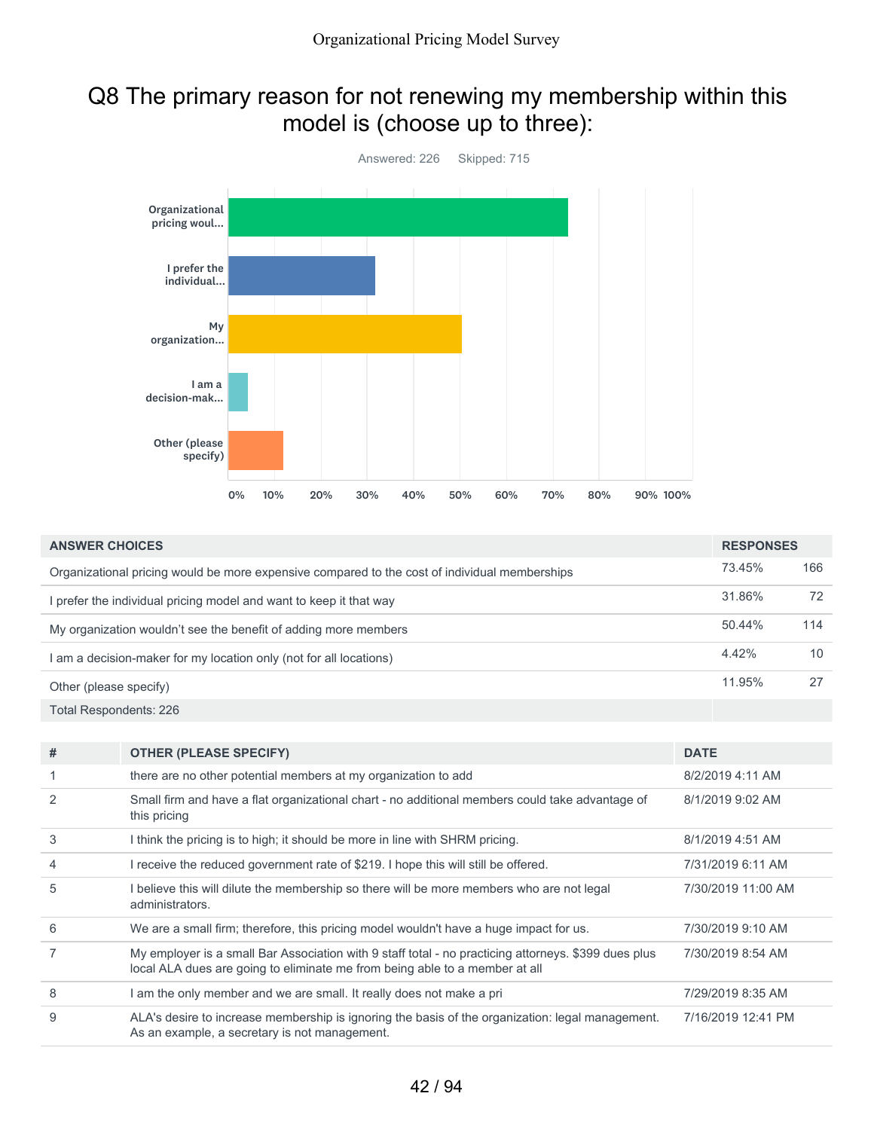## Q8 The primary reason for not renewing my membership within this model is (choose up to three):



| <b>ANSWER CHOICES</b>                                                                         |        | <b>RESPONSES</b> |  |
|-----------------------------------------------------------------------------------------------|--------|------------------|--|
| Organizational pricing would be more expensive compared to the cost of individual memberships | 73.45% | 166              |  |
| I prefer the individual pricing model and want to keep it that way                            | 31.86% | 72               |  |
| My organization wouldn't see the benefit of adding more members                               | 50.44% | 114              |  |
| I am a decision-maker for my location only (not for all locations)                            | 4.42%  | 10               |  |
| Other (please specify)                                                                        | 11.95% | 27               |  |
| Total Respondents: 226                                                                        |        |                  |  |
|                                                                                               |        |                  |  |

| # | <b>OTHER (PLEASE SPECIFY)</b>                                                                                                                                                       | <b>DATE</b>        |
|---|-------------------------------------------------------------------------------------------------------------------------------------------------------------------------------------|--------------------|
|   | there are no other potential members at my organization to add                                                                                                                      | 8/2/2019 4:11 AM   |
| 2 | Small firm and have a flat organizational chart - no additional members could take advantage of<br>this pricing                                                                     | 8/1/2019 9:02 AM   |
| 3 | I think the pricing is to high; it should be more in line with SHRM pricing.                                                                                                        | 8/1/2019 4:51 AM   |
| 4 | I receive the reduced government rate of \$219. I hope this will still be offered.                                                                                                  | 7/31/2019 6:11 AM  |
| 5 | I believe this will dilute the membership so there will be more members who are not legal<br>administrators.                                                                        | 7/30/2019 11:00 AM |
| 6 | We are a small firm; therefore, this pricing model wouldn't have a huge impact for us.                                                                                              | 7/30/2019 9:10 AM  |
|   | My employer is a small Bar Association with 9 staff total - no practicing attorneys. \$399 dues plus<br>local ALA dues are going to eliminate me from being able to a member at all | 7/30/2019 8:54 AM  |
| 8 | I am the only member and we are small. It really does not make a pri                                                                                                                | 7/29/2019 8:35 AM  |
| 9 | ALA's desire to increase membership is ignoring the basis of the organization: legal management.<br>As an example, a secretary is not management.                                   | 7/16/2019 12:41 PM |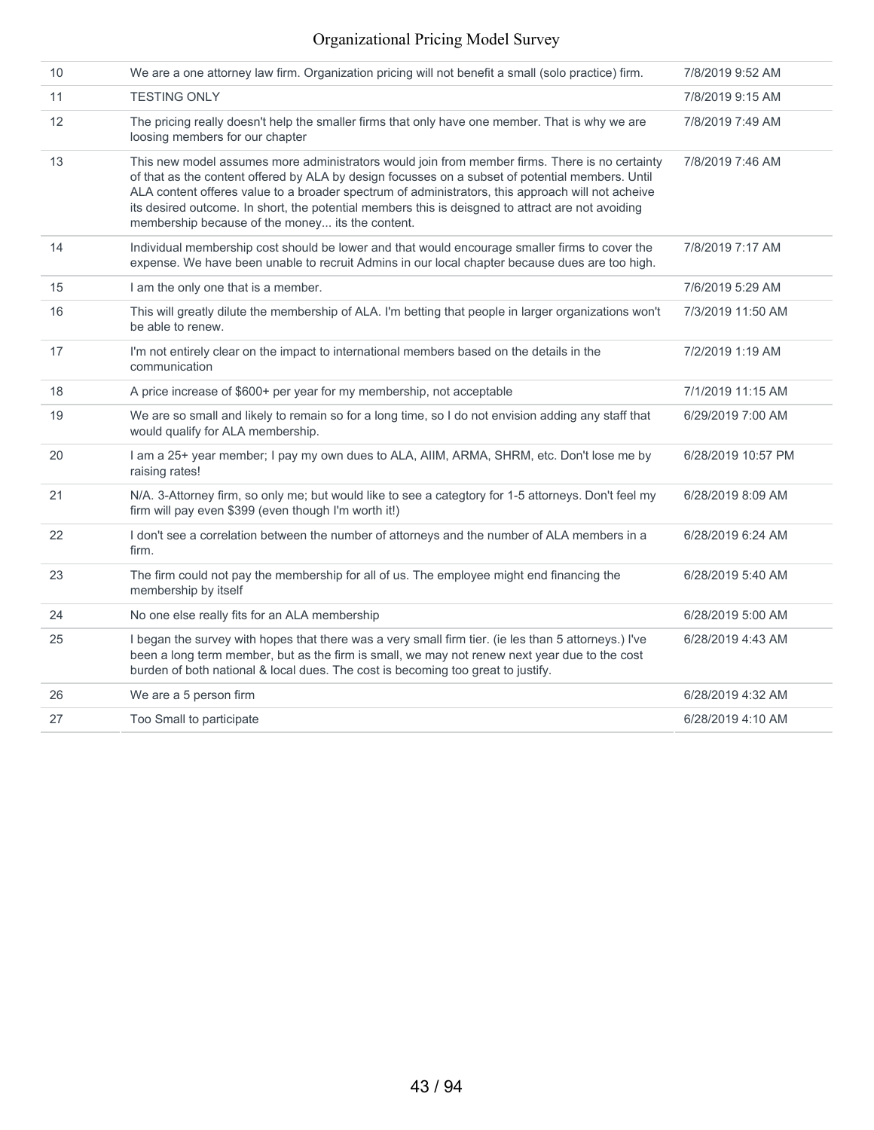| 10 | We are a one attorney law firm. Organization pricing will not benefit a small (solo practice) firm.                                                                                                                                                                                                                                                                                                                                                              | 7/8/2019 9:52 AM   |
|----|------------------------------------------------------------------------------------------------------------------------------------------------------------------------------------------------------------------------------------------------------------------------------------------------------------------------------------------------------------------------------------------------------------------------------------------------------------------|--------------------|
| 11 | <b>TESTING ONLY</b>                                                                                                                                                                                                                                                                                                                                                                                                                                              | 7/8/2019 9:15 AM   |
| 12 | The pricing really doesn't help the smaller firms that only have one member. That is why we are<br>loosing members for our chapter                                                                                                                                                                                                                                                                                                                               | 7/8/2019 7:49 AM   |
| 13 | This new model assumes more administrators would join from member firms. There is no certainty<br>of that as the content offered by ALA by design focusses on a subset of potential members. Until<br>ALA content offeres value to a broader spectrum of administrators, this approach will not acheive<br>its desired outcome. In short, the potential members this is deisgned to attract are not avoiding<br>membership because of the money its the content. | 7/8/2019 7:46 AM   |
| 14 | Individual membership cost should be lower and that would encourage smaller firms to cover the<br>expense. We have been unable to recruit Admins in our local chapter because dues are too high.                                                                                                                                                                                                                                                                 | 7/8/2019 7:17 AM   |
| 15 | I am the only one that is a member.                                                                                                                                                                                                                                                                                                                                                                                                                              | 7/6/2019 5:29 AM   |
| 16 | This will greatly dilute the membership of ALA. I'm betting that people in larger organizations won't<br>be able to renew.                                                                                                                                                                                                                                                                                                                                       | 7/3/2019 11:50 AM  |
| 17 | I'm not entirely clear on the impact to international members based on the details in the<br>communication                                                                                                                                                                                                                                                                                                                                                       | 7/2/2019 1:19 AM   |
| 18 | A price increase of \$600+ per year for my membership, not acceptable                                                                                                                                                                                                                                                                                                                                                                                            | 7/1/2019 11:15 AM  |
| 19 | We are so small and likely to remain so for a long time, so I do not envision adding any staff that<br>would qualify for ALA membership.                                                                                                                                                                                                                                                                                                                         | 6/29/2019 7:00 AM  |
| 20 | I am a 25+ year member; I pay my own dues to ALA, AIIM, ARMA, SHRM, etc. Don't lose me by<br>raising rates!                                                                                                                                                                                                                                                                                                                                                      | 6/28/2019 10:57 PM |
| 21 | N/A. 3-Attorney firm, so only me; but would like to see a categtory for 1-5 attorneys. Don't feel my<br>firm will pay even \$399 (even though I'm worth it!)                                                                                                                                                                                                                                                                                                     | 6/28/2019 8:09 AM  |
| 22 | I don't see a correlation between the number of attorneys and the number of ALA members in a<br>firm.                                                                                                                                                                                                                                                                                                                                                            | 6/28/2019 6:24 AM  |
| 23 | The firm could not pay the membership for all of us. The employee might end financing the<br>membership by itself                                                                                                                                                                                                                                                                                                                                                | 6/28/2019 5:40 AM  |
| 24 | No one else really fits for an ALA membership                                                                                                                                                                                                                                                                                                                                                                                                                    | 6/28/2019 5:00 AM  |
| 25 | I began the survey with hopes that there was a very small firm tier. (ie les than 5 attorneys.) I've<br>been a long term member, but as the firm is small, we may not renew next year due to the cost<br>burden of both national & local dues. The cost is becoming too great to justify.                                                                                                                                                                        | 6/28/2019 4:43 AM  |
| 26 | We are a 5 person firm                                                                                                                                                                                                                                                                                                                                                                                                                                           | 6/28/2019 4:32 AM  |
| 27 | Too Small to participate                                                                                                                                                                                                                                                                                                                                                                                                                                         | 6/28/2019 4:10 AM  |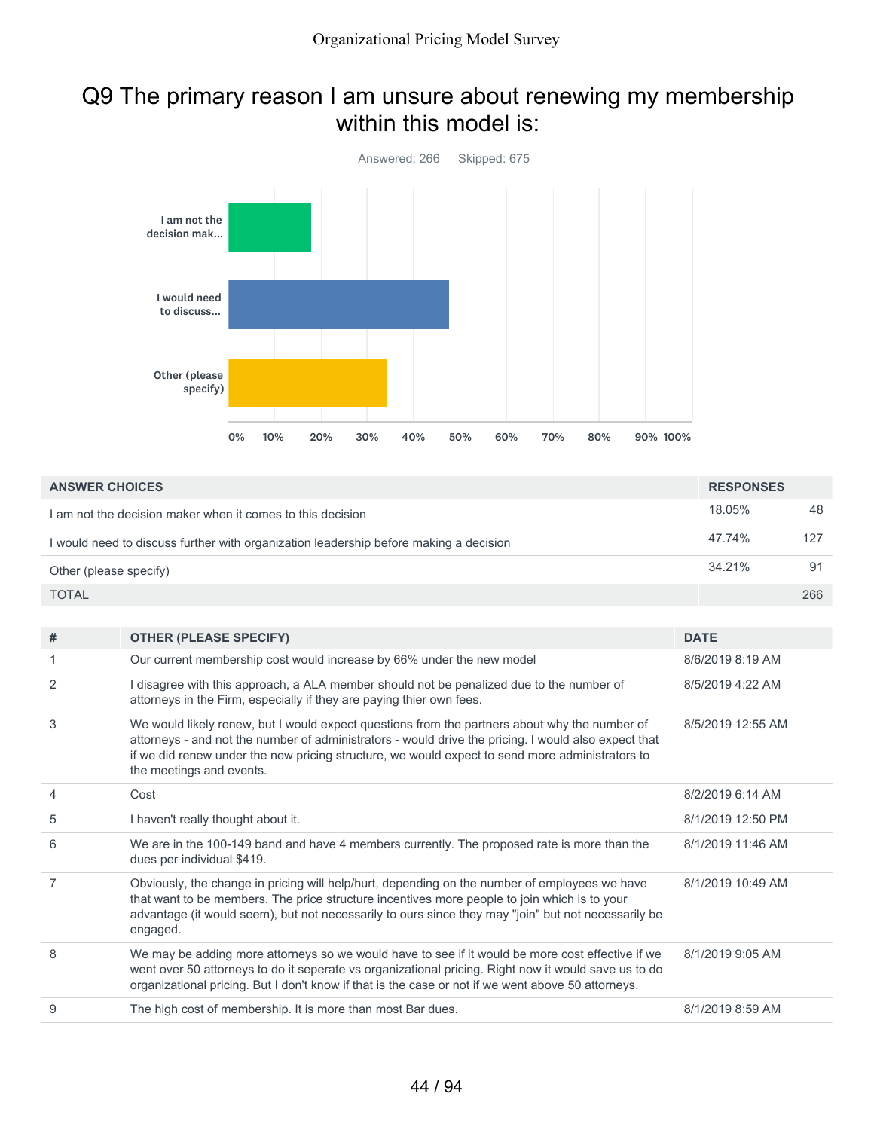## Q9 The primary reason I am unsure about renewing my membership within this model is:



| <b>ANSWER CHOICES</b>                                                                 | <b>RESPONSES</b> |     |
|---------------------------------------------------------------------------------------|------------------|-----|
| I am not the decision maker when it comes to this decision                            | 18.05%           | 48  |
| I would need to discuss further with organization leadership before making a decision | 47.74%           | 127 |
| Other (please specify)                                                                | $34.21\%$        | 91  |
| <b>TOTAL</b>                                                                          |                  | 266 |

| # | <b>OTHER (PLEASE SPECIFY)</b>                                                                                                                                                                                                                                                                                                        | <b>DATE</b>       |
|---|--------------------------------------------------------------------------------------------------------------------------------------------------------------------------------------------------------------------------------------------------------------------------------------------------------------------------------------|-------------------|
| 1 | Our current membership cost would increase by 66% under the new model                                                                                                                                                                                                                                                                | 8/6/2019 8:19 AM  |
| 2 | I disagree with this approach, a ALA member should not be penalized due to the number of<br>attorneys in the Firm, especially if they are paying thier own fees.                                                                                                                                                                     | 8/5/2019 4:22 AM  |
| 3 | We would likely renew, but I would expect questions from the partners about why the number of<br>attorneys - and not the number of administrators - would drive the pricing. I would also expect that<br>if we did renew under the new pricing structure, we would expect to send more administrators to<br>the meetings and events. | 8/5/2019 12:55 AM |
| 4 | Cost                                                                                                                                                                                                                                                                                                                                 | 8/2/2019 6:14 AM  |
| 5 | I haven't really thought about it.                                                                                                                                                                                                                                                                                                   | 8/1/2019 12:50 PM |
| 6 | We are in the 100-149 band and have 4 members currently. The proposed rate is more than the<br>dues per individual \$419.                                                                                                                                                                                                            | 8/1/2019 11:46 AM |
| 7 | Obviously, the change in pricing will help/hurt, depending on the number of employees we have<br>that want to be members. The price structure incentives more people to join which is to your<br>advantage (it would seem), but not necessarily to ours since they may "join" but not necessarily be<br>engaged.                     | 8/1/2019 10:49 AM |
| 8 | We may be adding more attorneys so we would have to see if it would be more cost effective if we<br>went over 50 attorneys to do it seperate vs organizational pricing. Right now it would save us to do<br>organizational pricing. But I don't know if that is the case or not if we went above 50 attorneys.                       | 8/1/2019 9:05 AM  |
| 9 | The high cost of membership. It is more than most Bar dues.                                                                                                                                                                                                                                                                          | 8/1/2019 8:59 AM  |
|   |                                                                                                                                                                                                                                                                                                                                      |                   |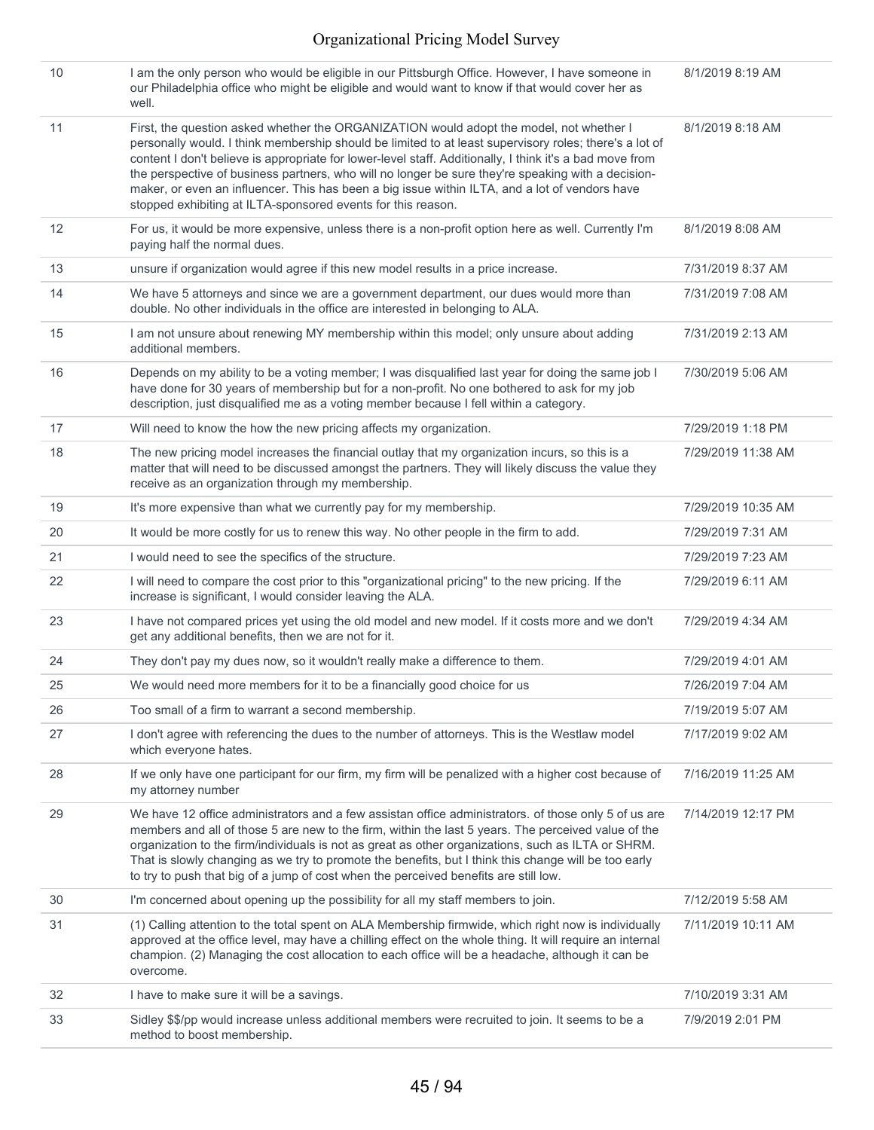| 10 | I am the only person who would be eligible in our Pittsburgh Office. However, I have someone in<br>our Philadelphia office who might be eligible and would want to know if that would cover her as<br>well.                                                                                                                                                                                                                                                                                                                                                                           | 8/1/2019 8:19 AM   |
|----|---------------------------------------------------------------------------------------------------------------------------------------------------------------------------------------------------------------------------------------------------------------------------------------------------------------------------------------------------------------------------------------------------------------------------------------------------------------------------------------------------------------------------------------------------------------------------------------|--------------------|
| 11 | First, the question asked whether the ORGANIZATION would adopt the model, not whether I<br>personally would. I think membership should be limited to at least supervisory roles; there's a lot of<br>content I don't believe is appropriate for lower-level staff. Additionally, I think it's a bad move from<br>the perspective of business partners, who will no longer be sure they're speaking with a decision-<br>maker, or even an influencer. This has been a big issue within ILTA, and a lot of vendors have<br>stopped exhibiting at ILTA-sponsored events for this reason. | 8/1/2019 8:18 AM   |
| 12 | For us, it would be more expensive, unless there is a non-profit option here as well. Currently I'm<br>paying half the normal dues.                                                                                                                                                                                                                                                                                                                                                                                                                                                   | 8/1/2019 8:08 AM   |
| 13 | unsure if organization would agree if this new model results in a price increase.                                                                                                                                                                                                                                                                                                                                                                                                                                                                                                     | 7/31/2019 8:37 AM  |
| 14 | We have 5 attorneys and since we are a government department, our dues would more than<br>double. No other individuals in the office are interested in belonging to ALA.                                                                                                                                                                                                                                                                                                                                                                                                              | 7/31/2019 7:08 AM  |
| 15 | I am not unsure about renewing MY membership within this model; only unsure about adding<br>additional members.                                                                                                                                                                                                                                                                                                                                                                                                                                                                       | 7/31/2019 2:13 AM  |
| 16 | Depends on my ability to be a voting member; I was disqualified last year for doing the same job I<br>have done for 30 years of membership but for a non-profit. No one bothered to ask for my job<br>description, just disqualified me as a voting member because I fell within a category.                                                                                                                                                                                                                                                                                          | 7/30/2019 5:06 AM  |
| 17 | Will need to know the how the new pricing affects my organization.                                                                                                                                                                                                                                                                                                                                                                                                                                                                                                                    | 7/29/2019 1:18 PM  |
| 18 | The new pricing model increases the financial outlay that my organization incurs, so this is a<br>matter that will need to be discussed amongst the partners. They will likely discuss the value they<br>receive as an organization through my membership.                                                                                                                                                                                                                                                                                                                            | 7/29/2019 11:38 AM |
| 19 | It's more expensive than what we currently pay for my membership.                                                                                                                                                                                                                                                                                                                                                                                                                                                                                                                     | 7/29/2019 10:35 AM |
| 20 | It would be more costly for us to renew this way. No other people in the firm to add.                                                                                                                                                                                                                                                                                                                                                                                                                                                                                                 | 7/29/2019 7:31 AM  |
| 21 | I would need to see the specifics of the structure.                                                                                                                                                                                                                                                                                                                                                                                                                                                                                                                                   | 7/29/2019 7:23 AM  |
| 22 | I will need to compare the cost prior to this "organizational pricing" to the new pricing. If the<br>increase is significant, I would consider leaving the ALA.                                                                                                                                                                                                                                                                                                                                                                                                                       | 7/29/2019 6:11 AM  |
| 23 | I have not compared prices yet using the old model and new model. If it costs more and we don't<br>get any additional benefits, then we are not for it.                                                                                                                                                                                                                                                                                                                                                                                                                               | 7/29/2019 4:34 AM  |
| 24 | They don't pay my dues now, so it wouldn't really make a difference to them.                                                                                                                                                                                                                                                                                                                                                                                                                                                                                                          | 7/29/2019 4:01 AM  |
| 25 | We would need more members for it to be a financially good choice for us                                                                                                                                                                                                                                                                                                                                                                                                                                                                                                              | 7/26/2019 7:04 AM  |
| 26 | Too small of a firm to warrant a second membership.                                                                                                                                                                                                                                                                                                                                                                                                                                                                                                                                   | 7/19/2019 5:07 AM  |
| 27 | I don't agree with referencing the dues to the number of attorneys. This is the Westlaw model<br>which everyone hates.                                                                                                                                                                                                                                                                                                                                                                                                                                                                | 7/17/2019 9:02 AM  |
| 28 | If we only have one participant for our firm, my firm will be penalized with a higher cost because of<br>my attorney number                                                                                                                                                                                                                                                                                                                                                                                                                                                           | 7/16/2019 11:25 AM |
| 29 | We have 12 office administrators and a few assistan office administrators. of those only 5 of us are<br>members and all of those 5 are new to the firm, within the last 5 years. The perceived value of the<br>organization to the firm/individuals is not as great as other organizations, such as ILTA or SHRM.<br>That is slowly changing as we try to promote the benefits, but I think this change will be too early<br>to try to push that big of a jump of cost when the perceived benefits are still low.                                                                     | 7/14/2019 12:17 PM |
| 30 | I'm concerned about opening up the possibility for all my staff members to join.                                                                                                                                                                                                                                                                                                                                                                                                                                                                                                      | 7/12/2019 5:58 AM  |
| 31 | (1) Calling attention to the total spent on ALA Membership firmwide, which right now is individually<br>approved at the office level, may have a chilling effect on the whole thing. It will require an internal<br>champion. (2) Managing the cost allocation to each office will be a headache, although it can be<br>overcome.                                                                                                                                                                                                                                                     | 7/11/2019 10:11 AM |
| 32 | I have to make sure it will be a savings.                                                                                                                                                                                                                                                                                                                                                                                                                                                                                                                                             | 7/10/2019 3:31 AM  |
| 33 | Sidley \$\$/pp would increase unless additional members were recruited to join. It seems to be a<br>method to boost membership.                                                                                                                                                                                                                                                                                                                                                                                                                                                       | 7/9/2019 2:01 PM   |
|    |                                                                                                                                                                                                                                                                                                                                                                                                                                                                                                                                                                                       |                    |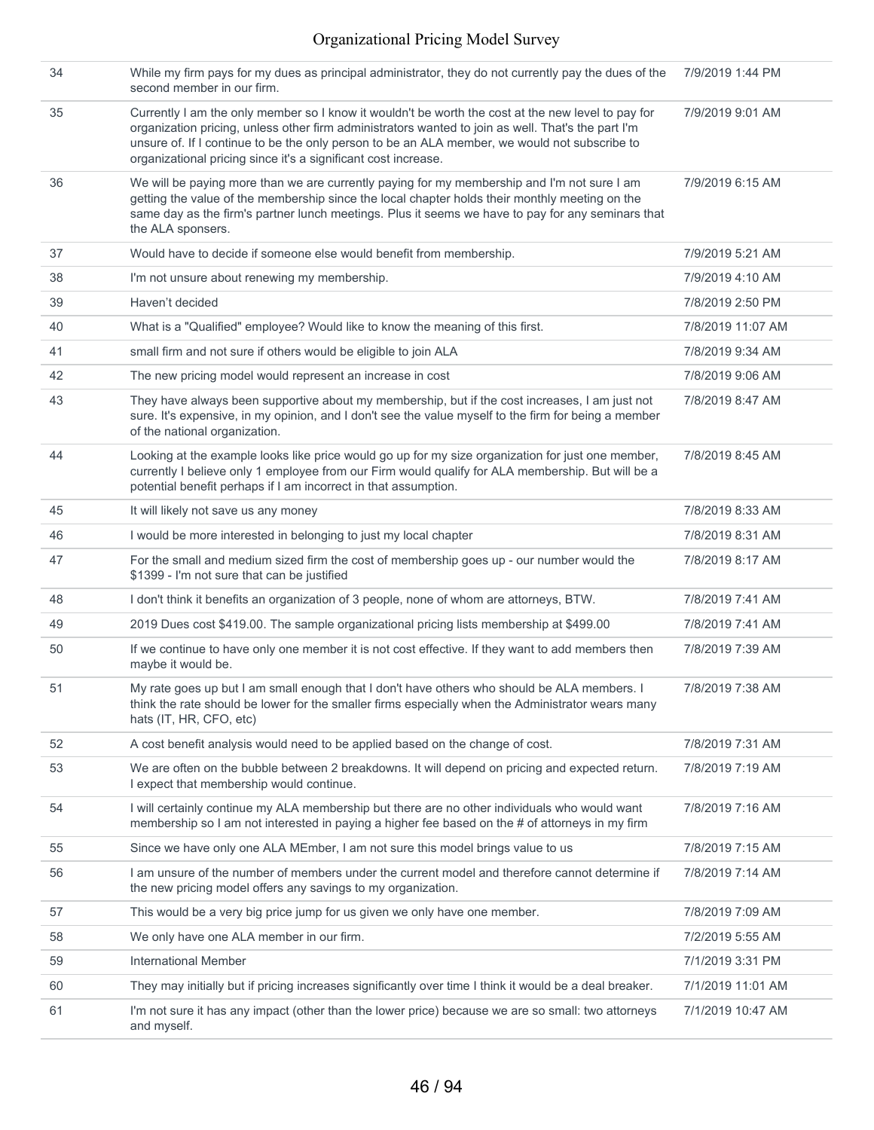| 34 | While my firm pays for my dues as principal administrator, they do not currently pay the dues of the<br>second member in our firm.                                                                                                                                                                                                                                          | 7/9/2019 1:44 PM  |
|----|-----------------------------------------------------------------------------------------------------------------------------------------------------------------------------------------------------------------------------------------------------------------------------------------------------------------------------------------------------------------------------|-------------------|
| 35 | Currently I am the only member so I know it wouldn't be worth the cost at the new level to pay for<br>organization pricing, unless other firm administrators wanted to join as well. That's the part I'm<br>unsure of. If I continue to be the only person to be an ALA member, we would not subscribe to<br>organizational pricing since it's a significant cost increase. | 7/9/2019 9:01 AM  |
| 36 | We will be paying more than we are currently paying for my membership and I'm not sure I am<br>getting the value of the membership since the local chapter holds their monthly meeting on the<br>same day as the firm's partner lunch meetings. Plus it seems we have to pay for any seminars that<br>the ALA sponsers.                                                     | 7/9/2019 6:15 AM  |
| 37 | Would have to decide if someone else would benefit from membership.                                                                                                                                                                                                                                                                                                         | 7/9/2019 5:21 AM  |
| 38 | I'm not unsure about renewing my membership.                                                                                                                                                                                                                                                                                                                                | 7/9/2019 4:10 AM  |
| 39 | Haven't decided                                                                                                                                                                                                                                                                                                                                                             | 7/8/2019 2:50 PM  |
| 40 | What is a "Qualified" employee? Would like to know the meaning of this first.                                                                                                                                                                                                                                                                                               | 7/8/2019 11:07 AM |
| 41 | small firm and not sure if others would be eligible to join ALA                                                                                                                                                                                                                                                                                                             | 7/8/2019 9:34 AM  |
| 42 | The new pricing model would represent an increase in cost                                                                                                                                                                                                                                                                                                                   | 7/8/2019 9:06 AM  |
| 43 | They have always been supportive about my membership, but if the cost increases, I am just not<br>sure. It's expensive, in my opinion, and I don't see the value myself to the firm for being a member<br>of the national organization.                                                                                                                                     | 7/8/2019 8:47 AM  |
| 44 | Looking at the example looks like price would go up for my size organization for just one member,<br>currently I believe only 1 employee from our Firm would qualify for ALA membership. But will be a<br>potential benefit perhaps if I am incorrect in that assumption.                                                                                                   | 7/8/2019 8:45 AM  |
| 45 | It will likely not save us any money                                                                                                                                                                                                                                                                                                                                        | 7/8/2019 8:33 AM  |
| 46 | I would be more interested in belonging to just my local chapter                                                                                                                                                                                                                                                                                                            | 7/8/2019 8:31 AM  |
| 47 | For the small and medium sized firm the cost of membership goes up - our number would the<br>\$1399 - I'm not sure that can be justified                                                                                                                                                                                                                                    | 7/8/2019 8:17 AM  |
| 48 | I don't think it benefits an organization of 3 people, none of whom are attorneys, BTW.                                                                                                                                                                                                                                                                                     | 7/8/2019 7:41 AM  |
| 49 | 2019 Dues cost \$419.00. The sample organizational pricing lists membership at \$499.00                                                                                                                                                                                                                                                                                     | 7/8/2019 7:41 AM  |
| 50 | If we continue to have only one member it is not cost effective. If they want to add members then<br>maybe it would be.                                                                                                                                                                                                                                                     | 7/8/2019 7:39 AM  |
| 51 | My rate goes up but I am small enough that I don't have others who should be ALA members. I<br>think the rate should be lower for the smaller firms especially when the Administrator wears many<br>hats (IT, HR, CFO, etc)                                                                                                                                                 | 7/8/2019 7:38 AM  |
| 52 | A cost benefit analysis would need to be applied based on the change of cost.                                                                                                                                                                                                                                                                                               | 7/8/2019 7:31 AM  |
| 53 | We are often on the bubble between 2 breakdowns. It will depend on pricing and expected return.<br>I expect that membership would continue.                                                                                                                                                                                                                                 | 7/8/2019 7:19 AM  |
| 54 | I will certainly continue my ALA membership but there are no other individuals who would want<br>membership so I am not interested in paying a higher fee based on the # of attorneys in my firm                                                                                                                                                                            | 7/8/2019 7:16 AM  |
| 55 | Since we have only one ALA MEmber, I am not sure this model brings value to us                                                                                                                                                                                                                                                                                              | 7/8/2019 7:15 AM  |
| 56 | I am unsure of the number of members under the current model and therefore cannot determine if<br>the new pricing model offers any savings to my organization.                                                                                                                                                                                                              | 7/8/2019 7:14 AM  |
| 57 | This would be a very big price jump for us given we only have one member.                                                                                                                                                                                                                                                                                                   | 7/8/2019 7:09 AM  |
| 58 | We only have one ALA member in our firm.                                                                                                                                                                                                                                                                                                                                    | 7/2/2019 5:55 AM  |
| 59 | <b>International Member</b>                                                                                                                                                                                                                                                                                                                                                 | 7/1/2019 3:31 PM  |
| 60 | They may initially but if pricing increases significantly over time I think it would be a deal breaker.                                                                                                                                                                                                                                                                     | 7/1/2019 11:01 AM |
| 61 | I'm not sure it has any impact (other than the lower price) because we are so small: two attorneys<br>and myself.                                                                                                                                                                                                                                                           | 7/1/2019 10:47 AM |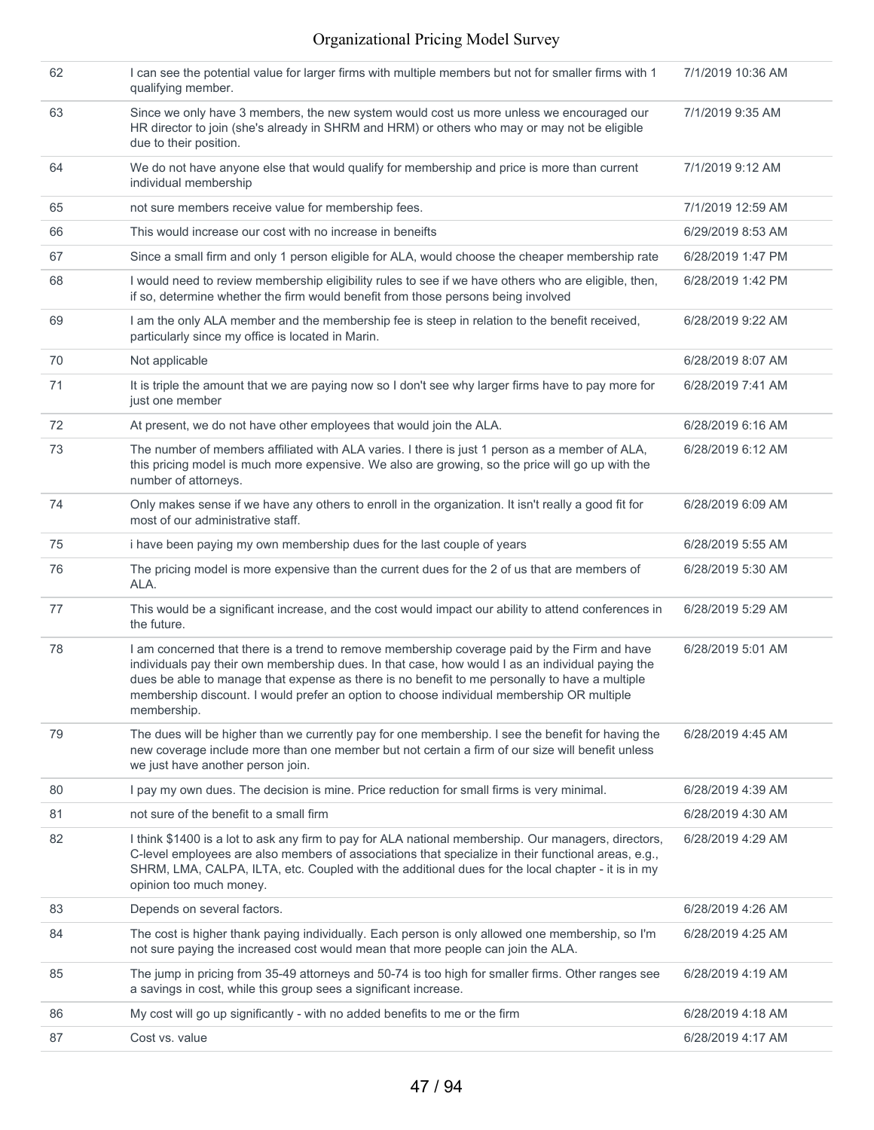| 62 | I can see the potential value for larger firms with multiple members but not for smaller firms with 1<br>qualifying member.                                                                                                                                                                                                                                                                                    | 7/1/2019 10:36 AM |
|----|----------------------------------------------------------------------------------------------------------------------------------------------------------------------------------------------------------------------------------------------------------------------------------------------------------------------------------------------------------------------------------------------------------------|-------------------|
| 63 | Since we only have 3 members, the new system would cost us more unless we encouraged our<br>HR director to join (she's already in SHRM and HRM) or others who may or may not be eligible<br>due to their position.                                                                                                                                                                                             | 7/1/2019 9:35 AM  |
| 64 | We do not have anyone else that would qualify for membership and price is more than current<br>individual membership                                                                                                                                                                                                                                                                                           | 7/1/2019 9:12 AM  |
| 65 | not sure members receive value for membership fees.                                                                                                                                                                                                                                                                                                                                                            | 7/1/2019 12:59 AM |
| 66 | This would increase our cost with no increase in beneifts                                                                                                                                                                                                                                                                                                                                                      | 6/29/2019 8:53 AM |
| 67 | Since a small firm and only 1 person eligible for ALA, would choose the cheaper membership rate                                                                                                                                                                                                                                                                                                                | 6/28/2019 1:47 PM |
| 68 | I would need to review membership eligibility rules to see if we have others who are eligible, then,<br>if so, determine whether the firm would benefit from those persons being involved                                                                                                                                                                                                                      | 6/28/2019 1:42 PM |
| 69 | I am the only ALA member and the membership fee is steep in relation to the benefit received,<br>particularly since my office is located in Marin.                                                                                                                                                                                                                                                             | 6/28/2019 9:22 AM |
| 70 | Not applicable                                                                                                                                                                                                                                                                                                                                                                                                 | 6/28/2019 8:07 AM |
| 71 | It is triple the amount that we are paying now so I don't see why larger firms have to pay more for<br>just one member                                                                                                                                                                                                                                                                                         | 6/28/2019 7:41 AM |
| 72 | At present, we do not have other employees that would join the ALA.                                                                                                                                                                                                                                                                                                                                            | 6/28/2019 6:16 AM |
| 73 | The number of members affiliated with ALA varies. I there is just 1 person as a member of ALA,<br>this pricing model is much more expensive. We also are growing, so the price will go up with the<br>number of attorneys.                                                                                                                                                                                     | 6/28/2019 6:12 AM |
| 74 | Only makes sense if we have any others to enroll in the organization. It isn't really a good fit for<br>most of our administrative staff.                                                                                                                                                                                                                                                                      | 6/28/2019 6:09 AM |
| 75 | i have been paying my own membership dues for the last couple of years                                                                                                                                                                                                                                                                                                                                         | 6/28/2019 5:55 AM |
| 76 | The pricing model is more expensive than the current dues for the 2 of us that are members of<br>ALA.                                                                                                                                                                                                                                                                                                          | 6/28/2019 5:30 AM |
| 77 | This would be a significant increase, and the cost would impact our ability to attend conferences in<br>the future.                                                                                                                                                                                                                                                                                            | 6/28/2019 5:29 AM |
| 78 | I am concerned that there is a trend to remove membership coverage paid by the Firm and have<br>individuals pay their own membership dues. In that case, how would I as an individual paying the<br>dues be able to manage that expense as there is no benefit to me personally to have a multiple<br>membership discount. I would prefer an option to choose individual membership OR multiple<br>membership. | 6/28/2019 5:01 AM |
| 79 | The dues will be higher than we currently pay for one membership. I see the benefit for having the<br>new coverage include more than one member but not certain a firm of our size will benefit unless<br>we just have another person join.                                                                                                                                                                    | 6/28/2019 4:45 AM |
| 80 | I pay my own dues. The decision is mine. Price reduction for small firms is very minimal.                                                                                                                                                                                                                                                                                                                      | 6/28/2019 4:39 AM |
| 81 | not sure of the benefit to a small firm                                                                                                                                                                                                                                                                                                                                                                        | 6/28/2019 4:30 AM |
| 82 | I think \$1400 is a lot to ask any firm to pay for ALA national membership. Our managers, directors,<br>C-level employees are also members of associations that specialize in their functional areas, e.g.,<br>SHRM, LMA, CALPA, ILTA, etc. Coupled with the additional dues for the local chapter - it is in my<br>opinion too much money.                                                                    | 6/28/2019 4:29 AM |
| 83 | Depends on several factors.                                                                                                                                                                                                                                                                                                                                                                                    | 6/28/2019 4:26 AM |
| 84 | The cost is higher thank paying individually. Each person is only allowed one membership, so I'm<br>not sure paying the increased cost would mean that more people can join the ALA.                                                                                                                                                                                                                           | 6/28/2019 4:25 AM |
| 85 | The jump in pricing from 35-49 attorneys and 50-74 is too high for smaller firms. Other ranges see<br>a savings in cost, while this group sees a significant increase.                                                                                                                                                                                                                                         | 6/28/2019 4:19 AM |
| 86 | My cost will go up significantly - with no added benefits to me or the firm                                                                                                                                                                                                                                                                                                                                    | 6/28/2019 4:18 AM |
| 87 | Cost vs. value                                                                                                                                                                                                                                                                                                                                                                                                 | 6/28/2019 4:17 AM |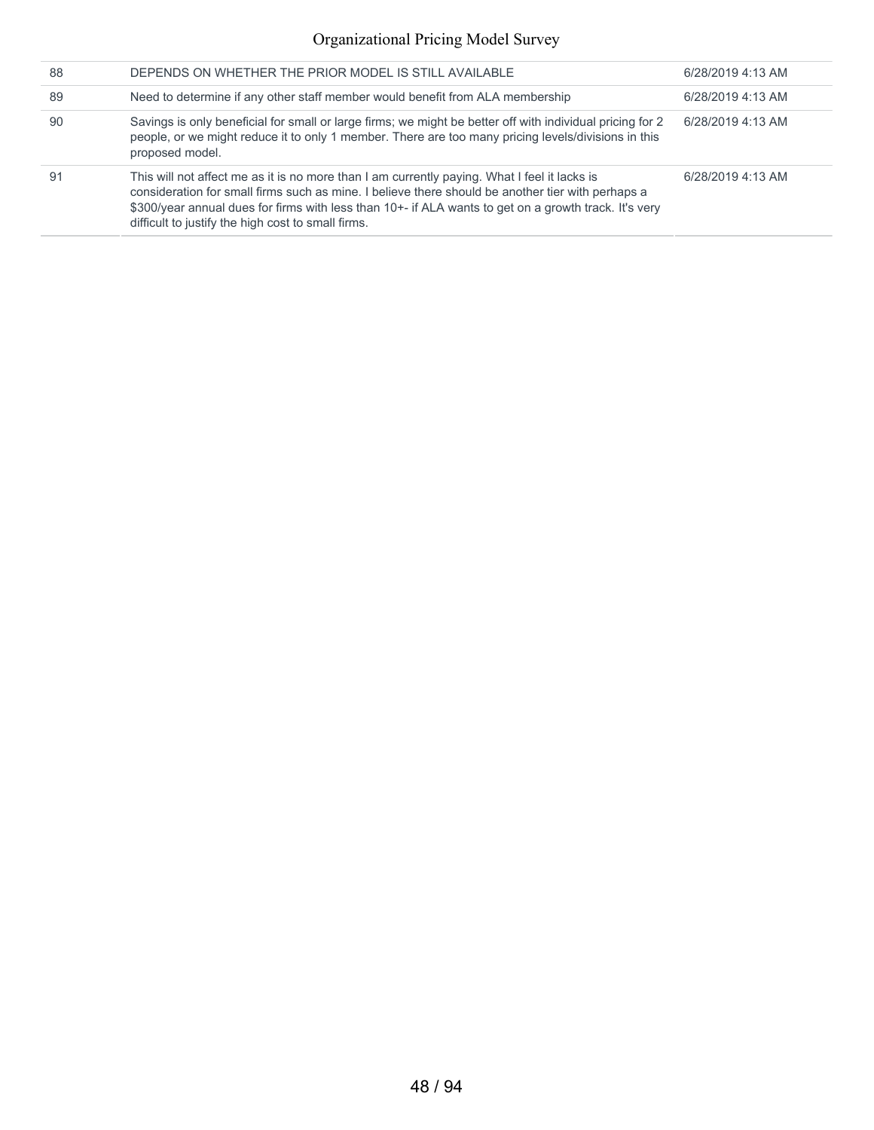| 88 | DEPENDS ON WHETHER THE PRIOR MODEL IS STILL AVAILABLE                                                                                                                                                                                                                                                                                                            | 6/28/2019 4:13 AM |
|----|------------------------------------------------------------------------------------------------------------------------------------------------------------------------------------------------------------------------------------------------------------------------------------------------------------------------------------------------------------------|-------------------|
| 89 | Need to determine if any other staff member would benefit from ALA membership                                                                                                                                                                                                                                                                                    | 6/28/2019 4:13 AM |
| 90 | Savings is only beneficial for small or large firms; we might be better off with individual pricing for 2<br>people, or we might reduce it to only 1 member. There are too many pricing levels/divisions in this<br>proposed model.                                                                                                                              | 6/28/2019 4:13 AM |
| 91 | This will not affect me as it is no more than I am currently paying. What I feel it lacks is<br>consideration for small firms such as mine. I believe there should be another tier with perhaps a<br>\$300/year annual dues for firms with less than 10+- if ALA wants to get on a growth track. It's very<br>difficult to justify the high cost to small firms. | 6/28/2019 4:13 AM |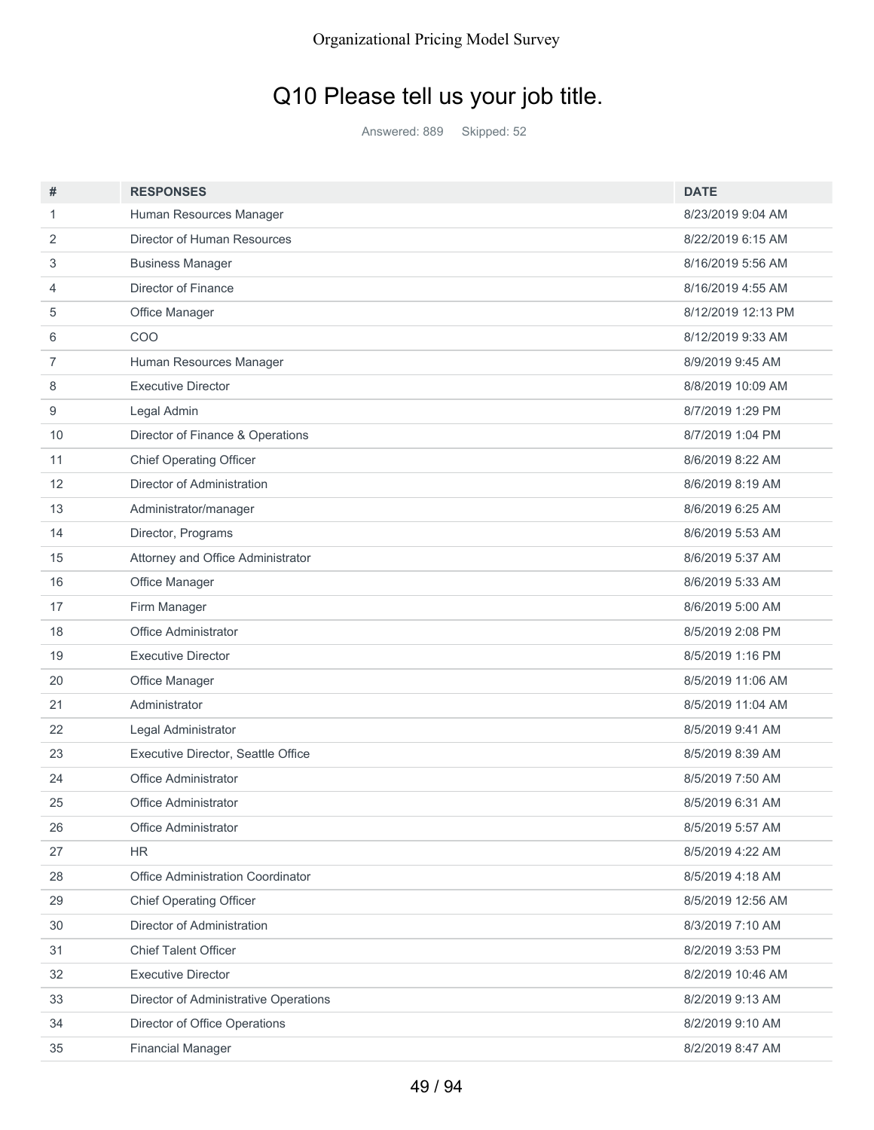# Q10 Please tell us your job title.

Answered: 889 Skipped: 52

| #  | <b>RESPONSES</b>                      | <b>DATE</b>        |
|----|---------------------------------------|--------------------|
| 1  | Human Resources Manager               | 8/23/2019 9:04 AM  |
| 2  | Director of Human Resources           | 8/22/2019 6:15 AM  |
| 3  | <b>Business Manager</b>               | 8/16/2019 5:56 AM  |
| 4  | <b>Director of Finance</b>            | 8/16/2019 4:55 AM  |
| 5  | Office Manager                        | 8/12/2019 12:13 PM |
| 6  | COO                                   | 8/12/2019 9:33 AM  |
| 7  | Human Resources Manager               | 8/9/2019 9:45 AM   |
| 8  | <b>Executive Director</b>             | 8/8/2019 10:09 AM  |
| 9  | Legal Admin                           | 8/7/2019 1:29 PM   |
| 10 | Director of Finance & Operations      | 8/7/2019 1:04 PM   |
| 11 | <b>Chief Operating Officer</b>        | 8/6/2019 8:22 AM   |
| 12 | Director of Administration            | 8/6/2019 8:19 AM   |
| 13 | Administrator/manager                 | 8/6/2019 6:25 AM   |
| 14 | Director, Programs                    | 8/6/2019 5:53 AM   |
| 15 | Attorney and Office Administrator     | 8/6/2019 5:37 AM   |
| 16 | Office Manager                        | 8/6/2019 5:33 AM   |
| 17 | Firm Manager                          | 8/6/2019 5:00 AM   |
| 18 | Office Administrator                  | 8/5/2019 2:08 PM   |
| 19 | <b>Executive Director</b>             | 8/5/2019 1:16 PM   |
| 20 | Office Manager                        | 8/5/2019 11:06 AM  |
| 21 | Administrator                         | 8/5/2019 11:04 AM  |
| 22 | Legal Administrator                   | 8/5/2019 9:41 AM   |
| 23 | Executive Director, Seattle Office    | 8/5/2019 8:39 AM   |
| 24 | Office Administrator                  | 8/5/2019 7:50 AM   |
| 25 | <b>Office Administrator</b>           | 8/5/2019 6:31 AM   |
| 26 | Office Administrator                  | 8/5/2019 5:57 AM   |
| 27 | ΗR                                    | 8/5/2019 4:22 AM   |
| 28 | Office Administration Coordinator     | 8/5/2019 4:18 AM   |
| 29 | <b>Chief Operating Officer</b>        | 8/5/2019 12:56 AM  |
| 30 | Director of Administration            | 8/3/2019 7:10 AM   |
| 31 | <b>Chief Talent Officer</b>           | 8/2/2019 3:53 PM   |
| 32 | <b>Executive Director</b>             | 8/2/2019 10:46 AM  |
| 33 | Director of Administrative Operations | 8/2/2019 9:13 AM   |
| 34 | Director of Office Operations         | 8/2/2019 9:10 AM   |
| 35 | <b>Financial Manager</b>              | 8/2/2019 8:47 AM   |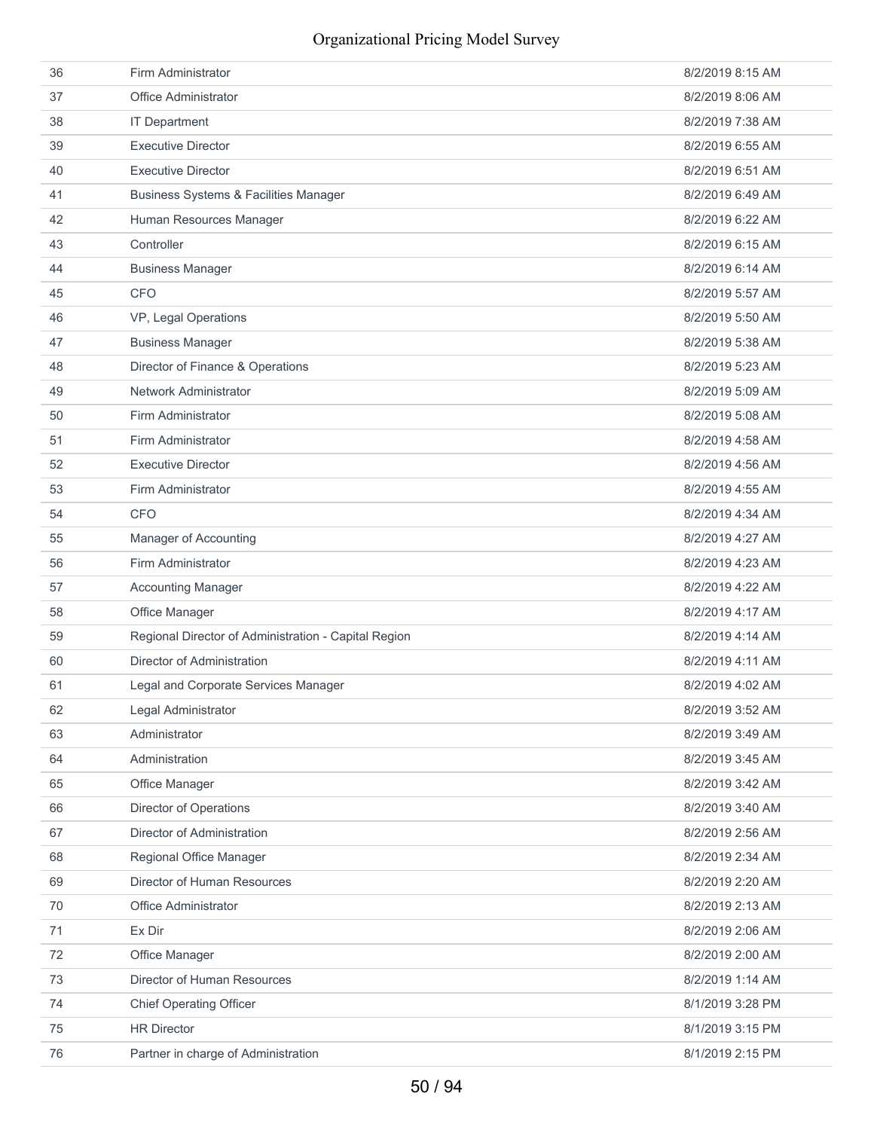| 36 | Firm Administrator                                   | 8/2/2019 8:15 AM |
|----|------------------------------------------------------|------------------|
| 37 | <b>Office Administrator</b>                          | 8/2/2019 8:06 AM |
| 38 | <b>IT Department</b>                                 | 8/2/2019 7:38 AM |
| 39 | <b>Executive Director</b>                            | 8/2/2019 6:55 AM |
| 40 | <b>Executive Director</b>                            | 8/2/2019 6:51 AM |
| 41 | <b>Business Systems &amp; Facilities Manager</b>     | 8/2/2019 6:49 AM |
| 42 | Human Resources Manager                              | 8/2/2019 6:22 AM |
| 43 | Controller                                           | 8/2/2019 6:15 AM |
| 44 | <b>Business Manager</b>                              | 8/2/2019 6:14 AM |
| 45 | <b>CFO</b>                                           | 8/2/2019 5:57 AM |
| 46 | VP, Legal Operations                                 | 8/2/2019 5:50 AM |
| 47 | <b>Business Manager</b>                              | 8/2/2019 5:38 AM |
| 48 | Director of Finance & Operations                     | 8/2/2019 5:23 AM |
| 49 | Network Administrator                                | 8/2/2019 5:09 AM |
| 50 | Firm Administrator                                   | 8/2/2019 5:08 AM |
| 51 | Firm Administrator                                   | 8/2/2019 4:58 AM |
| 52 | <b>Executive Director</b>                            | 8/2/2019 4:56 AM |
| 53 | Firm Administrator                                   | 8/2/2019 4:55 AM |
| 54 | <b>CFO</b>                                           | 8/2/2019 4:34 AM |
| 55 | Manager of Accounting                                | 8/2/2019 4:27 AM |
| 56 | Firm Administrator                                   | 8/2/2019 4:23 AM |
| 57 | <b>Accounting Manager</b>                            | 8/2/2019 4:22 AM |
| 58 | Office Manager                                       | 8/2/2019 4:17 AM |
| 59 | Regional Director of Administration - Capital Region | 8/2/2019 4:14 AM |
| 60 | Director of Administration                           | 8/2/2019 4:11 AM |
| 61 | Legal and Corporate Services Manager                 | 8/2/2019 4:02 AM |
| 62 | Legal Administrator                                  | 8/2/2019 3:52 AM |
| 63 | Administrator                                        | 8/2/2019 3:49 AM |
| 64 | Administration                                       | 8/2/2019 3:45 AM |
| 65 | Office Manager                                       | 8/2/2019 3:42 AM |
| 66 | <b>Director of Operations</b>                        | 8/2/2019 3:40 AM |
| 67 | Director of Administration                           | 8/2/2019 2:56 AM |
| 68 | Regional Office Manager                              | 8/2/2019 2:34 AM |
| 69 | Director of Human Resources                          | 8/2/2019 2:20 AM |
| 70 | Office Administrator                                 | 8/2/2019 2:13 AM |
| 71 | Ex Dir                                               | 8/2/2019 2:06 AM |
| 72 | Office Manager                                       | 8/2/2019 2:00 AM |
| 73 | Director of Human Resources                          | 8/2/2019 1:14 AM |
| 74 | <b>Chief Operating Officer</b>                       | 8/1/2019 3:28 PM |
| 75 | <b>HR Director</b>                                   | 8/1/2019 3:15 PM |
| 76 | Partner in charge of Administration                  | 8/1/2019 2:15 PM |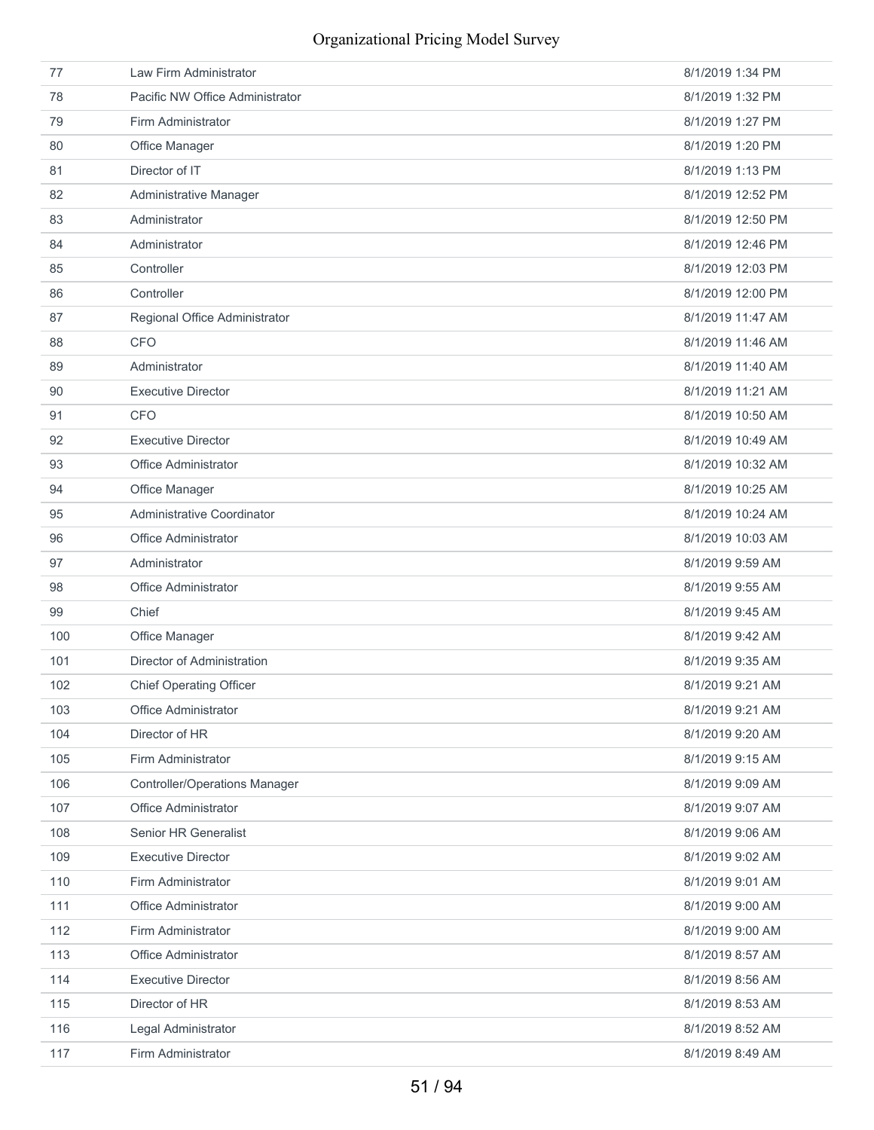| 77  | Law Firm Administrator               | 8/1/2019 1:34 PM  |
|-----|--------------------------------------|-------------------|
| 78  | Pacific NW Office Administrator      | 8/1/2019 1:32 PM  |
| 79  | Firm Administrator                   | 8/1/2019 1:27 PM  |
| 80  | Office Manager                       | 8/1/2019 1:20 PM  |
| 81  | Director of IT                       | 8/1/2019 1:13 PM  |
| 82  | Administrative Manager               | 8/1/2019 12:52 PM |
| 83  | Administrator                        | 8/1/2019 12:50 PM |
| 84  | Administrator                        | 8/1/2019 12:46 PM |
| 85  | Controller                           | 8/1/2019 12:03 PM |
| 86  | Controller                           | 8/1/2019 12:00 PM |
| 87  | Regional Office Administrator        | 8/1/2019 11:47 AM |
| 88  | <b>CFO</b>                           | 8/1/2019 11:46 AM |
| 89  | Administrator                        | 8/1/2019 11:40 AM |
| 90  | <b>Executive Director</b>            | 8/1/2019 11:21 AM |
| 91  | <b>CFO</b>                           | 8/1/2019 10:50 AM |
| 92  | <b>Executive Director</b>            | 8/1/2019 10:49 AM |
| 93  | <b>Office Administrator</b>          | 8/1/2019 10:32 AM |
| 94  | Office Manager                       | 8/1/2019 10:25 AM |
| 95  | Administrative Coordinator           | 8/1/2019 10:24 AM |
| 96  | Office Administrator                 | 8/1/2019 10:03 AM |
| 97  | Administrator                        | 8/1/2019 9:59 AM  |
| 98  | <b>Office Administrator</b>          | 8/1/2019 9:55 AM  |
| 99  | Chief                                | 8/1/2019 9:45 AM  |
| 100 | Office Manager                       | 8/1/2019 9:42 AM  |
| 101 | Director of Administration           | 8/1/2019 9:35 AM  |
| 102 | <b>Chief Operating Officer</b>       | 8/1/2019 9:21 AM  |
| 103 | Office Administrator                 | 8/1/2019 9:21 AM  |
| 104 | Director of HR                       | 8/1/2019 9:20 AM  |
| 105 | Firm Administrator                   | 8/1/2019 9:15 AM  |
| 106 | <b>Controller/Operations Manager</b> | 8/1/2019 9:09 AM  |
| 107 | Office Administrator                 | 8/1/2019 9:07 AM  |
| 108 | Senior HR Generalist                 | 8/1/2019 9:06 AM  |
| 109 | <b>Executive Director</b>            | 8/1/2019 9:02 AM  |
| 110 | Firm Administrator                   | 8/1/2019 9:01 AM  |
| 111 | Office Administrator                 | 8/1/2019 9:00 AM  |
| 112 | Firm Administrator                   | 8/1/2019 9:00 AM  |
| 113 | Office Administrator                 | 8/1/2019 8:57 AM  |
| 114 | <b>Executive Director</b>            | 8/1/2019 8:56 AM  |
| 115 | Director of HR                       | 8/1/2019 8:53 AM  |
| 116 | Legal Administrator                  | 8/1/2019 8:52 AM  |
| 117 | Firm Administrator                   | 8/1/2019 8:49 AM  |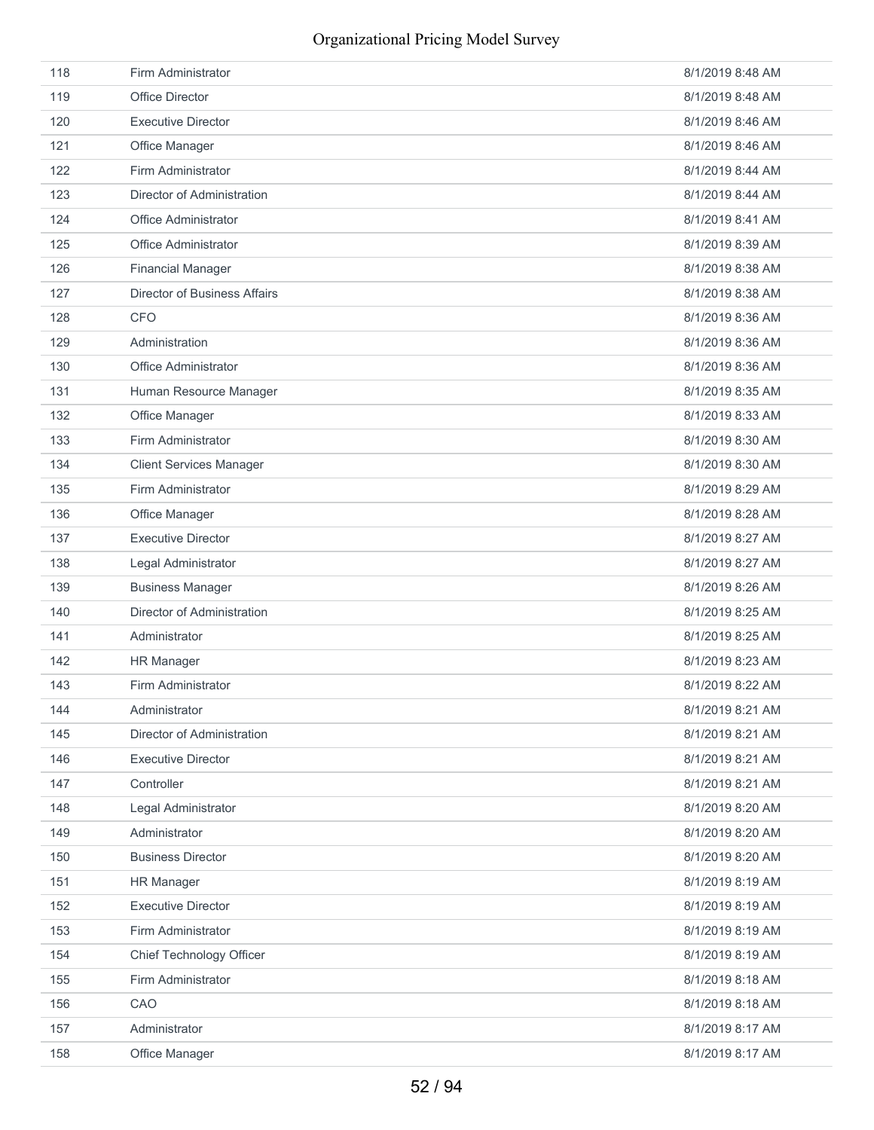| 118 | Firm Administrator             | 8/1/2019 8:48 AM |
|-----|--------------------------------|------------------|
| 119 | <b>Office Director</b>         | 8/1/2019 8:48 AM |
| 120 | <b>Executive Director</b>      | 8/1/2019 8:46 AM |
| 121 | Office Manager                 | 8/1/2019 8:46 AM |
| 122 | Firm Administrator             | 8/1/2019 8:44 AM |
| 123 | Director of Administration     | 8/1/2019 8:44 AM |
| 124 | <b>Office Administrator</b>    | 8/1/2019 8:41 AM |
| 125 | Office Administrator           | 8/1/2019 8:39 AM |
| 126 | <b>Financial Manager</b>       | 8/1/2019 8:38 AM |
| 127 | Director of Business Affairs   | 8/1/2019 8:38 AM |
| 128 | <b>CFO</b>                     | 8/1/2019 8:36 AM |
| 129 | Administration                 | 8/1/2019 8:36 AM |
| 130 | Office Administrator           | 8/1/2019 8:36 AM |
| 131 | Human Resource Manager         | 8/1/2019 8:35 AM |
| 132 | Office Manager                 | 8/1/2019 8:33 AM |
| 133 | Firm Administrator             | 8/1/2019 8:30 AM |
| 134 | <b>Client Services Manager</b> | 8/1/2019 8:30 AM |
| 135 | Firm Administrator             | 8/1/2019 8:29 AM |
| 136 | Office Manager                 | 8/1/2019 8:28 AM |
| 137 | <b>Executive Director</b>      | 8/1/2019 8:27 AM |
| 138 | Legal Administrator            | 8/1/2019 8:27 AM |
| 139 | <b>Business Manager</b>        | 8/1/2019 8:26 AM |
| 140 | Director of Administration     | 8/1/2019 8:25 AM |
| 141 | Administrator                  | 8/1/2019 8:25 AM |
| 142 | <b>HR Manager</b>              | 8/1/2019 8:23 AM |
| 143 | Firm Administrator             | 8/1/2019 8:22 AM |
| 144 | Administrator                  | 8/1/2019 8:21 AM |
| 145 | Director of Administration     | 8/1/2019 8:21 AM |
| 146 | <b>Executive Director</b>      | 8/1/2019 8:21 AM |
| 147 | Controller                     | 8/1/2019 8:21 AM |
| 148 | Legal Administrator            | 8/1/2019 8:20 AM |
| 149 | Administrator                  | 8/1/2019 8:20 AM |
| 150 | <b>Business Director</b>       | 8/1/2019 8:20 AM |
| 151 | <b>HR Manager</b>              | 8/1/2019 8:19 AM |
| 152 | <b>Executive Director</b>      | 8/1/2019 8:19 AM |
| 153 | Firm Administrator             | 8/1/2019 8:19 AM |
| 154 | Chief Technology Officer       | 8/1/2019 8:19 AM |
| 155 | Firm Administrator             | 8/1/2019 8:18 AM |
| 156 | CAO                            | 8/1/2019 8:18 AM |
| 157 | Administrator                  | 8/1/2019 8:17 AM |
| 158 | Office Manager                 | 8/1/2019 8:17 AM |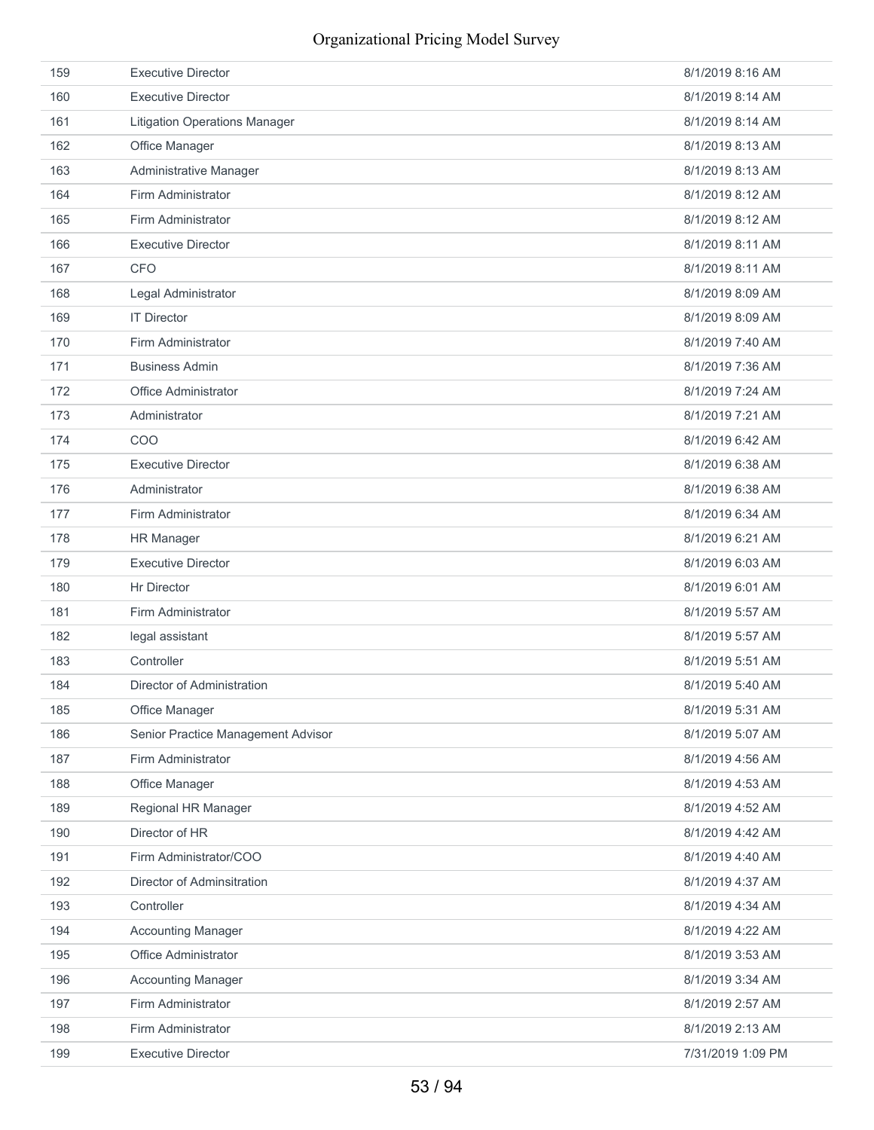| 159 | <b>Executive Director</b>            | 8/1/2019 8:16 AM  |
|-----|--------------------------------------|-------------------|
| 160 | <b>Executive Director</b>            | 8/1/2019 8:14 AM  |
| 161 | <b>Litigation Operations Manager</b> | 8/1/2019 8:14 AM  |
| 162 | Office Manager                       | 8/1/2019 8:13 AM  |
| 163 | Administrative Manager               | 8/1/2019 8:13 AM  |
| 164 | Firm Administrator                   | 8/1/2019 8:12 AM  |
| 165 | Firm Administrator                   | 8/1/2019 8:12 AM  |
| 166 | <b>Executive Director</b>            | 8/1/2019 8:11 AM  |
| 167 | <b>CFO</b>                           | 8/1/2019 8:11 AM  |
| 168 | Legal Administrator                  | 8/1/2019 8:09 AM  |
| 169 | <b>IT Director</b>                   | 8/1/2019 8:09 AM  |
| 170 | Firm Administrator                   | 8/1/2019 7:40 AM  |
| 171 | <b>Business Admin</b>                | 8/1/2019 7:36 AM  |
| 172 | Office Administrator                 | 8/1/2019 7:24 AM  |
| 173 | Administrator                        | 8/1/2019 7:21 AM  |
| 174 | COO                                  | 8/1/2019 6:42 AM  |
| 175 | <b>Executive Director</b>            | 8/1/2019 6:38 AM  |
| 176 | Administrator                        | 8/1/2019 6:38 AM  |
| 177 | Firm Administrator                   | 8/1/2019 6:34 AM  |
| 178 | <b>HR Manager</b>                    | 8/1/2019 6:21 AM  |
| 179 | <b>Executive Director</b>            | 8/1/2019 6:03 AM  |
| 180 | <b>Hr Director</b>                   | 8/1/2019 6:01 AM  |
| 181 | Firm Administrator                   | 8/1/2019 5:57 AM  |
| 182 | legal assistant                      | 8/1/2019 5:57 AM  |
| 183 | Controller                           | 8/1/2019 5:51 AM  |
| 184 | Director of Administration           | 8/1/2019 5:40 AM  |
| 185 | Office Manager                       | 8/1/2019 5:31 AM  |
| 186 | Senior Practice Management Advisor   | 8/1/2019 5:07 AM  |
| 187 | Firm Administrator                   | 8/1/2019 4:56 AM  |
| 188 | Office Manager                       | 8/1/2019 4:53 AM  |
| 189 | Regional HR Manager                  | 8/1/2019 4:52 AM  |
| 190 | Director of HR                       | 8/1/2019 4:42 AM  |
| 191 | Firm Administrator/COO               | 8/1/2019 4:40 AM  |
| 192 | Director of Adminsitration           | 8/1/2019 4:37 AM  |
| 193 | Controller                           | 8/1/2019 4:34 AM  |
| 194 | <b>Accounting Manager</b>            | 8/1/2019 4:22 AM  |
| 195 | Office Administrator                 | 8/1/2019 3:53 AM  |
| 196 | <b>Accounting Manager</b>            | 8/1/2019 3:34 AM  |
| 197 | Firm Administrator                   | 8/1/2019 2:57 AM  |
| 198 | Firm Administrator                   | 8/1/2019 2:13 AM  |
| 199 | <b>Executive Director</b>            | 7/31/2019 1:09 PM |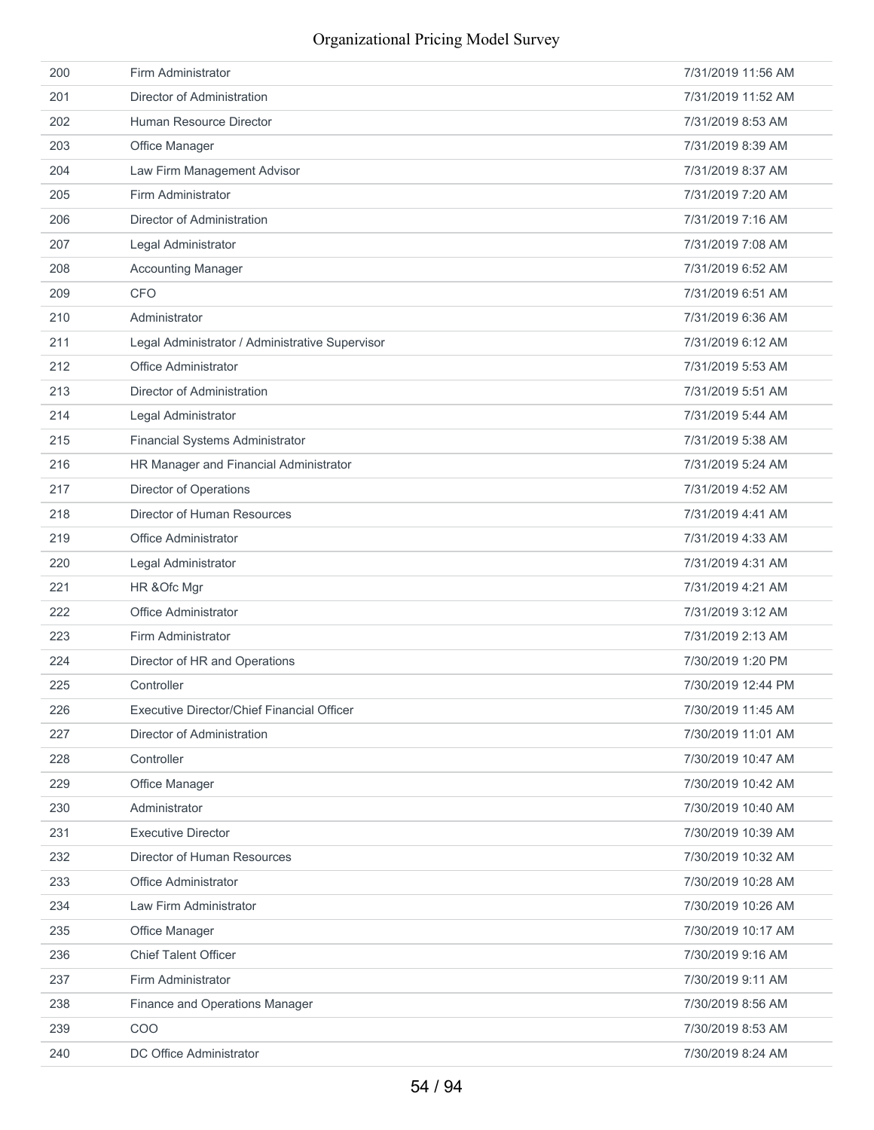| 200 | Firm Administrator                              | 7/31/2019 11:56 AM |
|-----|-------------------------------------------------|--------------------|
| 201 | Director of Administration                      | 7/31/2019 11:52 AM |
| 202 | Human Resource Director                         | 7/31/2019 8:53 AM  |
| 203 | Office Manager                                  | 7/31/2019 8:39 AM  |
| 204 | Law Firm Management Advisor                     | 7/31/2019 8:37 AM  |
| 205 | Firm Administrator                              | 7/31/2019 7:20 AM  |
| 206 | Director of Administration                      | 7/31/2019 7:16 AM  |
| 207 | Legal Administrator                             | 7/31/2019 7:08 AM  |
| 208 | <b>Accounting Manager</b>                       | 7/31/2019 6:52 AM  |
| 209 | <b>CFO</b>                                      | 7/31/2019 6:51 AM  |
| 210 | Administrator                                   | 7/31/2019 6:36 AM  |
| 211 | Legal Administrator / Administrative Supervisor | 7/31/2019 6:12 AM  |
| 212 | Office Administrator                            | 7/31/2019 5:53 AM  |
| 213 | Director of Administration                      | 7/31/2019 5:51 AM  |
| 214 | Legal Administrator                             | 7/31/2019 5:44 AM  |
| 215 | Financial Systems Administrator                 | 7/31/2019 5:38 AM  |
| 216 | HR Manager and Financial Administrator          | 7/31/2019 5:24 AM  |
| 217 | Director of Operations                          | 7/31/2019 4:52 AM  |
| 218 | Director of Human Resources                     | 7/31/2019 4:41 AM  |
| 219 | <b>Office Administrator</b>                     | 7/31/2019 4:33 AM  |
| 220 | Legal Administrator                             | 7/31/2019 4:31 AM  |
| 221 | HR & Ofc Mgr                                    | 7/31/2019 4:21 AM  |
| 222 | Office Administrator                            | 7/31/2019 3:12 AM  |
| 223 | Firm Administrator                              | 7/31/2019 2:13 AM  |
| 224 | Director of HR and Operations                   | 7/30/2019 1:20 PM  |
| 225 | Controller                                      | 7/30/2019 12:44 PM |
| 226 | Executive Director/Chief Financial Officer      | 7/30/2019 11:45 AM |
| 227 | Director of Administration                      | 7/30/2019 11:01 AM |
| 228 | Controller                                      | 7/30/2019 10:47 AM |
| 229 | Office Manager                                  | 7/30/2019 10:42 AM |
| 230 | Administrator                                   | 7/30/2019 10:40 AM |
| 231 | <b>Executive Director</b>                       | 7/30/2019 10:39 AM |
| 232 | Director of Human Resources                     | 7/30/2019 10:32 AM |
| 233 | Office Administrator                            | 7/30/2019 10:28 AM |
| 234 | Law Firm Administrator                          | 7/30/2019 10:26 AM |
| 235 | Office Manager                                  | 7/30/2019 10:17 AM |
| 236 | <b>Chief Talent Officer</b>                     | 7/30/2019 9:16 AM  |
| 237 | Firm Administrator                              | 7/30/2019 9:11 AM  |
| 238 | Finance and Operations Manager                  | 7/30/2019 8:56 AM  |
| 239 | COO                                             | 7/30/2019 8:53 AM  |
| 240 | DC Office Administrator                         | 7/30/2019 8:24 AM  |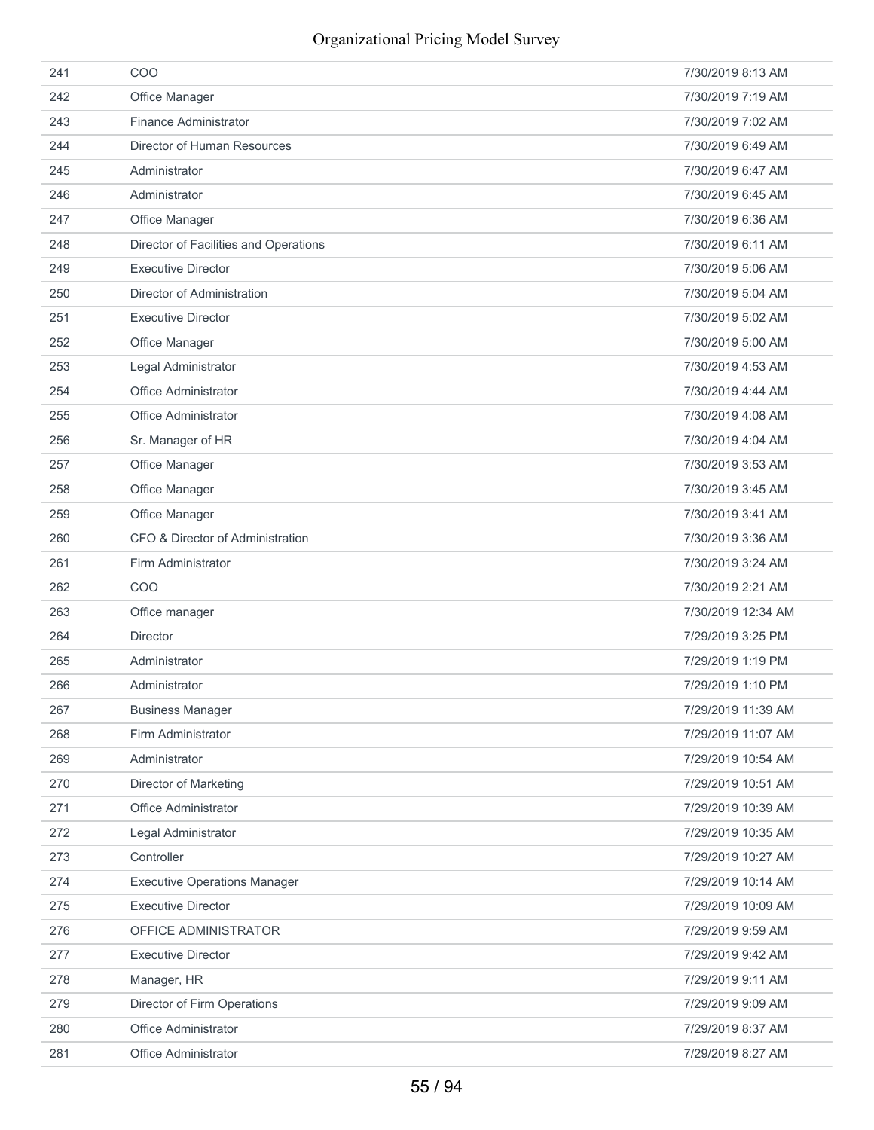| 241 | COO                                   | 7/30/2019 8:13 AM  |
|-----|---------------------------------------|--------------------|
| 242 | Office Manager                        | 7/30/2019 7:19 AM  |
| 243 | Finance Administrator                 | 7/30/2019 7:02 AM  |
| 244 | Director of Human Resources           | 7/30/2019 6:49 AM  |
| 245 | Administrator                         | 7/30/2019 6:47 AM  |
| 246 | Administrator                         | 7/30/2019 6:45 AM  |
| 247 | Office Manager                        | 7/30/2019 6:36 AM  |
| 248 | Director of Facilities and Operations | 7/30/2019 6:11 AM  |
| 249 | <b>Executive Director</b>             | 7/30/2019 5:06 AM  |
| 250 | Director of Administration            | 7/30/2019 5:04 AM  |
| 251 | <b>Executive Director</b>             | 7/30/2019 5:02 AM  |
| 252 | Office Manager                        | 7/30/2019 5:00 AM  |
| 253 | Legal Administrator                   | 7/30/2019 4:53 AM  |
| 254 | <b>Office Administrator</b>           | 7/30/2019 4:44 AM  |
| 255 | <b>Office Administrator</b>           | 7/30/2019 4:08 AM  |
| 256 | Sr. Manager of HR                     | 7/30/2019 4:04 AM  |
| 257 | Office Manager                        | 7/30/2019 3:53 AM  |
| 258 | Office Manager                        | 7/30/2019 3:45 AM  |
| 259 | Office Manager                        | 7/30/2019 3:41 AM  |
| 260 | CFO & Director of Administration      | 7/30/2019 3:36 AM  |
| 261 | Firm Administrator                    | 7/30/2019 3:24 AM  |
| 262 | COO                                   | 7/30/2019 2:21 AM  |
| 263 | Office manager                        | 7/30/2019 12:34 AM |
| 264 | <b>Director</b>                       | 7/29/2019 3:25 PM  |
| 265 | Administrator                         | 7/29/2019 1:19 PM  |
| 266 | Administrator                         | 7/29/2019 1:10 PM  |
| 267 | <b>Business Manager</b>               | 7/29/2019 11:39 AM |
| 268 | Firm Administrator                    | 7/29/2019 11:07 AM |
| 269 | Administrator                         | 7/29/2019 10:54 AM |
| 270 | <b>Director of Marketing</b>          | 7/29/2019 10:51 AM |
| 271 | Office Administrator                  | 7/29/2019 10:39 AM |
| 272 | Legal Administrator                   | 7/29/2019 10:35 AM |
| 273 | Controller                            | 7/29/2019 10:27 AM |
| 274 | <b>Executive Operations Manager</b>   | 7/29/2019 10:14 AM |
| 275 | <b>Executive Director</b>             | 7/29/2019 10:09 AM |
| 276 | OFFICE ADMINISTRATOR                  | 7/29/2019 9:59 AM  |
| 277 | <b>Executive Director</b>             | 7/29/2019 9:42 AM  |
| 278 | Manager, HR                           | 7/29/2019 9:11 AM  |
| 279 | Director of Firm Operations           | 7/29/2019 9:09 AM  |
| 280 | Office Administrator                  | 7/29/2019 8:37 AM  |
| 281 | Office Administrator                  | 7/29/2019 8:27 AM  |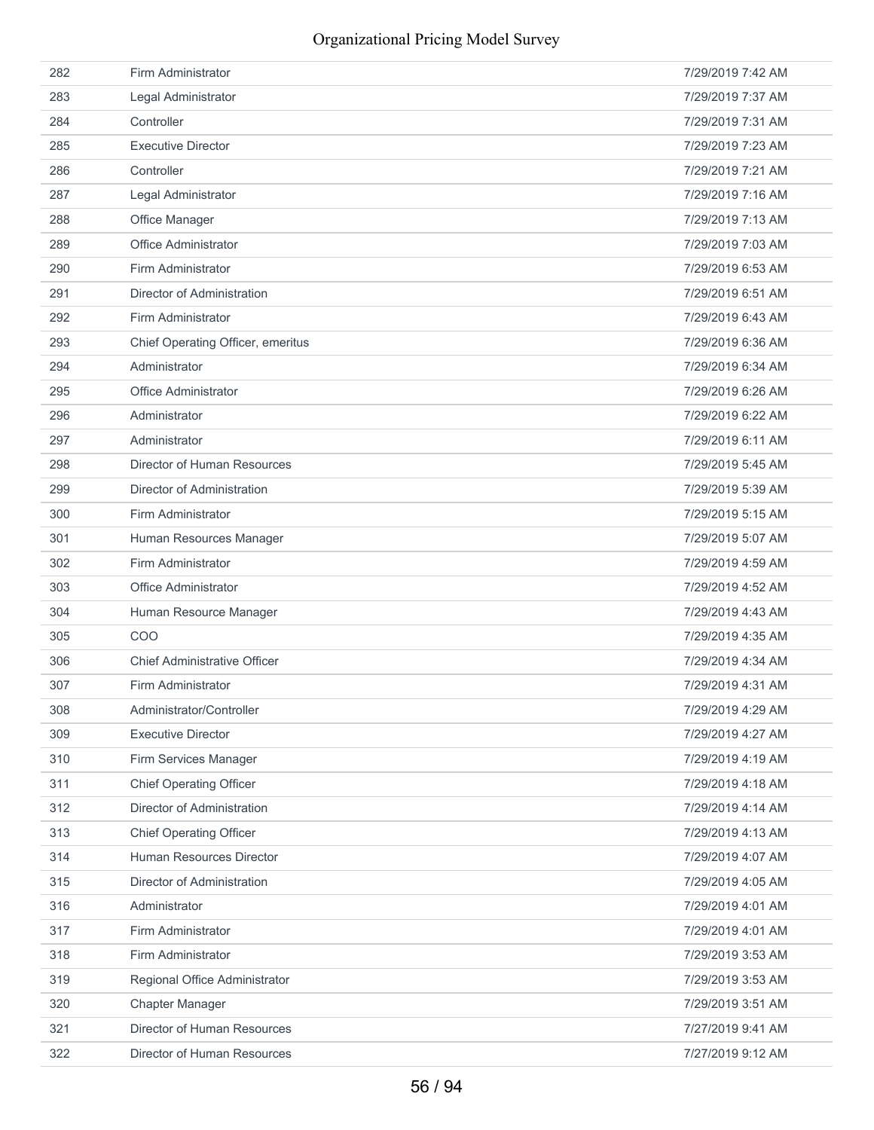| 282 | Firm Administrator                  | 7/29/2019 7:42 AM |
|-----|-------------------------------------|-------------------|
| 283 | Legal Administrator                 | 7/29/2019 7:37 AM |
| 284 | Controller                          | 7/29/2019 7:31 AM |
| 285 | <b>Executive Director</b>           | 7/29/2019 7:23 AM |
| 286 | Controller                          | 7/29/2019 7:21 AM |
| 287 | Legal Administrator                 | 7/29/2019 7:16 AM |
| 288 | Office Manager                      | 7/29/2019 7:13 AM |
| 289 | <b>Office Administrator</b>         | 7/29/2019 7:03 AM |
| 290 | Firm Administrator                  | 7/29/2019 6:53 AM |
| 291 | Director of Administration          | 7/29/2019 6:51 AM |
| 292 | Firm Administrator                  | 7/29/2019 6:43 AM |
| 293 | Chief Operating Officer, emeritus   | 7/29/2019 6:36 AM |
| 294 | Administrator                       | 7/29/2019 6:34 AM |
| 295 | <b>Office Administrator</b>         | 7/29/2019 6:26 AM |
| 296 | Administrator                       | 7/29/2019 6:22 AM |
| 297 | Administrator                       | 7/29/2019 6:11 AM |
| 298 | Director of Human Resources         | 7/29/2019 5:45 AM |
| 299 | Director of Administration          | 7/29/2019 5:39 AM |
| 300 | Firm Administrator                  | 7/29/2019 5:15 AM |
| 301 | Human Resources Manager             | 7/29/2019 5:07 AM |
| 302 | Firm Administrator                  | 7/29/2019 4:59 AM |
| 303 | Office Administrator                | 7/29/2019 4:52 AM |
| 304 | Human Resource Manager              | 7/29/2019 4:43 AM |
| 305 | COO                                 | 7/29/2019 4:35 AM |
| 306 | <b>Chief Administrative Officer</b> | 7/29/2019 4:34 AM |
| 307 | Firm Administrator                  | 7/29/2019 4:31 AM |
| 308 | Administrator/Controller            | 7/29/2019 4:29 AM |
| 309 | <b>Executive Director</b>           | 7/29/2019 4:27 AM |
| 310 | Firm Services Manager               | 7/29/2019 4:19 AM |
| 311 | <b>Chief Operating Officer</b>      | 7/29/2019 4:18 AM |
| 312 | Director of Administration          | 7/29/2019 4:14 AM |
| 313 | <b>Chief Operating Officer</b>      | 7/29/2019 4:13 AM |
| 314 | Human Resources Director            | 7/29/2019 4:07 AM |
| 315 | Director of Administration          | 7/29/2019 4:05 AM |
| 316 | Administrator                       | 7/29/2019 4:01 AM |
| 317 | Firm Administrator                  | 7/29/2019 4:01 AM |
| 318 | Firm Administrator                  | 7/29/2019 3:53 AM |
| 319 | Regional Office Administrator       | 7/29/2019 3:53 AM |
| 320 | Chapter Manager                     | 7/29/2019 3:51 AM |
| 321 | Director of Human Resources         | 7/27/2019 9:41 AM |
| 322 | Director of Human Resources         | 7/27/2019 9:12 AM |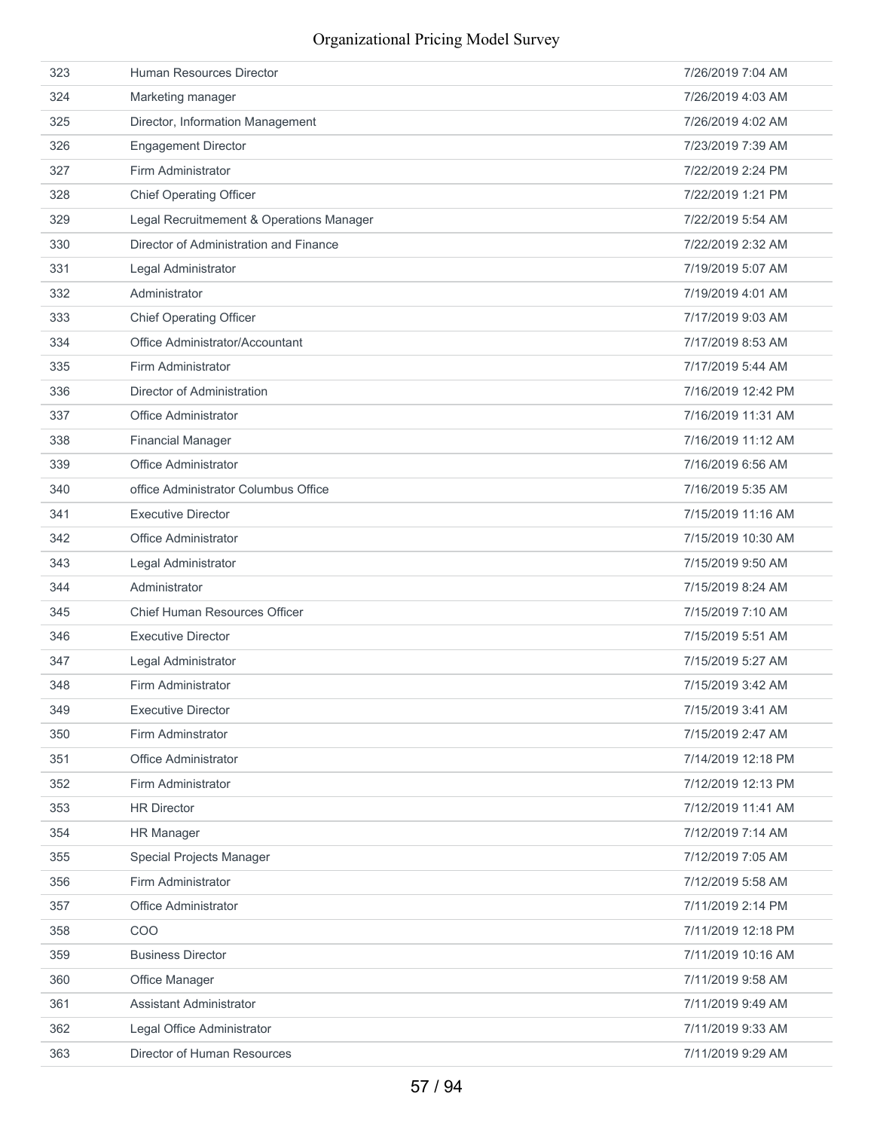| 323 | Human Resources Director                 | 7/26/2019 7:04 AM  |
|-----|------------------------------------------|--------------------|
| 324 | Marketing manager                        | 7/26/2019 4:03 AM  |
| 325 | Director, Information Management         | 7/26/2019 4:02 AM  |
| 326 | <b>Engagement Director</b>               | 7/23/2019 7:39 AM  |
| 327 | Firm Administrator                       | 7/22/2019 2:24 PM  |
| 328 | <b>Chief Operating Officer</b>           | 7/22/2019 1:21 PM  |
| 329 | Legal Recruitmement & Operations Manager | 7/22/2019 5:54 AM  |
| 330 | Director of Administration and Finance   | 7/22/2019 2:32 AM  |
| 331 | Legal Administrator                      | 7/19/2019 5:07 AM  |
| 332 | Administrator                            | 7/19/2019 4:01 AM  |
| 333 | <b>Chief Operating Officer</b>           | 7/17/2019 9:03 AM  |
| 334 | Office Administrator/Accountant          | 7/17/2019 8:53 AM  |
| 335 | Firm Administrator                       | 7/17/2019 5:44 AM  |
| 336 | Director of Administration               | 7/16/2019 12:42 PM |
| 337 | <b>Office Administrator</b>              | 7/16/2019 11:31 AM |
| 338 | <b>Financial Manager</b>                 | 7/16/2019 11:12 AM |
| 339 | Office Administrator                     | 7/16/2019 6:56 AM  |
| 340 | office Administrator Columbus Office     | 7/16/2019 5:35 AM  |
| 341 | <b>Executive Director</b>                | 7/15/2019 11:16 AM |
| 342 | <b>Office Administrator</b>              | 7/15/2019 10:30 AM |
| 343 | Legal Administrator                      | 7/15/2019 9:50 AM  |
| 344 | Administrator                            | 7/15/2019 8:24 AM  |
| 345 | Chief Human Resources Officer            | 7/15/2019 7:10 AM  |
| 346 | <b>Executive Director</b>                | 7/15/2019 5:51 AM  |
| 347 | Legal Administrator                      | 7/15/2019 5:27 AM  |
| 348 | Firm Administrator                       | 7/15/2019 3:42 AM  |
| 349 | <b>Executive Director</b>                | 7/15/2019 3:41 AM  |
| 350 | Firm Adminstrator                        | 7/15/2019 2:47 AM  |
| 351 | Office Administrator                     | 7/14/2019 12:18 PM |
| 352 | Firm Administrator                       | 7/12/2019 12:13 PM |
| 353 | <b>HR Director</b>                       | 7/12/2019 11:41 AM |
| 354 | <b>HR Manager</b>                        | 7/12/2019 7:14 AM  |
| 355 | Special Projects Manager                 | 7/12/2019 7:05 AM  |
| 356 | Firm Administrator                       | 7/12/2019 5:58 AM  |
| 357 | Office Administrator                     | 7/11/2019 2:14 PM  |
| 358 | COO                                      | 7/11/2019 12:18 PM |
| 359 | <b>Business Director</b>                 | 7/11/2019 10:16 AM |
| 360 | Office Manager                           | 7/11/2019 9:58 AM  |
| 361 | Assistant Administrator                  | 7/11/2019 9:49 AM  |
| 362 | Legal Office Administrator               | 7/11/2019 9:33 AM  |
| 363 | Director of Human Resources              | 7/11/2019 9:29 AM  |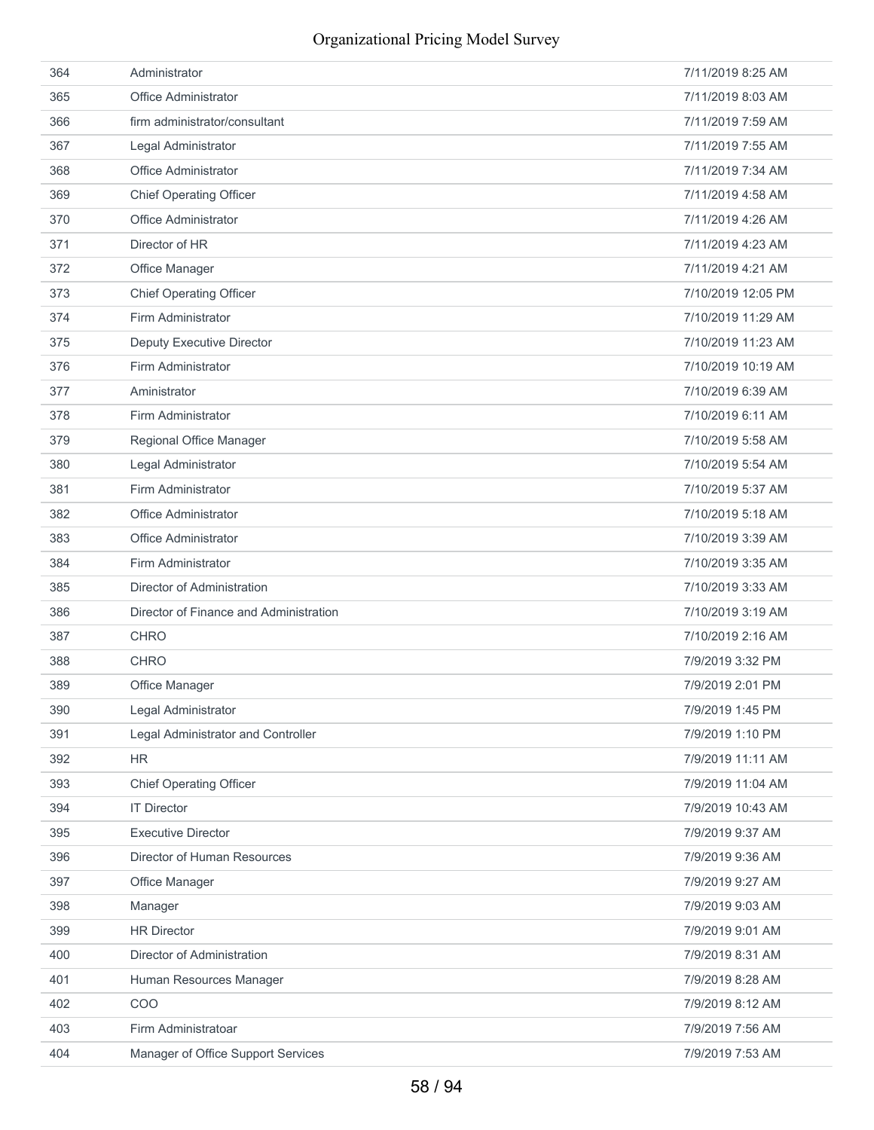| 364 | Administrator                          | 7/11/2019 8:25 AM  |
|-----|----------------------------------------|--------------------|
| 365 | Office Administrator                   | 7/11/2019 8:03 AM  |
| 366 | firm administrator/consultant          | 7/11/2019 7:59 AM  |
| 367 | Legal Administrator                    | 7/11/2019 7:55 AM  |
| 368 | <b>Office Administrator</b>            | 7/11/2019 7:34 AM  |
| 369 | <b>Chief Operating Officer</b>         | 7/11/2019 4:58 AM  |
| 370 | Office Administrator                   | 7/11/2019 4:26 AM  |
| 371 | Director of HR                         | 7/11/2019 4:23 AM  |
| 372 | Office Manager                         | 7/11/2019 4:21 AM  |
| 373 | <b>Chief Operating Officer</b>         | 7/10/2019 12:05 PM |
| 374 | Firm Administrator                     | 7/10/2019 11:29 AM |
| 375 | <b>Deputy Executive Director</b>       | 7/10/2019 11:23 AM |
| 376 | Firm Administrator                     | 7/10/2019 10:19 AM |
| 377 | Aministrator                           | 7/10/2019 6:39 AM  |
| 378 | Firm Administrator                     | 7/10/2019 6:11 AM  |
| 379 | Regional Office Manager                | 7/10/2019 5:58 AM  |
| 380 | Legal Administrator                    | 7/10/2019 5:54 AM  |
| 381 | Firm Administrator                     | 7/10/2019 5:37 AM  |
| 382 | Office Administrator                   | 7/10/2019 5:18 AM  |
| 383 | <b>Office Administrator</b>            | 7/10/2019 3:39 AM  |
| 384 | Firm Administrator                     | 7/10/2019 3:35 AM  |
| 385 | Director of Administration             | 7/10/2019 3:33 AM  |
| 386 | Director of Finance and Administration | 7/10/2019 3:19 AM  |
| 387 | <b>CHRO</b>                            | 7/10/2019 2:16 AM  |
| 388 | <b>CHRO</b>                            | 7/9/2019 3:32 PM   |
| 389 | Office Manager                         | 7/9/2019 2:01 PM   |
| 390 | Legal Administrator                    | 7/9/2019 1:45 PM   |
| 391 | Legal Administrator and Controller     | 7/9/2019 1:10 PM   |
| 392 | <b>HR</b>                              | 7/9/2019 11:11 AM  |
| 393 | <b>Chief Operating Officer</b>         | 7/9/2019 11:04 AM  |
| 394 | <b>IT Director</b>                     | 7/9/2019 10:43 AM  |
| 395 | <b>Executive Director</b>              | 7/9/2019 9:37 AM   |
| 396 | Director of Human Resources            | 7/9/2019 9:36 AM   |
| 397 | Office Manager                         | 7/9/2019 9:27 AM   |
| 398 | Manager                                | 7/9/2019 9:03 AM   |
| 399 | <b>HR Director</b>                     | 7/9/2019 9:01 AM   |
| 400 | Director of Administration             | 7/9/2019 8:31 AM   |
| 401 | Human Resources Manager                | 7/9/2019 8:28 AM   |
| 402 | COO                                    | 7/9/2019 8:12 AM   |
| 403 | Firm Administratoar                    | 7/9/2019 7:56 AM   |
| 404 | Manager of Office Support Services     | 7/9/2019 7:53 AM   |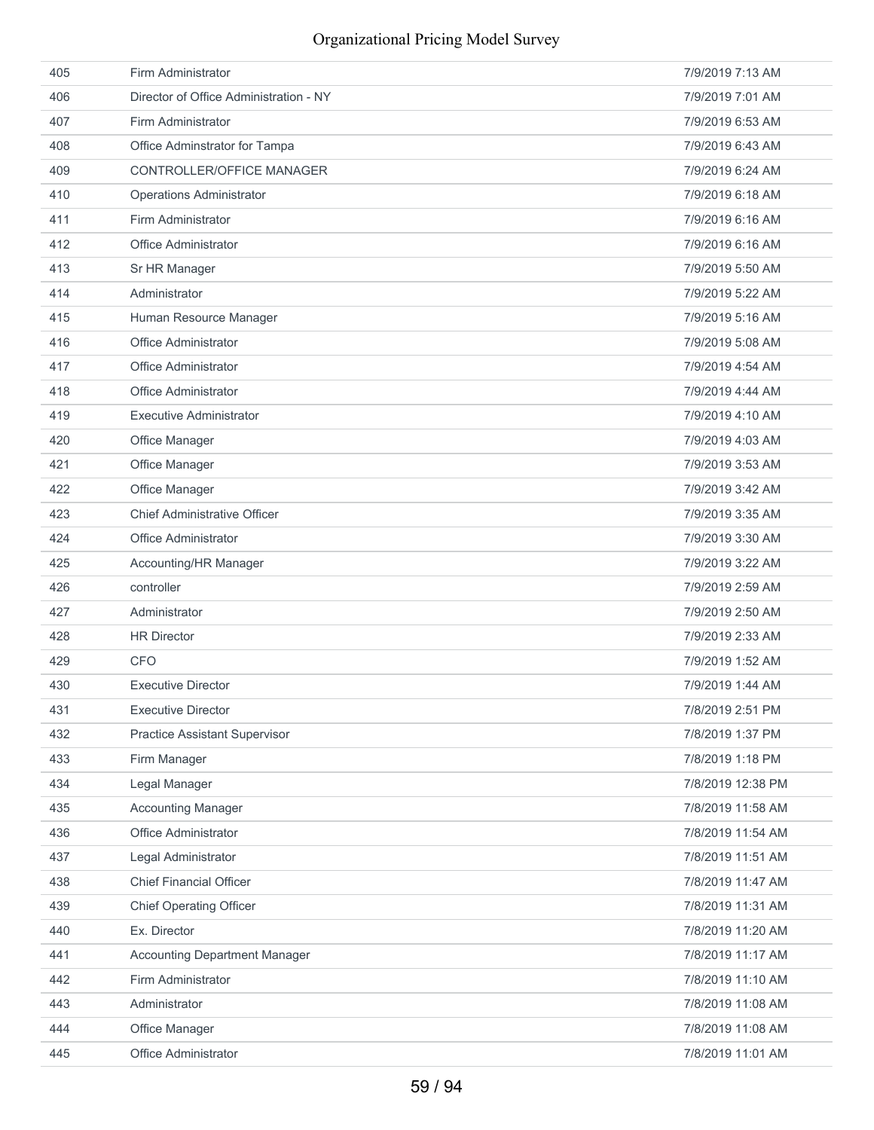| 405 | Firm Administrator                     | 7/9/2019 7:13 AM  |
|-----|----------------------------------------|-------------------|
| 406 | Director of Office Administration - NY | 7/9/2019 7:01 AM  |
| 407 | Firm Administrator                     | 7/9/2019 6:53 AM  |
| 408 | Office Adminstrator for Tampa          | 7/9/2019 6:43 AM  |
| 409 | CONTROLLER/OFFICE MANAGER              | 7/9/2019 6:24 AM  |
| 410 | <b>Operations Administrator</b>        | 7/9/2019 6:18 AM  |
| 411 | Firm Administrator                     | 7/9/2019 6:16 AM  |
| 412 | Office Administrator                   | 7/9/2019 6:16 AM  |
| 413 | Sr HR Manager                          | 7/9/2019 5:50 AM  |
| 414 | Administrator                          | 7/9/2019 5:22 AM  |
| 415 | Human Resource Manager                 | 7/9/2019 5:16 AM  |
| 416 | <b>Office Administrator</b>            | 7/9/2019 5:08 AM  |
| 417 | Office Administrator                   | 7/9/2019 4:54 AM  |
| 418 | <b>Office Administrator</b>            | 7/9/2019 4:44 AM  |
| 419 | <b>Executive Administrator</b>         | 7/9/2019 4:10 AM  |
| 420 | Office Manager                         | 7/9/2019 4:03 AM  |
| 421 | Office Manager                         | 7/9/2019 3:53 AM  |
| 422 | Office Manager                         | 7/9/2019 3:42 AM  |
| 423 | <b>Chief Administrative Officer</b>    | 7/9/2019 3:35 AM  |
| 424 | Office Administrator                   | 7/9/2019 3:30 AM  |
| 425 | Accounting/HR Manager                  | 7/9/2019 3:22 AM  |
| 426 | controller                             | 7/9/2019 2:59 AM  |
| 427 | Administrator                          | 7/9/2019 2:50 AM  |
| 428 | <b>HR Director</b>                     | 7/9/2019 2:33 AM  |
| 429 | <b>CFO</b>                             | 7/9/2019 1:52 AM  |
| 430 | <b>Executive Director</b>              | 7/9/2019 1:44 AM  |
| 431 | <b>Executive Director</b>              | 7/8/2019 2:51 PM  |
| 432 | <b>Practice Assistant Supervisor</b>   | 7/8/2019 1:37 PM  |
| 433 | Firm Manager                           | 7/8/2019 1:18 PM  |
| 434 | Legal Manager                          | 7/8/2019 12:38 PM |
| 435 | <b>Accounting Manager</b>              | 7/8/2019 11:58 AM |
| 436 | Office Administrator                   | 7/8/2019 11:54 AM |
| 437 | Legal Administrator                    | 7/8/2019 11:51 AM |
| 438 | <b>Chief Financial Officer</b>         | 7/8/2019 11:47 AM |
| 439 | <b>Chief Operating Officer</b>         | 7/8/2019 11:31 AM |
| 440 | Ex. Director                           | 7/8/2019 11:20 AM |
| 441 | <b>Accounting Department Manager</b>   | 7/8/2019 11:17 AM |
| 442 | Firm Administrator                     | 7/8/2019 11:10 AM |
| 443 | Administrator                          | 7/8/2019 11:08 AM |
| 444 | Office Manager                         | 7/8/2019 11:08 AM |
|     |                                        |                   |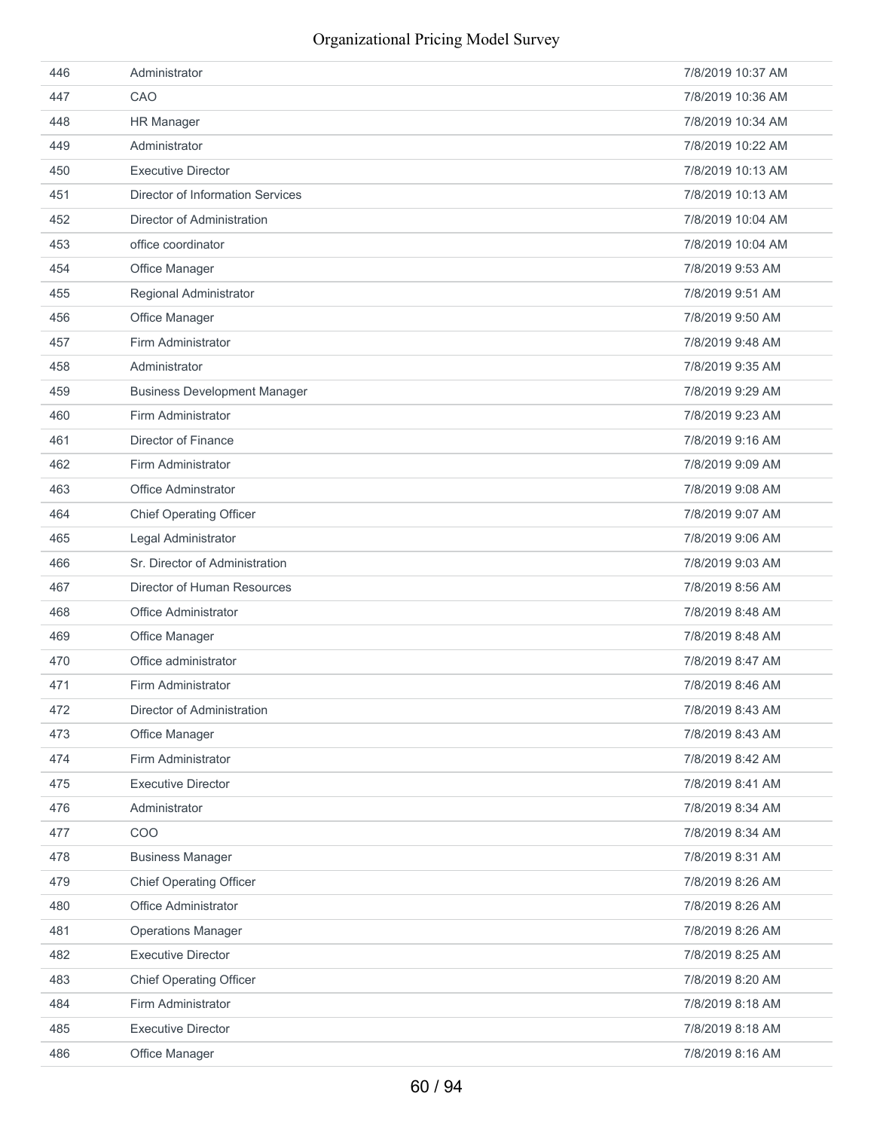| 446 | Administrator                           | 7/8/2019 10:37 AM |
|-----|-----------------------------------------|-------------------|
| 447 | CAO                                     | 7/8/2019 10:36 AM |
| 448 | <b>HR Manager</b>                       | 7/8/2019 10:34 AM |
| 449 | Administrator                           | 7/8/2019 10:22 AM |
| 450 | <b>Executive Director</b>               | 7/8/2019 10:13 AM |
| 451 | <b>Director of Information Services</b> | 7/8/2019 10:13 AM |
| 452 | Director of Administration              | 7/8/2019 10:04 AM |
| 453 | office coordinator                      | 7/8/2019 10:04 AM |
| 454 | Office Manager                          | 7/8/2019 9:53 AM  |
| 455 | Regional Administrator                  | 7/8/2019 9:51 AM  |
| 456 | Office Manager                          | 7/8/2019 9:50 AM  |
| 457 | Firm Administrator                      | 7/8/2019 9:48 AM  |
| 458 | Administrator                           | 7/8/2019 9:35 AM  |
| 459 | <b>Business Development Manager</b>     | 7/8/2019 9:29 AM  |
| 460 | Firm Administrator                      | 7/8/2019 9:23 AM  |
| 461 | Director of Finance                     | 7/8/2019 9:16 AM  |
| 462 | Firm Administrator                      | 7/8/2019 9:09 AM  |
| 463 | Office Adminstrator                     | 7/8/2019 9:08 AM  |
| 464 | <b>Chief Operating Officer</b>          | 7/8/2019 9:07 AM  |
| 465 | Legal Administrator                     | 7/8/2019 9:06 AM  |
| 466 | Sr. Director of Administration          | 7/8/2019 9:03 AM  |
| 467 | Director of Human Resources             | 7/8/2019 8:56 AM  |
| 468 | Office Administrator                    | 7/8/2019 8:48 AM  |
| 469 | Office Manager                          | 7/8/2019 8:48 AM  |
| 470 | Office administrator                    | 7/8/2019 8:47 AM  |
| 471 | Firm Administrator                      | 7/8/2019 8:46 AM  |
| 472 | Director of Administration              | 7/8/2019 8:43 AM  |
| 473 | Office Manager                          | 7/8/2019 8:43 AM  |
| 474 | Firm Administrator                      | 7/8/2019 8:42 AM  |
| 475 | <b>Executive Director</b>               | 7/8/2019 8:41 AM  |
| 476 | Administrator                           | 7/8/2019 8:34 AM  |
| 477 | COO                                     | 7/8/2019 8:34 AM  |
| 478 | <b>Business Manager</b>                 | 7/8/2019 8:31 AM  |
| 479 | <b>Chief Operating Officer</b>          | 7/8/2019 8:26 AM  |
| 480 | Office Administrator                    | 7/8/2019 8:26 AM  |
| 481 | <b>Operations Manager</b>               | 7/8/2019 8:26 AM  |
| 482 | <b>Executive Director</b>               | 7/8/2019 8:25 AM  |
| 483 | <b>Chief Operating Officer</b>          | 7/8/2019 8:20 AM  |
| 484 | Firm Administrator                      | 7/8/2019 8:18 AM  |
| 485 | <b>Executive Director</b>               | 7/8/2019 8:18 AM  |
| 486 | Office Manager                          | 7/8/2019 8:16 AM  |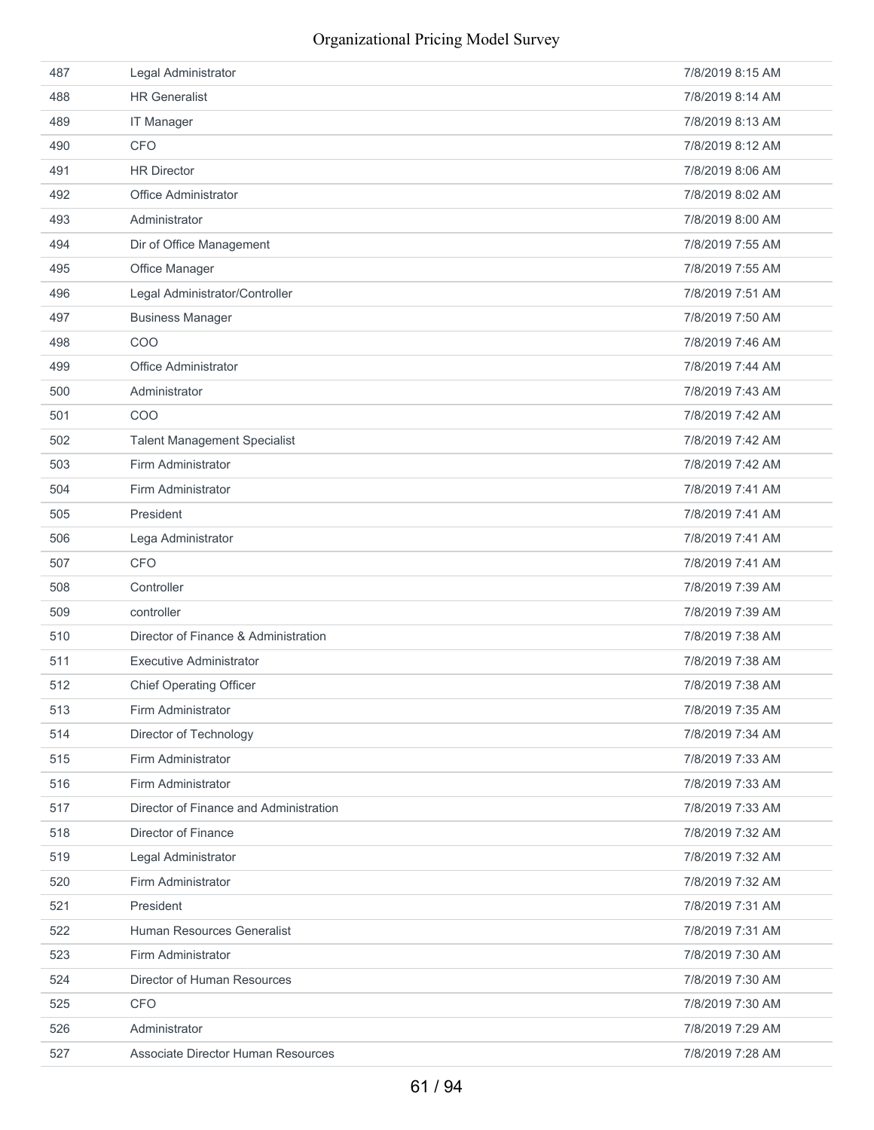| 487 | Legal Administrator                    | 7/8/2019 8:15 AM |
|-----|----------------------------------------|------------------|
| 488 | <b>HR Generalist</b>                   | 7/8/2019 8:14 AM |
| 489 | <b>IT Manager</b>                      | 7/8/2019 8:13 AM |
| 490 | <b>CFO</b>                             | 7/8/2019 8:12 AM |
| 491 | <b>HR Director</b>                     | 7/8/2019 8:06 AM |
| 492 | <b>Office Administrator</b>            | 7/8/2019 8:02 AM |
| 493 | Administrator                          | 7/8/2019 8:00 AM |
| 494 | Dir of Office Management               | 7/8/2019 7:55 AM |
| 495 | Office Manager                         | 7/8/2019 7:55 AM |
| 496 | Legal Administrator/Controller         | 7/8/2019 7:51 AM |
| 497 | <b>Business Manager</b>                | 7/8/2019 7:50 AM |
| 498 | COO                                    | 7/8/2019 7:46 AM |
| 499 | Office Administrator                   | 7/8/2019 7:44 AM |
| 500 | Administrator                          | 7/8/2019 7:43 AM |
| 501 | COO                                    | 7/8/2019 7:42 AM |
| 502 | <b>Talent Management Specialist</b>    | 7/8/2019 7:42 AM |
| 503 | Firm Administrator                     | 7/8/2019 7:42 AM |
| 504 | Firm Administrator                     | 7/8/2019 7:41 AM |
| 505 | President                              | 7/8/2019 7:41 AM |
| 506 | Lega Administrator                     | 7/8/2019 7:41 AM |
| 507 | <b>CFO</b>                             | 7/8/2019 7:41 AM |
| 508 | Controller                             | 7/8/2019 7:39 AM |
| 509 | controller                             | 7/8/2019 7:39 AM |
| 510 | Director of Finance & Administration   | 7/8/2019 7:38 AM |
| 511 | <b>Executive Administrator</b>         | 7/8/2019 7:38 AM |
| 512 | <b>Chief Operating Officer</b>         | 7/8/2019 7:38 AM |
| 513 | Firm Administrator                     | 7/8/2019 7:35 AM |
| 514 | Director of Technology                 | 7/8/2019 7:34 AM |
| 515 | Firm Administrator                     | 7/8/2019 7:33 AM |
| 516 | Firm Administrator                     | 7/8/2019 7:33 AM |
| 517 | Director of Finance and Administration | 7/8/2019 7:33 AM |
| 518 | Director of Finance                    | 7/8/2019 7:32 AM |
| 519 | Legal Administrator                    | 7/8/2019 7:32 AM |
| 520 | Firm Administrator                     | 7/8/2019 7:32 AM |
| 521 | President                              | 7/8/2019 7:31 AM |
| 522 | Human Resources Generalist             | 7/8/2019 7:31 AM |
| 523 | Firm Administrator                     | 7/8/2019 7:30 AM |
| 524 | Director of Human Resources            | 7/8/2019 7:30 AM |
| 525 | <b>CFO</b>                             | 7/8/2019 7:30 AM |
| 526 | Administrator                          | 7/8/2019 7:29 AM |
| 527 | Associate Director Human Resources     | 7/8/2019 7:28 AM |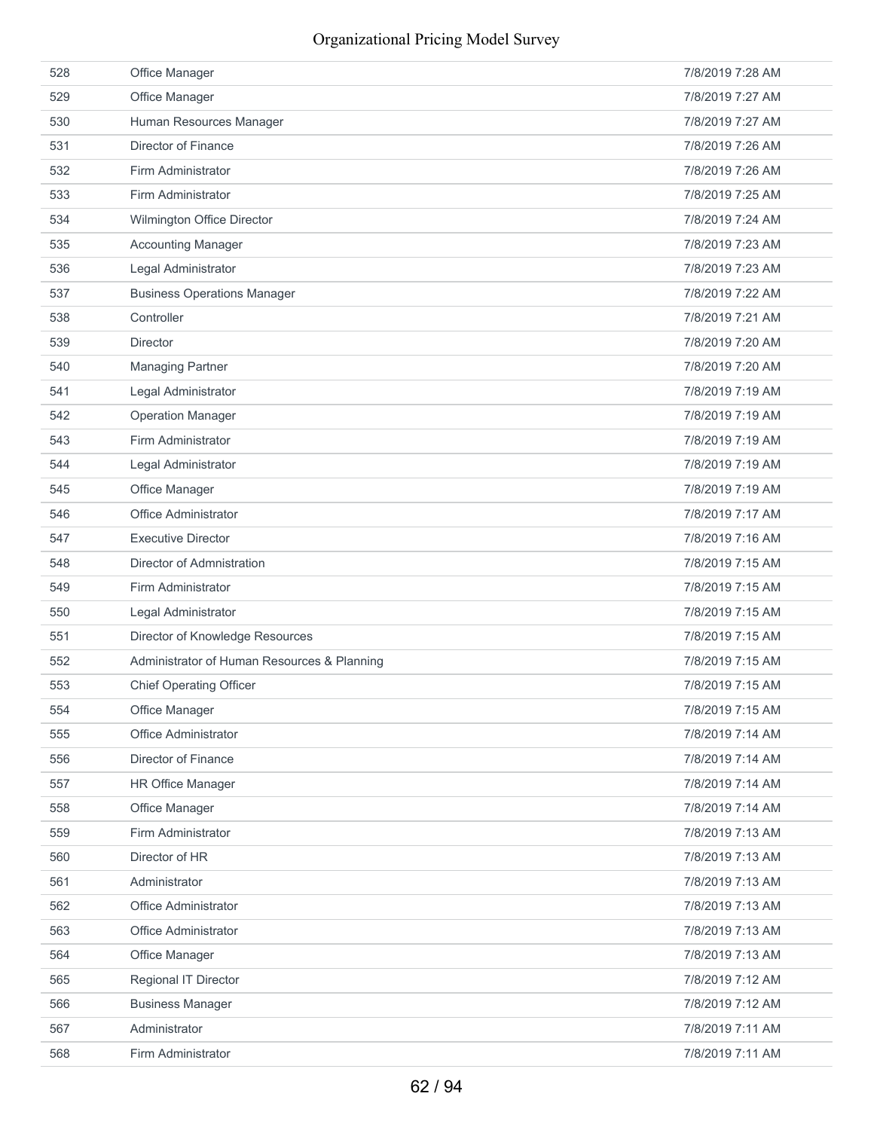| 528 | Office Manager                              | 7/8/2019 7:28 AM |
|-----|---------------------------------------------|------------------|
| 529 | Office Manager                              | 7/8/2019 7:27 AM |
| 530 | Human Resources Manager                     | 7/8/2019 7:27 AM |
| 531 | Director of Finance                         | 7/8/2019 7:26 AM |
| 532 | Firm Administrator                          | 7/8/2019 7:26 AM |
| 533 | Firm Administrator                          | 7/8/2019 7:25 AM |
| 534 | Wilmington Office Director                  | 7/8/2019 7:24 AM |
| 535 | <b>Accounting Manager</b>                   | 7/8/2019 7:23 AM |
| 536 | Legal Administrator                         | 7/8/2019 7:23 AM |
| 537 | <b>Business Operations Manager</b>          | 7/8/2019 7:22 AM |
| 538 | Controller                                  | 7/8/2019 7:21 AM |
| 539 | <b>Director</b>                             | 7/8/2019 7:20 AM |
| 540 | <b>Managing Partner</b>                     | 7/8/2019 7:20 AM |
| 541 | Legal Administrator                         | 7/8/2019 7:19 AM |
| 542 | <b>Operation Manager</b>                    | 7/8/2019 7:19 AM |
| 543 | Firm Administrator                          | 7/8/2019 7:19 AM |
| 544 | Legal Administrator                         | 7/8/2019 7:19 AM |
| 545 | Office Manager                              | 7/8/2019 7:19 AM |
| 546 | <b>Office Administrator</b>                 | 7/8/2019 7:17 AM |
| 547 | <b>Executive Director</b>                   | 7/8/2019 7:16 AM |
| 548 | Director of Admnistration                   | 7/8/2019 7:15 AM |
| 549 | Firm Administrator                          | 7/8/2019 7:15 AM |
| 550 | Legal Administrator                         | 7/8/2019 7:15 AM |
| 551 | Director of Knowledge Resources             | 7/8/2019 7:15 AM |
| 552 | Administrator of Human Resources & Planning | 7/8/2019 7:15 AM |
| 553 | <b>Chief Operating Officer</b>              | 7/8/2019 7:15 AM |
| 554 | Office Manager                              | 7/8/2019 7:15 AM |
| 555 | Office Administrator                        | 7/8/2019 7:14 AM |
| 556 | Director of Finance                         | 7/8/2019 7:14 AM |
| 557 | <b>HR Office Manager</b>                    | 7/8/2019 7:14 AM |
| 558 | Office Manager                              | 7/8/2019 7:14 AM |
| 559 | Firm Administrator                          | 7/8/2019 7:13 AM |
| 560 | Director of HR                              | 7/8/2019 7:13 AM |
| 561 | Administrator                               | 7/8/2019 7:13 AM |
| 562 | Office Administrator                        | 7/8/2019 7:13 AM |
| 563 | Office Administrator                        | 7/8/2019 7:13 AM |
| 564 | Office Manager                              | 7/8/2019 7:13 AM |
| 565 | Regional IT Director                        | 7/8/2019 7:12 AM |
| 566 | <b>Business Manager</b>                     | 7/8/2019 7:12 AM |
| 567 | Administrator                               | 7/8/2019 7:11 AM |
|     |                                             |                  |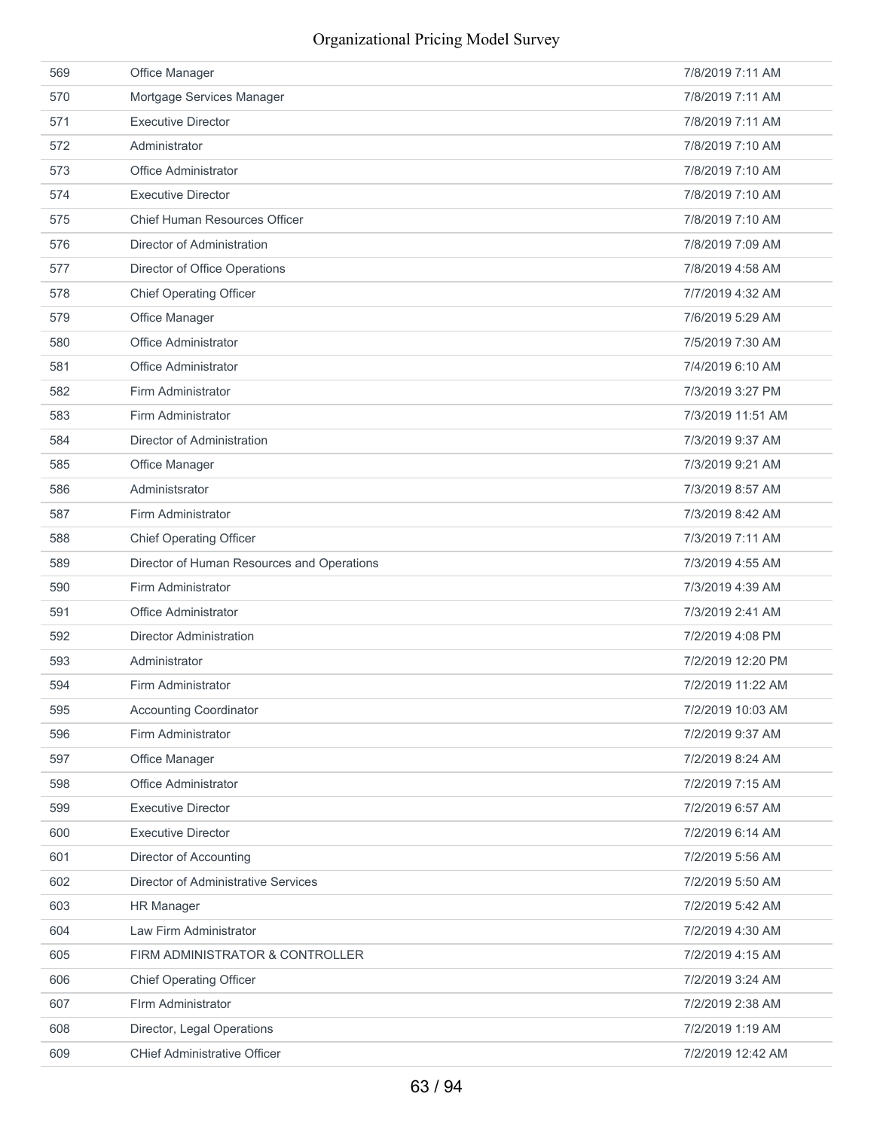| 569 | Office Manager                             | 7/8/2019 7:11 AM  |
|-----|--------------------------------------------|-------------------|
| 570 | Mortgage Services Manager                  | 7/8/2019 7:11 AM  |
| 571 | <b>Executive Director</b>                  | 7/8/2019 7:11 AM  |
| 572 | Administrator                              | 7/8/2019 7:10 AM  |
| 573 | <b>Office Administrator</b>                | 7/8/2019 7:10 AM  |
| 574 | <b>Executive Director</b>                  | 7/8/2019 7:10 AM  |
| 575 | Chief Human Resources Officer              | 7/8/2019 7:10 AM  |
| 576 | Director of Administration                 | 7/8/2019 7:09 AM  |
| 577 | Director of Office Operations              | 7/8/2019 4:58 AM  |
| 578 | <b>Chief Operating Officer</b>             | 7/7/2019 4:32 AM  |
| 579 | Office Manager                             | 7/6/2019 5:29 AM  |
| 580 | Office Administrator                       | 7/5/2019 7:30 AM  |
| 581 | <b>Office Administrator</b>                | 7/4/2019 6:10 AM  |
| 582 | Firm Administrator                         | 7/3/2019 3:27 PM  |
| 583 | Firm Administrator                         | 7/3/2019 11:51 AM |
| 584 | Director of Administration                 | 7/3/2019 9:37 AM  |
| 585 | Office Manager                             | 7/3/2019 9:21 AM  |
| 586 | Administsrator                             | 7/3/2019 8:57 AM  |
| 587 | Firm Administrator                         | 7/3/2019 8:42 AM  |
| 588 | <b>Chief Operating Officer</b>             | 7/3/2019 7:11 AM  |
| 589 | Director of Human Resources and Operations | 7/3/2019 4:55 AM  |
| 590 |                                            |                   |
|     | Firm Administrator                         | 7/3/2019 4:39 AM  |
| 591 | Office Administrator                       | 7/3/2019 2:41 AM  |
| 592 | <b>Director Administration</b>             | 7/2/2019 4:08 PM  |
| 593 | Administrator                              | 7/2/2019 12:20 PM |
| 594 | Firm Administrator                         | 7/2/2019 11:22 AM |
| 595 | <b>Accounting Coordinator</b>              | 7/2/2019 10:03 AM |
| 596 | Firm Administrator                         | 7/2/2019 9:37 AM  |
| 597 | Office Manager                             | 7/2/2019 8:24 AM  |
| 598 | Office Administrator                       | 7/2/2019 7:15 AM  |
| 599 | <b>Executive Director</b>                  | 7/2/2019 6:57 AM  |
| 600 | <b>Executive Director</b>                  | 7/2/2019 6:14 AM  |
| 601 | Director of Accounting                     | 7/2/2019 5:56 AM  |
| 602 | Director of Administrative Services        | 7/2/2019 5:50 AM  |
| 603 | <b>HR Manager</b>                          | 7/2/2019 5:42 AM  |
| 604 | Law Firm Administrator                     | 7/2/2019 4:30 AM  |
| 605 | FIRM ADMINISTRATOR & CONTROLLER            | 7/2/2019 4:15 AM  |
| 606 | <b>Chief Operating Officer</b>             | 7/2/2019 3:24 AM  |
| 607 | Flrm Administrator                         | 7/2/2019 2:38 AM  |
| 608 | Director, Legal Operations                 | 7/2/2019 1:19 AM  |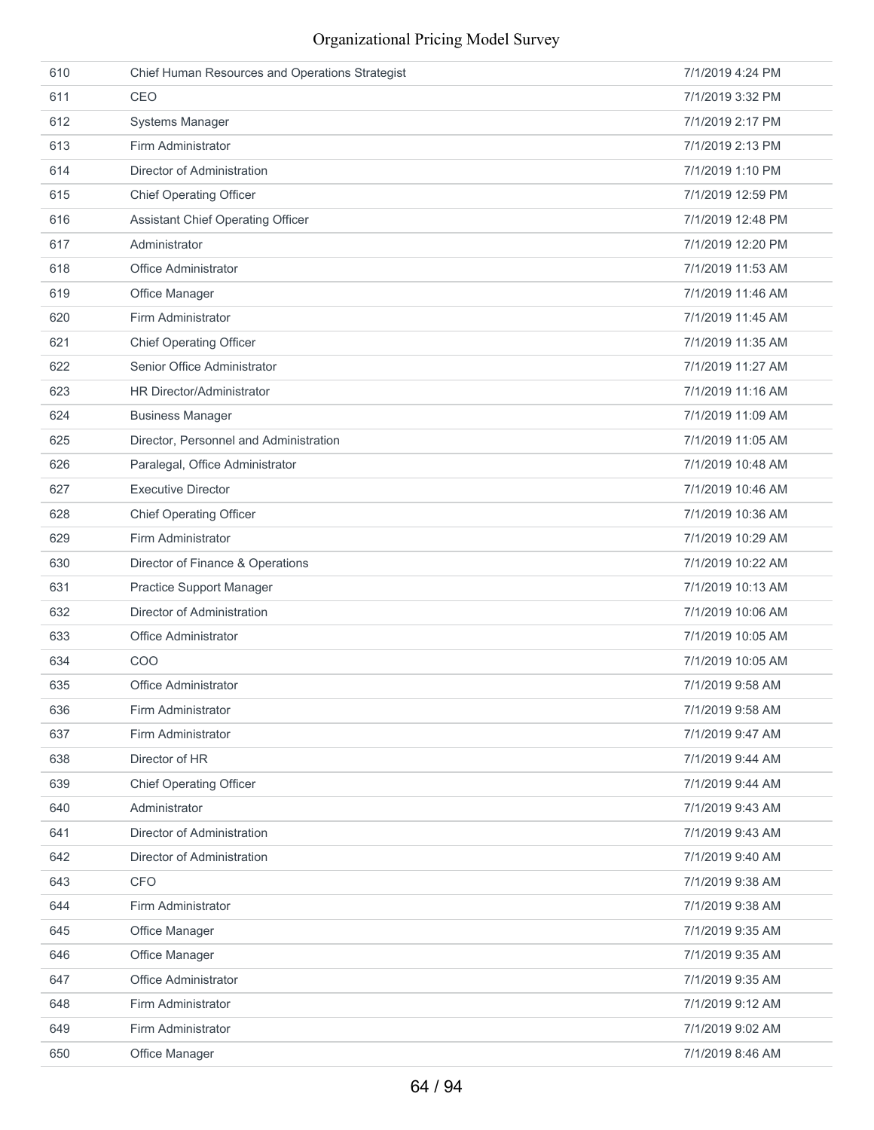| 610 | Chief Human Resources and Operations Strategist | 7/1/2019 4:24 PM  |
|-----|-------------------------------------------------|-------------------|
| 611 | CEO                                             | 7/1/2019 3:32 PM  |
| 612 | Systems Manager                                 | 7/1/2019 2:17 PM  |
| 613 | Firm Administrator                              | 7/1/2019 2:13 PM  |
| 614 | Director of Administration                      | 7/1/2019 1:10 PM  |
| 615 | <b>Chief Operating Officer</b>                  | 7/1/2019 12:59 PM |
| 616 | <b>Assistant Chief Operating Officer</b>        | 7/1/2019 12:48 PM |
| 617 | Administrator                                   | 7/1/2019 12:20 PM |
| 618 | Office Administrator                            | 7/1/2019 11:53 AM |
| 619 | Office Manager                                  | 7/1/2019 11:46 AM |
| 620 | Firm Administrator                              | 7/1/2019 11:45 AM |
| 621 | <b>Chief Operating Officer</b>                  | 7/1/2019 11:35 AM |
| 622 | Senior Office Administrator                     | 7/1/2019 11:27 AM |
| 623 | HR Director/Administrator                       | 7/1/2019 11:16 AM |
| 624 | <b>Business Manager</b>                         | 7/1/2019 11:09 AM |
| 625 | Director, Personnel and Administration          | 7/1/2019 11:05 AM |
| 626 | Paralegal, Office Administrator                 | 7/1/2019 10:48 AM |
| 627 | <b>Executive Director</b>                       | 7/1/2019 10:46 AM |
| 628 | <b>Chief Operating Officer</b>                  | 7/1/2019 10:36 AM |
| 629 | Firm Administrator                              | 7/1/2019 10:29 AM |
| 630 | Director of Finance & Operations                | 7/1/2019 10:22 AM |
| 631 | Practice Support Manager                        | 7/1/2019 10:13 AM |
| 632 | Director of Administration                      | 7/1/2019 10:06 AM |
| 633 | Office Administrator                            | 7/1/2019 10:05 AM |
| 634 | COO                                             | 7/1/2019 10:05 AM |
| 635 | Office Administrator                            | 7/1/2019 9:58 AM  |
| 636 | Firm Administrator                              | 7/1/2019 9:58 AM  |
| 637 | Firm Administrator                              | 7/1/2019 9:47 AM  |
| 638 | Director of HR                                  | 7/1/2019 9:44 AM  |
| 639 | <b>Chief Operating Officer</b>                  | 7/1/2019 9:44 AM  |
| 640 | Administrator                                   | 7/1/2019 9:43 AM  |
| 641 | Director of Administration                      | 7/1/2019 9:43 AM  |
| 642 | Director of Administration                      | 7/1/2019 9:40 AM  |
| 643 | <b>CFO</b>                                      | 7/1/2019 9:38 AM  |
| 644 | Firm Administrator                              | 7/1/2019 9:38 AM  |
| 645 | Office Manager                                  | 7/1/2019 9:35 AM  |
| 646 | Office Manager                                  | 7/1/2019 9:35 AM  |
| 647 | Office Administrator                            | 7/1/2019 9:35 AM  |
| 648 | Firm Administrator                              | 7/1/2019 9:12 AM  |
| 649 | Firm Administrator                              | 7/1/2019 9:02 AM  |
| 650 | Office Manager                                  | 7/1/2019 8:46 AM  |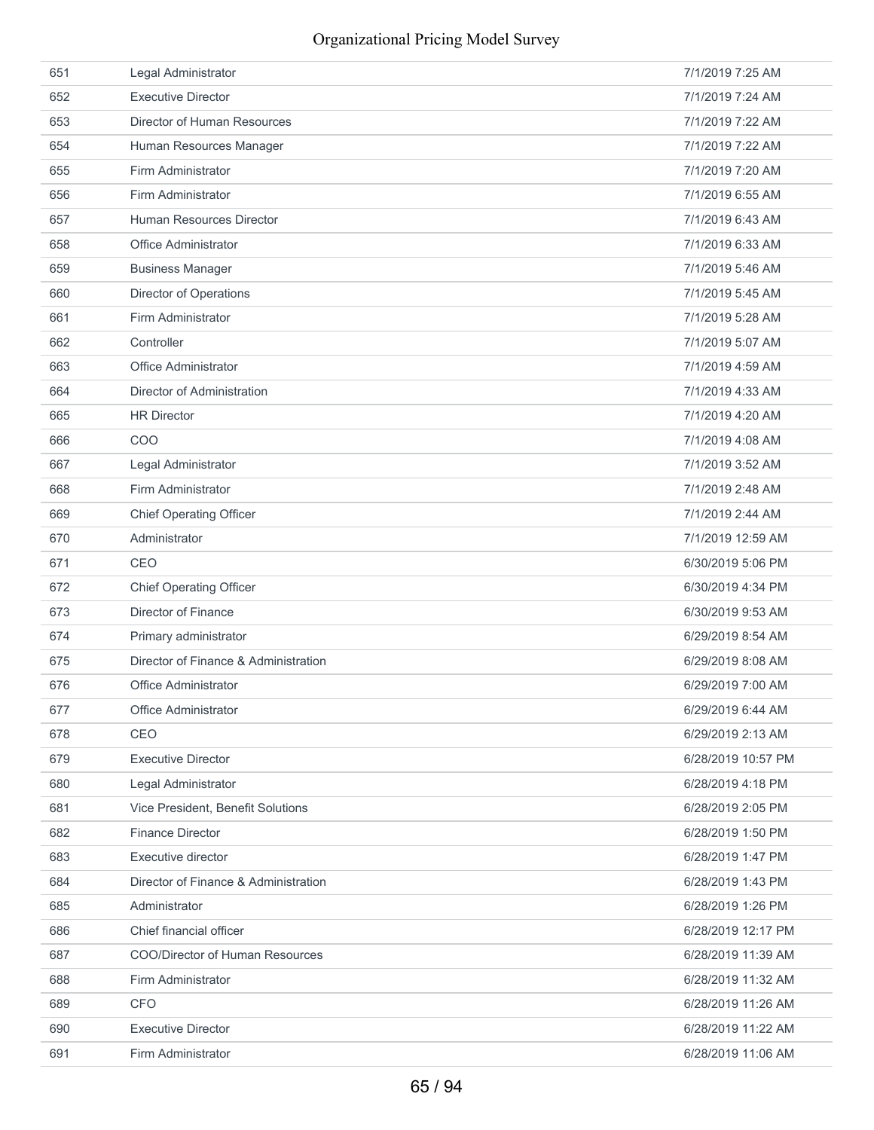| 651 | Legal Administrator                  | 7/1/2019 7:25 AM   |
|-----|--------------------------------------|--------------------|
| 652 | <b>Executive Director</b>            | 7/1/2019 7:24 AM   |
| 653 | Director of Human Resources          | 7/1/2019 7:22 AM   |
| 654 | Human Resources Manager              | 7/1/2019 7:22 AM   |
| 655 | Firm Administrator                   | 7/1/2019 7:20 AM   |
| 656 | Firm Administrator                   | 7/1/2019 6:55 AM   |
| 657 | <b>Human Resources Director</b>      | 7/1/2019 6:43 AM   |
| 658 | Office Administrator                 | 7/1/2019 6:33 AM   |
| 659 | <b>Business Manager</b>              | 7/1/2019 5:46 AM   |
| 660 | <b>Director of Operations</b>        | 7/1/2019 5:45 AM   |
| 661 | Firm Administrator                   | 7/1/2019 5:28 AM   |
| 662 | Controller                           | 7/1/2019 5:07 AM   |
| 663 | Office Administrator                 | 7/1/2019 4:59 AM   |
| 664 | Director of Administration           | 7/1/2019 4:33 AM   |
| 665 | <b>HR Director</b>                   | 7/1/2019 4:20 AM   |
| 666 | COO                                  | 7/1/2019 4:08 AM   |
| 667 | Legal Administrator                  | 7/1/2019 3:52 AM   |
| 668 | Firm Administrator                   | 7/1/2019 2:48 AM   |
| 669 | <b>Chief Operating Officer</b>       | 7/1/2019 2:44 AM   |
| 670 | Administrator                        | 7/1/2019 12:59 AM  |
| 671 | CEO                                  | 6/30/2019 5:06 PM  |
| 672 | <b>Chief Operating Officer</b>       | 6/30/2019 4:34 PM  |
| 673 | Director of Finance                  | 6/30/2019 9:53 AM  |
| 674 | Primary administrator                | 6/29/2019 8:54 AM  |
| 675 | Director of Finance & Administration | 6/29/2019 8:08 AM  |
| 676 | <b>Office Administrator</b>          | 6/29/2019 7:00 AM  |
| 677 | Office Administrator                 | 6/29/2019 6:44 AM  |
| 678 | CEO                                  | 6/29/2019 2:13 AM  |
| 679 | <b>Executive Director</b>            | 6/28/2019 10:57 PM |
| 680 | Legal Administrator                  | 6/28/2019 4:18 PM  |
| 681 | Vice President. Benefit Solutions    | 6/28/2019 2:05 PM  |
| 682 | <b>Finance Director</b>              | 6/28/2019 1:50 PM  |
| 683 | Executive director                   | 6/28/2019 1:47 PM  |
| 684 | Director of Finance & Administration | 6/28/2019 1:43 PM  |
| 685 | Administrator                        | 6/28/2019 1:26 PM  |
| 686 | Chief financial officer              | 6/28/2019 12:17 PM |
| 687 | COO/Director of Human Resources      | 6/28/2019 11:39 AM |
| 688 | Firm Administrator                   | 6/28/2019 11:32 AM |
| 689 | <b>CFO</b>                           | 6/28/2019 11:26 AM |
| 690 | <b>Executive Director</b>            | 6/28/2019 11:22 AM |
| 691 | Firm Administrator                   | 6/28/2019 11:06 AM |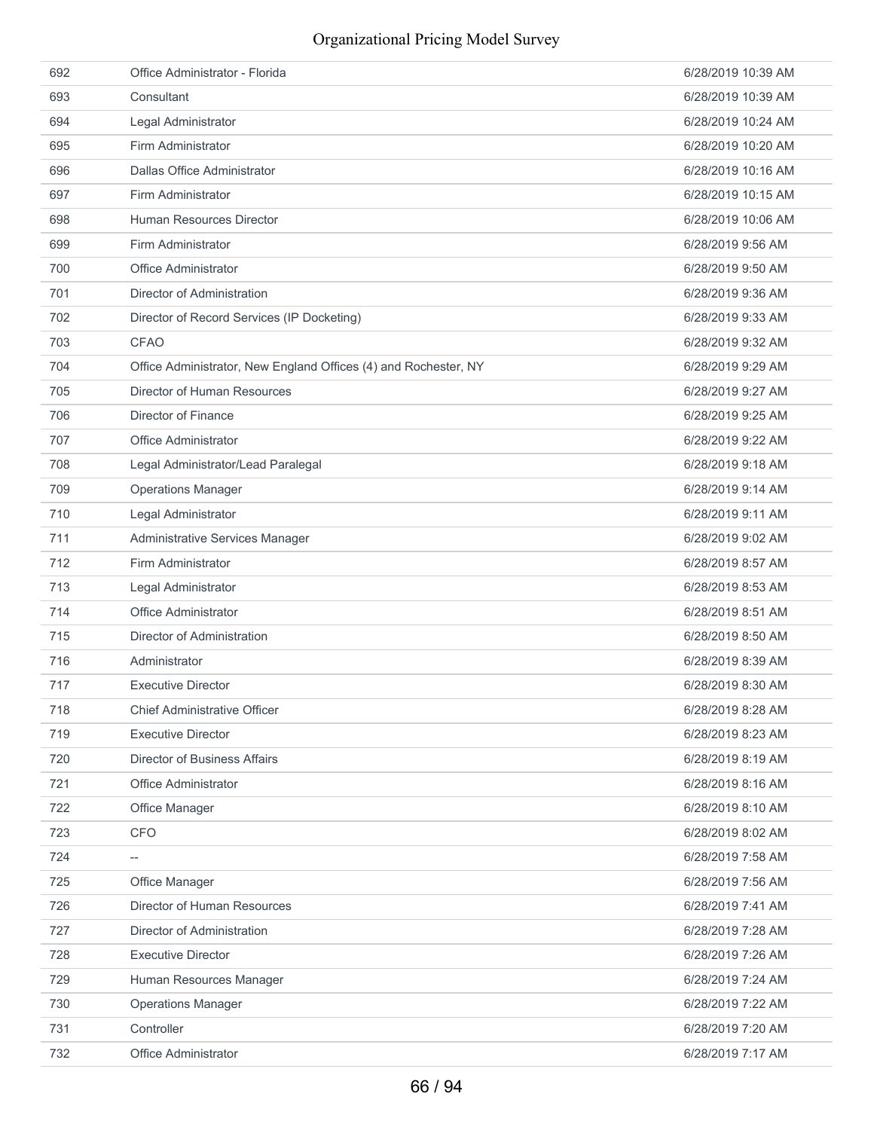| 692 | Office Administrator - Florida                                  | 6/28/2019 10:39 AM |
|-----|-----------------------------------------------------------------|--------------------|
| 693 | Consultant                                                      | 6/28/2019 10:39 AM |
| 694 | Legal Administrator                                             | 6/28/2019 10:24 AM |
| 695 | Firm Administrator                                              | 6/28/2019 10:20 AM |
| 696 | Dallas Office Administrator                                     | 6/28/2019 10:16 AM |
| 697 | Firm Administrator                                              | 6/28/2019 10:15 AM |
| 698 | Human Resources Director                                        | 6/28/2019 10:06 AM |
| 699 | Firm Administrator                                              | 6/28/2019 9:56 AM  |
| 700 | <b>Office Administrator</b>                                     | 6/28/2019 9:50 AM  |
| 701 | Director of Administration                                      | 6/28/2019 9:36 AM  |
| 702 | Director of Record Services (IP Docketing)                      | 6/28/2019 9:33 AM  |
| 703 | <b>CFAO</b>                                                     | 6/28/2019 9:32 AM  |
| 704 | Office Administrator, New England Offices (4) and Rochester, NY | 6/28/2019 9:29 AM  |
| 705 | Director of Human Resources                                     | 6/28/2019 9:27 AM  |
| 706 | Director of Finance                                             | 6/28/2019 9:25 AM  |
| 707 | Office Administrator                                            | 6/28/2019 9:22 AM  |
| 708 | Legal Administrator/Lead Paralegal                              | 6/28/2019 9:18 AM  |
| 709 | <b>Operations Manager</b>                                       | 6/28/2019 9:14 AM  |
| 710 | Legal Administrator                                             | 6/28/2019 9:11 AM  |
| 711 | Administrative Services Manager                                 | 6/28/2019 9:02 AM  |
| 712 | Firm Administrator                                              | 6/28/2019 8:57 AM  |
| 713 | Legal Administrator                                             | 6/28/2019 8:53 AM  |
| 714 | Office Administrator                                            | 6/28/2019 8:51 AM  |
| 715 | Director of Administration                                      | 6/28/2019 8:50 AM  |
| 716 | Administrator                                                   | 6/28/2019 8:39 AM  |
| 717 | <b>Executive Director</b>                                       | 6/28/2019 8:30 AM  |
| 718 | <b>Chief Administrative Officer</b>                             | 6/28/2019 8:28 AM  |
| 719 | <b>Executive Director</b>                                       | 6/28/2019 8:23 AM  |
| 720 | <b>Director of Business Affairs</b>                             | 6/28/2019 8:19 AM  |
| 721 | Office Administrator                                            | 6/28/2019 8:16 AM  |
| 722 | Office Manager                                                  | 6/28/2019 8:10 AM  |
| 723 | <b>CFO</b>                                                      | 6/28/2019 8:02 AM  |
| 724 | --                                                              | 6/28/2019 7:58 AM  |
| 725 | Office Manager                                                  | 6/28/2019 7:56 AM  |
| 726 | Director of Human Resources                                     | 6/28/2019 7:41 AM  |
| 727 | Director of Administration                                      | 6/28/2019 7:28 AM  |
| 728 | <b>Executive Director</b>                                       | 6/28/2019 7:26 AM  |
| 729 | Human Resources Manager                                         | 6/28/2019 7:24 AM  |
| 730 | <b>Operations Manager</b>                                       | 6/28/2019 7:22 AM  |
| 731 | Controller                                                      | 6/28/2019 7:20 AM  |
| 732 | Office Administrator                                            | 6/28/2019 7:17 AM  |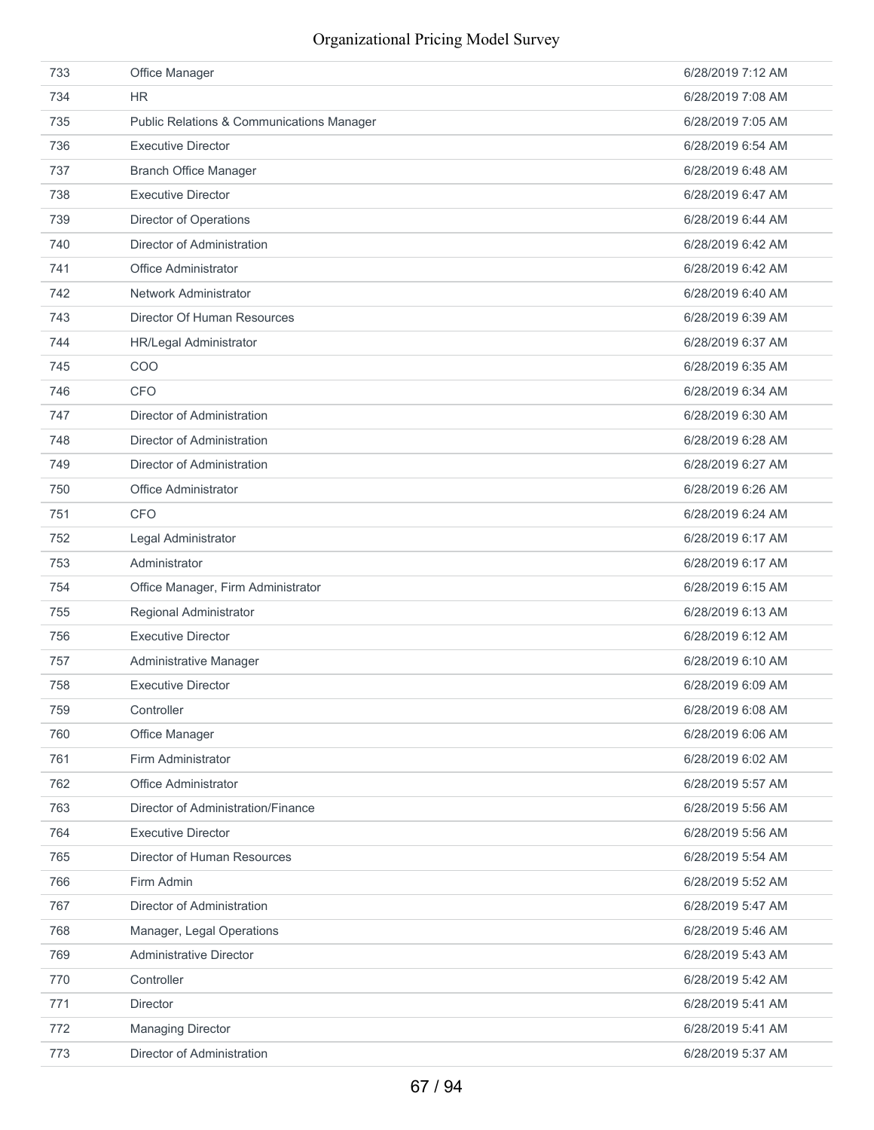| 733 | Office Manager                                       | 6/28/2019 7:12 AM |
|-----|------------------------------------------------------|-------------------|
| 734 | <b>HR</b>                                            | 6/28/2019 7:08 AM |
| 735 | <b>Public Relations &amp; Communications Manager</b> | 6/28/2019 7:05 AM |
| 736 | <b>Executive Director</b>                            | 6/28/2019 6:54 AM |
| 737 | <b>Branch Office Manager</b>                         | 6/28/2019 6:48 AM |
| 738 | <b>Executive Director</b>                            | 6/28/2019 6:47 AM |
| 739 | <b>Director of Operations</b>                        | 6/28/2019 6:44 AM |
| 740 | Director of Administration                           | 6/28/2019 6:42 AM |
| 741 | Office Administrator                                 | 6/28/2019 6:42 AM |
| 742 | Network Administrator                                | 6/28/2019 6:40 AM |
| 743 | Director Of Human Resources                          | 6/28/2019 6:39 AM |
| 744 | HR/Legal Administrator                               | 6/28/2019 6:37 AM |
| 745 | COO                                                  | 6/28/2019 6:35 AM |
| 746 | <b>CFO</b>                                           | 6/28/2019 6:34 AM |
| 747 | Director of Administration                           | 6/28/2019 6:30 AM |
| 748 | Director of Administration                           | 6/28/2019 6:28 AM |
| 749 | Director of Administration                           | 6/28/2019 6:27 AM |
| 750 | Office Administrator                                 | 6/28/2019 6:26 AM |
| 751 | <b>CFO</b>                                           | 6/28/2019 6:24 AM |
| 752 | Legal Administrator                                  | 6/28/2019 6:17 AM |
| 753 | Administrator                                        | 6/28/2019 6:17 AM |
| 754 | Office Manager, Firm Administrator                   | 6/28/2019 6:15 AM |
| 755 | Regional Administrator                               | 6/28/2019 6:13 AM |
| 756 | <b>Executive Director</b>                            | 6/28/2019 6:12 AM |
| 757 | Administrative Manager                               | 6/28/2019 6:10 AM |
| 758 | <b>Executive Director</b>                            | 6/28/2019 6:09 AM |
| 759 | Controller                                           | 6/28/2019 6:08 AM |
| 760 | Office Manager                                       | 6/28/2019 6:06 AM |
| 761 | Firm Administrator                                   | 6/28/2019 6:02 AM |
| 762 | Office Administrator                                 | 6/28/2019 5:57 AM |
| 763 | Director of Administration/Finance                   | 6/28/2019 5:56 AM |
| 764 | <b>Executive Director</b>                            | 6/28/2019 5:56 AM |
| 765 | Director of Human Resources                          | 6/28/2019 5:54 AM |
| 766 | Firm Admin                                           | 6/28/2019 5:52 AM |
| 767 | Director of Administration                           | 6/28/2019 5:47 AM |
| 768 | Manager, Legal Operations                            | 6/28/2019 5:46 AM |
| 769 | <b>Administrative Director</b>                       | 6/28/2019 5:43 AM |
| 770 | Controller                                           | 6/28/2019 5:42 AM |
| 771 | Director                                             | 6/28/2019 5:41 AM |
| 772 | <b>Managing Director</b>                             | 6/28/2019 5:41 AM |
| 773 | Director of Administration                           | 6/28/2019 5:37 AM |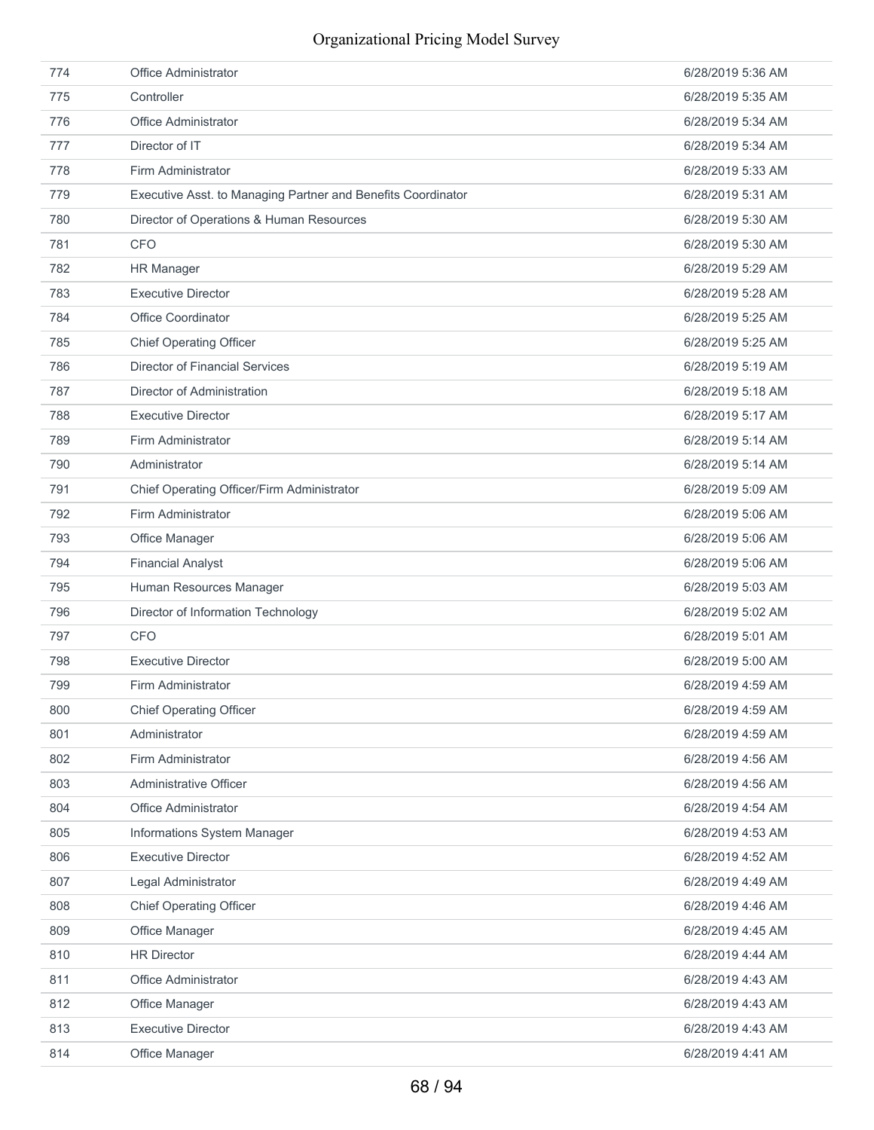| 774 | Office Administrator                                         | 6/28/2019 5:36 AM |
|-----|--------------------------------------------------------------|-------------------|
| 775 | Controller                                                   | 6/28/2019 5:35 AM |
| 776 | Office Administrator                                         | 6/28/2019 5:34 AM |
| 777 | Director of IT                                               | 6/28/2019 5:34 AM |
| 778 | Firm Administrator                                           | 6/28/2019 5:33 AM |
| 779 | Executive Asst. to Managing Partner and Benefits Coordinator | 6/28/2019 5:31 AM |
| 780 | Director of Operations & Human Resources                     | 6/28/2019 5:30 AM |
| 781 | <b>CFO</b>                                                   | 6/28/2019 5:30 AM |
| 782 | <b>HR Manager</b>                                            | 6/28/2019 5:29 AM |
| 783 | <b>Executive Director</b>                                    | 6/28/2019 5:28 AM |
| 784 | <b>Office Coordinator</b>                                    | 6/28/2019 5:25 AM |
| 785 | <b>Chief Operating Officer</b>                               | 6/28/2019 5:25 AM |
| 786 | <b>Director of Financial Services</b>                        | 6/28/2019 5:19 AM |
| 787 | Director of Administration                                   | 6/28/2019 5:18 AM |
| 788 | <b>Executive Director</b>                                    | 6/28/2019 5:17 AM |
| 789 | Firm Administrator                                           | 6/28/2019 5:14 AM |
| 790 | Administrator                                                | 6/28/2019 5:14 AM |
| 791 | Chief Operating Officer/Firm Administrator                   | 6/28/2019 5:09 AM |
| 792 | Firm Administrator                                           | 6/28/2019 5:06 AM |
| 793 | Office Manager                                               | 6/28/2019 5:06 AM |
| 794 | <b>Financial Analyst</b>                                     | 6/28/2019 5:06 AM |
| 795 | Human Resources Manager                                      | 6/28/2019 5:03 AM |
| 796 | Director of Information Technology                           | 6/28/2019 5:02 AM |
| 797 | <b>CFO</b>                                                   | 6/28/2019 5:01 AM |
| 798 | <b>Executive Director</b>                                    | 6/28/2019 5:00 AM |
| 799 | Firm Administrator                                           | 6/28/2019 4:59 AM |
| 800 | <b>Chief Operating Officer</b>                               | 6/28/2019 4:59 AM |
| 801 | Administrator                                                | 6/28/2019 4:59 AM |
| 802 | Firm Administrator                                           | 6/28/2019 4:56 AM |
| 803 | Administrative Officer                                       | 6/28/2019 4:56 AM |
| 804 | Office Administrator                                         | 6/28/2019 4:54 AM |
| 805 | Informations System Manager                                  | 6/28/2019 4:53 AM |
| 806 | <b>Executive Director</b>                                    | 6/28/2019 4:52 AM |
| 807 | Legal Administrator                                          | 6/28/2019 4:49 AM |
| 808 | <b>Chief Operating Officer</b>                               | 6/28/2019 4:46 AM |
| 809 | Office Manager                                               | 6/28/2019 4:45 AM |
| 810 | <b>HR Director</b>                                           | 6/28/2019 4:44 AM |
| 811 | Office Administrator                                         | 6/28/2019 4:43 AM |
| 812 | Office Manager                                               | 6/28/2019 4:43 AM |
| 813 | <b>Executive Director</b>                                    | 6/28/2019 4:43 AM |
| 814 | Office Manager                                               | 6/28/2019 4:41 AM |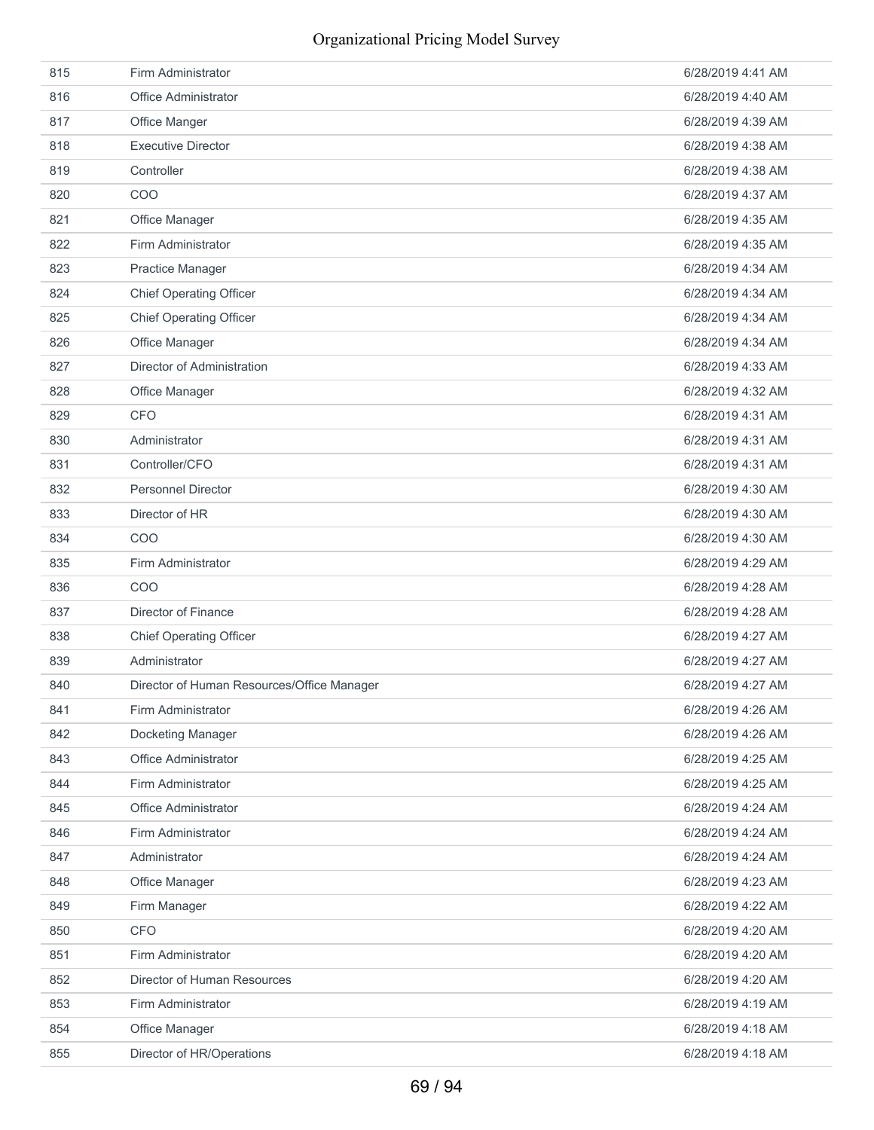| 815 | Firm Administrator                         | 6/28/2019 4:41 AM |
|-----|--------------------------------------------|-------------------|
| 816 | <b>Office Administrator</b>                | 6/28/2019 4:40 AM |
| 817 | Office Manger                              | 6/28/2019 4:39 AM |
| 818 | <b>Executive Director</b>                  | 6/28/2019 4:38 AM |
| 819 | Controller                                 | 6/28/2019 4:38 AM |
| 820 | COO                                        | 6/28/2019 4:37 AM |
| 821 | Office Manager                             | 6/28/2019 4:35 AM |
| 822 | Firm Administrator                         | 6/28/2019 4:35 AM |
| 823 | <b>Practice Manager</b>                    | 6/28/2019 4:34 AM |
| 824 | <b>Chief Operating Officer</b>             | 6/28/2019 4:34 AM |
| 825 | <b>Chief Operating Officer</b>             | 6/28/2019 4:34 AM |
| 826 | Office Manager                             | 6/28/2019 4:34 AM |
| 827 | Director of Administration                 | 6/28/2019 4:33 AM |
| 828 | Office Manager                             | 6/28/2019 4:32 AM |
| 829 | <b>CFO</b>                                 | 6/28/2019 4:31 AM |
| 830 | Administrator                              | 6/28/2019 4:31 AM |
| 831 | Controller/CFO                             | 6/28/2019 4:31 AM |
| 832 | <b>Personnel Director</b>                  | 6/28/2019 4:30 AM |
| 833 | Director of HR                             | 6/28/2019 4:30 AM |
| 834 | COO                                        | 6/28/2019 4:30 AM |
| 835 | Firm Administrator                         | 6/28/2019 4:29 AM |
| 836 | COO                                        | 6/28/2019 4:28 AM |
| 837 | Director of Finance                        | 6/28/2019 4:28 AM |
| 838 | <b>Chief Operating Officer</b>             | 6/28/2019 4:27 AM |
| 839 | Administrator                              | 6/28/2019 4:27 AM |
| 840 | Director of Human Resources/Office Manager | 6/28/2019 4:27 AM |
| 841 | Firm Administrator                         | 6/28/2019 4:26 AM |
| 842 | Docketing Manager                          | 6/28/2019 4:26 AM |
| 843 | Office Administrator                       | 6/28/2019 4:25 AM |
| 844 | Firm Administrator                         | 6/28/2019 4:25 AM |
| 845 | Office Administrator                       | 6/28/2019 4:24 AM |
| 846 | Firm Administrator                         | 6/28/2019 4:24 AM |
| 847 | Administrator                              | 6/28/2019 4:24 AM |
| 848 | Office Manager                             | 6/28/2019 4:23 AM |
| 849 | Firm Manager                               | 6/28/2019 4:22 AM |
| 850 | <b>CFO</b>                                 | 6/28/2019 4:20 AM |
| 851 | Firm Administrator                         | 6/28/2019 4:20 AM |
| 852 | Director of Human Resources                | 6/28/2019 4:20 AM |
| 853 | Firm Administrator                         | 6/28/2019 4:19 AM |
| 854 | Office Manager                             | 6/28/2019 4:18 AM |
| 855 | Director of HR/Operations                  | 6/28/2019 4:18 AM |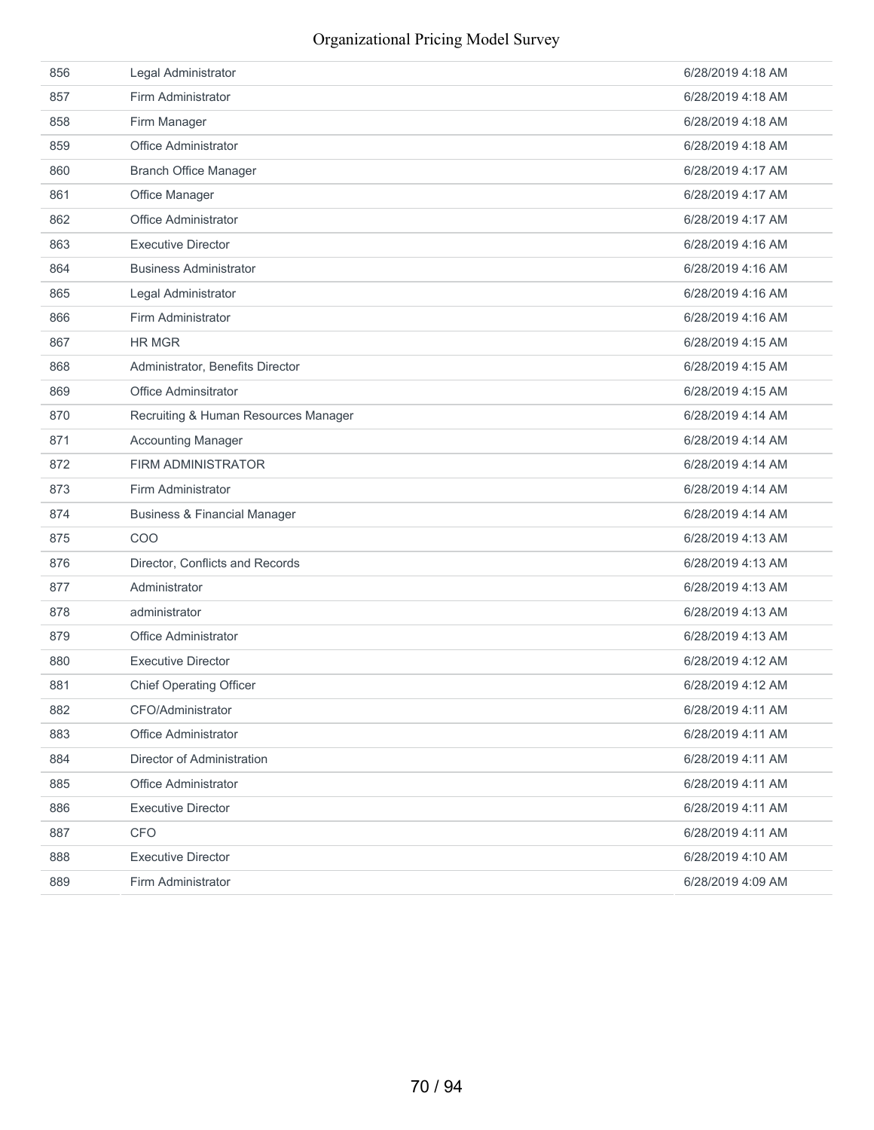| 856 | Legal Administrator                     | 6/28/2019 4:18 AM |
|-----|-----------------------------------------|-------------------|
| 857 | Firm Administrator                      | 6/28/2019 4:18 AM |
| 858 | Firm Manager                            | 6/28/2019 4:18 AM |
| 859 | Office Administrator                    | 6/28/2019 4:18 AM |
| 860 | <b>Branch Office Manager</b>            | 6/28/2019 4:17 AM |
| 861 | Office Manager                          | 6/28/2019 4:17 AM |
| 862 | Office Administrator                    | 6/28/2019 4:17 AM |
| 863 | <b>Executive Director</b>               | 6/28/2019 4:16 AM |
| 864 | <b>Business Administrator</b>           | 6/28/2019 4:16 AM |
| 865 | Legal Administrator                     | 6/28/2019 4:16 AM |
| 866 | Firm Administrator                      | 6/28/2019 4:16 AM |
| 867 | <b>HR MGR</b>                           | 6/28/2019 4:15 AM |
| 868 | Administrator, Benefits Director        | 6/28/2019 4:15 AM |
| 869 | Office Adminsitrator                    | 6/28/2019 4:15 AM |
| 870 | Recruiting & Human Resources Manager    | 6/28/2019 4:14 AM |
| 871 | <b>Accounting Manager</b>               | 6/28/2019 4:14 AM |
| 872 | <b>FIRM ADMINISTRATOR</b>               | 6/28/2019 4:14 AM |
| 873 | Firm Administrator                      | 6/28/2019 4:14 AM |
| 874 | <b>Business &amp; Financial Manager</b> | 6/28/2019 4:14 AM |
| 875 | COO                                     | 6/28/2019 4:13 AM |
| 876 | Director, Conflicts and Records         | 6/28/2019 4:13 AM |
| 877 | Administrator                           | 6/28/2019 4:13 AM |
| 878 | administrator                           | 6/28/2019 4:13 AM |
| 879 | Office Administrator                    | 6/28/2019 4:13 AM |
| 880 | <b>Executive Director</b>               | 6/28/2019 4:12 AM |
| 881 | <b>Chief Operating Officer</b>          | 6/28/2019 4:12 AM |
| 882 | CFO/Administrator                       | 6/28/2019 4:11 AM |
| 883 | Office Administrator                    | 6/28/2019 4:11 AM |
| 884 | Director of Administration              | 6/28/2019 4:11 AM |
| 885 | Office Administrator                    | 6/28/2019 4:11 AM |
| 886 | <b>Executive Director</b>               | 6/28/2019 4:11 AM |
| 887 | <b>CFO</b>                              | 6/28/2019 4:11 AM |
| 888 | <b>Executive Director</b>               | 6/28/2019 4:10 AM |
| 889 | Firm Administrator                      | 6/28/2019 4:09 AM |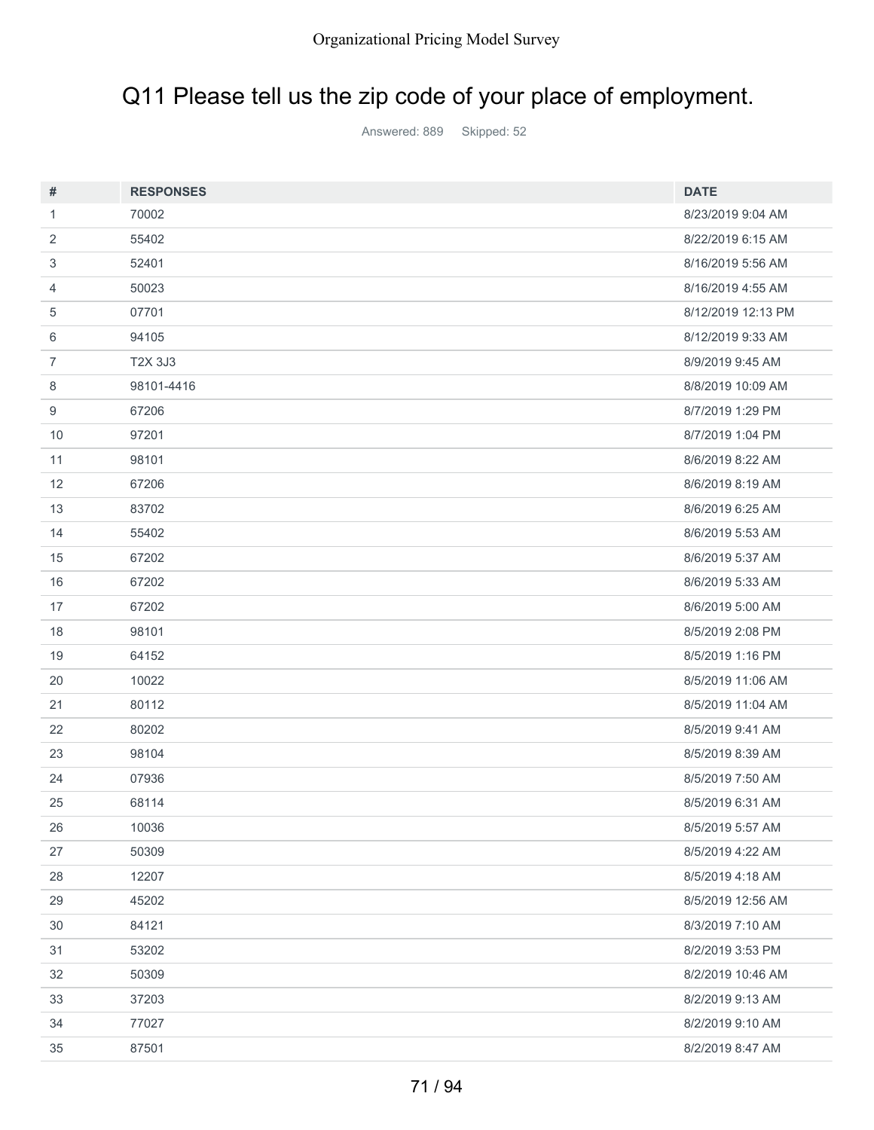# Q11 Please tell us the zip code of your place of employment.

Answered: 889 Skipped: 52

| #  | <b>RESPONSES</b> | <b>DATE</b>        |
|----|------------------|--------------------|
| 1  | 70002            | 8/23/2019 9:04 AM  |
| 2  | 55402            | 8/22/2019 6:15 AM  |
| 3  | 52401            | 8/16/2019 5:56 AM  |
| 4  | 50023            | 8/16/2019 4:55 AM  |
| 5  | 07701            | 8/12/2019 12:13 PM |
| 6  | 94105            | 8/12/2019 9:33 AM  |
| 7  | T2X 3J3          | 8/9/2019 9:45 AM   |
| 8  | 98101-4416       | 8/8/2019 10:09 AM  |
| 9  | 67206            | 8/7/2019 1:29 PM   |
| 10 | 97201            | 8/7/2019 1:04 PM   |
| 11 | 98101            | 8/6/2019 8:22 AM   |
| 12 | 67206            | 8/6/2019 8:19 AM   |
| 13 | 83702            | 8/6/2019 6:25 AM   |
| 14 | 55402            | 8/6/2019 5:53 AM   |
| 15 | 67202            | 8/6/2019 5:37 AM   |
| 16 | 67202            | 8/6/2019 5:33 AM   |
| 17 | 67202            | 8/6/2019 5:00 AM   |
| 18 | 98101            | 8/5/2019 2:08 PM   |
| 19 | 64152            | 8/5/2019 1:16 PM   |
| 20 | 10022            | 8/5/2019 11:06 AM  |
| 21 | 80112            | 8/5/2019 11:04 AM  |
| 22 | 80202            | 8/5/2019 9:41 AM   |
| 23 | 98104            | 8/5/2019 8:39 AM   |
| 24 | 07936            | 8/5/2019 7:50 AM   |
| 25 | 68114            | 8/5/2019 6:31 AM   |
| 26 | 10036            | 8/5/2019 5:57 AM   |
| 27 | 50309            | 8/5/2019 4:22 AM   |
| 28 | 12207            | 8/5/2019 4:18 AM   |
| 29 | 45202            | 8/5/2019 12:56 AM  |
| 30 | 84121            | 8/3/2019 7:10 AM   |
| 31 | 53202            | 8/2/2019 3:53 PM   |
| 32 | 50309            | 8/2/2019 10:46 AM  |
| 33 | 37203            | 8/2/2019 9:13 AM   |
| 34 | 77027            | 8/2/2019 9:10 AM   |
| 35 | 87501            | 8/2/2019 8:47 AM   |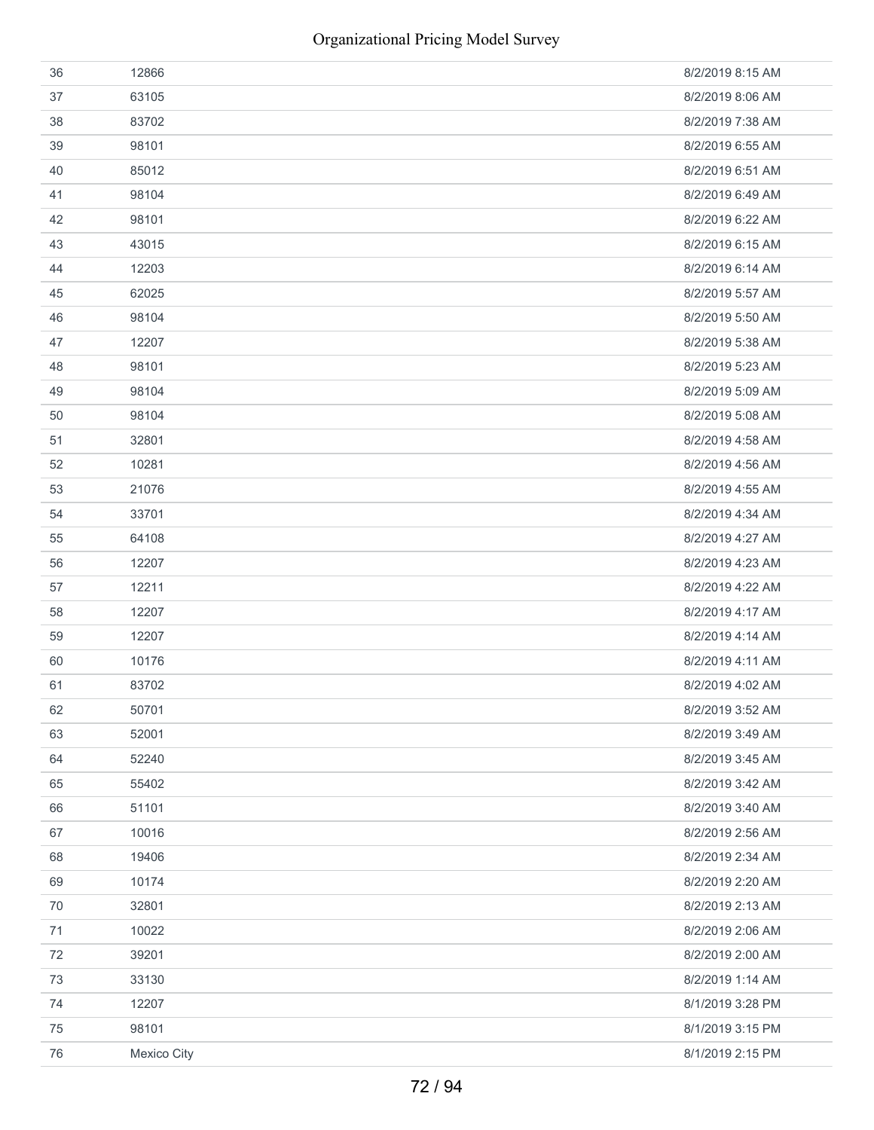| 36 | 12866       | 8/2/2019 8:15 AM |
|----|-------------|------------------|
| 37 | 63105       | 8/2/2019 8:06 AM |
| 38 | 83702       | 8/2/2019 7:38 AM |
| 39 | 98101       | 8/2/2019 6:55 AM |
| 40 | 85012       | 8/2/2019 6:51 AM |
| 41 | 98104       | 8/2/2019 6:49 AM |
| 42 | 98101       | 8/2/2019 6:22 AM |
| 43 | 43015       | 8/2/2019 6:15 AM |
| 44 | 12203       | 8/2/2019 6:14 AM |
| 45 | 62025       | 8/2/2019 5:57 AM |
| 46 | 98104       | 8/2/2019 5:50 AM |
| 47 | 12207       | 8/2/2019 5:38 AM |
| 48 | 98101       | 8/2/2019 5:23 AM |
| 49 | 98104       | 8/2/2019 5:09 AM |
| 50 | 98104       | 8/2/2019 5:08 AM |
| 51 | 32801       | 8/2/2019 4:58 AM |
| 52 | 10281       | 8/2/2019 4:56 AM |
| 53 | 21076       | 8/2/2019 4:55 AM |
| 54 | 33701       | 8/2/2019 4:34 AM |
| 55 | 64108       | 8/2/2019 4:27 AM |
| 56 | 12207       | 8/2/2019 4:23 AM |
| 57 | 12211       | 8/2/2019 4:22 AM |
| 58 | 12207       | 8/2/2019 4:17 AM |
| 59 | 12207       | 8/2/2019 4:14 AM |
| 60 | 10176       | 8/2/2019 4:11 AM |
| 61 | 83702       | 8/2/2019 4:02 AM |
| 62 | 50701       | 8/2/2019 3:52 AM |
| 63 | 52001       | 8/2/2019 3:49 AM |
| 64 | 52240       | 8/2/2019 3:45 AM |
| 65 | 55402       | 8/2/2019 3:42 AM |
| 66 | 51101       | 8/2/2019 3:40 AM |
| 67 | 10016       | 8/2/2019 2:56 AM |
| 68 | 19406       | 8/2/2019 2:34 AM |
| 69 | 10174       | 8/2/2019 2:20 AM |
| 70 | 32801       | 8/2/2019 2:13 AM |
| 71 | 10022       | 8/2/2019 2:06 AM |
| 72 | 39201       | 8/2/2019 2:00 AM |
| 73 | 33130       | 8/2/2019 1:14 AM |
| 74 | 12207       | 8/1/2019 3:28 PM |
| 75 | 98101       | 8/1/2019 3:15 PM |
| 76 | Mexico City | 8/1/2019 2:15 PM |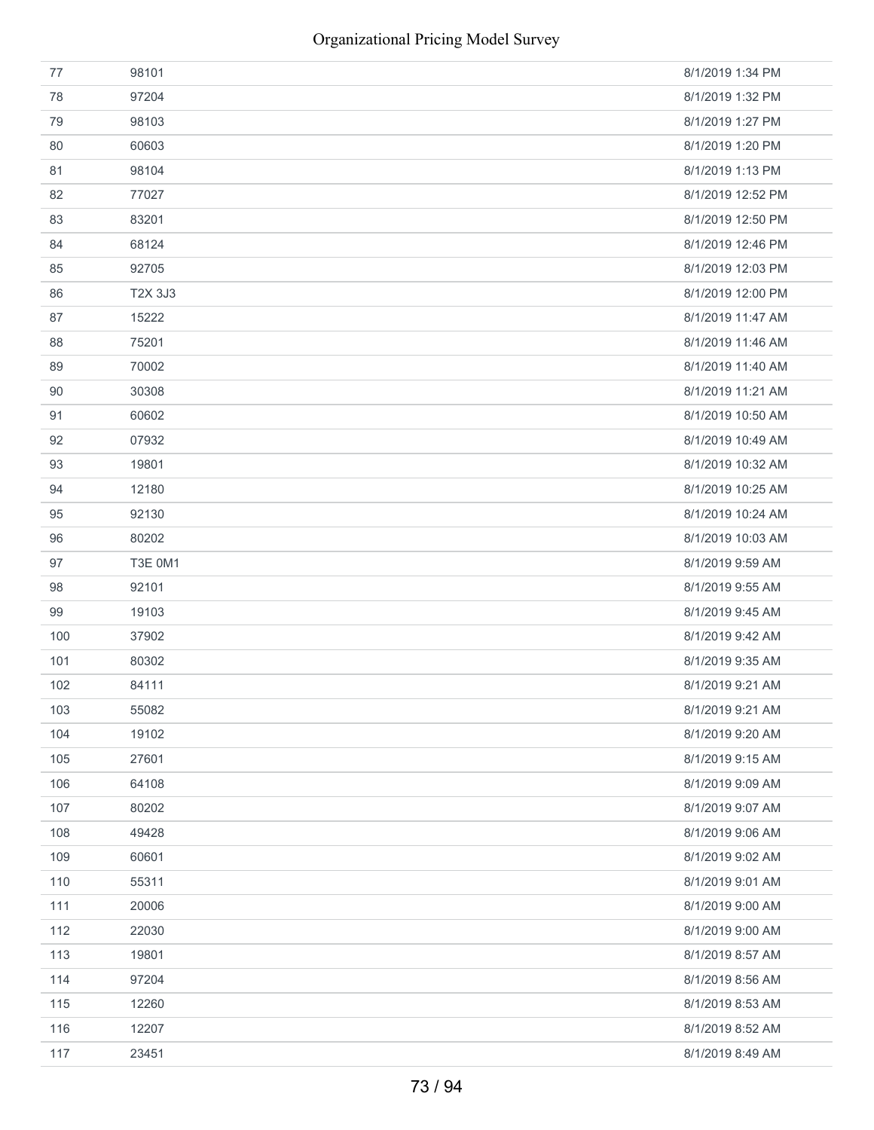| 77  | 98101          | 8/1/2019 1:34 PM  |
|-----|----------------|-------------------|
| 78  | 97204          | 8/1/2019 1:32 PM  |
| 79  | 98103          | 8/1/2019 1:27 PM  |
| 80  | 60603          | 8/1/2019 1:20 PM  |
| 81  | 98104          | 8/1/2019 1:13 PM  |
| 82  | 77027          | 8/1/2019 12:52 PM |
| 83  | 83201          | 8/1/2019 12:50 PM |
| 84  | 68124          | 8/1/2019 12:46 PM |
| 85  | 92705          | 8/1/2019 12:03 PM |
| 86  | T2X 3J3        | 8/1/2019 12:00 PM |
| 87  | 15222          | 8/1/2019 11:47 AM |
| 88  | 75201          | 8/1/2019 11:46 AM |
| 89  | 70002          | 8/1/2019 11:40 AM |
| 90  | 30308          | 8/1/2019 11:21 AM |
| 91  | 60602          | 8/1/2019 10:50 AM |
| 92  | 07932          | 8/1/2019 10:49 AM |
| 93  | 19801          | 8/1/2019 10:32 AM |
| 94  | 12180          | 8/1/2019 10:25 AM |
| 95  | 92130          | 8/1/2019 10:24 AM |
| 96  | 80202          | 8/1/2019 10:03 AM |
| 97  | <b>T3E 0M1</b> | 8/1/2019 9:59 AM  |
| 98  | 92101          | 8/1/2019 9:55 AM  |
| 99  | 19103          | 8/1/2019 9:45 AM  |
| 100 | 37902          | 8/1/2019 9:42 AM  |
| 101 | 80302          | 8/1/2019 9:35 AM  |
| 102 | 84111          | 8/1/2019 9:21 AM  |
| 103 | 55082          | 8/1/2019 9:21 AM  |
| 104 | 19102          | 8/1/2019 9:20 AM  |
| 105 | 27601          | 8/1/2019 9:15 AM  |
| 106 | 64108          | 8/1/2019 9:09 AM  |
| 107 | 80202          | 8/1/2019 9:07 AM  |
| 108 | 49428          | 8/1/2019 9:06 AM  |
| 109 | 60601          | 8/1/2019 9:02 AM  |
| 110 | 55311          | 8/1/2019 9:01 AM  |
| 111 | 20006          | 8/1/2019 9:00 AM  |
| 112 | 22030          | 8/1/2019 9:00 AM  |
| 113 | 19801          | 8/1/2019 8:57 AM  |
| 114 | 97204          | 8/1/2019 8:56 AM  |
| 115 | 12260          | 8/1/2019 8:53 AM  |
| 116 | 12207          | 8/1/2019 8:52 AM  |
| 117 | 23451          | 8/1/2019 8:49 AM  |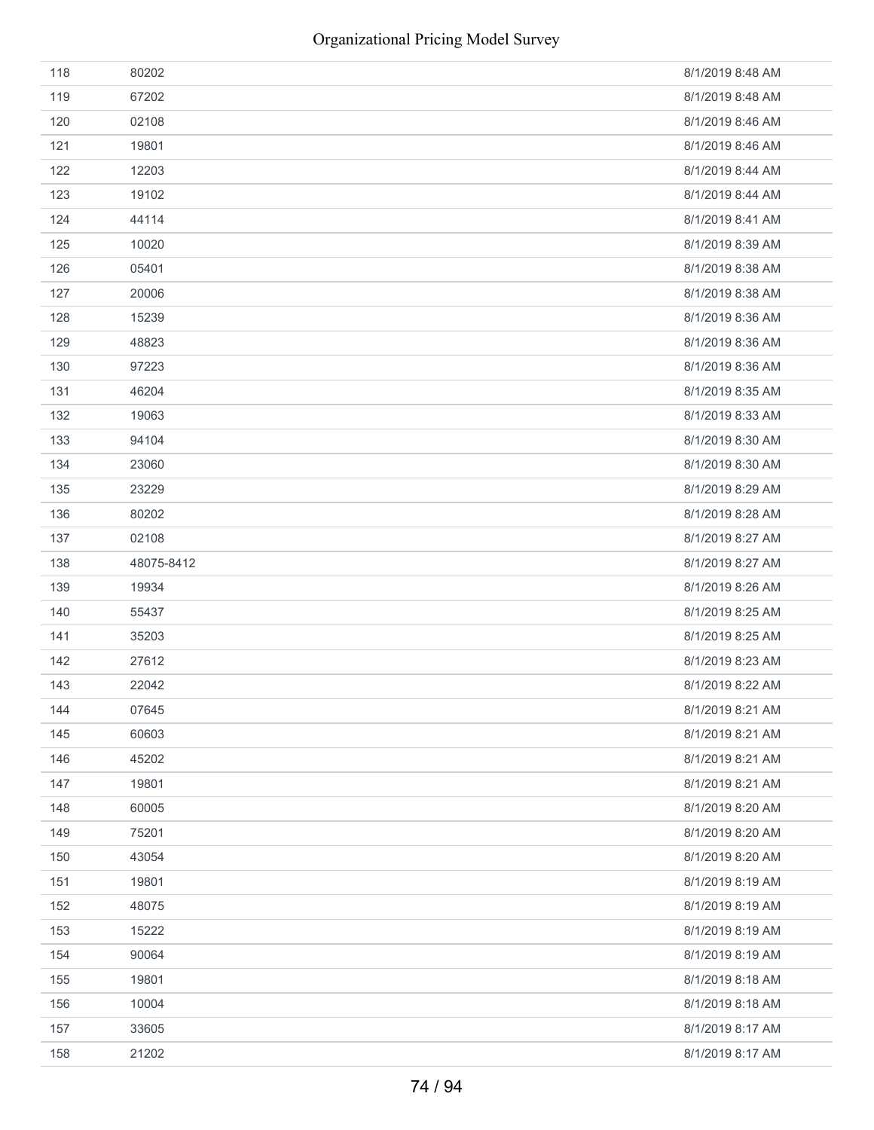| 118 | 80202      | 8/1/2019 8:48 AM |
|-----|------------|------------------|
| 119 | 67202      | 8/1/2019 8:48 AM |
| 120 | 02108      | 8/1/2019 8:46 AM |
| 121 | 19801      | 8/1/2019 8:46 AM |
| 122 | 12203      | 8/1/2019 8:44 AM |
| 123 | 19102      | 8/1/2019 8:44 AM |
| 124 | 44114      | 8/1/2019 8:41 AM |
| 125 | 10020      | 8/1/2019 8:39 AM |
| 126 | 05401      | 8/1/2019 8:38 AM |
| 127 | 20006      | 8/1/2019 8:38 AM |
| 128 | 15239      | 8/1/2019 8:36 AM |
| 129 | 48823      | 8/1/2019 8:36 AM |
| 130 | 97223      | 8/1/2019 8:36 AM |
| 131 | 46204      | 8/1/2019 8:35 AM |
| 132 | 19063      | 8/1/2019 8:33 AM |
| 133 | 94104      | 8/1/2019 8:30 AM |
| 134 | 23060      | 8/1/2019 8:30 AM |
| 135 | 23229      | 8/1/2019 8:29 AM |
| 136 | 80202      | 8/1/2019 8:28 AM |
| 137 | 02108      | 8/1/2019 8:27 AM |
| 138 | 48075-8412 | 8/1/2019 8:27 AM |
|     |            |                  |
| 139 | 19934      | 8/1/2019 8:26 AM |
| 140 | 55437      | 8/1/2019 8:25 AM |
| 141 | 35203      | 8/1/2019 8:25 AM |
| 142 | 27612      | 8/1/2019 8:23 AM |
| 143 | 22042      | 8/1/2019 8:22 AM |
| 144 | 07645      | 8/1/2019 8:21 AM |
| 145 | 60603      | 8/1/2019 8:21 AM |
| 146 | 45202      | 8/1/2019 8:21 AM |
| 147 | 19801      | 8/1/2019 8:21 AM |
| 148 | 60005      | 8/1/2019 8:20 AM |
| 149 | 75201      | 8/1/2019 8:20 AM |
| 150 | 43054      | 8/1/2019 8:20 AM |
| 151 | 19801      | 8/1/2019 8:19 AM |
| 152 | 48075      | 8/1/2019 8:19 AM |
| 153 | 15222      | 8/1/2019 8:19 AM |
| 154 | 90064      | 8/1/2019 8:19 AM |
| 155 | 19801      | 8/1/2019 8:18 AM |
| 156 | 10004      | 8/1/2019 8:18 AM |
| 157 | 33605      | 8/1/2019 8:17 AM |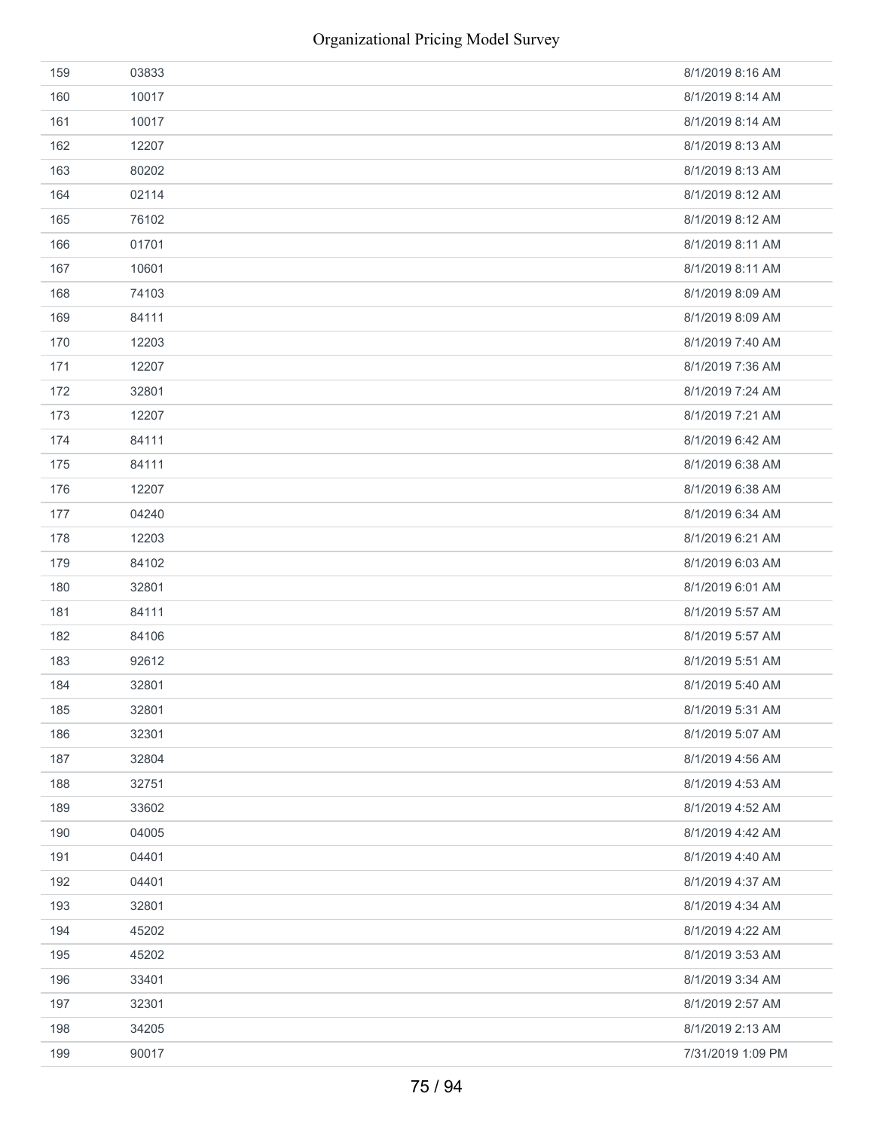| 159 | 03833 | 8/1/2019 8:16 AM  |
|-----|-------|-------------------|
| 160 | 10017 | 8/1/2019 8:14 AM  |
| 161 | 10017 | 8/1/2019 8:14 AM  |
| 162 | 12207 | 8/1/2019 8:13 AM  |
| 163 | 80202 | 8/1/2019 8:13 AM  |
| 164 | 02114 | 8/1/2019 8:12 AM  |
| 165 | 76102 | 8/1/2019 8:12 AM  |
| 166 | 01701 | 8/1/2019 8:11 AM  |
| 167 | 10601 | 8/1/2019 8:11 AM  |
| 168 | 74103 | 8/1/2019 8:09 AM  |
| 169 | 84111 | 8/1/2019 8:09 AM  |
| 170 | 12203 | 8/1/2019 7:40 AM  |
| 171 | 12207 | 8/1/2019 7:36 AM  |
| 172 | 32801 | 8/1/2019 7:24 AM  |
| 173 | 12207 | 8/1/2019 7:21 AM  |
| 174 | 84111 | 8/1/2019 6:42 AM  |
| 175 | 84111 | 8/1/2019 6:38 AM  |
| 176 | 12207 | 8/1/2019 6:38 AM  |
| 177 | 04240 | 8/1/2019 6:34 AM  |
| 178 | 12203 | 8/1/2019 6:21 AM  |
| 179 | 84102 | 8/1/2019 6:03 AM  |
| 180 | 32801 | 8/1/2019 6:01 AM  |
| 181 | 84111 | 8/1/2019 5:57 AM  |
| 182 | 84106 | 8/1/2019 5:57 AM  |
| 183 | 92612 | 8/1/2019 5:51 AM  |
| 184 | 32801 | 8/1/2019 5:40 AM  |
| 185 | 32801 | 8/1/2019 5:31 AM  |
| 186 | 32301 | 8/1/2019 5:07 AM  |
| 187 | 32804 | 8/1/2019 4:56 AM  |
| 188 | 32751 | 8/1/2019 4:53 AM  |
| 189 | 33602 | 8/1/2019 4:52 AM  |
| 190 | 04005 | 8/1/2019 4:42 AM  |
| 191 | 04401 | 8/1/2019 4:40 AM  |
| 192 | 04401 | 8/1/2019 4:37 AM  |
| 193 | 32801 | 8/1/2019 4:34 AM  |
| 194 | 45202 | 8/1/2019 4:22 AM  |
| 195 | 45202 | 8/1/2019 3:53 AM  |
| 196 | 33401 | 8/1/2019 3:34 AM  |
| 197 | 32301 | 8/1/2019 2:57 AM  |
| 198 | 34205 | 8/1/2019 2:13 AM  |
| 199 | 90017 | 7/31/2019 1:09 PM |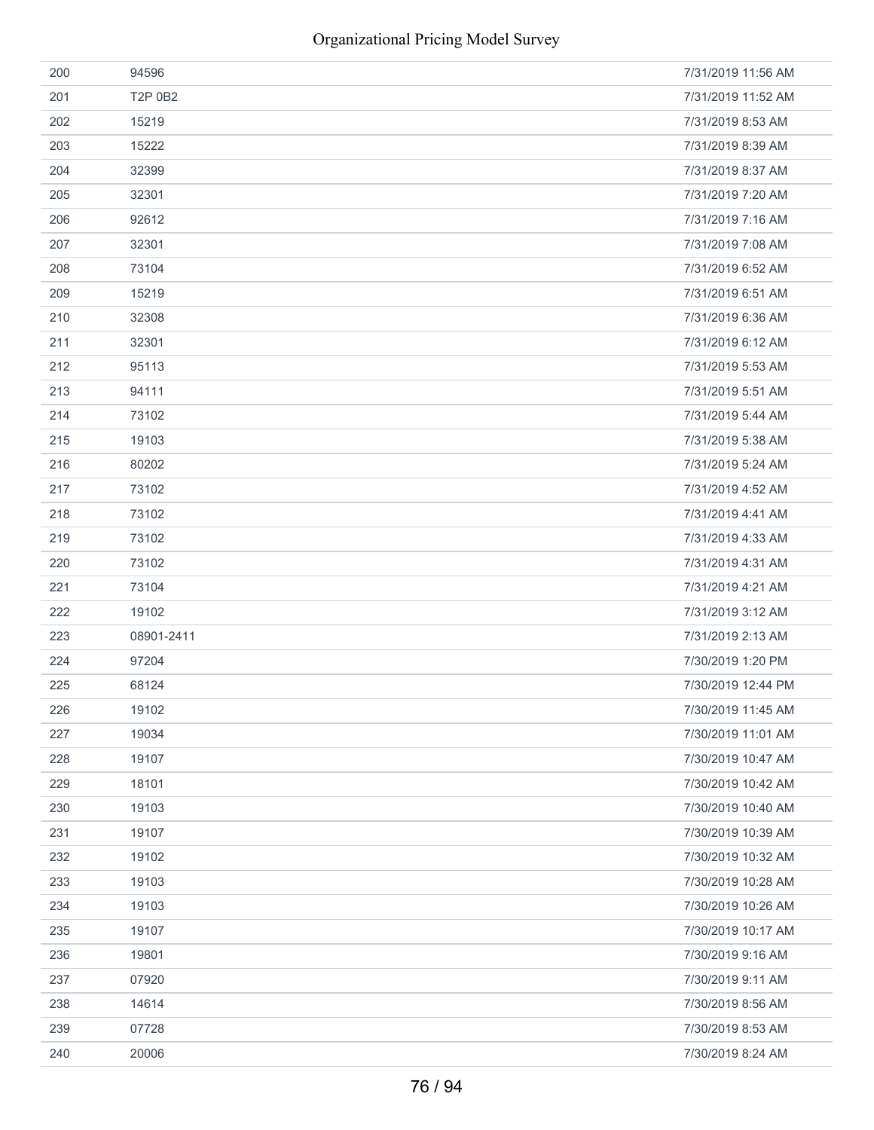| 200 | 94596      | 7/31/2019 11:56 AM |
|-----|------------|--------------------|
| 201 | T2P 0B2    | 7/31/2019 11:52 AM |
| 202 | 15219      | 7/31/2019 8:53 AM  |
| 203 | 15222      | 7/31/2019 8:39 AM  |
| 204 | 32399      | 7/31/2019 8:37 AM  |
| 205 | 32301      | 7/31/2019 7:20 AM  |
| 206 | 92612      | 7/31/2019 7:16 AM  |
| 207 | 32301      | 7/31/2019 7:08 AM  |
| 208 | 73104      | 7/31/2019 6:52 AM  |
| 209 | 15219      | 7/31/2019 6:51 AM  |
| 210 | 32308      | 7/31/2019 6:36 AM  |
| 211 | 32301      | 7/31/2019 6:12 AM  |
| 212 | 95113      | 7/31/2019 5:53 AM  |
| 213 | 94111      | 7/31/2019 5:51 AM  |
| 214 | 73102      | 7/31/2019 5:44 AM  |
| 215 | 19103      | 7/31/2019 5:38 AM  |
| 216 | 80202      | 7/31/2019 5:24 AM  |
| 217 | 73102      | 7/31/2019 4:52 AM  |
| 218 | 73102      | 7/31/2019 4:41 AM  |
| 219 | 73102      | 7/31/2019 4:33 AM  |
| 220 | 73102      | 7/31/2019 4:31 AM  |
| 221 | 73104      | 7/31/2019 4:21 AM  |
| 222 | 19102      | 7/31/2019 3:12 AM  |
| 223 | 08901-2411 | 7/31/2019 2:13 AM  |
| 224 | 97204      | 7/30/2019 1:20 PM  |
| 225 | 68124      | 7/30/2019 12:44 PM |
| 226 | 19102      | 7/30/2019 11:45 AM |
| 227 | 19034      | 7/30/2019 11:01 AM |
| 228 | 19107      | 7/30/2019 10:47 AM |
| 229 | 18101      | 7/30/2019 10:42 AM |
| 230 | 19103      | 7/30/2019 10:40 AM |
| 231 | 19107      | 7/30/2019 10:39 AM |
| 232 | 19102      | 7/30/2019 10:32 AM |
| 233 | 19103      | 7/30/2019 10:28 AM |
| 234 | 19103      | 7/30/2019 10:26 AM |
| 235 | 19107      | 7/30/2019 10:17 AM |
| 236 | 19801      | 7/30/2019 9:16 AM  |
| 237 | 07920      | 7/30/2019 9:11 AM  |
| 238 | 14614      | 7/30/2019 8:56 AM  |
| 239 | 07728      | 7/30/2019 8:53 AM  |
| 240 | 20006      | 7/30/2019 8:24 AM  |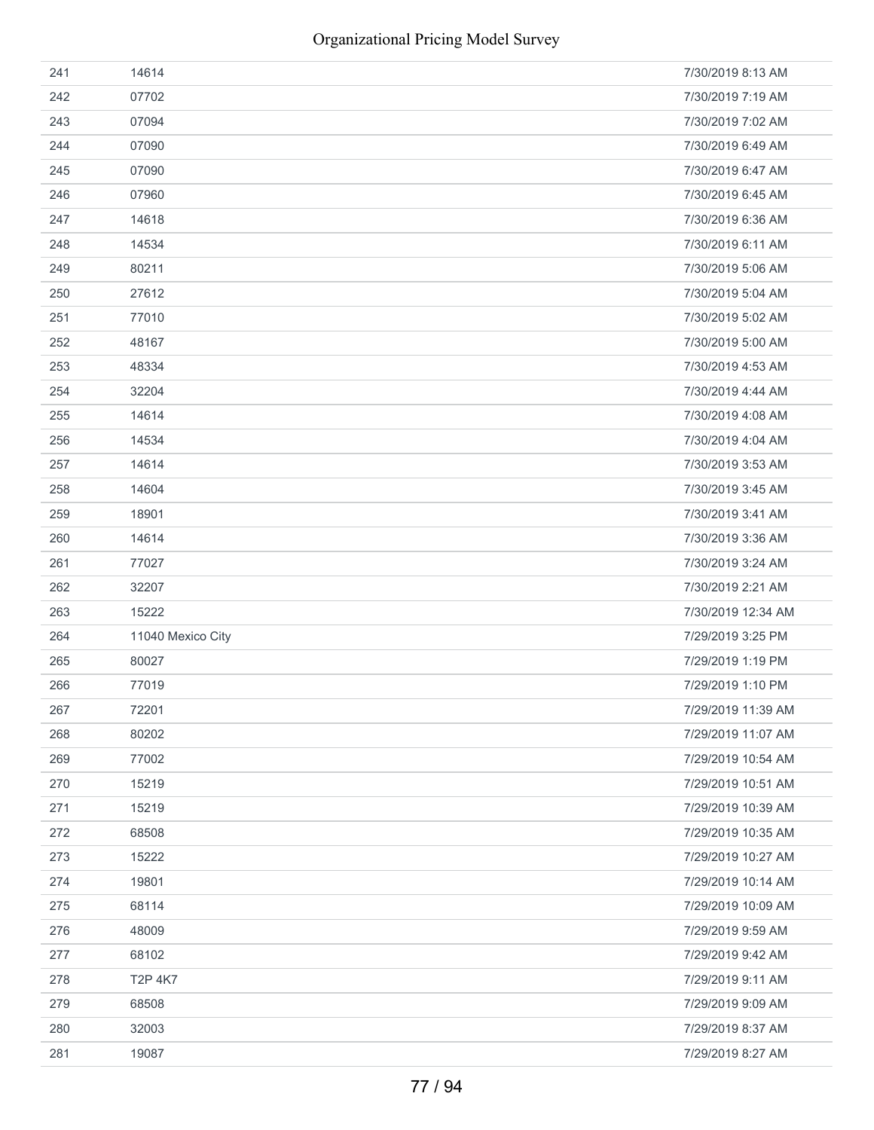| 241 | 14614                | 7/30/2019 8:13 AM  |
|-----|----------------------|--------------------|
| 242 | 07702                | 7/30/2019 7:19 AM  |
| 243 | 07094                | 7/30/2019 7:02 AM  |
| 244 | 07090                | 7/30/2019 6:49 AM  |
| 245 | 07090                | 7/30/2019 6:47 AM  |
| 246 | 07960                | 7/30/2019 6:45 AM  |
| 247 | 14618                | 7/30/2019 6:36 AM  |
| 248 | 14534                | 7/30/2019 6:11 AM  |
| 249 | 80211                | 7/30/2019 5:06 AM  |
| 250 | 27612                | 7/30/2019 5:04 AM  |
| 251 | 77010                | 7/30/2019 5:02 AM  |
| 252 | 48167                | 7/30/2019 5:00 AM  |
| 253 | 48334                | 7/30/2019 4:53 AM  |
| 254 | 32204                | 7/30/2019 4:44 AM  |
| 255 | 14614                | 7/30/2019 4:08 AM  |
| 256 | 14534                | 7/30/2019 4:04 AM  |
| 257 | 14614                | 7/30/2019 3:53 AM  |
| 258 | 14604                | 7/30/2019 3:45 AM  |
| 259 | 18901                | 7/30/2019 3:41 AM  |
| 260 | 14614                | 7/30/2019 3:36 AM  |
| 261 | 77027                | 7/30/2019 3:24 AM  |
| 262 | 32207                | 7/30/2019 2:21 AM  |
| 263 | 15222                | 7/30/2019 12:34 AM |
| 264 | 11040 Mexico City    | 7/29/2019 3:25 PM  |
| 265 | 80027                | 7/29/2019 1:19 PM  |
| 266 | 77019                | 7/29/2019 1:10 PM  |
| 267 | 72201                | 7/29/2019 11:39 AM |
| 268 | 80202                | 7/29/2019 11:07 AM |
| 269 | 77002                | 7/29/2019 10:54 AM |
| 270 | 15219                | 7/29/2019 10:51 AM |
| 271 | 15219                | 7/29/2019 10:39 AM |
| 272 | 68508                | 7/29/2019 10:35 AM |
| 273 | 15222                | 7/29/2019 10:27 AM |
| 274 | 19801                | 7/29/2019 10:14 AM |
| 275 |                      |                    |
|     | 68114                | 7/29/2019 10:09 AM |
| 276 | 48009                | 7/29/2019 9:59 AM  |
| 277 | 68102                | 7/29/2019 9:42 AM  |
| 278 | T <sub>2</sub> P 4K7 | 7/29/2019 9:11 AM  |
| 279 | 68508                | 7/29/2019 9:09 AM  |
| 280 | 32003                | 7/29/2019 8:37 AM  |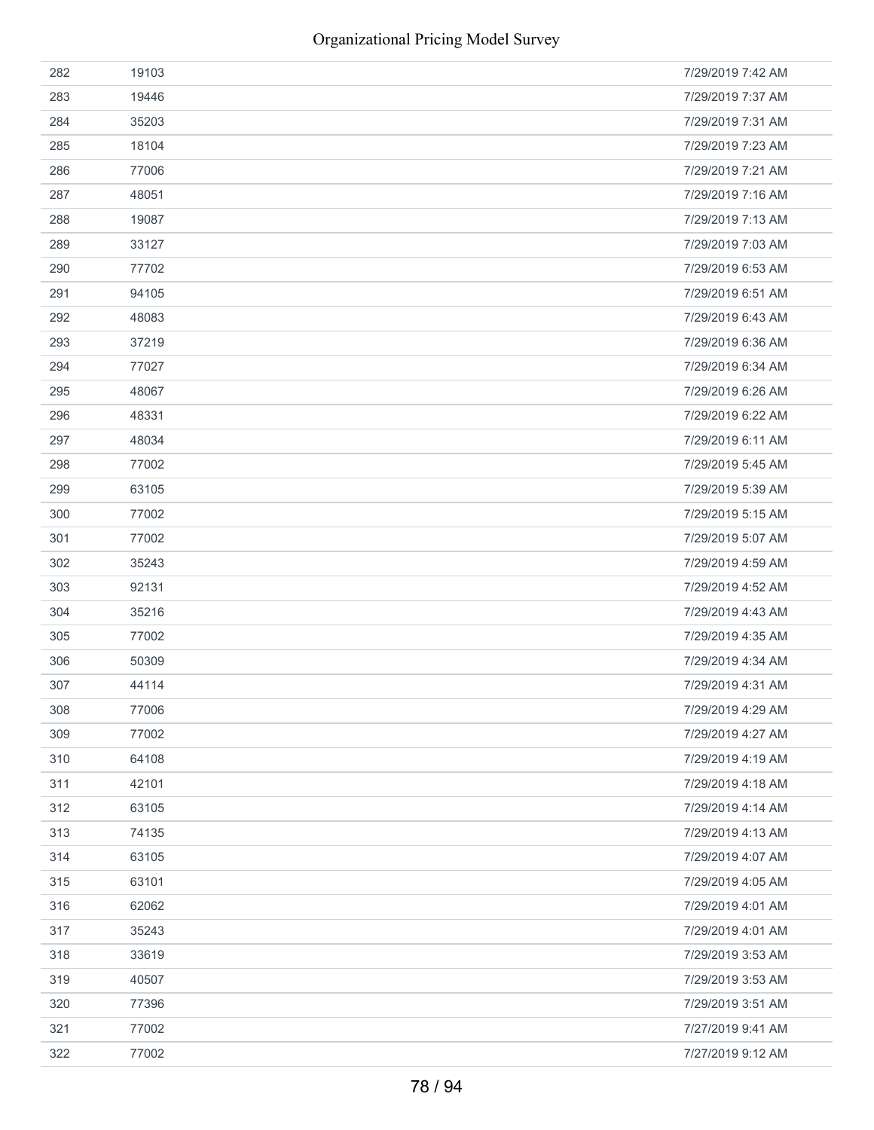| 282 | 19103 | 7/29/2019 7:42 AM |
|-----|-------|-------------------|
| 283 | 19446 | 7/29/2019 7:37 AM |
| 284 | 35203 | 7/29/2019 7:31 AM |
| 285 | 18104 | 7/29/2019 7:23 AM |
| 286 | 77006 | 7/29/2019 7:21 AM |
| 287 | 48051 | 7/29/2019 7:16 AM |
| 288 | 19087 | 7/29/2019 7:13 AM |
| 289 | 33127 | 7/29/2019 7:03 AM |
| 290 | 77702 | 7/29/2019 6:53 AM |
| 291 | 94105 | 7/29/2019 6:51 AM |
| 292 | 48083 | 7/29/2019 6:43 AM |
| 293 | 37219 | 7/29/2019 6:36 AM |
| 294 | 77027 | 7/29/2019 6:34 AM |
| 295 | 48067 | 7/29/2019 6:26 AM |
| 296 | 48331 | 7/29/2019 6:22 AM |
| 297 | 48034 | 7/29/2019 6:11 AM |
| 298 | 77002 | 7/29/2019 5:45 AM |
| 299 | 63105 | 7/29/2019 5:39 AM |
| 300 | 77002 | 7/29/2019 5:15 AM |
| 301 | 77002 | 7/29/2019 5:07 AM |
| 302 | 35243 | 7/29/2019 4:59 AM |
| 303 | 92131 | 7/29/2019 4:52 AM |
| 304 | 35216 | 7/29/2019 4:43 AM |
| 305 | 77002 | 7/29/2019 4:35 AM |
| 306 | 50309 | 7/29/2019 4:34 AM |
| 307 | 44114 | 7/29/2019 4:31 AM |
| 308 | 77006 | 7/29/2019 4:29 AM |
| 309 | 77002 | 7/29/2019 4:27 AM |
| 310 | 64108 | 7/29/2019 4:19 AM |
| 311 | 42101 | 7/29/2019 4:18 AM |
| 312 | 63105 | 7/29/2019 4:14 AM |
| 313 | 74135 | 7/29/2019 4:13 AM |
| 314 | 63105 | 7/29/2019 4:07 AM |
| 315 | 63101 | 7/29/2019 4:05 AM |
| 316 | 62062 | 7/29/2019 4:01 AM |
| 317 | 35243 | 7/29/2019 4:01 AM |
| 318 | 33619 | 7/29/2019 3:53 AM |
| 319 | 40507 | 7/29/2019 3:53 AM |
| 320 | 77396 | 7/29/2019 3:51 AM |
| 321 | 77002 | 7/27/2019 9:41 AM |
| 322 | 77002 | 7/27/2019 9:12 AM |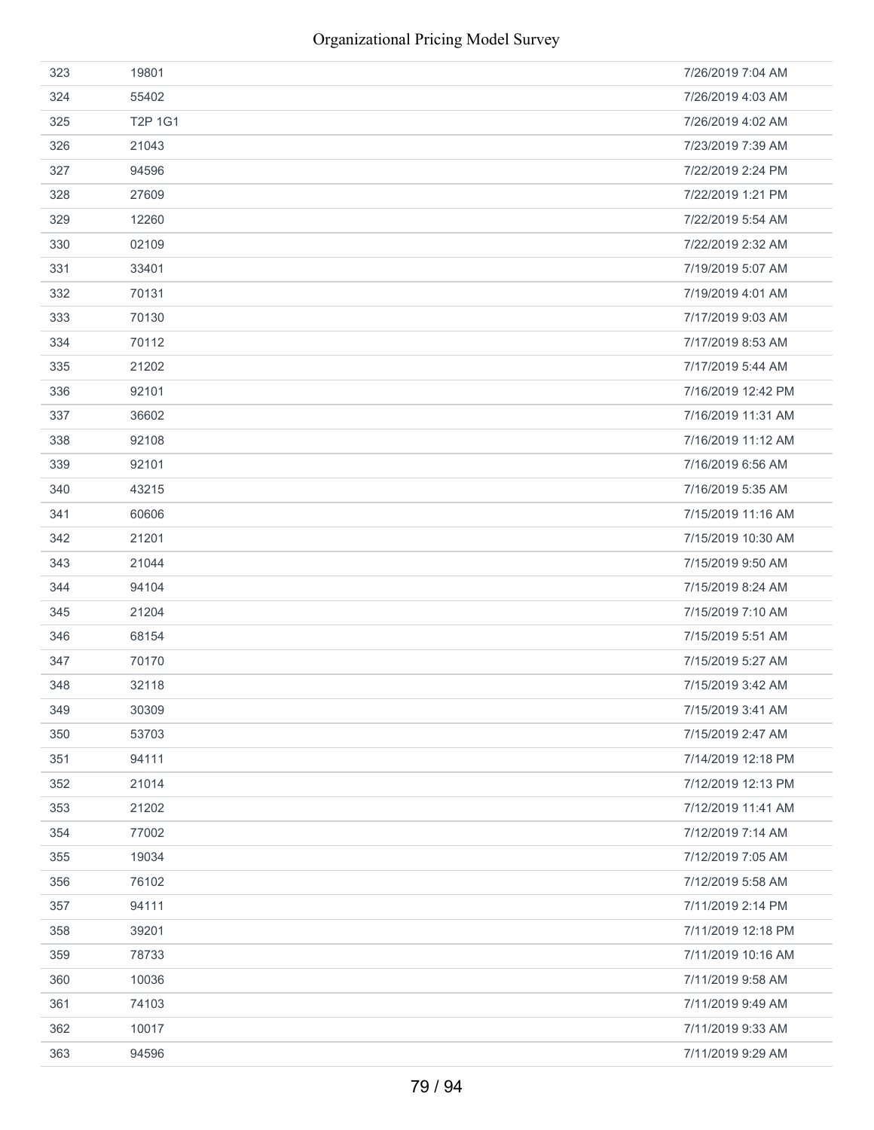| 323 | 19801   | 7/26/2019 7:04 AM  |
|-----|---------|--------------------|
| 324 | 55402   | 7/26/2019 4:03 AM  |
| 325 | T2P 1G1 | 7/26/2019 4:02 AM  |
| 326 | 21043   | 7/23/2019 7:39 AM  |
| 327 | 94596   | 7/22/2019 2:24 PM  |
| 328 | 27609   | 7/22/2019 1:21 PM  |
| 329 | 12260   | 7/22/2019 5:54 AM  |
| 330 | 02109   | 7/22/2019 2:32 AM  |
| 331 | 33401   | 7/19/2019 5:07 AM  |
| 332 | 70131   | 7/19/2019 4:01 AM  |
| 333 | 70130   | 7/17/2019 9:03 AM  |
| 334 | 70112   | 7/17/2019 8:53 AM  |
| 335 | 21202   | 7/17/2019 5:44 AM  |
| 336 | 92101   | 7/16/2019 12:42 PM |
| 337 | 36602   | 7/16/2019 11:31 AM |
| 338 | 92108   | 7/16/2019 11:12 AM |
| 339 | 92101   | 7/16/2019 6:56 AM  |
| 340 | 43215   | 7/16/2019 5:35 AM  |
| 341 | 60606   | 7/15/2019 11:16 AM |
| 342 | 21201   | 7/15/2019 10:30 AM |
| 343 | 21044   | 7/15/2019 9:50 AM  |
| 344 | 94104   | 7/15/2019 8:24 AM  |
| 345 | 21204   | 7/15/2019 7:10 AM  |
| 346 | 68154   | 7/15/2019 5:51 AM  |
| 347 | 70170   | 7/15/2019 5:27 AM  |
| 348 | 32118   | 7/15/2019 3:42 AM  |
| 349 | 30309   | 7/15/2019 3:41 AM  |
| 350 | 53703   | 7/15/2019 2:47 AM  |
| 351 | 94111   | 7/14/2019 12:18 PM |
| 352 | 21014   | 7/12/2019 12:13 PM |
| 353 | 21202   | 7/12/2019 11:41 AM |
| 354 | 77002   | 7/12/2019 7:14 AM  |
| 355 | 19034   | 7/12/2019 7:05 AM  |
| 356 | 76102   | 7/12/2019 5:58 AM  |
| 357 | 94111   | 7/11/2019 2:14 PM  |
| 358 | 39201   | 7/11/2019 12:18 PM |
| 359 | 78733   | 7/11/2019 10:16 AM |
| 360 | 10036   | 7/11/2019 9:58 AM  |
| 361 | 74103   | 7/11/2019 9:49 AM  |
| 362 | 10017   | 7/11/2019 9:33 AM  |
| 363 | 94596   | 7/11/2019 9:29 AM  |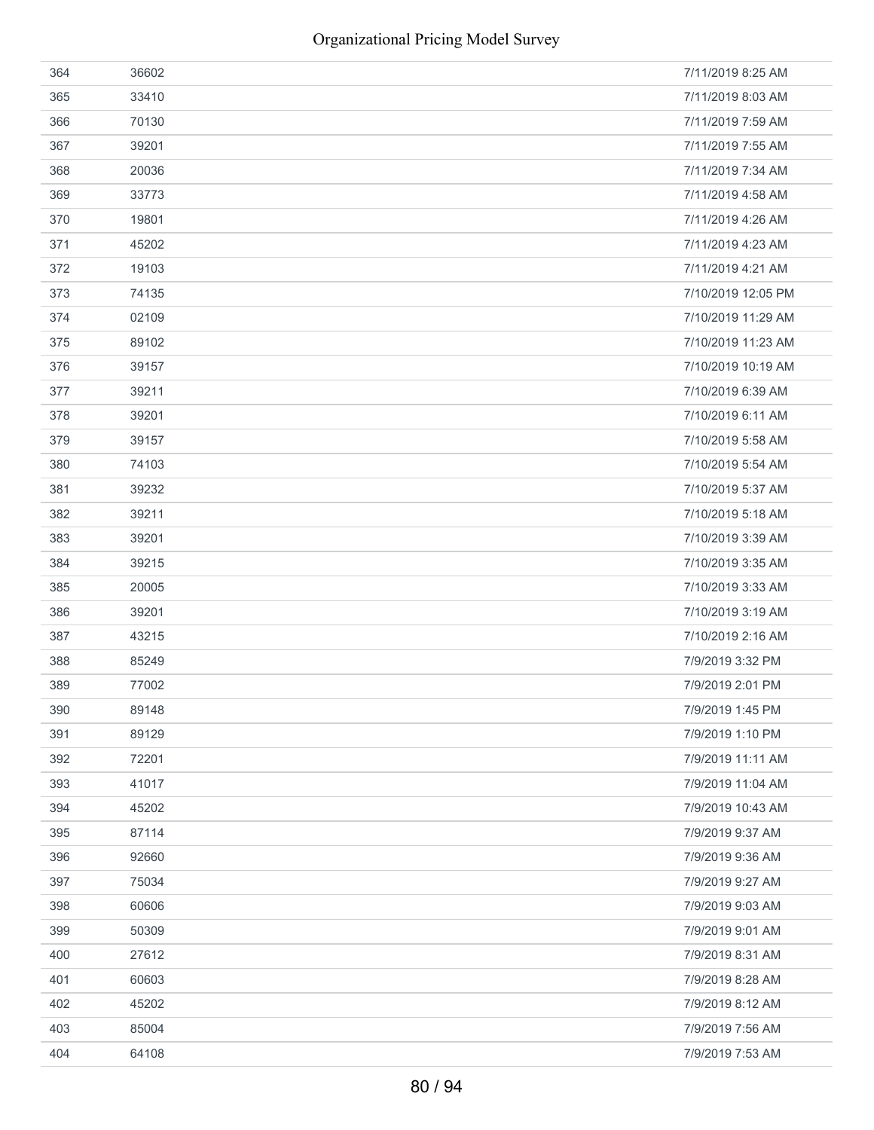| 364 | 36602 | 7/11/2019 8:25 AM  |
|-----|-------|--------------------|
| 365 | 33410 | 7/11/2019 8:03 AM  |
| 366 | 70130 | 7/11/2019 7:59 AM  |
| 367 | 39201 | 7/11/2019 7:55 AM  |
| 368 | 20036 | 7/11/2019 7:34 AM  |
| 369 | 33773 | 7/11/2019 4:58 AM  |
| 370 | 19801 | 7/11/2019 4:26 AM  |
| 371 | 45202 | 7/11/2019 4:23 AM  |
| 372 | 19103 | 7/11/2019 4:21 AM  |
| 373 | 74135 | 7/10/2019 12:05 PM |
| 374 | 02109 | 7/10/2019 11:29 AM |
| 375 | 89102 | 7/10/2019 11:23 AM |
| 376 | 39157 | 7/10/2019 10:19 AM |
| 377 | 39211 | 7/10/2019 6:39 AM  |
| 378 | 39201 | 7/10/2019 6:11 AM  |
| 379 | 39157 | 7/10/2019 5:58 AM  |
| 380 | 74103 | 7/10/2019 5:54 AM  |
| 381 | 39232 | 7/10/2019 5:37 AM  |
| 382 | 39211 | 7/10/2019 5:18 AM  |
| 383 | 39201 | 7/10/2019 3:39 AM  |
| 384 | 39215 | 7/10/2019 3:35 AM  |
| 385 | 20005 | 7/10/2019 3:33 AM  |
| 386 | 39201 | 7/10/2019 3:19 AM  |
| 387 | 43215 | 7/10/2019 2:16 AM  |
| 388 | 85249 | 7/9/2019 3:32 PM   |
| 389 | 77002 | 7/9/2019 2:01 PM   |
| 390 | 89148 | 7/9/2019 1:45 PM   |
| 391 | 89129 | 7/9/2019 1:10 PM   |
| 392 | 72201 | 7/9/2019 11:11 AM  |
| 393 | 41017 | 7/9/2019 11:04 AM  |
| 394 | 45202 | 7/9/2019 10:43 AM  |
| 395 | 87114 | 7/9/2019 9:37 AM   |
| 396 | 92660 | 7/9/2019 9:36 AM   |
| 397 | 75034 | 7/9/2019 9:27 AM   |
| 398 | 60606 | 7/9/2019 9:03 AM   |
| 399 | 50309 | 7/9/2019 9:01 AM   |
| 400 | 27612 | 7/9/2019 8:31 AM   |
| 401 | 60603 | 7/9/2019 8:28 AM   |
| 402 | 45202 | 7/9/2019 8:12 AM   |
| 403 | 85004 | 7/9/2019 7:56 AM   |
| 404 | 64108 | 7/9/2019 7:53 AM   |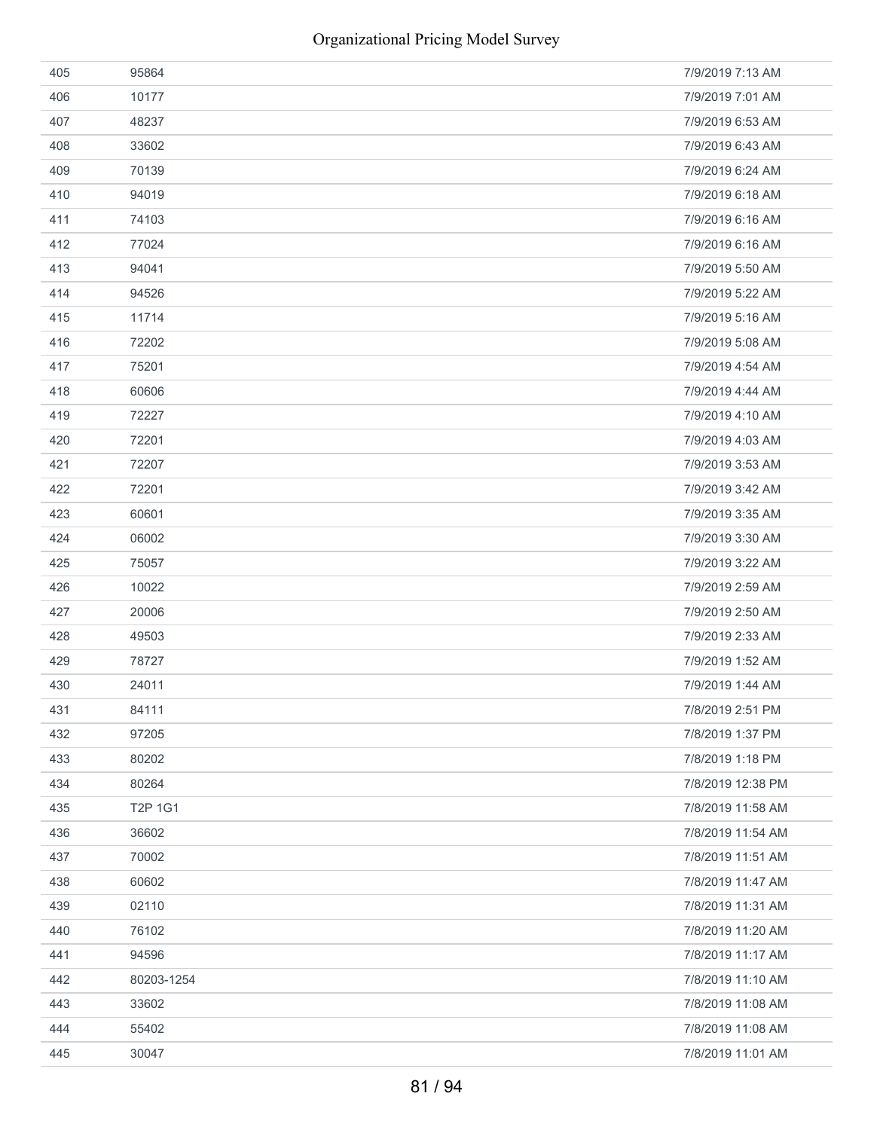| 405 | 95864      | 7/9/2019 7:13 AM  |
|-----|------------|-------------------|
| 406 | 10177      | 7/9/2019 7:01 AM  |
| 407 | 48237      | 7/9/2019 6:53 AM  |
| 408 | 33602      | 7/9/2019 6:43 AM  |
| 409 | 70139      | 7/9/2019 6:24 AM  |
| 410 | 94019      | 7/9/2019 6:18 AM  |
| 411 | 74103      | 7/9/2019 6:16 AM  |
| 412 | 77024      | 7/9/2019 6:16 AM  |
| 413 | 94041      | 7/9/2019 5:50 AM  |
| 414 | 94526      | 7/9/2019 5:22 AM  |
| 415 | 11714      | 7/9/2019 5:16 AM  |
| 416 | 72202      | 7/9/2019 5:08 AM  |
| 417 | 75201      | 7/9/2019 4:54 AM  |
| 418 | 60606      | 7/9/2019 4:44 AM  |
| 419 | 72227      | 7/9/2019 4:10 AM  |
| 420 | 72201      | 7/9/2019 4:03 AM  |
| 421 | 72207      | 7/9/2019 3:53 AM  |
| 422 | 72201      | 7/9/2019 3:42 AM  |
| 423 | 60601      | 7/9/2019 3:35 AM  |
| 424 | 06002      | 7/9/2019 3:30 AM  |
| 425 | 75057      | 7/9/2019 3:22 AM  |
| 426 | 10022      | 7/9/2019 2:59 AM  |
| 427 | 20006      | 7/9/2019 2:50 AM  |
| 428 | 49503      | 7/9/2019 2:33 AM  |
| 429 | 78727      | 7/9/2019 1:52 AM  |
| 430 | 24011      | 7/9/2019 1:44 AM  |
| 431 | 84111      | 7/8/2019 2:51 PM  |
| 432 | 97205      | 7/8/2019 1:37 PM  |
| 433 | 80202      | 7/8/2019 1:18 PM  |
| 434 | 80264      | 7/8/2019 12:38 PM |
| 435 | T2P 1G1    | 7/8/2019 11:58 AM |
| 436 | 36602      | 7/8/2019 11:54 AM |
| 437 | 70002      | 7/8/2019 11:51 AM |
| 438 | 60602      | 7/8/2019 11:47 AM |
| 439 | 02110      | 7/8/2019 11:31 AM |
| 440 | 76102      | 7/8/2019 11:20 AM |
| 441 | 94596      | 7/8/2019 11:17 AM |
| 442 | 80203-1254 | 7/8/2019 11:10 AM |
| 443 | 33602      | 7/8/2019 11:08 AM |
| 444 | 55402      | 7/8/2019 11:08 AM |
| 445 | 30047      | 7/8/2019 11:01 AM |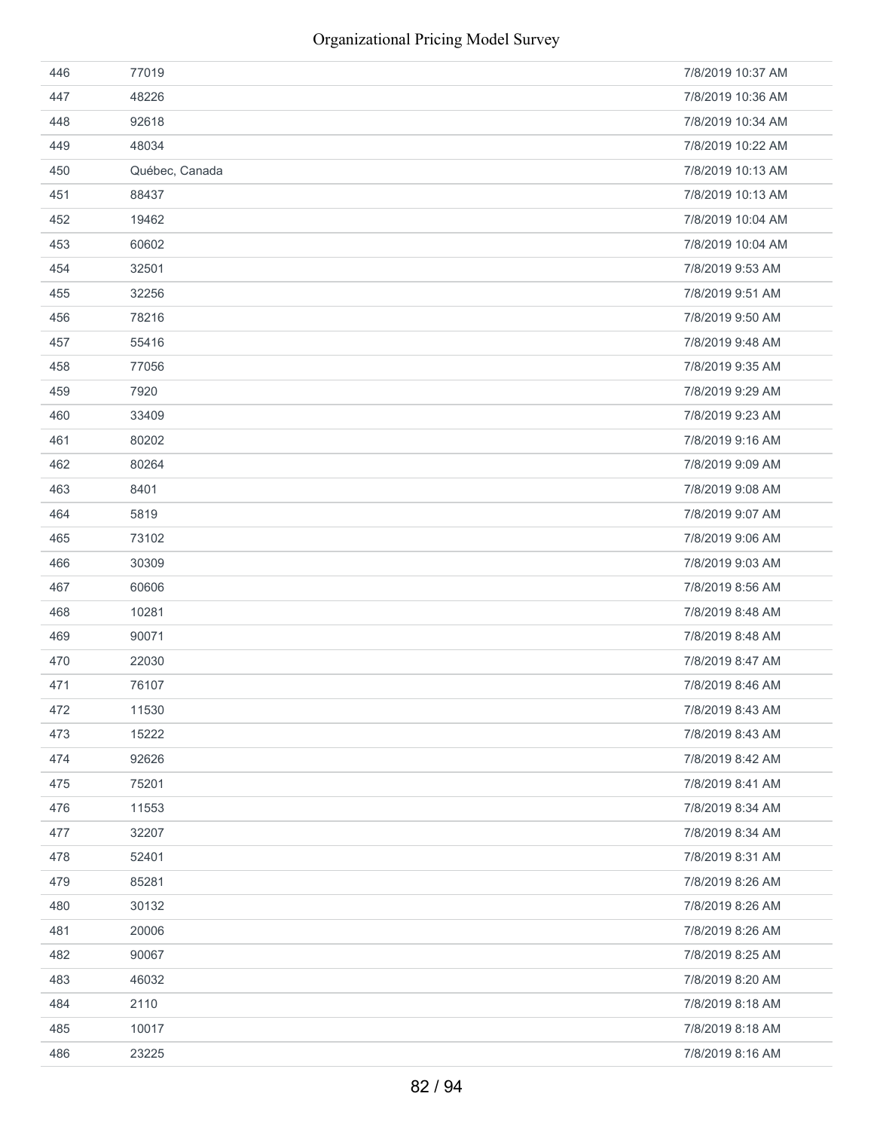| 446 | 77019          | 7/8/2019 10:37 AM |
|-----|----------------|-------------------|
| 447 | 48226          | 7/8/2019 10:36 AM |
| 448 | 92618          | 7/8/2019 10:34 AM |
| 449 | 48034          | 7/8/2019 10:22 AM |
| 450 | Québec, Canada | 7/8/2019 10:13 AM |
| 451 | 88437          | 7/8/2019 10:13 AM |
| 452 | 19462          | 7/8/2019 10:04 AM |
| 453 | 60602          | 7/8/2019 10:04 AM |
| 454 | 32501          | 7/8/2019 9:53 AM  |
| 455 | 32256          | 7/8/2019 9:51 AM  |
| 456 | 78216          | 7/8/2019 9:50 AM  |
| 457 | 55416          | 7/8/2019 9:48 AM  |
| 458 | 77056          | 7/8/2019 9:35 AM  |
| 459 | 7920           | 7/8/2019 9:29 AM  |
| 460 | 33409          | 7/8/2019 9:23 AM  |
| 461 | 80202          | 7/8/2019 9:16 AM  |
| 462 | 80264          | 7/8/2019 9:09 AM  |
| 463 | 8401           | 7/8/2019 9:08 AM  |
| 464 | 5819           | 7/8/2019 9:07 AM  |
| 465 | 73102          | 7/8/2019 9:06 AM  |
| 466 | 30309          | 7/8/2019 9:03 AM  |
| 467 | 60606          | 7/8/2019 8:56 AM  |
| 468 | 10281          | 7/8/2019 8:48 AM  |
| 469 | 90071          | 7/8/2019 8:48 AM  |
| 470 | 22030          | 7/8/2019 8:47 AM  |
| 471 | 76107          | 7/8/2019 8:46 AM  |
| 472 | 11530          | 7/8/2019 8:43 AM  |
| 473 | 15222          | 7/8/2019 8:43 AM  |
| 474 | 92626          | 7/8/2019 8:42 AM  |
| 475 | 75201          | 7/8/2019 8:41 AM  |
| 476 | 11553          | 7/8/2019 8:34 AM  |
| 477 | 32207          | 7/8/2019 8:34 AM  |
| 478 | 52401          | 7/8/2019 8:31 AM  |
| 479 | 85281          | 7/8/2019 8:26 AM  |
| 480 | 30132          | 7/8/2019 8:26 AM  |
| 481 | 20006          | 7/8/2019 8:26 AM  |
| 482 | 90067          | 7/8/2019 8:25 AM  |
| 483 | 46032          | 7/8/2019 8:20 AM  |
| 484 | 2110           | 7/8/2019 8:18 AM  |
| 485 | 10017          | 7/8/2019 8:18 AM  |
| 486 | 23225          | 7/8/2019 8:16 AM  |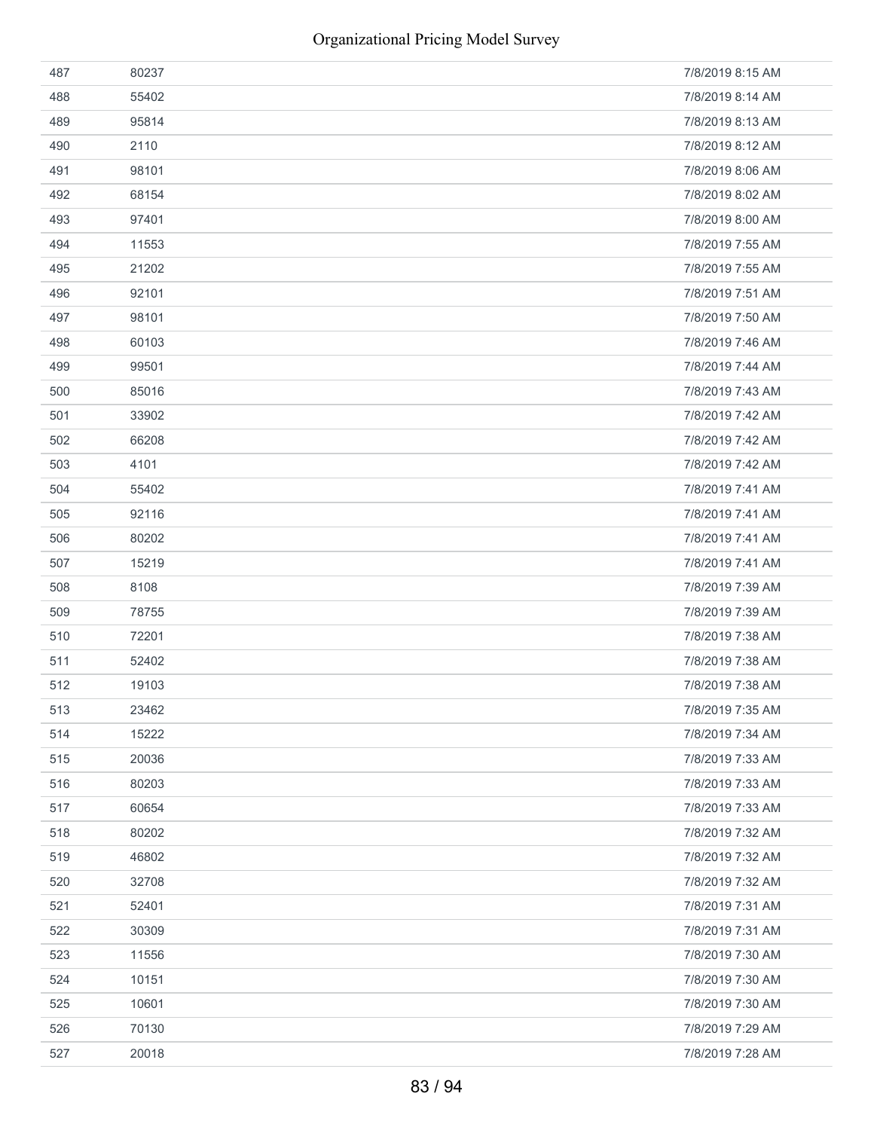| 487 | 80237 | 7/8/2019 8:15 AM |
|-----|-------|------------------|
| 488 | 55402 | 7/8/2019 8:14 AM |
| 489 | 95814 | 7/8/2019 8:13 AM |
| 490 | 2110  | 7/8/2019 8:12 AM |
| 491 | 98101 | 7/8/2019 8:06 AM |
| 492 | 68154 | 7/8/2019 8:02 AM |
| 493 | 97401 | 7/8/2019 8:00 AM |
| 494 | 11553 | 7/8/2019 7:55 AM |
| 495 | 21202 | 7/8/2019 7:55 AM |
| 496 | 92101 | 7/8/2019 7:51 AM |
| 497 | 98101 | 7/8/2019 7:50 AM |
| 498 | 60103 | 7/8/2019 7:46 AM |
| 499 | 99501 | 7/8/2019 7:44 AM |
| 500 | 85016 | 7/8/2019 7:43 AM |
| 501 | 33902 | 7/8/2019 7:42 AM |
| 502 | 66208 | 7/8/2019 7:42 AM |
| 503 | 4101  | 7/8/2019 7:42 AM |
| 504 | 55402 | 7/8/2019 7:41 AM |
| 505 | 92116 | 7/8/2019 7:41 AM |
| 506 | 80202 | 7/8/2019 7:41 AM |
| 507 | 15219 | 7/8/2019 7:41 AM |
| 508 | 8108  | 7/8/2019 7:39 AM |
| 509 | 78755 | 7/8/2019 7:39 AM |
| 510 | 72201 | 7/8/2019 7:38 AM |
| 511 | 52402 | 7/8/2019 7:38 AM |
| 512 | 19103 | 7/8/2019 7:38 AM |
| 513 | 23462 | 7/8/2019 7:35 AM |
| 514 | 15222 | 7/8/2019 7:34 AM |
| 515 | 20036 | 7/8/2019 7:33 AM |
| 516 | 80203 | 7/8/2019 7:33 AM |
| 517 | 60654 | 7/8/2019 7:33 AM |
| 518 | 80202 | 7/8/2019 7:32 AM |
| 519 | 46802 | 7/8/2019 7:32 AM |
| 520 | 32708 | 7/8/2019 7:32 AM |
| 521 | 52401 | 7/8/2019 7:31 AM |
| 522 | 30309 | 7/8/2019 7:31 AM |
| 523 | 11556 | 7/8/2019 7:30 AM |
| 524 | 10151 | 7/8/2019 7:30 AM |
| 525 | 10601 | 7/8/2019 7:30 AM |
| 526 | 70130 | 7/8/2019 7:29 AM |
| 527 | 20018 | 7/8/2019 7:28 AM |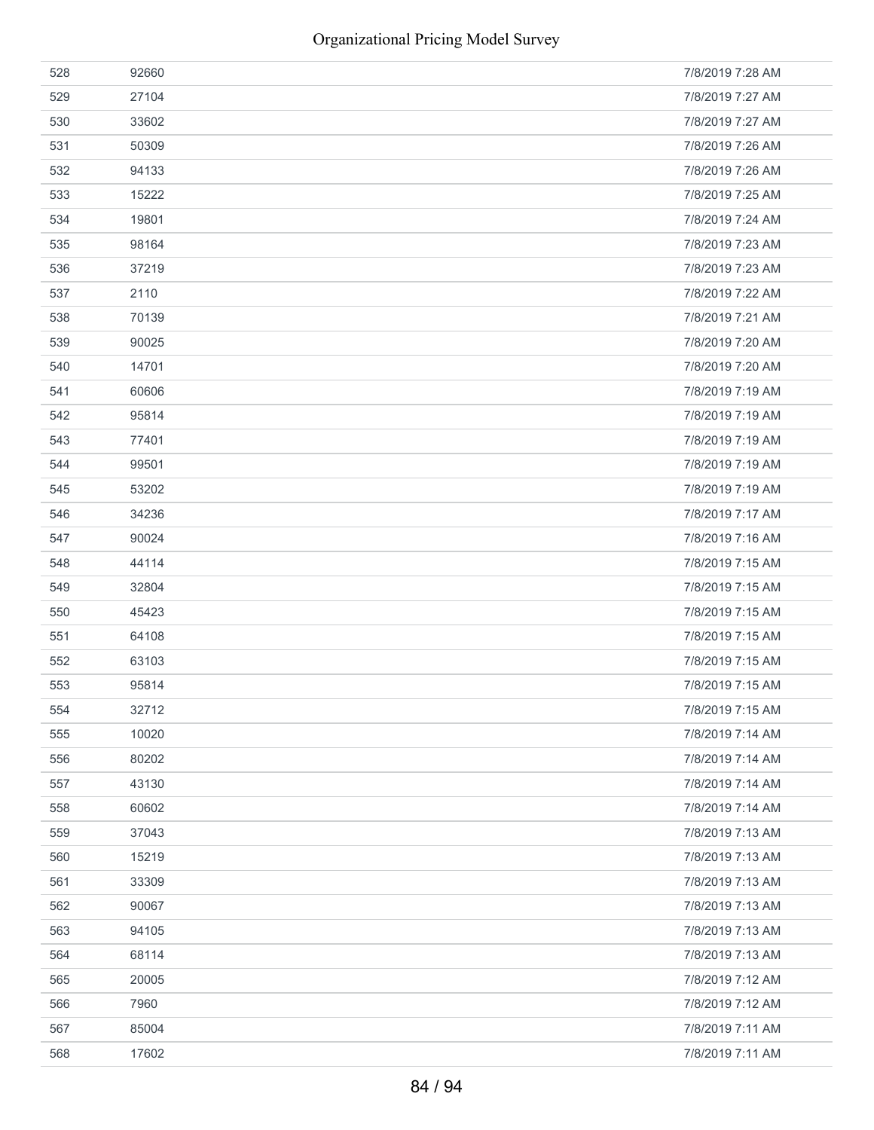| 528 | 92660 | 7/8/2019 7:28 AM |
|-----|-------|------------------|
| 529 | 27104 | 7/8/2019 7:27 AM |
| 530 | 33602 | 7/8/2019 7:27 AM |
| 531 | 50309 | 7/8/2019 7:26 AM |
| 532 | 94133 | 7/8/2019 7:26 AM |
| 533 | 15222 | 7/8/2019 7:25 AM |
| 534 | 19801 | 7/8/2019 7:24 AM |
| 535 | 98164 | 7/8/2019 7:23 AM |
| 536 | 37219 | 7/8/2019 7:23 AM |
| 537 | 2110  | 7/8/2019 7:22 AM |
| 538 | 70139 | 7/8/2019 7:21 AM |
| 539 | 90025 | 7/8/2019 7:20 AM |
| 540 | 14701 | 7/8/2019 7:20 AM |
| 541 | 60606 | 7/8/2019 7:19 AM |
| 542 | 95814 | 7/8/2019 7:19 AM |
| 543 | 77401 | 7/8/2019 7:19 AM |
| 544 | 99501 | 7/8/2019 7:19 AM |
| 545 | 53202 | 7/8/2019 7:19 AM |
| 546 | 34236 | 7/8/2019 7:17 AM |
| 547 | 90024 | 7/8/2019 7:16 AM |
| 548 | 44114 | 7/8/2019 7:15 AM |
| 549 | 32804 | 7/8/2019 7:15 AM |
| 550 | 45423 | 7/8/2019 7:15 AM |
| 551 | 64108 | 7/8/2019 7:15 AM |
| 552 | 63103 | 7/8/2019 7:15 AM |
| 553 | 95814 | 7/8/2019 7:15 AM |
| 554 | 32712 | 7/8/2019 7:15 AM |
| 555 | 10020 | 7/8/2019 7:14 AM |
| 556 | 80202 | 7/8/2019 7:14 AM |
| 557 | 43130 | 7/8/2019 7:14 AM |
| 558 | 60602 | 7/8/2019 7:14 AM |
| 559 | 37043 | 7/8/2019 7:13 AM |
| 560 | 15219 | 7/8/2019 7:13 AM |
| 561 | 33309 | 7/8/2019 7:13 AM |
| 562 | 90067 | 7/8/2019 7:13 AM |
| 563 | 94105 | 7/8/2019 7:13 AM |
| 564 | 68114 | 7/8/2019 7:13 AM |
| 565 | 20005 | 7/8/2019 7:12 AM |
| 566 | 7960  | 7/8/2019 7:12 AM |
| 567 | 85004 | 7/8/2019 7:11 AM |
| 568 | 17602 | 7/8/2019 7:11 AM |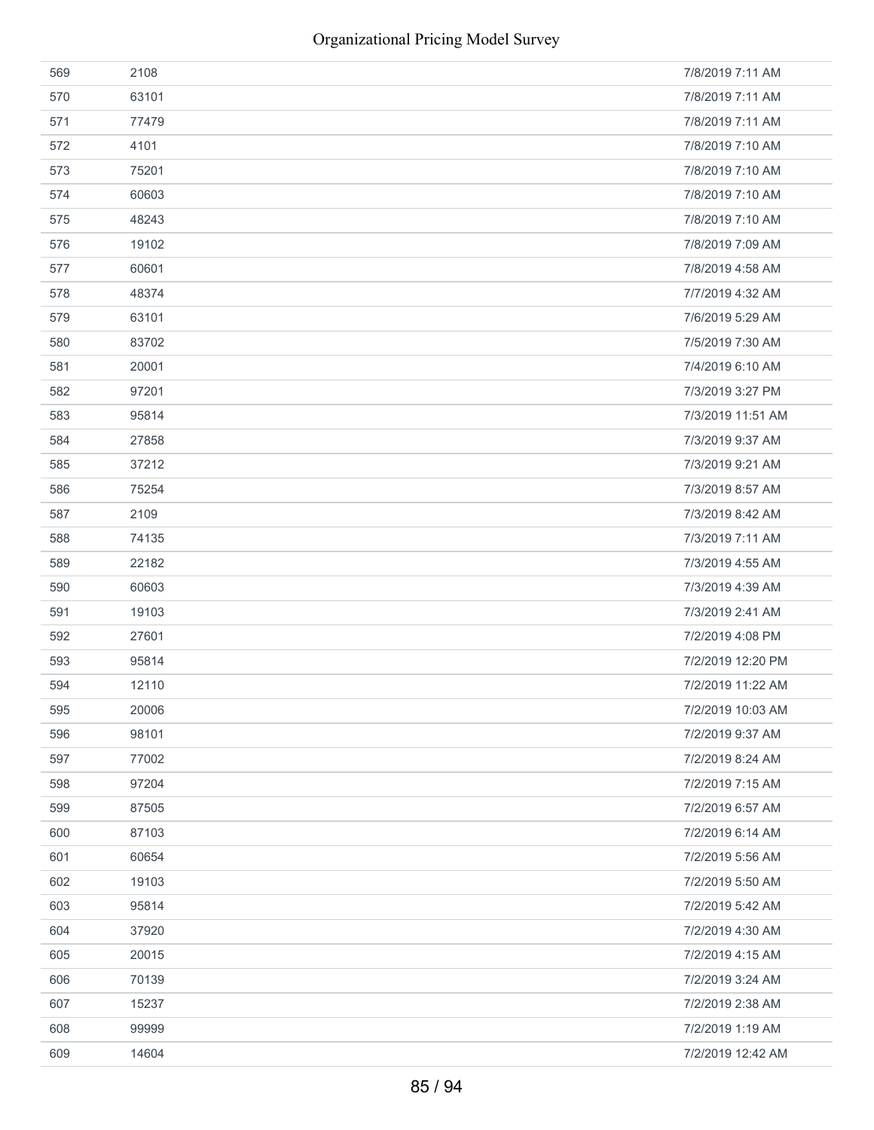| 569 | 2108  | 7/8/2019 7:11 AM  |
|-----|-------|-------------------|
| 570 | 63101 | 7/8/2019 7:11 AM  |
| 571 | 77479 | 7/8/2019 7:11 AM  |
| 572 | 4101  | 7/8/2019 7:10 AM  |
| 573 | 75201 | 7/8/2019 7:10 AM  |
| 574 | 60603 | 7/8/2019 7:10 AM  |
| 575 | 48243 | 7/8/2019 7:10 AM  |
| 576 | 19102 | 7/8/2019 7:09 AM  |
| 577 | 60601 | 7/8/2019 4:58 AM  |
| 578 | 48374 | 7/7/2019 4:32 AM  |
| 579 | 63101 | 7/6/2019 5:29 AM  |
| 580 | 83702 | 7/5/2019 7:30 AM  |
| 581 | 20001 | 7/4/2019 6:10 AM  |
| 582 | 97201 | 7/3/2019 3:27 PM  |
| 583 | 95814 | 7/3/2019 11:51 AM |
| 584 | 27858 | 7/3/2019 9:37 AM  |
| 585 | 37212 | 7/3/2019 9:21 AM  |
| 586 | 75254 | 7/3/2019 8:57 AM  |
| 587 | 2109  | 7/3/2019 8:42 AM  |
| 588 | 74135 | 7/3/2019 7:11 AM  |
| 589 | 22182 | 7/3/2019 4:55 AM  |
| 590 | 60603 | 7/3/2019 4:39 AM  |
| 591 | 19103 | 7/3/2019 2:41 AM  |
| 592 | 27601 | 7/2/2019 4:08 PM  |
| 593 | 95814 | 7/2/2019 12:20 PM |
| 594 | 12110 | 7/2/2019 11:22 AM |
| 595 | 20006 | 7/2/2019 10:03 AM |
| 596 | 98101 | 7/2/2019 9:37 AM  |
| 597 | 77002 | 7/2/2019 8:24 AM  |
| 598 | 97204 | 7/2/2019 7:15 AM  |
| 599 | 87505 | 7/2/2019 6:57 AM  |
| 600 | 87103 | 7/2/2019 6:14 AM  |
| 601 | 60654 | 7/2/2019 5:56 AM  |
| 602 | 19103 | 7/2/2019 5:50 AM  |
| 603 | 95814 | 7/2/2019 5:42 AM  |
| 604 | 37920 | 7/2/2019 4:30 AM  |
| 605 | 20015 | 7/2/2019 4:15 AM  |
| 606 | 70139 | 7/2/2019 3:24 AM  |
| 607 | 15237 | 7/2/2019 2:38 AM  |
| 608 | 99999 | 7/2/2019 1:19 AM  |
| 609 | 14604 | 7/2/2019 12:42 AM |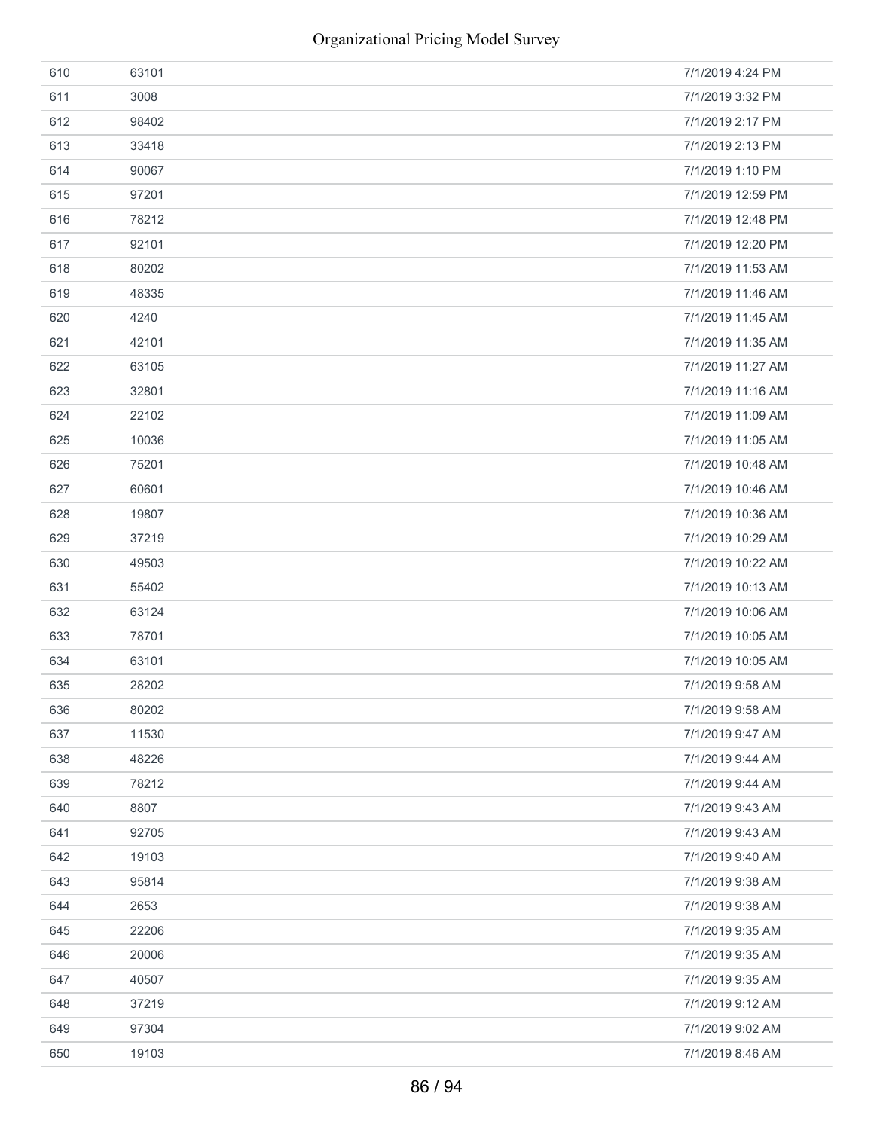| 610 | 63101 | 7/1/2019 4:24 PM  |
|-----|-------|-------------------|
| 611 | 3008  | 7/1/2019 3:32 PM  |
| 612 | 98402 | 7/1/2019 2:17 PM  |
| 613 | 33418 | 7/1/2019 2:13 PM  |
| 614 | 90067 | 7/1/2019 1:10 PM  |
| 615 | 97201 | 7/1/2019 12:59 PM |
| 616 | 78212 | 7/1/2019 12:48 PM |
| 617 | 92101 | 7/1/2019 12:20 PM |
| 618 | 80202 | 7/1/2019 11:53 AM |
| 619 | 48335 | 7/1/2019 11:46 AM |
| 620 | 4240  | 7/1/2019 11:45 AM |
| 621 | 42101 | 7/1/2019 11:35 AM |
| 622 | 63105 | 7/1/2019 11:27 AM |
| 623 | 32801 | 7/1/2019 11:16 AM |
| 624 | 22102 | 7/1/2019 11:09 AM |
| 625 | 10036 | 7/1/2019 11:05 AM |
| 626 | 75201 | 7/1/2019 10:48 AM |
| 627 | 60601 | 7/1/2019 10:46 AM |
| 628 | 19807 | 7/1/2019 10:36 AM |
| 629 | 37219 | 7/1/2019 10:29 AM |
| 630 | 49503 | 7/1/2019 10:22 AM |
| 631 | 55402 | 7/1/2019 10:13 AM |
| 632 | 63124 | 7/1/2019 10:06 AM |
| 633 | 78701 | 7/1/2019 10:05 AM |
| 634 | 63101 | 7/1/2019 10:05 AM |
| 635 | 28202 | 7/1/2019 9:58 AM  |
| 636 | 80202 | 7/1/2019 9:58 AM  |
| 637 | 11530 | 7/1/2019 9:47 AM  |
| 638 | 48226 | 7/1/2019 9:44 AM  |
| 639 | 78212 | 7/1/2019 9:44 AM  |
| 640 | 8807  | 7/1/2019 9:43 AM  |
| 641 | 92705 | 7/1/2019 9:43 AM  |
| 642 | 19103 | 7/1/2019 9:40 AM  |
| 643 | 95814 | 7/1/2019 9:38 AM  |
| 644 | 2653  | 7/1/2019 9:38 AM  |
| 645 | 22206 | 7/1/2019 9:35 AM  |
| 646 | 20006 | 7/1/2019 9:35 AM  |
| 647 | 40507 | 7/1/2019 9:35 AM  |
| 648 | 37219 | 7/1/2019 9:12 AM  |
| 649 | 97304 | 7/1/2019 9:02 AM  |
| 650 | 19103 | 7/1/2019 8:46 AM  |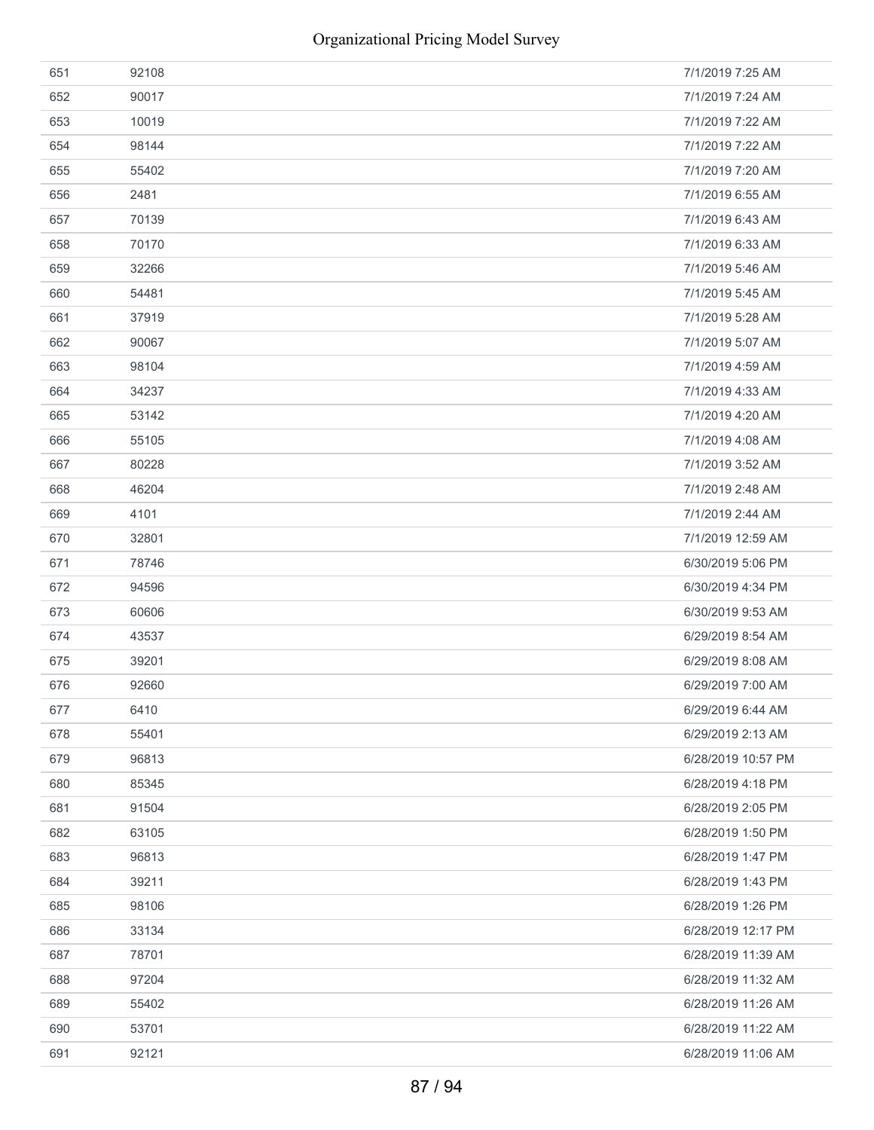| 651 | 92108 | 7/1/2019 7:25 AM   |
|-----|-------|--------------------|
| 652 | 90017 | 7/1/2019 7:24 AM   |
| 653 | 10019 | 7/1/2019 7:22 AM   |
| 654 | 98144 | 7/1/2019 7:22 AM   |
| 655 | 55402 | 7/1/2019 7:20 AM   |
| 656 | 2481  | 7/1/2019 6:55 AM   |
| 657 | 70139 | 7/1/2019 6:43 AM   |
| 658 | 70170 | 7/1/2019 6:33 AM   |
| 659 | 32266 | 7/1/2019 5:46 AM   |
| 660 | 54481 | 7/1/2019 5:45 AM   |
| 661 | 37919 | 7/1/2019 5:28 AM   |
| 662 | 90067 | 7/1/2019 5:07 AM   |
| 663 | 98104 | 7/1/2019 4:59 AM   |
| 664 | 34237 | 7/1/2019 4:33 AM   |
| 665 | 53142 | 7/1/2019 4:20 AM   |
| 666 | 55105 | 7/1/2019 4:08 AM   |
| 667 | 80228 | 7/1/2019 3:52 AM   |
| 668 | 46204 | 7/1/2019 2:48 AM   |
| 669 | 4101  | 7/1/2019 2:44 AM   |
| 670 | 32801 | 7/1/2019 12:59 AM  |
| 671 | 78746 | 6/30/2019 5:06 PM  |
| 672 | 94596 | 6/30/2019 4:34 PM  |
| 673 | 60606 | 6/30/2019 9:53 AM  |
| 674 | 43537 | 6/29/2019 8:54 AM  |
| 675 | 39201 | 6/29/2019 8:08 AM  |
| 676 | 92660 | 6/29/2019 7:00 AM  |
| 677 | 6410  | 6/29/2019 6:44 AM  |
| 678 | 55401 | 6/29/2019 2:13 AM  |
| 679 | 96813 | 6/28/2019 10:57 PM |
| 680 | 85345 | 6/28/2019 4:18 PM  |
| 681 | 91504 | 6/28/2019 2:05 PM  |
| 682 | 63105 | 6/28/2019 1:50 PM  |
| 683 | 96813 | 6/28/2019 1:47 PM  |
| 684 | 39211 | 6/28/2019 1:43 PM  |
| 685 | 98106 | 6/28/2019 1:26 PM  |
| 686 | 33134 | 6/28/2019 12:17 PM |
| 687 | 78701 | 6/28/2019 11:39 AM |
| 688 | 97204 | 6/28/2019 11:32 AM |
| 689 | 55402 | 6/28/2019 11:26 AM |
| 690 | 53701 | 6/28/2019 11:22 AM |
| 691 | 92121 | 6/28/2019 11:06 AM |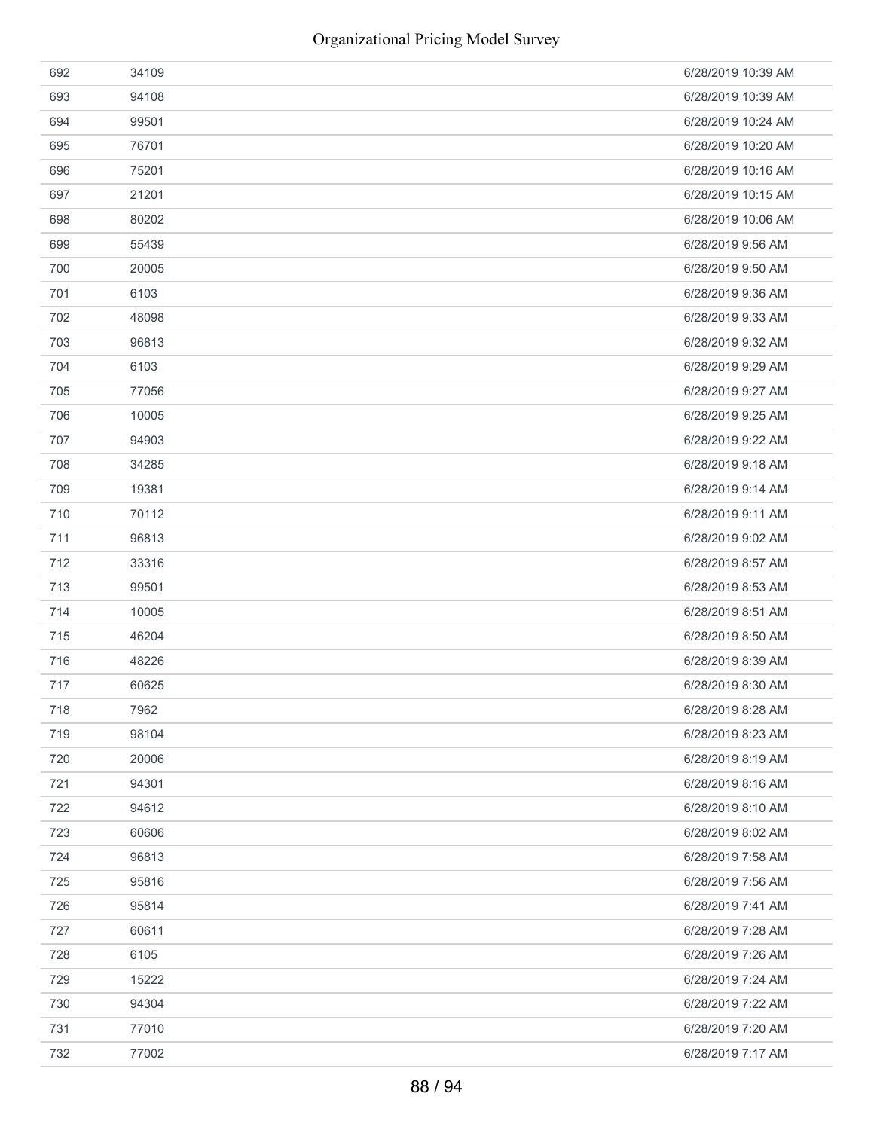| 692 | 34109 | 6/28/2019 10:39 AM |
|-----|-------|--------------------|
| 693 | 94108 | 6/28/2019 10:39 AM |
| 694 | 99501 | 6/28/2019 10:24 AM |
| 695 | 76701 | 6/28/2019 10:20 AM |
| 696 | 75201 | 6/28/2019 10:16 AM |
| 697 | 21201 | 6/28/2019 10:15 AM |
| 698 | 80202 | 6/28/2019 10:06 AM |
| 699 | 55439 | 6/28/2019 9:56 AM  |
| 700 | 20005 | 6/28/2019 9:50 AM  |
| 701 | 6103  | 6/28/2019 9:36 AM  |
| 702 | 48098 | 6/28/2019 9:33 AM  |
| 703 | 96813 | 6/28/2019 9:32 AM  |
| 704 | 6103  | 6/28/2019 9:29 AM  |
| 705 | 77056 | 6/28/2019 9:27 AM  |
| 706 | 10005 | 6/28/2019 9:25 AM  |
| 707 | 94903 | 6/28/2019 9:22 AM  |
| 708 | 34285 | 6/28/2019 9:18 AM  |
| 709 | 19381 | 6/28/2019 9:14 AM  |
| 710 | 70112 | 6/28/2019 9:11 AM  |
| 711 | 96813 | 6/28/2019 9:02 AM  |
| 712 | 33316 | 6/28/2019 8:57 AM  |
| 713 | 99501 | 6/28/2019 8:53 AM  |
| 714 | 10005 | 6/28/2019 8:51 AM  |
| 715 | 46204 | 6/28/2019 8:50 AM  |
| 716 | 48226 | 6/28/2019 8:39 AM  |
| 717 | 60625 | 6/28/2019 8:30 AM  |
| 718 | 7962  | 6/28/2019 8:28 AM  |
| 719 | 98104 | 6/28/2019 8:23 AM  |
| 720 | 20006 | 6/28/2019 8:19 AM  |
| 721 | 94301 | 6/28/2019 8:16 AM  |
| 722 | 94612 | 6/28/2019 8:10 AM  |
| 723 | 60606 | 6/28/2019 8:02 AM  |
| 724 | 96813 | 6/28/2019 7:58 AM  |
| 725 | 95816 | 6/28/2019 7:56 AM  |
| 726 | 95814 | 6/28/2019 7:41 AM  |
| 727 | 60611 | 6/28/2019 7:28 AM  |
| 728 | 6105  | 6/28/2019 7:26 AM  |
| 729 | 15222 | 6/28/2019 7:24 AM  |
| 730 | 94304 | 6/28/2019 7:22 AM  |
| 731 | 77010 | 6/28/2019 7:20 AM  |
| 732 | 77002 | 6/28/2019 7:17 AM  |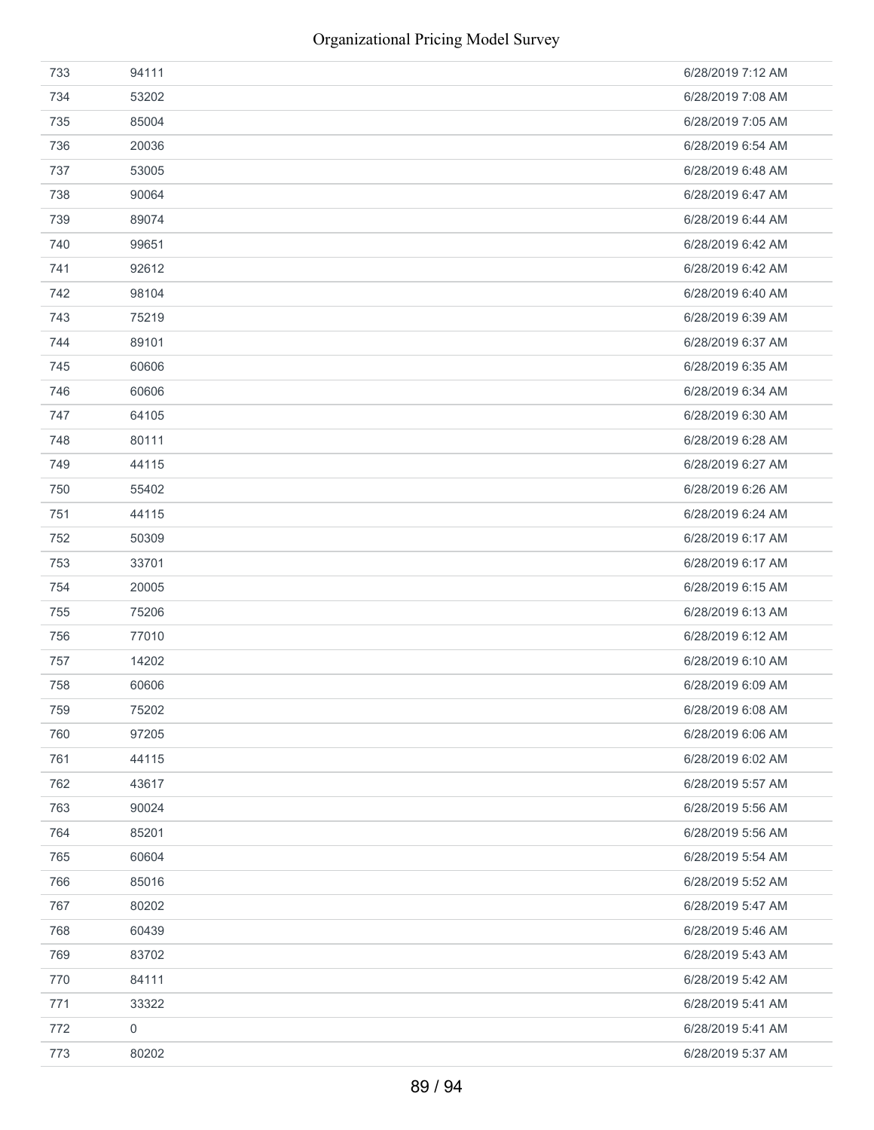| 733 | 94111       | 6/28/2019 7:12 AM |
|-----|-------------|-------------------|
| 734 | 53202       | 6/28/2019 7:08 AM |
| 735 | 85004       | 6/28/2019 7:05 AM |
| 736 | 20036       | 6/28/2019 6:54 AM |
| 737 | 53005       | 6/28/2019 6:48 AM |
| 738 | 90064       | 6/28/2019 6:47 AM |
| 739 | 89074       | 6/28/2019 6:44 AM |
| 740 | 99651       | 6/28/2019 6:42 AM |
| 741 | 92612       | 6/28/2019 6:42 AM |
| 742 | 98104       | 6/28/2019 6:40 AM |
| 743 | 75219       | 6/28/2019 6:39 AM |
| 744 | 89101       | 6/28/2019 6:37 AM |
| 745 | 60606       | 6/28/2019 6:35 AM |
| 746 | 60606       | 6/28/2019 6:34 AM |
| 747 | 64105       | 6/28/2019 6:30 AM |
| 748 | 80111       | 6/28/2019 6:28 AM |
| 749 | 44115       | 6/28/2019 6:27 AM |
| 750 | 55402       | 6/28/2019 6:26 AM |
| 751 | 44115       | 6/28/2019 6:24 AM |
| 752 | 50309       | 6/28/2019 6:17 AM |
| 753 | 33701       | 6/28/2019 6:17 AM |
| 754 | 20005       | 6/28/2019 6:15 AM |
| 755 | 75206       | 6/28/2019 6:13 AM |
| 756 | 77010       | 6/28/2019 6:12 AM |
| 757 | 14202       | 6/28/2019 6:10 AM |
| 758 | 60606       | 6/28/2019 6:09 AM |
| 759 | 75202       | 6/28/2019 6:08 AM |
| 760 | 97205       | 6/28/2019 6:06 AM |
| 761 | 44115       | 6/28/2019 6:02 AM |
| 762 | 43617       | 6/28/2019 5:57 AM |
| 763 | 90024       | 6/28/2019 5:56 AM |
| 764 | 85201       | 6/28/2019 5:56 AM |
| 765 | 60604       | 6/28/2019 5:54 AM |
| 766 | 85016       | 6/28/2019 5:52 AM |
| 767 | 80202       | 6/28/2019 5:47 AM |
| 768 | 60439       | 6/28/2019 5:46 AM |
| 769 | 83702       | 6/28/2019 5:43 AM |
| 770 | 84111       | 6/28/2019 5:42 AM |
| 771 | 33322       | 6/28/2019 5:41 AM |
| 772 | $\mathbf 0$ | 6/28/2019 5:41 AM |
| 773 | 80202       | 6/28/2019 5:37 AM |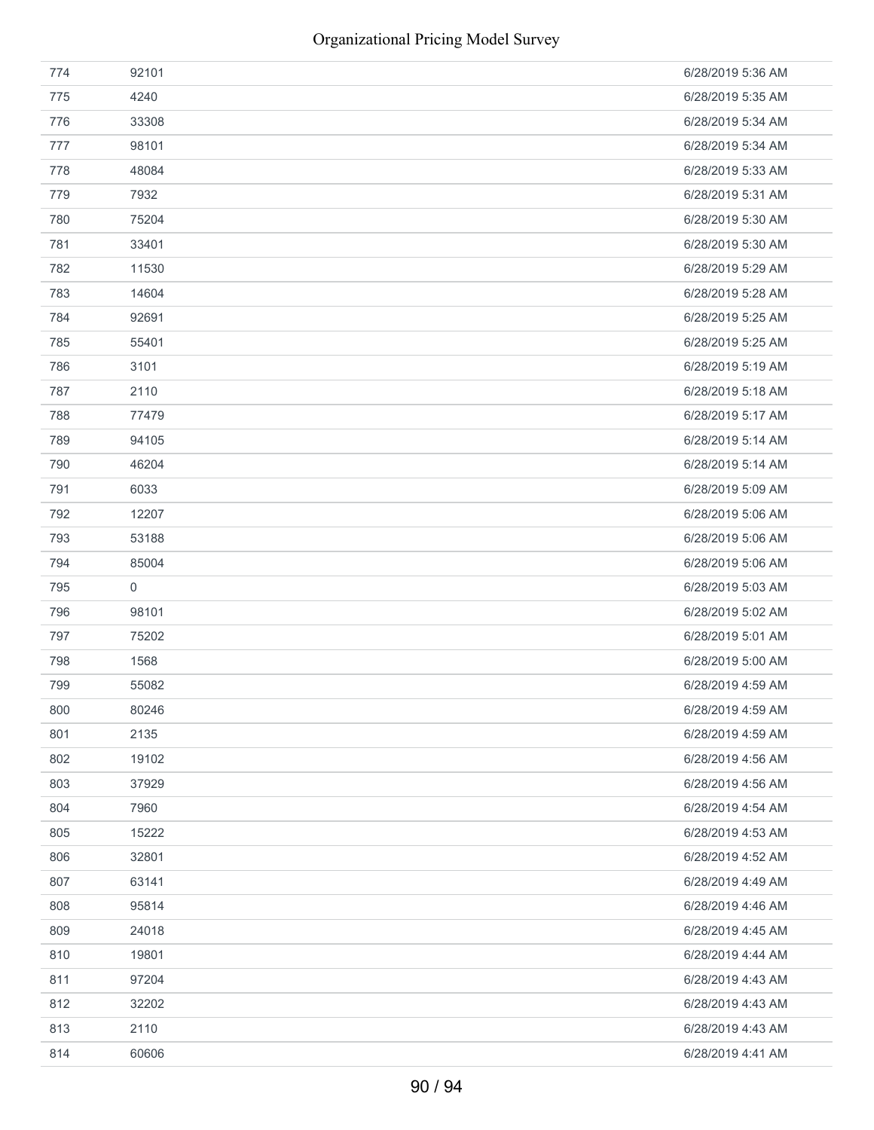| 774 | 92101 | 6/28/2019 5:36 AM |
|-----|-------|-------------------|
| 775 | 4240  | 6/28/2019 5:35 AM |
| 776 | 33308 | 6/28/2019 5:34 AM |
| 777 | 98101 | 6/28/2019 5:34 AM |
| 778 | 48084 | 6/28/2019 5:33 AM |
| 779 | 7932  | 6/28/2019 5:31 AM |
| 780 | 75204 | 6/28/2019 5:30 AM |
| 781 | 33401 | 6/28/2019 5:30 AM |
| 782 | 11530 | 6/28/2019 5:29 AM |
| 783 | 14604 | 6/28/2019 5:28 AM |
| 784 | 92691 | 6/28/2019 5:25 AM |
| 785 | 55401 | 6/28/2019 5:25 AM |
| 786 | 3101  | 6/28/2019 5:19 AM |
| 787 | 2110  | 6/28/2019 5:18 AM |
| 788 | 77479 | 6/28/2019 5:17 AM |
| 789 | 94105 | 6/28/2019 5:14 AM |
| 790 | 46204 | 6/28/2019 5:14 AM |
| 791 | 6033  | 6/28/2019 5:09 AM |
| 792 | 12207 | 6/28/2019 5:06 AM |
| 793 | 53188 | 6/28/2019 5:06 AM |
| 794 | 85004 | 6/28/2019 5:06 AM |
| 795 | 0     | 6/28/2019 5:03 AM |
| 796 | 98101 | 6/28/2019 5:02 AM |
| 797 | 75202 | 6/28/2019 5:01 AM |
| 798 | 1568  | 6/28/2019 5:00 AM |
| 799 | 55082 | 6/28/2019 4:59 AM |
| 800 | 80246 | 6/28/2019 4:59 AM |
| 801 | 2135  | 6/28/2019 4:59 AM |
| 802 | 19102 | 6/28/2019 4:56 AM |
| 803 | 37929 | 6/28/2019 4:56 AM |
| 804 | 7960  | 6/28/2019 4:54 AM |
| 805 | 15222 | 6/28/2019 4:53 AM |
| 806 | 32801 | 6/28/2019 4:52 AM |
| 807 | 63141 | 6/28/2019 4:49 AM |
| 808 | 95814 | 6/28/2019 4:46 AM |
| 809 | 24018 | 6/28/2019 4:45 AM |
| 810 | 19801 | 6/28/2019 4:44 AM |
| 811 | 97204 | 6/28/2019 4:43 AM |
| 812 | 32202 | 6/28/2019 4:43 AM |
| 813 | 2110  | 6/28/2019 4:43 AM |
| 814 | 60606 | 6/28/2019 4:41 AM |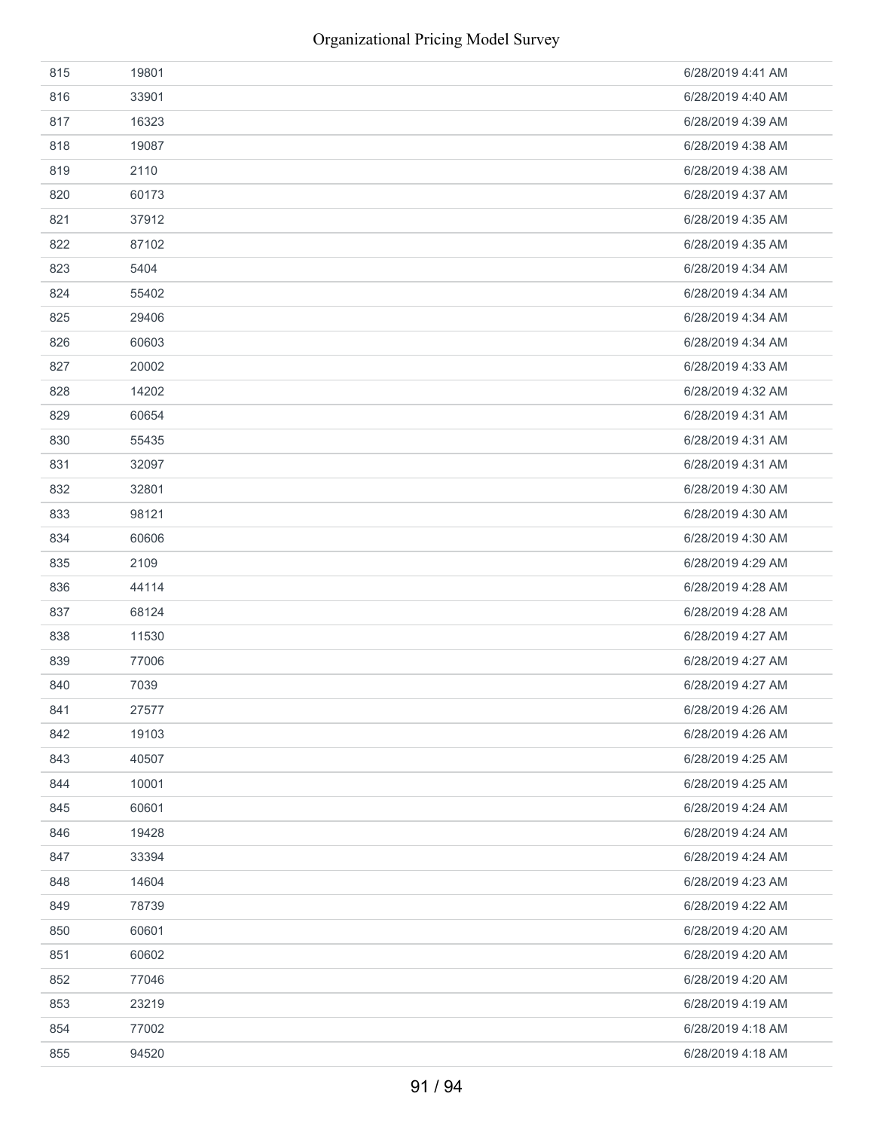| 815 | 19801 | 6/28/2019 4:41 AM |
|-----|-------|-------------------|
| 816 | 33901 | 6/28/2019 4:40 AM |
| 817 | 16323 | 6/28/2019 4:39 AM |
| 818 | 19087 | 6/28/2019 4:38 AM |
| 819 | 2110  | 6/28/2019 4:38 AM |
| 820 | 60173 | 6/28/2019 4:37 AM |
| 821 | 37912 | 6/28/2019 4:35 AM |
| 822 | 87102 | 6/28/2019 4:35 AM |
| 823 | 5404  | 6/28/2019 4:34 AM |
| 824 | 55402 | 6/28/2019 4:34 AM |
| 825 | 29406 | 6/28/2019 4:34 AM |
| 826 | 60603 | 6/28/2019 4:34 AM |
| 827 | 20002 | 6/28/2019 4:33 AM |
| 828 | 14202 | 6/28/2019 4:32 AM |
| 829 | 60654 | 6/28/2019 4:31 AM |
| 830 | 55435 | 6/28/2019 4:31 AM |
| 831 | 32097 | 6/28/2019 4:31 AM |
| 832 | 32801 | 6/28/2019 4:30 AM |
| 833 | 98121 | 6/28/2019 4:30 AM |
| 834 | 60606 | 6/28/2019 4:30 AM |
| 835 | 2109  | 6/28/2019 4:29 AM |
| 836 | 44114 | 6/28/2019 4:28 AM |
| 837 | 68124 | 6/28/2019 4:28 AM |
| 838 | 11530 | 6/28/2019 4:27 AM |
| 839 | 77006 | 6/28/2019 4:27 AM |
| 840 | 7039  | 6/28/2019 4:27 AM |
| 841 | 27577 | 6/28/2019 4:26 AM |
| 842 | 19103 | 6/28/2019 4:26 AM |
| 843 | 40507 | 6/28/2019 4:25 AM |
| 844 | 10001 | 6/28/2019 4:25 AM |
| 845 | 60601 | 6/28/2019 4:24 AM |
| 846 | 19428 | 6/28/2019 4:24 AM |
| 847 | 33394 | 6/28/2019 4:24 AM |
| 848 | 14604 | 6/28/2019 4:23 AM |
| 849 | 78739 | 6/28/2019 4:22 AM |
| 850 | 60601 | 6/28/2019 4:20 AM |
| 851 | 60602 | 6/28/2019 4:20 AM |
| 852 | 77046 | 6/28/2019 4:20 AM |
| 853 | 23219 | 6/28/2019 4:19 AM |
| 854 | 77002 | 6/28/2019 4:18 AM |
| 855 | 94520 | 6/28/2019 4:18 AM |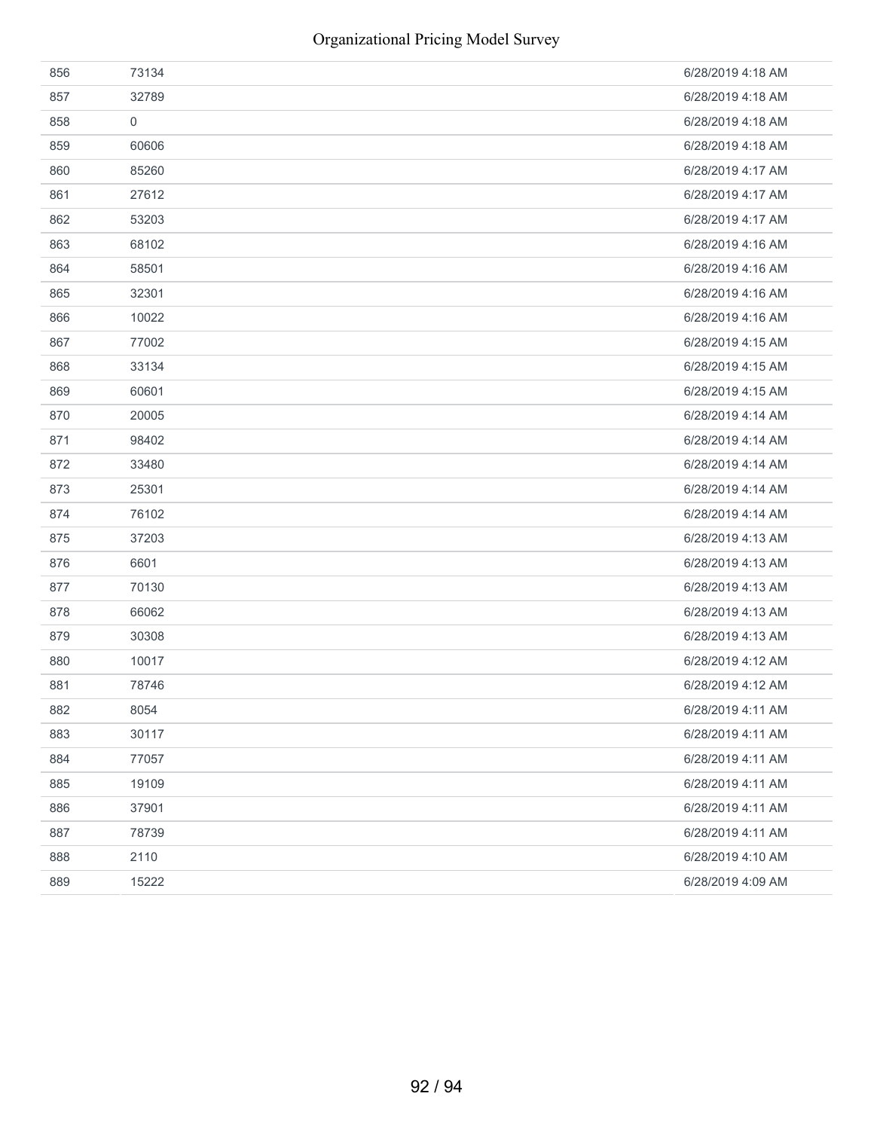| 856 | 73134       | 6/28/2019 4:18 AM |
|-----|-------------|-------------------|
| 857 | 32789       | 6/28/2019 4:18 AM |
| 858 | $\mathbf 0$ | 6/28/2019 4:18 AM |
| 859 | 60606       | 6/28/2019 4:18 AM |
| 860 | 85260       | 6/28/2019 4:17 AM |
| 861 | 27612       | 6/28/2019 4:17 AM |
| 862 | 53203       | 6/28/2019 4:17 AM |
| 863 | 68102       | 6/28/2019 4:16 AM |
| 864 | 58501       | 6/28/2019 4:16 AM |
| 865 | 32301       | 6/28/2019 4:16 AM |
| 866 | 10022       | 6/28/2019 4:16 AM |
| 867 | 77002       | 6/28/2019 4:15 AM |
| 868 | 33134       | 6/28/2019 4:15 AM |
| 869 | 60601       | 6/28/2019 4:15 AM |
| 870 | 20005       | 6/28/2019 4:14 AM |
| 871 | 98402       | 6/28/2019 4:14 AM |
| 872 | 33480       | 6/28/2019 4:14 AM |
| 873 | 25301       | 6/28/2019 4:14 AM |
| 874 | 76102       | 6/28/2019 4:14 AM |
| 875 | 37203       | 6/28/2019 4:13 AM |
| 876 | 6601        | 6/28/2019 4:13 AM |
| 877 | 70130       | 6/28/2019 4:13 AM |
| 878 | 66062       | 6/28/2019 4:13 AM |
| 879 | 30308       | 6/28/2019 4:13 AM |
| 880 | 10017       | 6/28/2019 4:12 AM |
| 881 | 78746       | 6/28/2019 4:12 AM |
| 882 | 8054        | 6/28/2019 4:11 AM |
| 883 | 30117       | 6/28/2019 4:11 AM |
| 884 | 77057       | 6/28/2019 4:11 AM |
| 885 | 19109       | 6/28/2019 4:11 AM |
| 886 | 37901       | 6/28/2019 4:11 AM |
| 887 | 78739       | 6/28/2019 4:11 AM |
| 888 | 2110        | 6/28/2019 4:10 AM |
| 889 | 15222       | 6/28/2019 4:09 AM |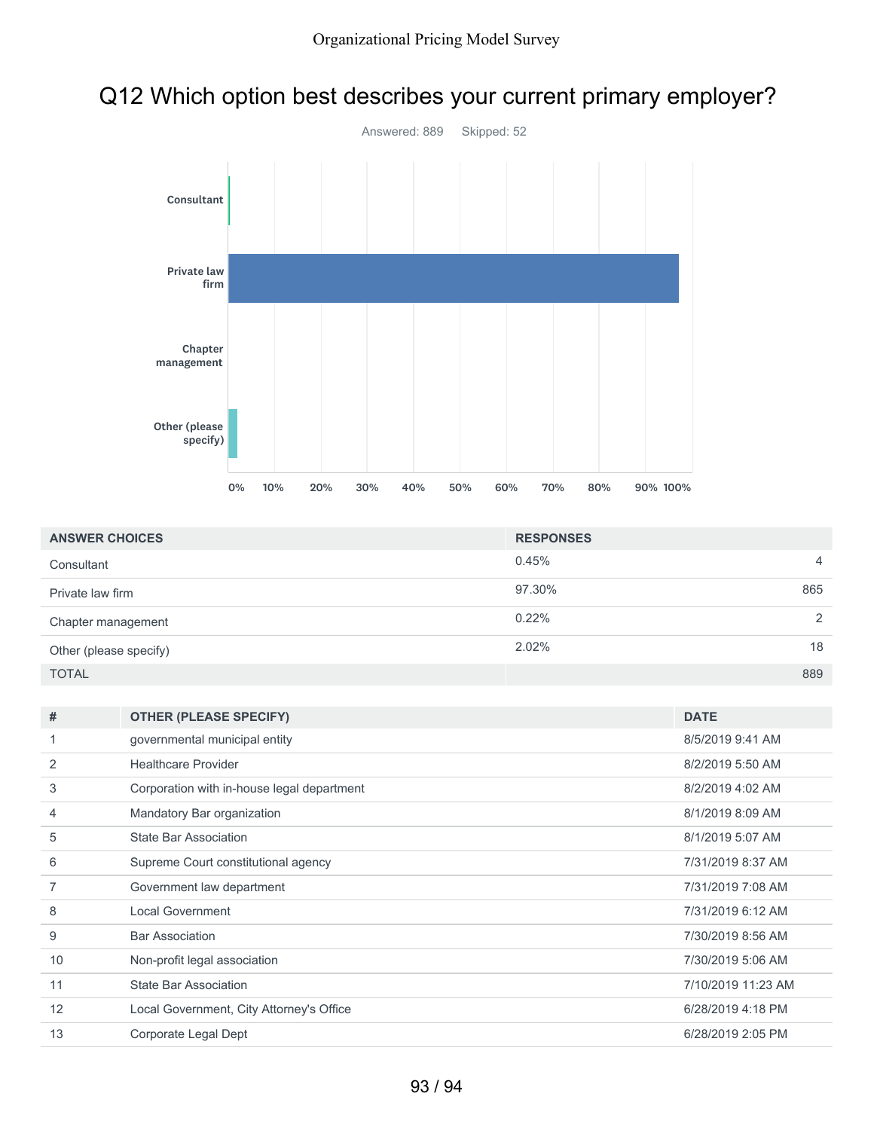## Q12 Which option best describes your current primary employer?



| <b>ANSWER CHOICES</b>  | <b>RESPONSES</b> |                |
|------------------------|------------------|----------------|
| Consultant             | 0.45%            | $\overline{4}$ |
| Private law firm       | 97.30%           | 865            |
| Chapter management     | $0.22\%$         | 2              |
| Other (please specify) | 2.02%            | 18             |
| <b>TOTAL</b>           |                  | 889            |

| #  | <b>OTHER (PLEASE SPECIFY)</b>              | <b>DATE</b>        |
|----|--------------------------------------------|--------------------|
|    | governmental municipal entity              | 8/5/2019 9:41 AM   |
| 2  | <b>Healthcare Provider</b>                 | 8/2/2019 5:50 AM   |
| 3  | Corporation with in-house legal department | 8/2/2019 4:02 AM   |
| 4  | Mandatory Bar organization                 | 8/1/2019 8:09 AM   |
| 5  | State Bar Association                      | 8/1/2019 5:07 AM   |
| 6  | Supreme Court constitutional agency        | 7/31/2019 8:37 AM  |
|    | Government law department                  | 7/31/2019 7:08 AM  |
| 8  | <b>Local Government</b>                    | 7/31/2019 6:12 AM  |
| 9  | <b>Bar Association</b>                     | 7/30/2019 8:56 AM  |
| 10 | Non-profit legal association               | 7/30/2019 5:06 AM  |
| 11 | <b>State Bar Association</b>               | 7/10/2019 11:23 AM |
| 12 | Local Government, City Attorney's Office   | 6/28/2019 4:18 PM  |
| 13 | Corporate Legal Dept                       | 6/28/2019 2:05 PM  |